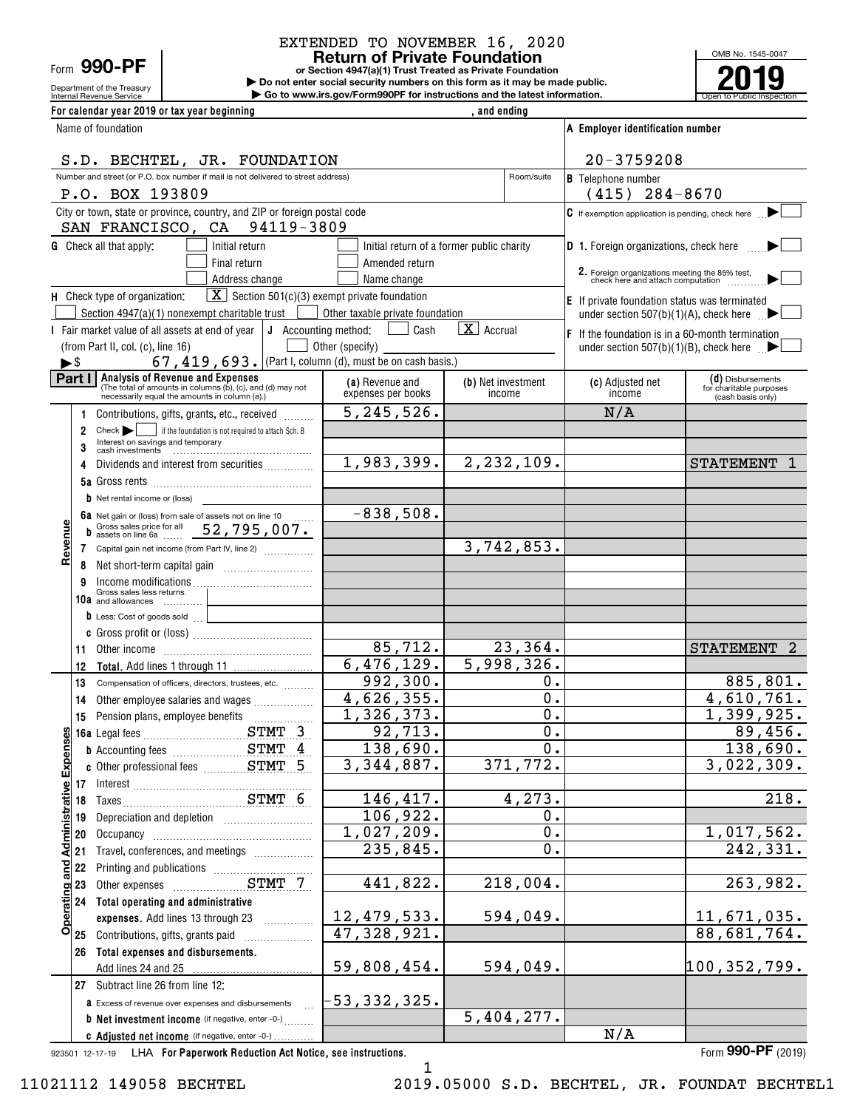Department of the Treasury<br>Internal Revenue Service Form **990-PF**

# EXTENDED TO NOVEMBER 16, 2020

**or Section 4947(a)(1) Trust Treated as Private Foundation Return of Private Foundation**

**| Do not enter social security numbers on this form as it may be made public. | Go to www.irs.gov/Form990PF for instructions and the latest information.**

OMB No. 1545-0047 Internal Revenue Service **Number 19th Construction Constructions and the latest information.** The Service of Public Inspection **2019**

| For calendar year 2019 or tax year beginning                                                                        |                                       | , and ending                              |                                                                                     |                                              |
|---------------------------------------------------------------------------------------------------------------------|---------------------------------------|-------------------------------------------|-------------------------------------------------------------------------------------|----------------------------------------------|
| Name of foundation                                                                                                  |                                       |                                           | A Employer identification number                                                    |                                              |
| S.D. BECHTEL, JR. FOUNDATION                                                                                        |                                       |                                           | $20 - 3759208$                                                                      |                                              |
| Number and street (or P.O. box number if mail is not delivered to street address)                                   |                                       | Room/suite                                | <b>B</b> Telephone number                                                           |                                              |
| P.O. BOX 193809                                                                                                     |                                       |                                           | $(415)$ 284-8670                                                                    |                                              |
| City or town, state or province, country, and ZIP or foreign postal code<br>SAN FRANCISCO, CA 94119-3809            |                                       |                                           | $ C $ If exemption application is pending, check here                               |                                              |
| <b>G</b> Check all that apply:<br>Initial return                                                                    |                                       | Initial return of a former public charity | <b>D</b> 1. Foreign organizations, check here                                       |                                              |
| Final return                                                                                                        | Amended return                        |                                           |                                                                                     |                                              |
| Address change                                                                                                      | Name change                           |                                           | 2. Foreign organizations meeting the 85% test,<br>check here and attach computation |                                              |
| $\boxed{\mathbf{X}}$ Section 501(c)(3) exempt private foundation<br>H Check type of organization:                   |                                       |                                           | <b>E</b> If private foundation status was terminated                                |                                              |
| Section $4947(a)(1)$ nonexempt charitable trust [                                                                   | Other taxable private foundation      |                                           | under section 507(b)(1)(A), check here                                              |                                              |
| I Fair market value of all assets at end of year<br>J Accounting method:                                            | Cash                                  | $\overline{\mathbf{X}}$ Accrual           | $ F $ If the foundation is in a 60-month termination                                |                                              |
| (from Part II, col. (c), line 16)<br>67, 419, 693. (Part I, column (d), must be on cash basis.)<br>►\$              | Other (specify)                       |                                           | under section $507(b)(1)(B)$ , check here $\Box$                                    |                                              |
| Part I<br>Analysis of Revenue and Expenses                                                                          |                                       |                                           |                                                                                     | (d) Disbursements                            |
| (The total of amounts in columns (b), (c), and (d) may not<br>necessarily equal the amounts in column (a).)         | (a) Revenue and<br>expenses per books | (b) Net investment<br>income              | (c) Adjusted net<br>income                                                          | for charitable purposes<br>(cash basis only) |
| Contributions, gifts, grants, etc., received<br>1                                                                   | 5, 245, 526.                          |                                           | N/A                                                                                 |                                              |
| if the foundation is not required to attach Sch. B<br>$Check \rightarrow$<br>2<br>Interest on savings and temporary |                                       |                                           |                                                                                     |                                              |
| 3                                                                                                                   | 1,983,399.                            | 2, 232, 109.                              |                                                                                     | <b>STATEMENT</b><br>1                        |
| Dividends and interest from securities<br>4                                                                         |                                       |                                           |                                                                                     |                                              |
| <b>h</b> Net rental income or (loss)                                                                                |                                       |                                           |                                                                                     |                                              |
| 6a Net gain or (loss) from sale of assets not on line 10                                                            | $-838,508.$                           |                                           |                                                                                     |                                              |
| Gross sales price for all $52,795,007$ .<br>D                                                                       |                                       |                                           |                                                                                     |                                              |
| Revenu<br>7 Capital gain net income (from Part IV, line 2)                                                          |                                       | 3,742,853.                                |                                                                                     |                                              |
| 8                                                                                                                   |                                       |                                           |                                                                                     |                                              |
| 9<br>Gross sales less returns                                                                                       |                                       |                                           |                                                                                     |                                              |
| 10a and allowances                                                                                                  |                                       |                                           |                                                                                     |                                              |
| <b>b</b> Less: Cost of goods sold [11]<br>and the company of the company                                            |                                       |                                           |                                                                                     |                                              |
|                                                                                                                     | 85,712.                               | 23,364.                                   |                                                                                     | STATEMENT 2                                  |
|                                                                                                                     | 6,476,129.                            | 5,998,326.                                |                                                                                     |                                              |
| 12<br>13<br>Compensation of officers, directors, trustees, etc.                                                     | 992,300.                              | 0.                                        |                                                                                     | 885,801.                                     |
| Other employee salaries and wages<br>14                                                                             | 4,626,355.                            | 0.                                        |                                                                                     | 4,610,761.                                   |
| 15                                                                                                                  | 1,326,373.                            | 0.                                        |                                                                                     | 1,399,925.                                   |
| 있                                                                                                                   | 92,713.                               | 0                                         |                                                                                     | 89,456.                                      |
| <b>b</b> Accounting fees <b>STMT</b> 4                                                                              | 138,690.                              | 0.                                        |                                                                                     | 138,690.                                     |
| Expense                                                                                                             | 3,344,887.                            | 371,772.                                  |                                                                                     | 3,022,309.                                   |
|                                                                                                                     |                                       |                                           |                                                                                     |                                              |
| Administrative                                                                                                      | 146,417.                              | 4,273.                                    |                                                                                     | 218.                                         |
| Depreciation and depletion [11] [11] Depreciation and depletion<br>19                                               | 106,922.                              | 0.<br>0.                                  |                                                                                     |                                              |
| 20                                                                                                                  | $\overline{1,027,209}$ .<br>235,845.  | 0.                                        |                                                                                     | 1,017,562.<br>242,331.                       |
| Travel, conferences, and meetings<br>21<br>22                                                                       |                                       |                                           |                                                                                     |                                              |
| and<br>Fi<br>23                                                                                                     | 441,822.                              | 218,004.                                  |                                                                                     | 263,982.                                     |
| 24 Total operating and administrative                                                                               |                                       |                                           |                                                                                     |                                              |
| perating<br>expenses. Add lines 13 through 23                                                                       | 12,479,533.                           | 594,049.                                  |                                                                                     | 11,671,035.                                  |
| Ō<br>Contributions, gifts, grants paid<br>25                                                                        | $\overline{47}$ , 328, 921.           |                                           |                                                                                     | 88,681,764.                                  |
| Total expenses and disbursements.<br>26                                                                             |                                       |                                           |                                                                                     |                                              |
| Add lines 24 and 25                                                                                                 | 59,808,454.                           | 594,049.                                  |                                                                                     | 10 <u>0,352,799.</u>                         |
| 27 Subtract line 26 from line 12:                                                                                   |                                       |                                           |                                                                                     |                                              |
| <b>a</b> Excess of revenue over expenses and disbursements                                                          | $-53,332,325.$                        | 5,404,277.                                |                                                                                     |                                              |
| <b>b</b> Net investment income (if negative, enter -0-)<br>C Adjusted net income (if negative, enter -0-).          |                                       |                                           | N/A                                                                                 |                                              |
|                                                                                                                     |                                       |                                           |                                                                                     |                                              |

923501 12-17-19 **For Paperwork Reduction Act Notice, see instructions.** LHA Form (2019)

**990-PF**

1

11021112 149058 BECHTEL 2019.05000 S.D. BECHTEL, JR. FOUNDAT BECHTEL1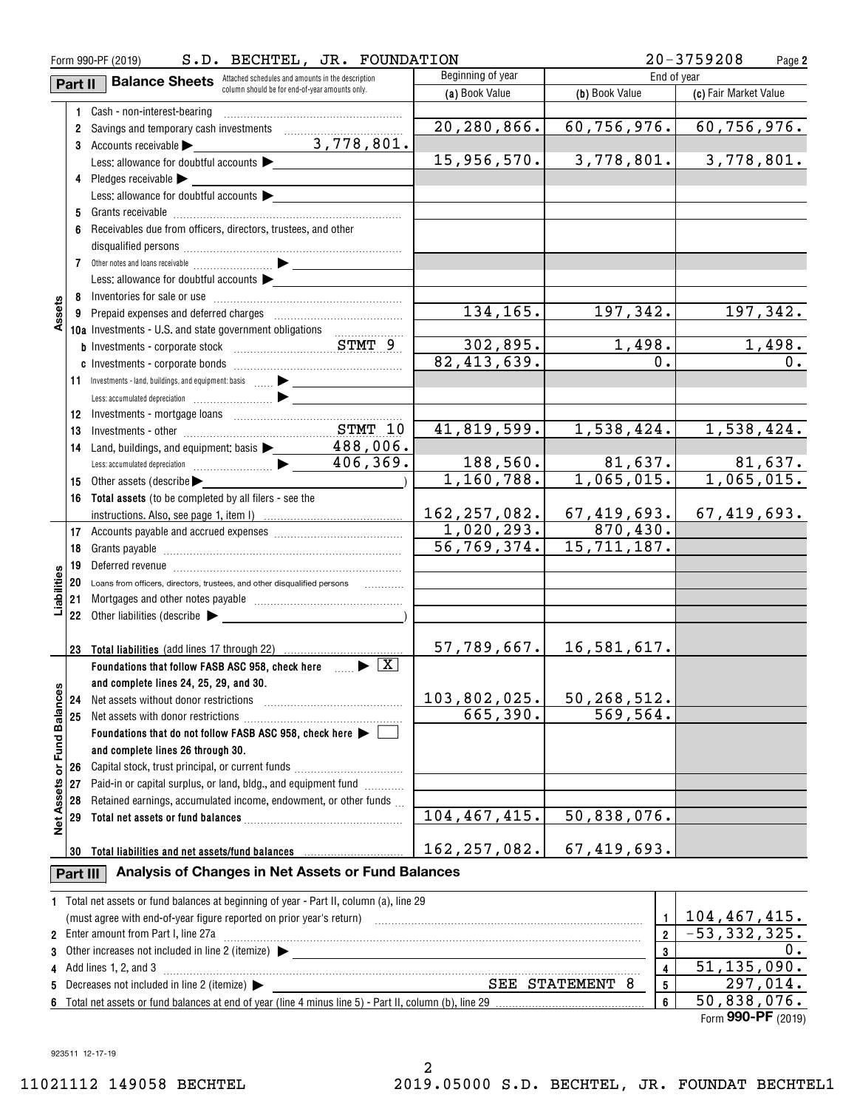|                      | Form 990-PF (2019) | $20 - 3759208$<br>Page 2                                                                                                                                                                                                       |                   |                           |                           |
|----------------------|--------------------|--------------------------------------------------------------------------------------------------------------------------------------------------------------------------------------------------------------------------------|-------------------|---------------------------|---------------------------|
|                      | Part II            | <b>Balance Sheets</b> Attached schedules and amounts in the description                                                                                                                                                        | Beginning of year |                           | End of year               |
|                      |                    | column should be for end-of-year amounts only.                                                                                                                                                                                 | (a) Book Value    | (b) Book Value            | (c) Fair Market Value     |
|                      |                    | 1 Cash - non-interest-bearing                                                                                                                                                                                                  |                   |                           |                           |
|                      | 2                  | Savings and temporary cash investments [111][11] [11] Savings and temporary cash investments                                                                                                                                   | 20, 280, 866.     | 60, 756, 976.             | 60, 756, 976.             |
|                      |                    | $\frac{3,778,801.}{)}$<br>3 Accounts receivable                                                                                                                                                                                |                   |                           |                           |
|                      |                    | Less: allowance for doubtful accounts                                                                                                                                                                                          | 15,956,570.       | 3,778,801.                | 3,778,801.                |
|                      |                    | 4 Pledges receivable                                                                                                                                                                                                           |                   |                           |                           |
|                      |                    | Less: allowance for doubtful accounts                                                                                                                                                                                          |                   |                           |                           |
|                      |                    | 6 Receivables due from officers, directors, trustees, and other                                                                                                                                                                |                   |                           |                           |
|                      |                    |                                                                                                                                                                                                                                |                   |                           |                           |
|                      |                    |                                                                                                                                                                                                                                |                   |                           |                           |
|                      |                    | Less: allowance for doubtful accounts                                                                                                                                                                                          |                   |                           |                           |
|                      |                    |                                                                                                                                                                                                                                |                   |                           |                           |
| Assets               |                    |                                                                                                                                                                                                                                | 134, 165.         | 197,342.                  | 197,342.                  |
|                      |                    | 10a Investments - U.S. and state government obligations                                                                                                                                                                        |                   |                           |                           |
|                      |                    |                                                                                                                                                                                                                                | 302,895.          | 1,498.                    | 1,498.                    |
|                      |                    |                                                                                                                                                                                                                                | 82, 413, 639.     | 0.                        | 0.                        |
|                      |                    | 11 Investments - land, buildings, and equipment: basis  > _______________                                                                                                                                                      |                   |                           |                           |
|                      |                    |                                                                                                                                                                                                                                |                   |                           |                           |
|                      |                    |                                                                                                                                                                                                                                |                   |                           |                           |
|                      | 13                 |                                                                                                                                                                                                                                | 41,819,599.       | 1,538,424.                | 1,538,424.                |
|                      | 14                 | Land, buildings, and equipment: basis $\blacktriangleright$ 488,006.                                                                                                                                                           |                   |                           |                           |
|                      |                    |                                                                                                                                                                                                                                | 188,560.          | 81,637.                   | 81,637.                   |
|                      | 15                 | Other assets (describe $\blacktriangleright$                                                                                                                                                                                   | 1,160,788.        | 1,065,015.                | 1,065,015.                |
|                      |                    | 16 Total assets (to be completed by all filers - see the                                                                                                                                                                       |                   |                           |                           |
|                      |                    |                                                                                                                                                                                                                                | 162, 257, 082.    | 67, 419, 693.             | 67,419,693.               |
|                      |                    |                                                                                                                                                                                                                                | 1,020,293.        | 870, 430.                 |                           |
|                      | 18                 |                                                                                                                                                                                                                                | 56,769,374.       | 15,711,187.               |                           |
|                      | 19                 | Deferred revenue imminimum contracts and the contracts of the contracts of the contracts of the contracts of the contracts of the contracts of the contracts of the contracts of the contracts of the contracts of the contrac |                   |                           |                           |
| Liabiliti            |                    |                                                                                                                                                                                                                                |                   |                           |                           |
|                      | 21                 | 22 Other liabilities (describe $\blacktriangleright$                                                                                                                                                                           |                   |                           |                           |
|                      |                    |                                                                                                                                                                                                                                |                   |                           |                           |
|                      |                    | 23 Total liabilities (add lines 17 through 22)                                                                                                                                                                                 | 57,789,667.       | 16,581,617.               |                           |
|                      |                    | Foundations that follow FASB ASC 958, check here $\Box$ $\blacktriangleright$ $\Box$                                                                                                                                           |                   |                           |                           |
|                      |                    | and complete lines 24, 25, 29, and 30.                                                                                                                                                                                         |                   |                           |                           |
|                      | 24                 | Net assets without donor restrictions                                                                                                                                                                                          | 103,802,025.      | 50, 268, 512.             |                           |
|                      | 25                 |                                                                                                                                                                                                                                | 665,390.          | 569,564.                  |                           |
| <b>Fund Balances</b> |                    | Foundations that do not follow FASB ASC 958, check here $\blacktriangleright$                                                                                                                                                  |                   |                           |                           |
|                      |                    | and complete lines 26 through 30.                                                                                                                                                                                              |                   |                           |                           |
| ŏ                    | 26                 | Capital stock, trust principal, or current funds                                                                                                                                                                               |                   |                           |                           |
|                      | 27                 | Paid-in or capital surplus, or land, bldg., and equipment fund                                                                                                                                                                 |                   |                           |                           |
|                      | 28                 | Retained earnings, accumulated income, endowment, or other funds                                                                                                                                                               |                   |                           |                           |
| <b>Net Assets</b>    | 29                 |                                                                                                                                                                                                                                | 104, 467, 415.    | 50,838,076.               |                           |
|                      | 30                 | Total liabilities and net assets/fund balances [11] [11] Total liabilities and net assets/fund balances                                                                                                                        | 162, 257, 082.    | 67,419,693.               |                           |
|                      |                    | Analysis of Changes in Net Assets or Fund Balances                                                                                                                                                                             |                   |                           |                           |
|                      | Part III           |                                                                                                                                                                                                                                |                   |                           |                           |
|                      |                    | 1 Total net assets or fund balances at beginning of year - Part II, column (a), line 29                                                                                                                                        |                   |                           |                           |
|                      |                    |                                                                                                                                                                                                                                |                   | $\mathbf{1}$              | 104, 467, 415.            |
|                      |                    | 2 Enter amount from Part I, line 27a                                                                                                                                                                                           |                   | $\mathbf 2$               | $-53,332,325.$            |
| 3                    |                    |                                                                                                                                                                                                                                |                   | 3                         | 0.                        |
| 4                    |                    | Add lines 1, 2, and 3                                                                                                                                                                                                          |                   | 4                         | 51, 135, 090.<br>297,014. |
| 5                    |                    | Decreases not included in line 2 (itemize) $\blacktriangleright$<br>6 Total net assets or fund balances at end of year (line 4 minus line 5) - Part II, column (b), line 29                                                    |                   | 5<br>SEE STATEMENT 8<br>6 | 50,838,076.               |
|                      |                    |                                                                                                                                                                                                                                |                   |                           |                           |

| Jecreases<br>no<br>uded<br>. (emize).                               |                                                        | .<br>\'I'H`MH`N'I'<br>. |  |
|---------------------------------------------------------------------|--------------------------------------------------------|-------------------------|--|
| otal<br>. balances<br>vear<br>eno<br>0000to<br>αı<br>υı<br>- 833513 | ാ<br>-line<br>mınus<br>(line<br>column<br>'ıne 5.<br>. |                         |  |

Form (2019) **990-PF**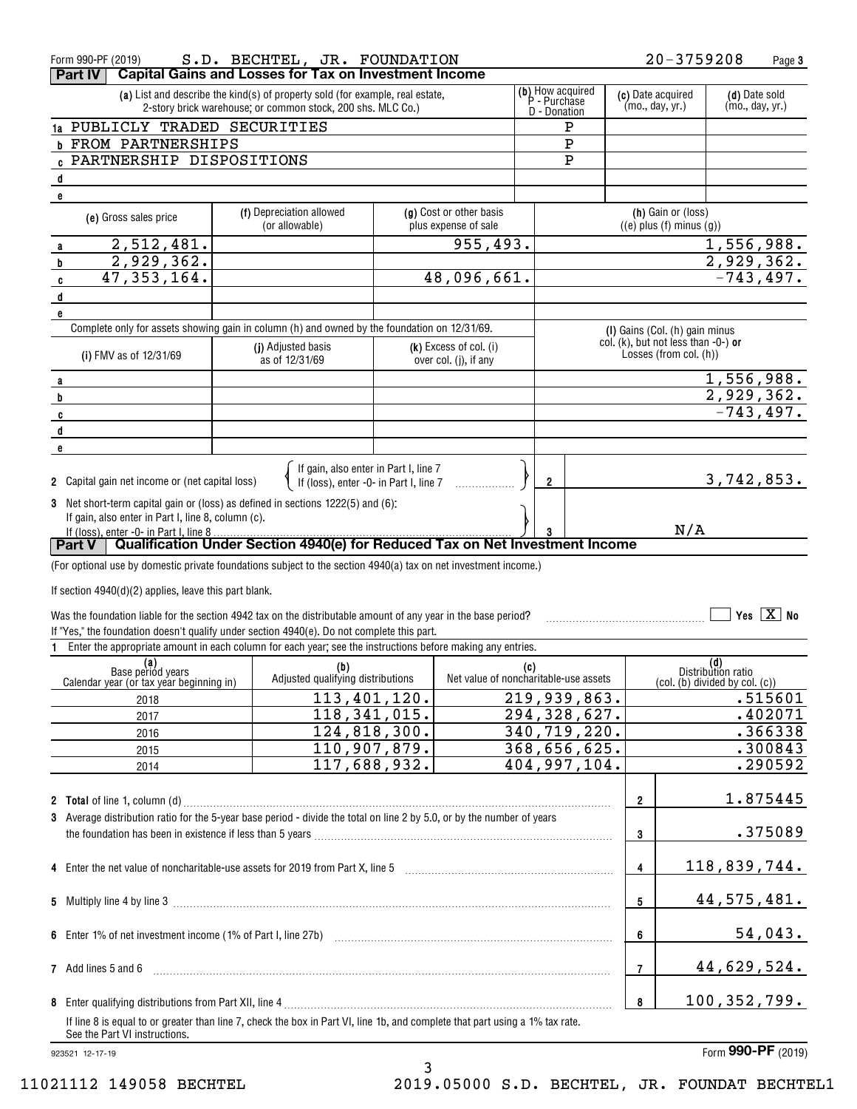|                                                                                                                                                                                                  | Form 990-PF (2019)                                                                                                                                                    |  | S.D. BECHTEL, JR. FOUNDATION                                                    |  |                                                   |     |                                      |                |                                  | 20-3759208                                                    |                                                                                               | Page 3       |
|--------------------------------------------------------------------------------------------------------------------------------------------------------------------------------------------------|-----------------------------------------------------------------------------------------------------------------------------------------------------------------------|--|---------------------------------------------------------------------------------|--|---------------------------------------------------|-----|--------------------------------------|----------------|----------------------------------|---------------------------------------------------------------|-----------------------------------------------------------------------------------------------|--------------|
|                                                                                                                                                                                                  | Part IV                                                                                                                                                               |  | <b>Capital Gains and Losses for Tax on Investment Income</b>                    |  |                                                   |     |                                      |                |                                  |                                                               |                                                                                               |              |
| (b) How acquired<br>P - Purchase<br>D - Donation<br>(a) List and describe the kind(s) of property sold (for example, real estate,<br>2-story brick warehouse; or common stock, 200 shs. MLC Co.) |                                                                                                                                                                       |  |                                                                                 |  |                                                   |     | (c) Date acquired<br>(mo., day, yr.) |                | (d) Date sold<br>(mo., day, yr.) |                                                               |                                                                                               |              |
|                                                                                                                                                                                                  | 1a PUBLICLY TRADED SECURITIES                                                                                                                                         |  |                                                                                 |  |                                                   |     |                                      | Ρ              |                                  |                                                               |                                                                                               |              |
|                                                                                                                                                                                                  | <b>b FROM PARTNERSHIPS</b>                                                                                                                                            |  |                                                                                 |  |                                                   |     |                                      | P              |                                  |                                                               |                                                                                               |              |
|                                                                                                                                                                                                  | <b>C PARTNERSHIP DISPOSITIONS</b>                                                                                                                                     |  |                                                                                 |  |                                                   |     |                                      | P              |                                  |                                                               |                                                                                               |              |
|                                                                                                                                                                                                  | d                                                                                                                                                                     |  |                                                                                 |  |                                                   |     |                                      |                |                                  |                                                               |                                                                                               |              |
| e                                                                                                                                                                                                |                                                                                                                                                                       |  |                                                                                 |  |                                                   |     |                                      |                |                                  |                                                               |                                                                                               |              |
|                                                                                                                                                                                                  | (e) Gross sales price                                                                                                                                                 |  | (f) Depreciation allowed                                                        |  | (g) Cost or other basis                           |     |                                      |                |                                  | (h) Gain or (loss)<br>$((e)$ plus $(f)$ minus $(g)$ )         |                                                                                               |              |
|                                                                                                                                                                                                  |                                                                                                                                                                       |  | (or allowable)                                                                  |  | plus expense of sale                              |     |                                      |                |                                  |                                                               |                                                                                               |              |
| a                                                                                                                                                                                                | 2,512,481.                                                                                                                                                            |  |                                                                                 |  | 955, 493.                                         |     |                                      |                |                                  |                                                               | 1,556,988.                                                                                    |              |
| b                                                                                                                                                                                                | 2,929,362.                                                                                                                                                            |  |                                                                                 |  |                                                   |     |                                      |                |                                  |                                                               | 2,929,362.                                                                                    |              |
| C                                                                                                                                                                                                | 47, 353, 164.                                                                                                                                                         |  |                                                                                 |  | 48,096,661.                                       |     |                                      |                |                                  |                                                               |                                                                                               | $-743, 497.$ |
|                                                                                                                                                                                                  | d                                                                                                                                                                     |  |                                                                                 |  |                                                   |     |                                      |                |                                  |                                                               |                                                                                               |              |
| e                                                                                                                                                                                                |                                                                                                                                                                       |  |                                                                                 |  |                                                   |     |                                      |                |                                  |                                                               |                                                                                               |              |
|                                                                                                                                                                                                  | Complete only for assets showing gain in column (h) and owned by the foundation on 12/31/69.                                                                          |  |                                                                                 |  |                                                   |     |                                      |                |                                  | (I) Gains (Col. (h) gain minus                                |                                                                                               |              |
|                                                                                                                                                                                                  | (i) FMV as of 12/31/69                                                                                                                                                |  | (j) Adjusted basis<br>as of 12/31/69                                            |  | $(k)$ Excess of col. (i)<br>over col. (j), if any |     |                                      |                |                                  | col. (k), but not less than -0-) or<br>Losses (from col. (h)) |                                                                                               |              |
|                                                                                                                                                                                                  |                                                                                                                                                                       |  |                                                                                 |  |                                                   |     |                                      |                |                                  |                                                               | 1,556,988.                                                                                    |              |
| a<br>b                                                                                                                                                                                           |                                                                                                                                                                       |  |                                                                                 |  |                                                   |     |                                      |                |                                  |                                                               | 2,929,362.                                                                                    |              |
|                                                                                                                                                                                                  |                                                                                                                                                                       |  |                                                                                 |  |                                                   |     |                                      |                |                                  |                                                               |                                                                                               | $-743, 497.$ |
| C                                                                                                                                                                                                |                                                                                                                                                                       |  |                                                                                 |  |                                                   |     |                                      |                |                                  |                                                               |                                                                                               |              |
|                                                                                                                                                                                                  | d                                                                                                                                                                     |  |                                                                                 |  |                                                   |     |                                      |                |                                  |                                                               |                                                                                               |              |
| e                                                                                                                                                                                                |                                                                                                                                                                       |  |                                                                                 |  |                                                   |     |                                      |                |                                  |                                                               |                                                                                               |              |
|                                                                                                                                                                                                  | 2 Capital gain net income or (net capital loss)                                                                                                                       |  | If gain, also enter in Part I, line 7<br>If (loss), enter -0- in Part I, line 7 |  |                                                   |     | $\overline{2}$                       |                |                                  |                                                               | 3,742,853.                                                                                    |              |
|                                                                                                                                                                                                  | 3 Net short-term capital gain or (loss) as defined in sections 1222(5) and (6):                                                                                       |  |                                                                                 |  |                                                   |     |                                      |                |                                  |                                                               |                                                                                               |              |
|                                                                                                                                                                                                  | If gain, also enter in Part I, line 8, column (c).                                                                                                                    |  |                                                                                 |  |                                                   |     |                                      |                |                                  |                                                               |                                                                                               |              |
|                                                                                                                                                                                                  | If (loss), enter -0- in Part I, line 8.                                                                                                                               |  |                                                                                 |  |                                                   |     |                                      |                |                                  | N/A                                                           |                                                                                               |              |
|                                                                                                                                                                                                  | Part V                                                                                                                                                                |  | Qualification Under Section 4940(e) for Reduced Tax on Net Investment Income    |  |                                                   |     |                                      |                |                                  |                                                               |                                                                                               |              |
|                                                                                                                                                                                                  | (For optional use by domestic private foundations subject to the section 4940(a) tax on net investment income.)                                                       |  |                                                                                 |  |                                                   |     |                                      |                |                                  |                                                               |                                                                                               |              |
|                                                                                                                                                                                                  |                                                                                                                                                                       |  |                                                                                 |  |                                                   |     |                                      |                |                                  |                                                               |                                                                                               |              |
|                                                                                                                                                                                                  | If section $4940(d)(2)$ applies, leave this part blank.                                                                                                               |  |                                                                                 |  |                                                   |     |                                      |                |                                  |                                                               |                                                                                               |              |
|                                                                                                                                                                                                  |                                                                                                                                                                       |  |                                                                                 |  |                                                   |     |                                      |                |                                  |                                                               |                                                                                               |              |
|                                                                                                                                                                                                  | Was the foundation liable for the section 4942 tax on the distributable amount of any year in the base period?                                                        |  |                                                                                 |  |                                                   |     |                                      |                |                                  |                                                               |                                                                                               | Yes $X$ No   |
|                                                                                                                                                                                                  | If "Yes," the foundation doesn't qualify under section 4940(e). Do not complete this part.                                                                            |  |                                                                                 |  |                                                   |     |                                      |                |                                  |                                                               |                                                                                               |              |
|                                                                                                                                                                                                  | Enter the appropriate amount in each column for each year; see the instructions before making any entries.                                                            |  |                                                                                 |  |                                                   |     |                                      |                |                                  |                                                               |                                                                                               |              |
|                                                                                                                                                                                                  | (a)<br>Base period years                                                                                                                                              |  | (b)                                                                             |  |                                                   | (c) |                                      |                |                                  |                                                               | (d)<br>Distribution ratio                                                                     |              |
|                                                                                                                                                                                                  | Calendar year (or tax year beginning in)                                                                                                                              |  | Adjusted qualifying distributions                                               |  | Net value of noncharitable-use assets             |     |                                      |                |                                  |                                                               | $\left(\text{col.} \left(\text{b}\right) \text{divided by col.} \left(\text{c}\right)\right)$ |              |
|                                                                                                                                                                                                  | 2018                                                                                                                                                                  |  | 113, 401, 120.                                                                  |  |                                                   |     |                                      | 219,939,863.   |                                  |                                                               |                                                                                               | .515601      |
|                                                                                                                                                                                                  | 2017                                                                                                                                                                  |  | 118, 341, 015.                                                                  |  |                                                   |     |                                      | 294, 328, 627. |                                  |                                                               |                                                                                               | .402071      |
|                                                                                                                                                                                                  | 2016                                                                                                                                                                  |  | 124, 818, 300.                                                                  |  |                                                   |     |                                      | 340, 719, 220. |                                  |                                                               |                                                                                               | .366338      |
|                                                                                                                                                                                                  | 2015                                                                                                                                                                  |  | 110,907,879.                                                                    |  |                                                   |     |                                      | 368,656,625.   |                                  |                                                               |                                                                                               | .300843      |
|                                                                                                                                                                                                  | 2014                                                                                                                                                                  |  | 117,688,932.                                                                    |  |                                                   |     |                                      | 404,997,104.   |                                  |                                                               |                                                                                               | .290592      |
|                                                                                                                                                                                                  |                                                                                                                                                                       |  |                                                                                 |  |                                                   |     |                                      |                |                                  |                                                               |                                                                                               |              |
|                                                                                                                                                                                                  |                                                                                                                                                                       |  |                                                                                 |  |                                                   |     |                                      |                | $\overline{2}$                   |                                                               |                                                                                               | 1.875445     |
|                                                                                                                                                                                                  | 3 Average distribution ratio for the 5-year base period - divide the total on line 2 by 5.0, or by the number of years                                                |  |                                                                                 |  |                                                   |     |                                      |                |                                  |                                                               |                                                                                               |              |
|                                                                                                                                                                                                  |                                                                                                                                                                       |  |                                                                                 |  |                                                   |     |                                      |                |                                  |                                                               |                                                                                               |              |
|                                                                                                                                                                                                  |                                                                                                                                                                       |  |                                                                                 |  |                                                   |     |                                      |                | 3                                |                                                               |                                                                                               | .375089      |
|                                                                                                                                                                                                  | 4 Enter the net value of noncharitable-use assets for 2019 from Part X, line 5 [11] [12] Enter the net value of noncharitable-use assets for 2019 from Part X, line 5 |  |                                                                                 |  |                                                   |     |                                      |                | 4                                |                                                               | 118,839,744.                                                                                  |              |
|                                                                                                                                                                                                  |                                                                                                                                                                       |  |                                                                                 |  |                                                   |     |                                      |                |                                  |                                                               |                                                                                               |              |
|                                                                                                                                                                                                  |                                                                                                                                                                       |  |                                                                                 |  |                                                   |     |                                      |                | 5                                |                                                               | 44,575,481.                                                                                   |              |
|                                                                                                                                                                                                  |                                                                                                                                                                       |  |                                                                                 |  |                                                   |     |                                      |                |                                  |                                                               |                                                                                               |              |
|                                                                                                                                                                                                  |                                                                                                                                                                       |  |                                                                                 |  |                                                   |     |                                      |                | 6                                |                                                               |                                                                                               | 54,043.      |
|                                                                                                                                                                                                  |                                                                                                                                                                       |  |                                                                                 |  |                                                   |     |                                      |                |                                  |                                                               |                                                                                               |              |
|                                                                                                                                                                                                  | 7 Add lines 5 and 6                                                                                                                                                   |  |                                                                                 |  |                                                   |     |                                      |                | $\overline{7}$                   |                                                               | 44,629,524.                                                                                   |              |
|                                                                                                                                                                                                  |                                                                                                                                                                       |  |                                                                                 |  |                                                   |     |                                      |                |                                  |                                                               |                                                                                               |              |
|                                                                                                                                                                                                  | If line 8 is equal to or greater than line 7, check the box in Part VI, line 1b, and complete that part using a 1% tax rate.                                          |  |                                                                                 |  |                                                   |     |                                      |                | 8                                |                                                               | 100, 352, 799.                                                                                |              |
|                                                                                                                                                                                                  | See the Part VI instructions.                                                                                                                                         |  |                                                                                 |  |                                                   |     |                                      |                |                                  |                                                               |                                                                                               |              |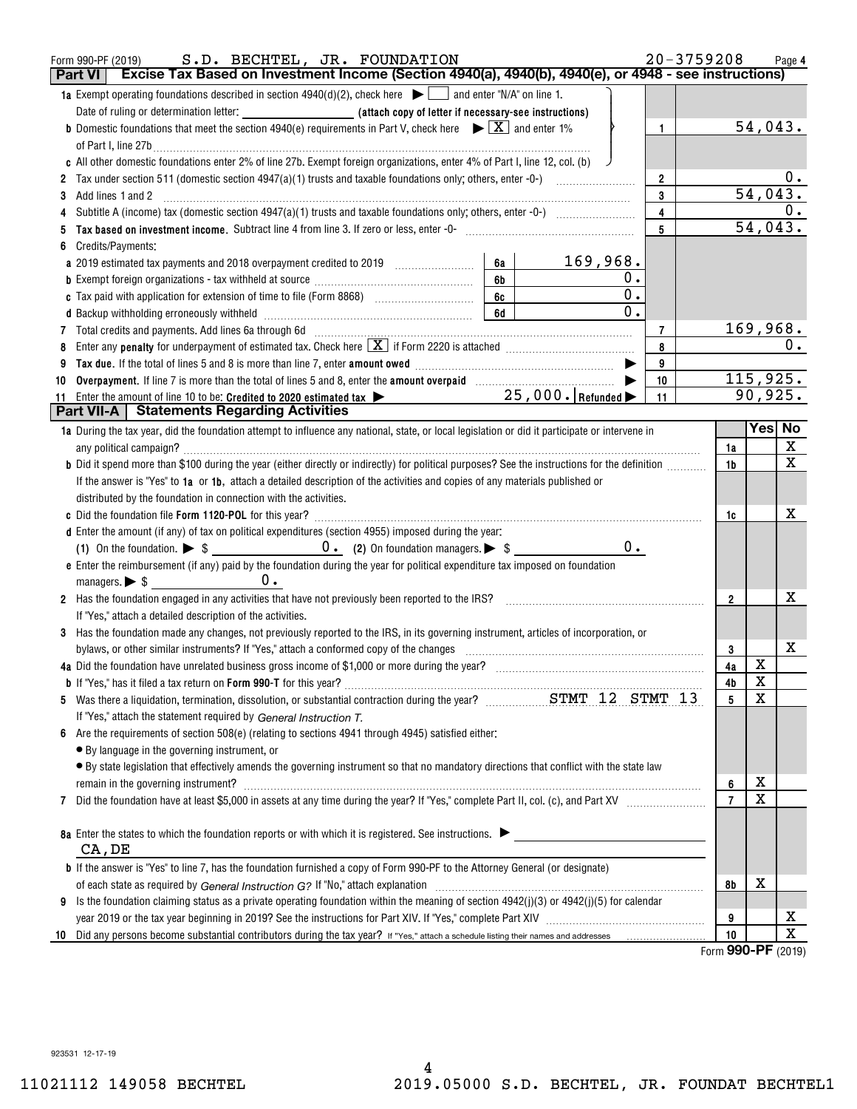|    | S.D. BECHTEL, JR. FOUNDATION<br>Form 990-PF (2019)                                                                                              |                | $20 - 3759208$ |                         | Page 4        |
|----|-------------------------------------------------------------------------------------------------------------------------------------------------|----------------|----------------|-------------------------|---------------|
|    | Excise Tax Based on Investment Income (Section 4940(a), 4940(b), 4940(e), or 4948 - see instructions)<br><b>Part VI</b>                         |                |                |                         |               |
|    | <b>1a</b> Exempt operating foundations described in section $4940(d)(2)$ , check here $\blacktriangleright$ and enter "N/A" on line 1.          |                |                |                         |               |
|    |                                                                                                                                                 |                |                |                         |               |
|    | <b>b</b> Domestic foundations that meet the section 4940(e) requirements in Part V, check here $\blacktriangleright \boxed{X}$ and enter 1%     | $\mathbf{1}$   |                | 54,043.                 |               |
|    | of Part I, line 27b $\ldots$                                                                                                                    |                |                |                         |               |
|    | c All other domestic foundations enter 2% of line 27b. Exempt foreign organizations, enter 4% of Part I, line 12, col. (b)                      |                |                |                         |               |
|    |                                                                                                                                                 | $\overline{2}$ |                |                         | 0.            |
| з  | Add lines 1 and 2                                                                                                                               | 3              |                | 54,043.                 |               |
|    |                                                                                                                                                 | $\overline{4}$ |                |                         | 0.            |
|    |                                                                                                                                                 | 5              |                | 54,043.                 |               |
|    | Credits/Payments:                                                                                                                               |                |                |                         |               |
|    | 169,968.<br>a 2019 estimated tax payments and 2018 overpayment credited to 2019 [11, 12011]<br>6а                                               |                |                |                         |               |
|    | 0.<br>6b                                                                                                                                        |                |                |                         |               |
|    | 0.<br>6c                                                                                                                                        |                |                |                         |               |
|    | 0.<br>6d                                                                                                                                        |                |                |                         |               |
|    | 7 Total credits and payments. Add lines 6a through 6d [11] [12] Total Manuscription and payments and payments.                                  | 7              |                | 169,968.                |               |
|    | Enter any <b>penalty</b> for underpayment of estimated tax. Check here $X$ if Form 2220 is attached $\ldots$                                    | 8              |                |                         | υ.            |
|    |                                                                                                                                                 | 9              |                |                         |               |
| 10 |                                                                                                                                                 | 10             |                | 115,925.                |               |
|    | $25$ , $000$ . Refunded $\blacktriangleright$<br>11 Enter the amount of line 10 to be: Credited to 2020 estimated tax >                         | 11             |                | 90,925.                 |               |
|    | <b>Part VII-A</b> Statements Regarding Activities                                                                                               |                |                |                         |               |
|    | 1a During the tax year, did the foundation attempt to influence any national, state, or local legislation or did it participate or intervene in |                |                |                         | <b>Yes No</b> |
|    |                                                                                                                                                 |                | 1a             |                         | X             |
|    | b Did it spend more than \$100 during the year (either directly or indirectly) for political purposes? See the instructions for the definition  |                | 1b             |                         | $\mathbf{x}$  |
|    | If the answer is "Yes" to 1a or 1b, attach a detailed description of the activities and copies of any materials published or                    |                |                |                         |               |
|    | distributed by the foundation in connection with the activities.                                                                                |                |                |                         |               |
|    |                                                                                                                                                 |                | 1c             |                         | x             |
|    | d Enter the amount (if any) of tax on political expenditures (section 4955) imposed during the year:                                            |                |                |                         |               |
|    | $0$ .                                                                                                                                           |                |                |                         |               |
|    | e Enter the reimbursement (if any) paid by the foundation during the year for political expenditure tax imposed on foundation                   |                |                |                         |               |
|    | $m$ anagers. $\triangleright$ \$ $\_\_\_\_\_\_\_\_\_\_\_\_\_\_\_\_\_\_\_\_\_\_\_\_\_$<br>$0$ .                                                  |                |                |                         |               |
|    | 2 Has the foundation engaged in any activities that have not previously been reported to the IRS?                                               |                | $\overline{2}$ |                         | x             |
|    | If "Yes," attach a detailed description of the activities.                                                                                      |                |                |                         |               |
|    | 3 Has the foundation made any changes, not previously reported to the IRS, in its governing instrument, articles of incorporation, or           |                |                |                         |               |
|    | bylaws, or other similar instruments? If "Yes," attach a conformed copy of the changes                                                          |                | 3              |                         | X             |
|    |                                                                                                                                                 |                | 4a             | X                       |               |
|    |                                                                                                                                                 |                | 4b             | $\overline{\textbf{X}}$ |               |
|    | 5 Was there a liquidation, termination, dissolution, or substantial contraction during the year? STMT 12 STMT 13                                |                | 5              | X                       |               |
|    | If "Yes," attach the statement required by General Instruction T.                                                                               |                |                |                         |               |
| 6  | Are the requirements of section 508(e) (relating to sections 4941 through 4945) satisfied either:                                               |                |                |                         |               |
|    | • By language in the governing instrument, or                                                                                                   |                |                |                         |               |
|    | · By state legislation that effectively amends the governing instrument so that no mandatory directions that conflict with the state law        |                |                |                         |               |
|    | remain in the governing instrument? <b>With any construct of the construction</b> in the governing instrument?                                  |                | 6              | х                       |               |
| 7  |                                                                                                                                                 |                | $\overline{7}$ | X                       |               |
|    |                                                                                                                                                 |                |                |                         |               |
|    | 8a Enter the states to which the foundation reports or with which it is registered. See instructions.                                           |                |                |                         |               |
|    | CA, DE                                                                                                                                          |                |                |                         |               |
|    | <b>b</b> If the answer is "Yes" to line 7, has the foundation furnished a copy of Form 990-PF to the Attorney General (or designate)            |                |                |                         |               |
|    |                                                                                                                                                 |                | 8b             | х                       |               |
| 9  | Is the foundation claiming status as a private operating foundation within the meaning of section 4942(j)(3) or 4942(j)(5) for calendar         |                |                |                         |               |
|    |                                                                                                                                                 |                | 9              |                         | х             |
| 10 |                                                                                                                                                 |                | 10             |                         | $\mathbf X$   |
|    |                                                                                                                                                 |                |                | nnn.                    |               |

Form (2019) **990-PF**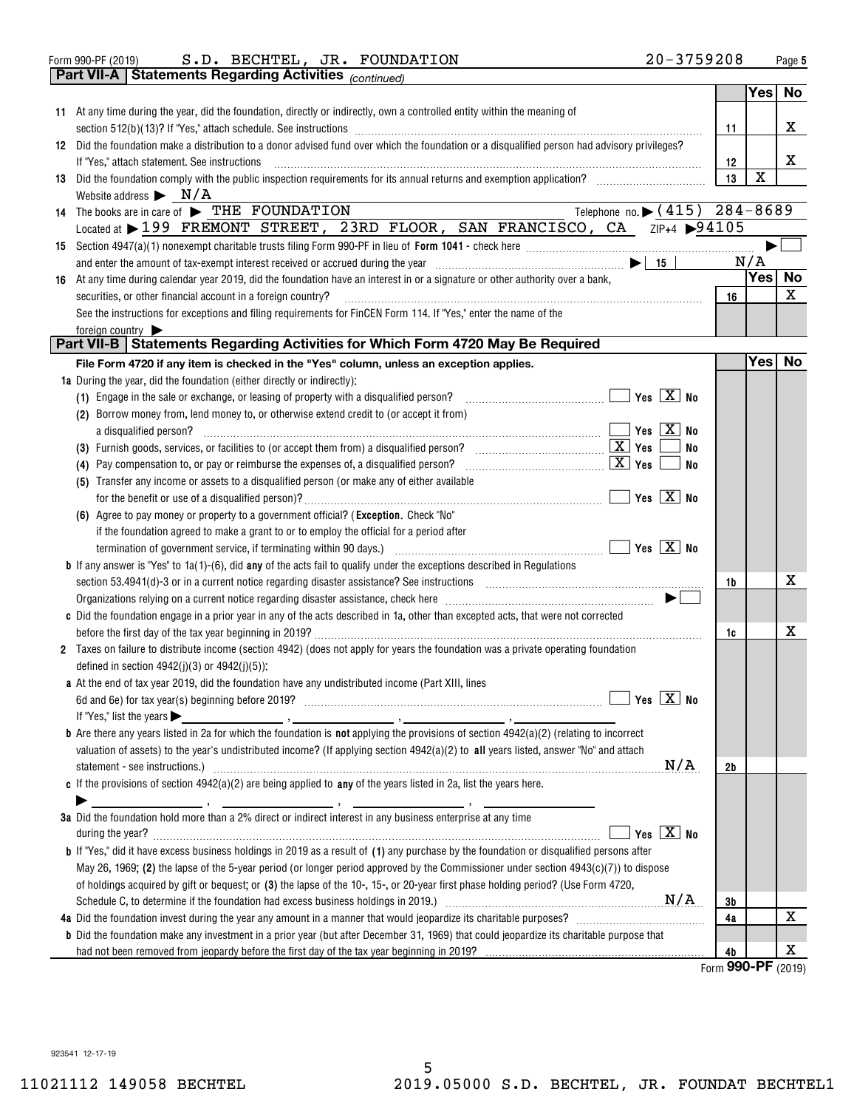| Form 990-PF (2019) |  | S.D. BECHTEL, JR. FOUNDATION | $20 - 3759208$ | Page |
|--------------------|--|------------------------------|----------------|------|
|                    |  |                              |                |      |

|    | <b>Part VII-A   Statements Regarding Activities</b> $_{(continued)}$                                                                                                                                                                               |                                |             |    |
|----|----------------------------------------------------------------------------------------------------------------------------------------------------------------------------------------------------------------------------------------------------|--------------------------------|-------------|----|
|    |                                                                                                                                                                                                                                                    |                                | <b>Yes</b>  | No |
|    | 11 At any time during the year, did the foundation, directly or indirectly, own a controlled entity within the meaning of                                                                                                                          |                                |             |    |
|    |                                                                                                                                                                                                                                                    | 11                             |             | х  |
|    | 12 Did the foundation make a distribution to a donor advised fund over which the foundation or a disqualified person had advisory privileges?                                                                                                      |                                |             |    |
|    | If "Yes," attach statement. See instructions                                                                                                                                                                                                       | 12                             |             | х  |
|    | 13 Did the foundation comply with the public inspection requirements for its annual returns and exemption application?                                                                                                                             | 13                             | $\mathbf X$ |    |
|    | Website address $\triangleright$ N/A                                                                                                                                                                                                               |                                |             |    |
|    | Telephone no. $\blacktriangleright$ (415)<br>14 The books are in care of FUHE FOUNDATION                                                                                                                                                           | $284 - 8689$                   |             |    |
|    | Located at > 199 FREMONT STREET, 23RD FLOOR, SAN FRANCISCO, CA ZIP+4 > 94105                                                                                                                                                                       |                                |             |    |
|    |                                                                                                                                                                                                                                                    |                                |             |    |
|    | and enter the amount of tax-exempt interest received or accrued during the year $\ldots$ $\ldots$ $\ldots$ $\ldots$ $\ldots$ $\ldots$ $\ldots$ $\ldots$ $\ldots$                                                                                   |                                | N/A         |    |
| 16 | At any time during calendar year 2019, did the foundation have an interest in or a signature or other authority over a bank,                                                                                                                       |                                | Yes No      |    |
|    | securities, or other financial account in a foreign country?                                                                                                                                                                                       | 16                             |             | X  |
|    | See the instructions for exceptions and filing requirements for FinCEN Form 114. If "Yes," enter the name of the                                                                                                                                   |                                |             |    |
|    | foreign country                                                                                                                                                                                                                                    |                                |             |    |
|    | Part VII-B   Statements Regarding Activities for Which Form 4720 May Be Required                                                                                                                                                                   |                                |             |    |
|    | File Form 4720 if any item is checked in the "Yes" column, unless an exception applies.                                                                                                                                                            |                                | Yes         | No |
|    | 1a During the year, did the foundation (either directly or indirectly):                                                                                                                                                                            |                                |             |    |
|    | $\blacksquare$ Yes $\boxed{\mathrm{X}}$ No<br>(1) Engage in the sale or exchange, or leasing of property with a disqualified person?                                                                                                               |                                |             |    |
|    | (2) Borrow money from, lend money to, or otherwise extend credit to (or accept it from)                                                                                                                                                            |                                |             |    |
|    | $\overline{\mathsf{Yes}}$ $\overline{\mathsf{X}}$ No<br>a disqualified person?                                                                                                                                                                     |                                |             |    |
|    |                                                                                                                                                                                                                                                    | No                             |             |    |
|    | <u>x   Yes</u><br>(4) Pay compensation to, or pay or reimburse the expenses of, a disqualified person?                                                                                                                                             | No                             |             |    |
|    | (5) Transfer any income or assets to a disqualified person (or make any of either available                                                                                                                                                        |                                |             |    |
|    | $\blacksquare$ Yes $\lceil$ $\overline{X}$ $\rceil$ No                                                                                                                                                                                             |                                |             |    |
|    | (6) Agree to pay money or property to a government official? (Exception. Check "No"                                                                                                                                                                |                                |             |    |
|    | if the foundation agreed to make a grant to or to employ the official for a period after                                                                                                                                                           |                                |             |    |
|    | $\boxed{\phantom{1}}$ Yes $\boxed{\text{X}}$ No<br>termination of government service, if terminating within 90 days.) manufaction contains an examination of government service, [                                                                 |                                |             |    |
|    | <b>b</b> If any answer is "Yes" to $1a(1)-(6)$ , did any of the acts fail to qualify under the exceptions described in Regulations                                                                                                                 |                                |             |    |
|    |                                                                                                                                                                                                                                                    | 1b                             |             | х  |
|    | Organizations relying on a current notice regarding disaster assistance, check here <i>manufficumations manufficumation</i>                                                                                                                        |                                |             |    |
|    | c Did the foundation engage in a prior year in any of the acts described in 1a, other than excepted acts, that were not corrected                                                                                                                  |                                |             |    |
|    |                                                                                                                                                                                                                                                    | 1c                             |             | х  |
|    | 2 Taxes on failure to distribute income (section 4942) (does not apply for years the foundation was a private operating foundation                                                                                                                 |                                |             |    |
|    | defined in section $4942(j)(3)$ or $4942(j)(5)$ :                                                                                                                                                                                                  |                                |             |    |
|    | a At the end of tax year 2019, did the foundation have any undistributed income (Part XIII, lines                                                                                                                                                  |                                |             |    |
|    |                                                                                                                                                                                                                                                    |                                |             |    |
|    | If "Yes," list the years $\blacktriangleright$                                                                                                                                                                                                     |                                |             |    |
|    | <b>b</b> Are there any years listed in 2a for which the foundation is <b>not</b> applying the provisions of section $4942(a)(2)$ (relating to incorrect                                                                                            |                                |             |    |
|    | valuation of assets) to the year's undistributed income? (If applying section 4942(a)(2) to all years listed, answer "No" and attach                                                                                                               |                                |             |    |
|    | N/A                                                                                                                                                                                                                                                | 2b                             |             |    |
|    | c If the provisions of section $4942(a)(2)$ are being applied to any of the years listed in 2a, list the years here.                                                                                                                               |                                |             |    |
|    | 3a Did the foundation hold more than a 2% direct or indirect interest in any business enterprise at any time                                                                                                                                       |                                |             |    |
|    |                                                                                                                                                                                                                                                    |                                |             |    |
|    | Yes $X$ No<br>during the year? <b>contract the contract of the contract of the set of the contract of the set of the set of the set of the set of the set of the set of the set of the set of the set of the set of the set of the set of the </b> |                                |             |    |
|    | <b>b</b> If "Yes," did it have excess business holdings in 2019 as a result of (1) any purchase by the foundation or disqualified persons after                                                                                                    |                                |             |    |
|    | May 26, 1969; (2) the lapse of the 5-year period (or longer period approved by the Commissioner under section 4943(c)(7)) to dispose                                                                                                               |                                |             |    |
|    | of holdings acquired by gift or bequest; or (3) the lapse of the 10-, 15-, or 20-year first phase holding period? (Use Form 4720,                                                                                                                  |                                |             |    |
|    |                                                                                                                                                                                                                                                    | 3b                             |             | х  |
|    |                                                                                                                                                                                                                                                    | 4a                             |             |    |
|    | <b>b</b> Did the foundation make any investment in a prior year (but after December 31, 1969) that could jeopardize its charitable purpose that                                                                                                    | 4b                             |             | X  |
|    |                                                                                                                                                                                                                                                    | $E_{\text{OCD}}$ 990-PF (2010) |             |    |

Form (2019) **990-PF**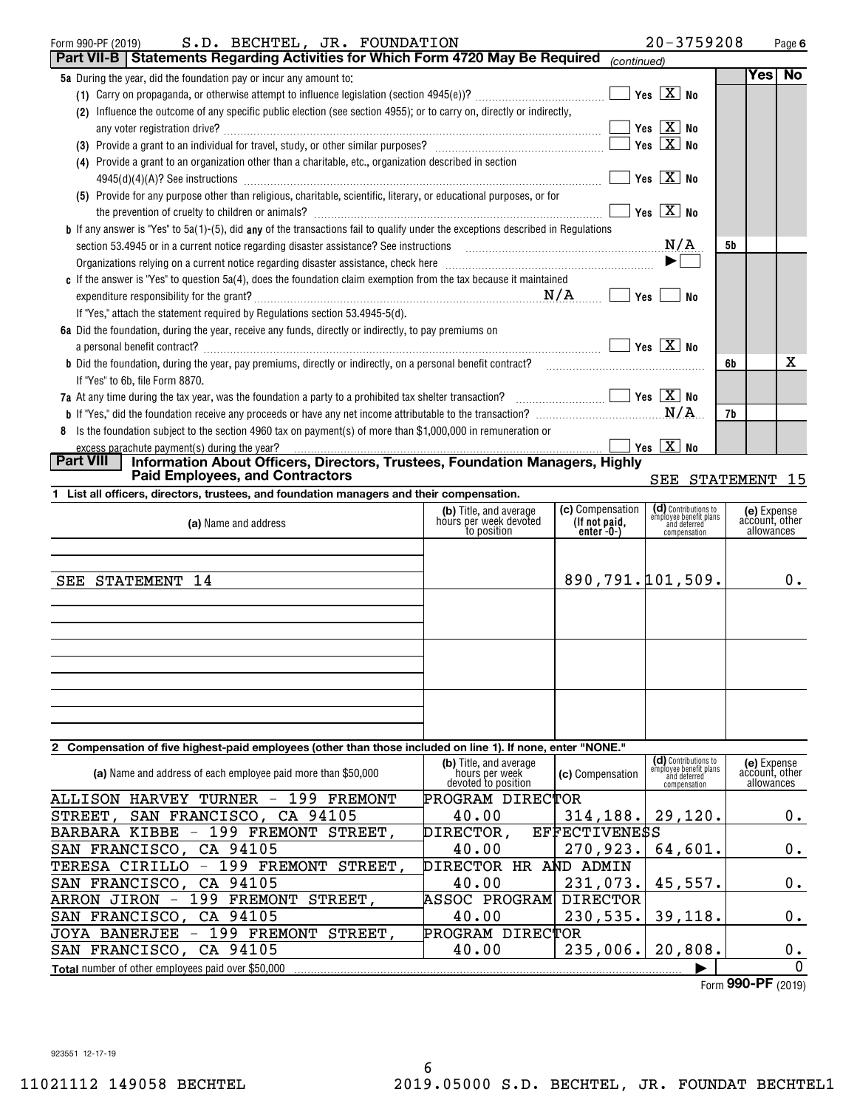| S.D. BECHTEL, JR. FOUNDATION<br>Form 990-PF (2019)                                                                                      |                                                  |                                   | 20-3759208                                                     |           |                               | Page 6 |
|-----------------------------------------------------------------------------------------------------------------------------------------|--------------------------------------------------|-----------------------------------|----------------------------------------------------------------|-----------|-------------------------------|--------|
| Part VII-B   Statements Regarding Activities for Which Form 4720 May Be Required                                                        |                                                  | (continued)                       |                                                                |           |                               |        |
| 5a During the year, did the foundation pay or incur any amount to:                                                                      |                                                  |                                   |                                                                |           | Yes No                        |        |
|                                                                                                                                         |                                                  |                                   |                                                                |           |                               |        |
| Influence the outcome of any specific public election (see section 4955); or to carry on, directly or indirectly,<br>(2)                |                                                  |                                   |                                                                |           |                               |        |
|                                                                                                                                         |                                                  |                                   | Yes $\boxed{X}$ No                                             |           |                               |        |
|                                                                                                                                         |                                                  |                                   |                                                                |           |                               |        |
| (4) Provide a grant to an organization other than a charitable, etc., organization described in section                                 |                                                  |                                   |                                                                |           |                               |        |
|                                                                                                                                         |                                                  |                                   | Yes $\boxed{X}$ No                                             |           |                               |        |
| (5) Provide for any purpose other than religious, charitable, scientific, literary, or educational purposes, or for                     |                                                  |                                   |                                                                |           |                               |        |
|                                                                                                                                         |                                                  |                                   | Yes $\boxed{X}$ No                                             |           |                               |        |
| <b>b</b> If any answer is "Yes" to 5a(1)-(5), did any of the transactions fail to qualify under the exceptions described in Regulations |                                                  |                                   |                                                                |           |                               |        |
| section 53.4945 or in a current notice regarding disaster assistance? See instructions $M/A$                                            |                                                  |                                   |                                                                | <b>5b</b> |                               |        |
|                                                                                                                                         |                                                  |                                   | $\blacktriangleright$                                          |           |                               |        |
| c If the answer is "Yes" to question 5a(4), does the foundation claim exemption from the tax because it maintained                      |                                                  |                                   |                                                                |           |                               |        |
|                                                                                                                                         |                                                  |                                   | Yes<br><b>No</b>                                               |           |                               |        |
| If "Yes," attach the statement required by Regulations section 53.4945-5(d).                                                            |                                                  |                                   |                                                                |           |                               |        |
| 6a Did the foundation, during the year, receive any funds, directly or indirectly, to pay premiums on                                   |                                                  |                                   |                                                                |           |                               |        |
| a personal benefit contract? $\ldots$ No                                                                                                |                                                  |                                   |                                                                |           |                               |        |
| <b>b</b> Did the foundation, during the year, pay premiums, directly or indirectly, on a personal benefit contract?                     |                                                  |                                   |                                                                | 6b        |                               | X      |
| If "Yes" to 6b, file Form 8870.                                                                                                         |                                                  |                                   |                                                                |           |                               |        |
| 7a At any time during the tax year, was the foundation a party to a prohibited tax shelter transaction? $\ldots$ $\ldots$ $\ldots$      |                                                  |                                   |                                                                |           |                               |        |
|                                                                                                                                         |                                                  |                                   |                                                                | 7b        |                               |        |
| Is the foundation subject to the section 4960 tax on payment(s) of more than \$1,000,000 in remuneration or<br>8                        |                                                  |                                   |                                                                |           |                               |        |
| excess parachute payment(s) during the year?                                                                                            |                                                  |                                   | Yes $X$ No                                                     |           |                               |        |
| Information About Officers, Directors, Trustees, Foundation Managers, Highly<br><b>Part VIII</b>                                        |                                                  |                                   |                                                                |           |                               |        |
| <b>Paid Employees, and Contractors</b>                                                                                                  |                                                  |                                   | SEE STATEMENT 15                                               |           |                               |        |
| 1 List all officers, directors, trustees, and foundation managers and their compensation.                                               |                                                  |                                   |                                                                |           |                               |        |
| (a) Name and address                                                                                                                    | (b) Title, and average<br>hours per week devoted | (c) Compensation<br>(If not paid, | (d) Contributions to<br>employee benefit plans<br>and deferred |           | (e) Expense<br>account, other |        |
|                                                                                                                                         | to position                                      | $enter -0-$                       | compensation                                                   |           | allowances                    |        |
|                                                                                                                                         |                                                  |                                   |                                                                |           |                               |        |
|                                                                                                                                         |                                                  |                                   |                                                                |           |                               |        |

| SEE STATEMENT 14 | $890, 791.$ 101,509. | 0. |
|------------------|----------------------|----|
|                  |                      |    |
|                  |                      |    |
|                  |                      |    |
|                  |                      |    |
|                  |                      |    |
|                  |                      |    |
|                  |                      |    |
|                  |                      |    |
|                  |                      |    |

# **2 Compensation of five highest-paid employees (other than those included on line 1). If none, enter "NONE."**

| (a) Name and address of each employee paid more than \$50,000        | (b) Title, and average<br>hours per week<br>devoted to position | (c) Compensation | (d) Contributions to<br>employee benefit plans<br>and deferred<br>compensation | (e) Expense<br>account, other<br>allowances |
|----------------------------------------------------------------------|-----------------------------------------------------------------|------------------|--------------------------------------------------------------------------------|---------------------------------------------|
| 199<br><b>FREMONT</b><br>TURNER<br><b>HARVEY</b><br>ALLISON          | PROGRAM DIRECTOR                                                |                  |                                                                                |                                             |
| SAN FRANCISCO, CA 94105<br>STREET,                                   | 40.00                                                           | 314, 188.        | 29,120.                                                                        | 0.                                          |
| 199 FREMONT<br>BARBARA KIBBE<br>STREET.<br>$\overline{\phantom{m}}$  | DIRECTOR,                                                       | EFFECTIVENESS    |                                                                                |                                             |
| SAN FRANCISCO, CA 94105                                              | 40.00                                                           | 270,923.         | 64,601.                                                                        | 0.                                          |
| - 199 FREMONT<br>TERESA CIRILLO<br>STREET.                           | <b>DIRECTOR</b>                                                 | HR AND ADMIN     |                                                                                |                                             |
| SAN FRANCISCO, CA 94105                                              | 40.00                                                           | 231,073.         | 45,557.                                                                        | 0.                                          |
| 199<br>ARRON JIRON<br>FREMONT<br>STREET.<br>$\overline{\phantom{m}}$ | ASSOC PROGRAM                                                   | <b>DIRECTOR</b>  |                                                                                |                                             |
| FRANCISCO, CA 94105<br>SAN                                           | 40.00                                                           | 230,535.         | 39,118.                                                                        | 0.                                          |
| - 199<br>FREMONT<br><b>JOYA BANERJEE</b><br>STREET.                  | PROGRAM DIRECTOR                                                |                  |                                                                                |                                             |
| SAN FRANCISCO, CA 94105                                              | 40.00                                                           | 235,006.         | 20,808.                                                                        | 0.                                          |
| <b>Total</b> number of other employees paid over \$50,000            |                                                                 |                  |                                                                                | $\Omega$                                    |

Form (2019) **990-PF**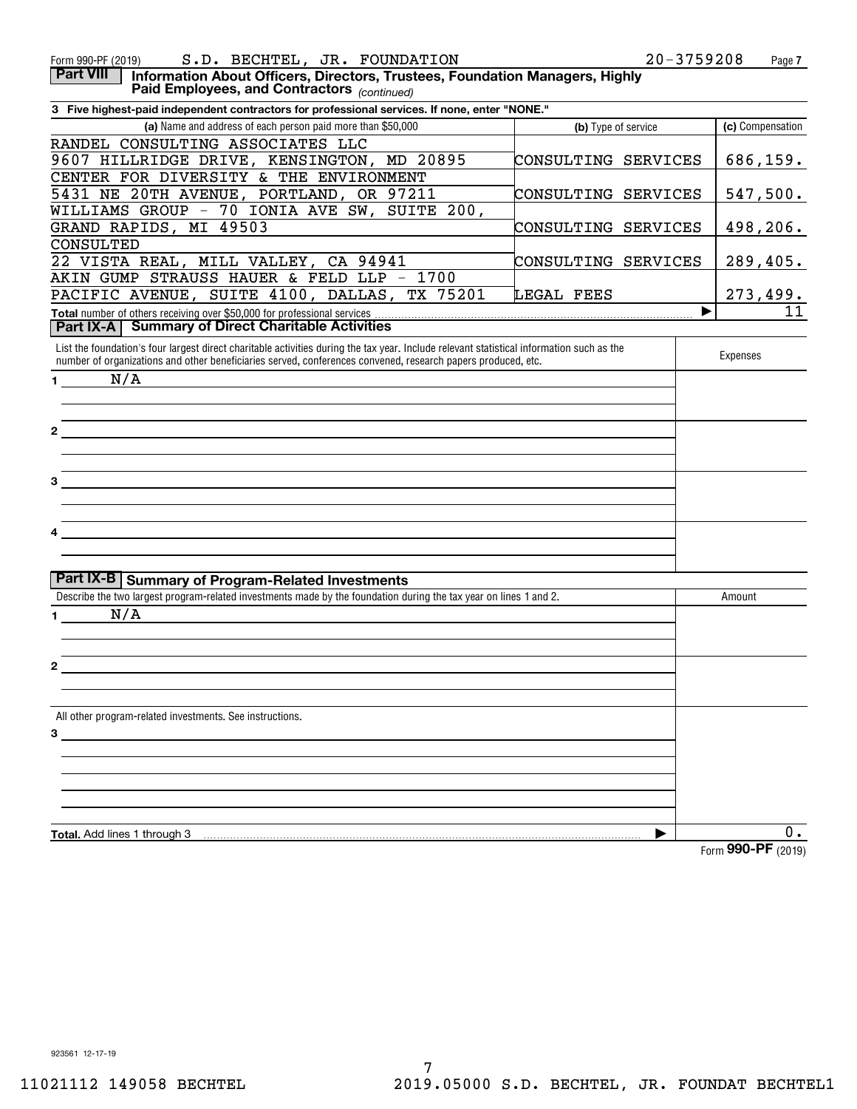| S.D. BECHTEL, JR. FOUNDATION<br>Form 990-PF (2019)                                                                                                                                                                                                        |                     | $20 - 3759208$<br>Page 7 |
|-----------------------------------------------------------------------------------------------------------------------------------------------------------------------------------------------------------------------------------------------------------|---------------------|--------------------------|
| Information About Officers, Directors, Trustees, Foundation Managers, Highly<br><b>Part VIII</b><br>Paid Employees, and Contractors (continued)                                                                                                           |                     |                          |
| 3 Five highest-paid independent contractors for professional services. If none, enter "NONE."                                                                                                                                                             |                     |                          |
| (a) Name and address of each person paid more than \$50,000                                                                                                                                                                                               | (b) Type of service | (c) Compensation         |
| RANDEL CONSULTING ASSOCIATES LLC                                                                                                                                                                                                                          |                     |                          |
| 9607 HILLRIDGE DRIVE, KENSINGTON, MD 20895                                                                                                                                                                                                                | CONSULTING SERVICES | 686, 159.                |
| CENTER FOR DIVERSITY & THE ENVIRONMENT                                                                                                                                                                                                                    |                     |                          |
| 5431 NE 20TH AVENUE, PORTLAND, OR 97211                                                                                                                                                                                                                   | CONSULTING SERVICES | 547,500.                 |
| WILLIAMS GROUP - 70 IONIA AVE SW, SUITE 200,                                                                                                                                                                                                              |                     |                          |
| GRAND RAPIDS, MI 49503                                                                                                                                                                                                                                    | CONSULTING SERVICES | 498,206.                 |
| CONSULTED                                                                                                                                                                                                                                                 |                     |                          |
| 22 VISTA REAL, MILL VALLEY, CA 94941                                                                                                                                                                                                                      | CONSULTING SERVICES | 289,405.                 |
| AKIN GUMP STRAUSS HAUER & FELD LLP - 1700                                                                                                                                                                                                                 |                     |                          |
| PACIFIC AVENUE, SUITE 4100, DALLAS, TX 75201                                                                                                                                                                                                              | LEGAL FEES          | <u>273,499.</u>          |
|                                                                                                                                                                                                                                                           |                     | 11                       |
| Part IX-A   Summary of Direct Charitable Activities                                                                                                                                                                                                       |                     |                          |
| List the foundation's four largest direct charitable activities during the tax year. Include relevant statistical information such as the<br>number of organizations and other beneficiaries served, conferences convened, research papers produced, etc. |                     | Expenses                 |
| N/A<br>$\mathbf 1$                                                                                                                                                                                                                                        |                     |                          |
|                                                                                                                                                                                                                                                           |                     |                          |
|                                                                                                                                                                                                                                                           |                     |                          |
| 2                                                                                                                                                                                                                                                         |                     |                          |
|                                                                                                                                                                                                                                                           |                     |                          |
|                                                                                                                                                                                                                                                           |                     |                          |
|                                                                                                                                                                                                                                                           |                     |                          |
|                                                                                                                                                                                                                                                           |                     |                          |
|                                                                                                                                                                                                                                                           |                     |                          |
|                                                                                                                                                                                                                                                           |                     |                          |
|                                                                                                                                                                                                                                                           |                     |                          |
|                                                                                                                                                                                                                                                           |                     |                          |
| Part IX-B Summary of Program-Related Investments                                                                                                                                                                                                          |                     |                          |
| Describe the two largest program-related investments made by the foundation during the tax year on lines 1 and 2.                                                                                                                                         |                     | Amount                   |
| N/A<br>1.                                                                                                                                                                                                                                                 |                     |                          |
|                                                                                                                                                                                                                                                           |                     |                          |
|                                                                                                                                                                                                                                                           |                     |                          |
| 2                                                                                                                                                                                                                                                         |                     |                          |
|                                                                                                                                                                                                                                                           |                     |                          |
|                                                                                                                                                                                                                                                           |                     |                          |
| All other program-related investments. See instructions.                                                                                                                                                                                                  |                     |                          |
| 3                                                                                                                                                                                                                                                         |                     |                          |
|                                                                                                                                                                                                                                                           |                     |                          |
|                                                                                                                                                                                                                                                           |                     |                          |
|                                                                                                                                                                                                                                                           |                     |                          |
|                                                                                                                                                                                                                                                           |                     |                          |
|                                                                                                                                                                                                                                                           |                     |                          |
| <b>Total.</b> Add lines 1 through 3                                                                                                                                                                                                                       |                     | 000 DE                   |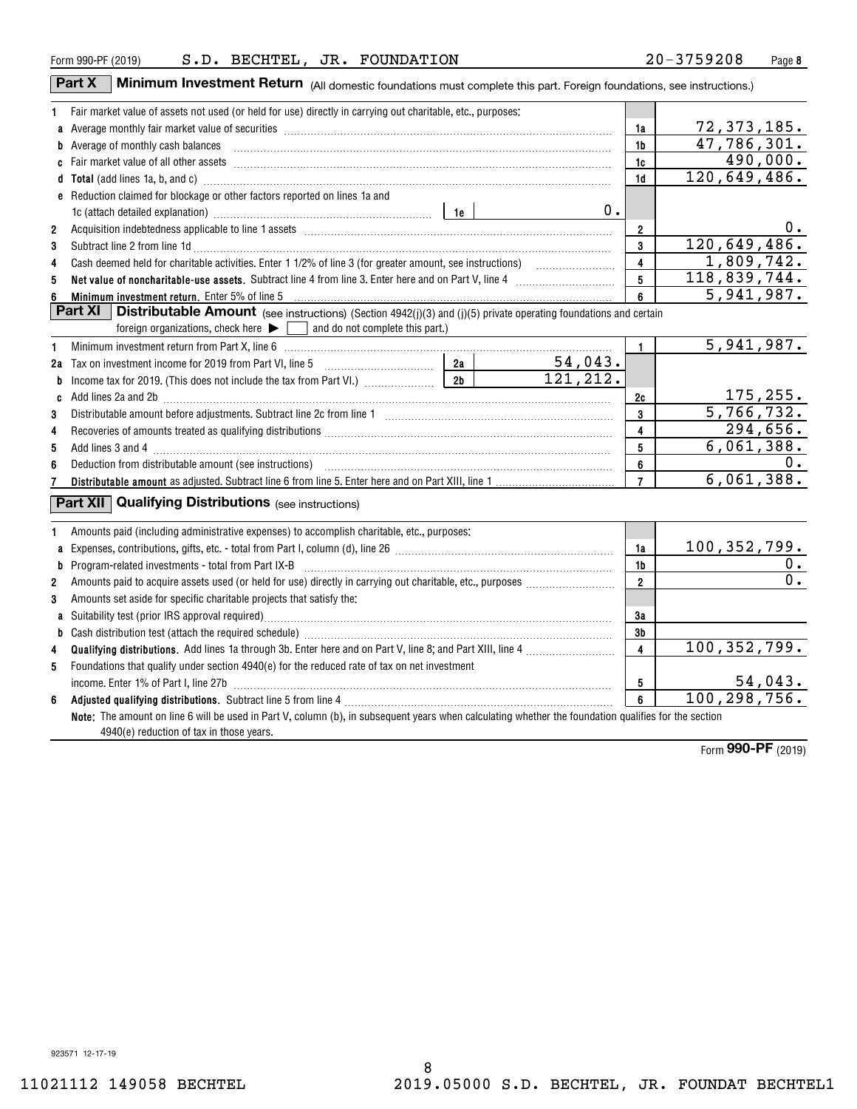|                         | Part X<br><b>Minimum Investment Return</b> (All domestic foundations must complete this part. Foreign foundations, see instructions.)                                                                                          |                         |                              |
|-------------------------|--------------------------------------------------------------------------------------------------------------------------------------------------------------------------------------------------------------------------------|-------------------------|------------------------------|
| 1                       | Fair market value of assets not used (or held for use) directly in carrying out charitable, etc., purposes:                                                                                                                    |                         |                              |
|                         |                                                                                                                                                                                                                                | 1a                      | 72,373,185.                  |
|                         | b Average of monthly cash balances encouragement and an architecture of monthly cash balances                                                                                                                                  | 1b                      | 47,786,301.                  |
|                         |                                                                                                                                                                                                                                | 1c                      | 490,000.                     |
|                         | Total (add lines 1a, b, and c) manufactured and contract the contract of the contract of the contract of the contract of the contract of the contract of the contract of the contract of the contract of the contract of the c | 1 <sub>d</sub>          | $\overline{120}$ , 649, 486. |
|                         | <b>e</b> Reduction claimed for blockage or other factors reported on lines 1a and                                                                                                                                              |                         |                              |
|                         | 0.<br>1c (attach detailed explanation) manufacture and the settlement of the settlement of the settlement of the set                                                                                                           |                         |                              |
| $\overline{\mathbf{2}}$ | Acquisition indebtedness applicable to line 1 assets [11] matter content in the state of the state of the state of the state of the state of the state of the state of the state of the state of the state of the state of the | $\overline{\mathbf{2}}$ | $0$ .                        |
| 3                       | Subtract line 2 from line 1d <b>Machinese and Contract Line 2</b> from line 1d <b>machinese and contract line 2</b> from line 1d                                                                                               | $\mathbf{3}$            | 120,649,486.                 |
| 4                       | Cash deemed held for charitable activities. Enter 1 1/2% of line 3 (for greater amount, see instructions)                                                                                                                      | 4                       | 1,809,742.                   |
| 5                       | Net value of noncharitable-use assets. Subtract line 4 from line 3. Enter here and on Part V, line 4 [111] [11] Net reasonal mass                                                                                              | 5                       | 118,839,744.                 |
| 6                       | Minimum investment return. Enter 5% of line 5                                                                                                                                                                                  | 6                       | 5,941,987.                   |
|                         | Part XI<br><b>Distributable Amount</b> (see instructions) (Section 4942(j)(3) and (j)(5) private operating foundations and certain                                                                                             |                         |                              |
|                         | foreign organizations, check here $\blacktriangleright \Box$ and do not complete this part.)                                                                                                                                   |                         |                              |
| 1                       | Minimum investment return from Part X, line 6 [11] Minimum and the context of the state of the state of the state of the Minimum and Minimum and Minimum and Minimum and Minimum and Minimum and Minimum and Minimum and Minim | $\mathbf{1}$            | 5,941,987.                   |
|                         | 54,043.                                                                                                                                                                                                                        |                         |                              |
| b                       | $\overline{121,212}$ .                                                                                                                                                                                                         |                         |                              |
|                         | c Add lines 2a and 2b [11] matter contract the contract of the contract of the contract of the contract of the contract of the contract of the contract of the contract of the contract of the contract of the contract of the | 2c                      | 175, 255.                    |
| 3                       |                                                                                                                                                                                                                                | 3                       | 5,766,732.                   |
| 4                       |                                                                                                                                                                                                                                | 4                       | 294,656.                     |
| 5                       |                                                                                                                                                                                                                                | 5                       | $\overline{6}$ , 061, 388.   |
| 6                       |                                                                                                                                                                                                                                | 6                       | $0 \cdot$                    |
| 7                       |                                                                                                                                                                                                                                | $\overline{7}$          | 6,061,388.                   |
|                         | <b>Part XII Qualifying Distributions (see instructions)</b>                                                                                                                                                                    |                         |                              |
| 1                       | Amounts paid (including administrative expenses) to accomplish charitable, etc., purposes:                                                                                                                                     |                         |                              |
| a                       |                                                                                                                                                                                                                                | 1a                      | <u>100,352,799.</u>          |
| b                       |                                                                                                                                                                                                                                | 1b                      | $\frac{0}{0}$ .              |
| $\overline{2}$          |                                                                                                                                                                                                                                | $\overline{2}$          |                              |
| 3                       | Amounts set aside for specific charitable projects that satisfy the:                                                                                                                                                           |                         |                              |
|                         |                                                                                                                                                                                                                                | 3a                      |                              |
| b                       |                                                                                                                                                                                                                                | 3b                      |                              |
| 4                       |                                                                                                                                                                                                                                | $\overline{\mathbf{4}}$ | 100, 352, 799.               |
| 5                       | Foundations that qualify under section 4940(e) for the reduced rate of tax on net investment                                                                                                                                   |                         |                              |
|                         |                                                                                                                                                                                                                                | 5                       |                              |
| 6                       |                                                                                                                                                                                                                                | 6                       | $\frac{54,043}{100,298,756}$ |
|                         | Note: The amount on line 6 will be used in Part V, column (b), in subsequent years when calculating whether the foundation qualifies for the section<br>4940(e) reduction of tax in those years.                               |                         |                              |
|                         |                                                                                                                                                                                                                                |                         | $\overline{\phantom{a}}$     |

Form (2019) **990-PF**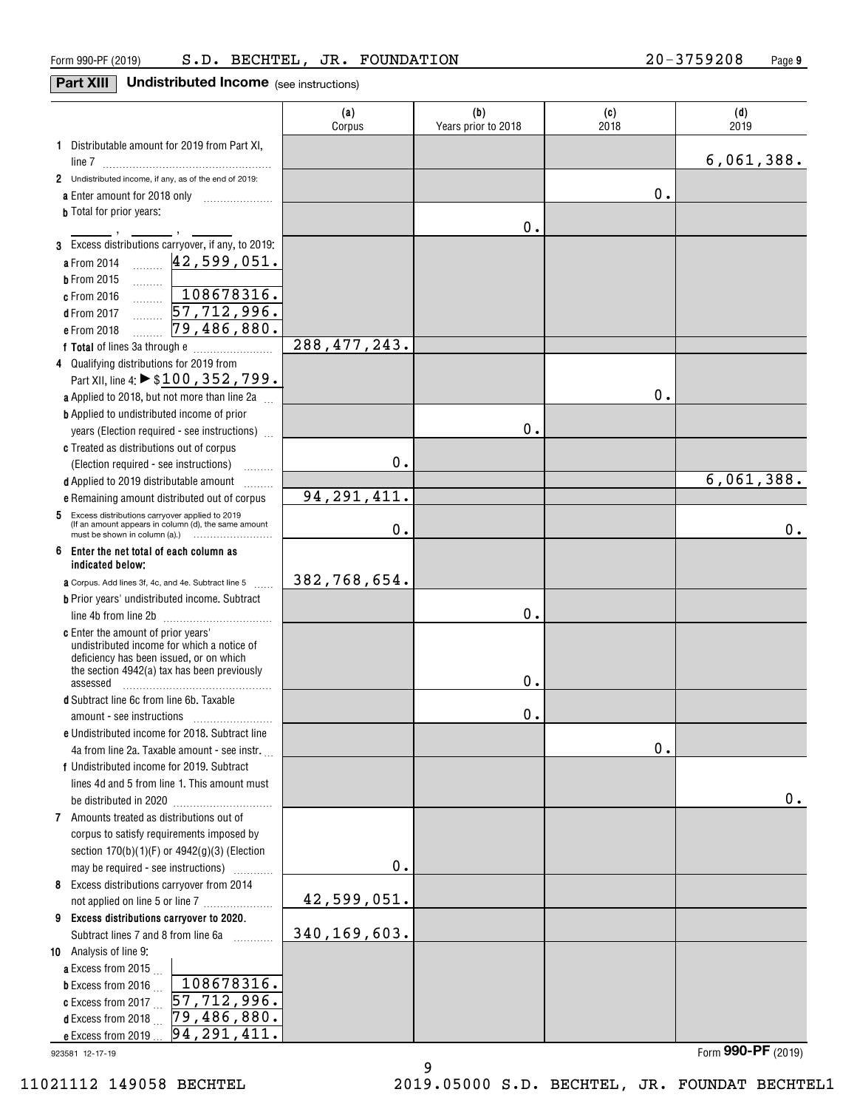## **Part XIII** Undistributed Income (see instructions)

|                                                                                                                                                  | (a)<br>Corpus  | (b)<br>Years prior to 2018 | (c)<br>2018 | (d)<br>2019 |
|--------------------------------------------------------------------------------------------------------------------------------------------------|----------------|----------------------------|-------------|-------------|
| 1 Distributable amount for 2019 from Part XI,                                                                                                    |                |                            |             |             |
|                                                                                                                                                  |                |                            |             | 6,061,388.  |
| 2 Undistributed income, if any, as of the end of 2019:                                                                                           |                |                            |             |             |
| a Enter amount for 2018 only                                                                                                                     |                |                            | 0.          |             |
| <b>b</b> Total for prior years:                                                                                                                  |                | 0.                         |             |             |
| 3 Excess distributions carryover, if any, to 2019:                                                                                               |                |                            |             |             |
| 42,599,051.<br>a From 2014                                                                                                                       |                |                            |             |             |
| <b>b</b> From 2015<br>1.1.1.1.1.1                                                                                                                |                |                            |             |             |
| c From 2016                                                                                                                                      |                |                            |             |             |
| $\frac{108678316}{57,712,996}$<br>d From 2017                                                                                                    |                |                            |             |             |
| 79,486,880.<br>e From 2018                                                                                                                       |                |                            |             |             |
|                                                                                                                                                  | 288, 477, 243. |                            |             |             |
| 4 Qualifying distributions for 2019 from                                                                                                         |                |                            |             |             |
| Part XII, line 4: ▶ \$100, 352, 799.                                                                                                             |                |                            |             |             |
| a Applied to 2018, but not more than line 2a                                                                                                     |                |                            | 0.          |             |
| <b>b</b> Applied to undistributed income of prior                                                                                                |                |                            |             |             |
| years (Election required - see instructions)                                                                                                     |                | 0.                         |             |             |
| <b>c</b> Treated as distributions out of corpus                                                                                                  |                |                            |             |             |
| (Election required - see instructions)                                                                                                           | 0.             |                            |             |             |
| d Applied to 2019 distributable amount<br>.                                                                                                      |                |                            |             | 6,061,388.  |
| e Remaining amount distributed out of corpus                                                                                                     | 94,291,411.    |                            |             |             |
| Excess distributions carryover applied to 2019<br>5<br>(If an amount appears in column (d), the same amount                                      | 0.             |                            |             | 0.          |
| Enter the net total of each column as<br>6                                                                                                       |                |                            |             |             |
| indicated below;                                                                                                                                 | 382,768,654.   |                            |             |             |
| a Corpus. Add lines 3f, 4c, and 4e. Subtract line 5                                                                                              |                |                            |             |             |
| <b>b</b> Prior years' undistributed income. Subtract                                                                                             |                | 0.                         |             |             |
| line 4b from line 2b<br>c Enter the amount of prior years'                                                                                       |                |                            |             |             |
| undistributed income for which a notice of<br>deficiency has been issued, or on which<br>the section 4942(a) tax has been previously<br>assessed |                | 0.                         |             |             |
| d Subtract line 6c from line 6b. Taxable                                                                                                         |                |                            |             |             |
|                                                                                                                                                  |                | 0.                         |             |             |
| e Undistributed income for 2018. Subtract line                                                                                                   |                |                            |             |             |
| 4a from line 2a. Taxable amount - see instr.                                                                                                     |                |                            | $0$ .       |             |
| f Undistributed income for 2019. Subtract                                                                                                        |                |                            |             |             |
| lines 4d and 5 from line 1. This amount must                                                                                                     |                |                            |             |             |
| be distributed in 2020                                                                                                                           |                |                            |             | 0.          |
| 7 Amounts treated as distributions out of                                                                                                        |                |                            |             |             |
| corpus to satisfy requirements imposed by                                                                                                        |                |                            |             |             |
| section $170(b)(1)(F)$ or $4942(g)(3)$ (Election                                                                                                 |                |                            |             |             |
| may be required - see instructions)                                                                                                              | 0.             |                            |             |             |
| 8 Excess distributions carryover from 2014                                                                                                       |                |                            |             |             |
| not applied on line 5 or line 7                                                                                                                  | 42,599,051.    |                            |             |             |
| 9 Excess distributions carryover to 2020.                                                                                                        |                |                            |             |             |
| Subtract lines 7 and 8 from line 6a<br>.                                                                                                         | 340, 169, 603. |                            |             |             |
| 10 Analysis of line 9:                                                                                                                           |                |                            |             |             |
| a Excess from 2015.                                                                                                                              |                |                            |             |             |
| 108678316.<br><b>b</b> Excess from 2016 $\ldots$                                                                                                 |                |                            |             |             |
| 57,712,996.<br>c Excess from 2017 $\ldots$                                                                                                       |                |                            |             |             |
| 79,486,880.<br><b>d</b> Excess from 2018                                                                                                         |                |                            |             |             |
| 94,291,411.<br>e Excess from 2019                                                                                                                |                |                            |             |             |

9

923581 12-17-19

Form (2019) **990-PF**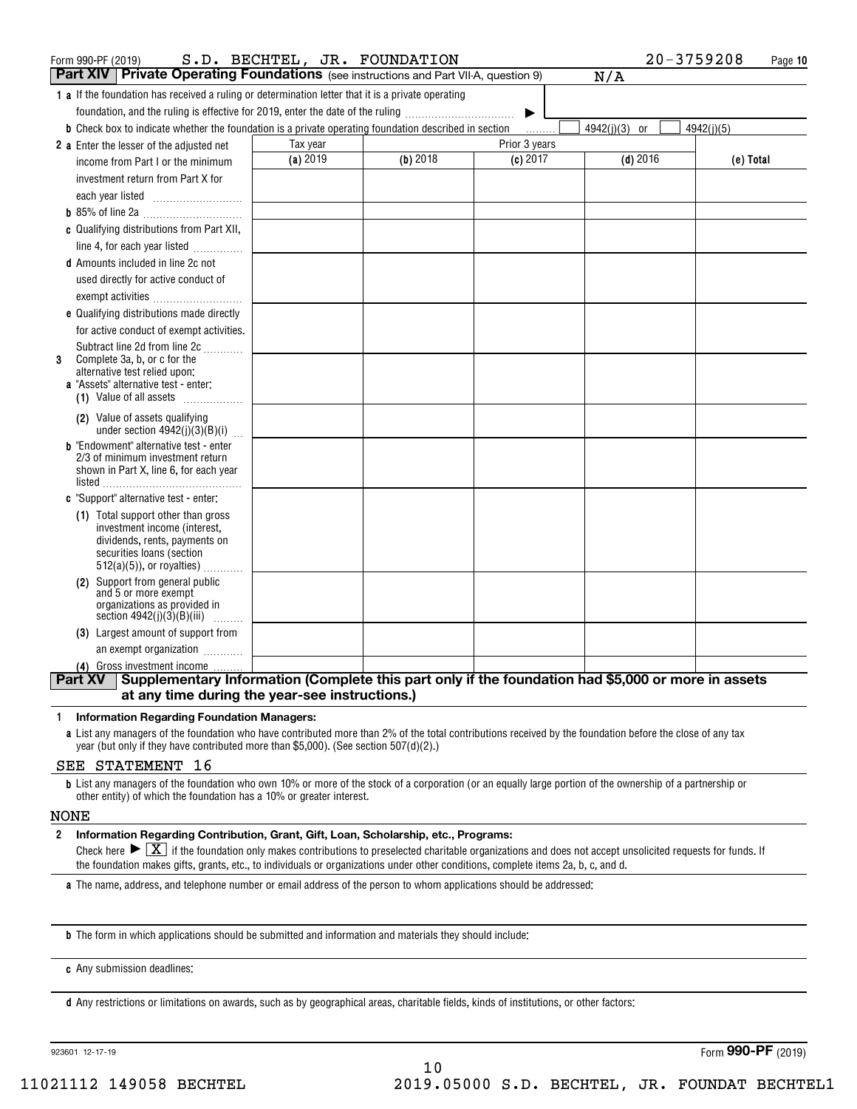| Form 990-PF (2019)                                                                                                   | S.D. BECHTEL, JR. FOUNDATION |            |               | $20 - 3759208$ | Page 10    |
|----------------------------------------------------------------------------------------------------------------------|------------------------------|------------|---------------|----------------|------------|
| <b>Part XIV Private Operating Foundations</b> (see instructions and Part VII-A, question 9)                          |                              |            |               | N/A            |            |
| 1 a If the foundation has received a ruling or determination letter that it is a private operating                   |                              |            |               |                |            |
| foundation, and the ruling is effective for 2019, enter the date of the ruling                                       |                              |            | ▶             |                |            |
| <b>b</b> Check box to indicate whether the foundation is a private operating foundation described in section         |                              |            | 1.1.1.1.1.1   | 4942(j)(3) or  | 4942(j)(5) |
| 2 a Enter the lesser of the adjusted net                                                                             | Tax year                     |            | Prior 3 years |                |            |
| income from Part I or the minimum                                                                                    | (a) 2019                     | $(b)$ 2018 | (c) 2017      | $(d)$ 2016     | (e) Total  |
| investment return from Part X for                                                                                    |                              |            |               |                |            |
|                                                                                                                      |                              |            |               |                |            |
|                                                                                                                      |                              |            |               |                |            |
| c Qualifying distributions from Part XII,                                                                            |                              |            |               |                |            |
| line 4, for each year listed                                                                                         |                              |            |               |                |            |
| <b>d</b> Amounts included in line 2c not                                                                             |                              |            |               |                |            |
| used directly for active conduct of                                                                                  |                              |            |               |                |            |
| exempt activities                                                                                                    |                              |            |               |                |            |
| e Qualifying distributions made directly                                                                             |                              |            |               |                |            |
| for active conduct of exempt activities.                                                                             |                              |            |               |                |            |
| Subtract line 2d from line 2c                                                                                        |                              |            |               |                |            |
| Complete 3a, b, or c for the<br>3<br>alternative test relied upon:                                                   |                              |            |               |                |            |
| <b>a</b> "Assets" alternative test - enter:                                                                          |                              |            |               |                |            |
| (1) Value of all assets $\ldots$                                                                                     |                              |            |               |                |            |
| (2) Value of assets qualifying                                                                                       |                              |            |               |                |            |
| under section $4942(j)(3)(B)(i)$                                                                                     |                              |            |               |                |            |
| <b>b</b> "Endowment" alternative test - enter<br>2/3 of minimum investment return                                    |                              |            |               |                |            |
| shown in Part X, line 6, for each year                                                                               |                              |            |               |                |            |
| listed                                                                                                               |                              |            |               |                |            |
| c "Support" alternative test - enter:                                                                                |                              |            |               |                |            |
| (1) Total support other than gross                                                                                   |                              |            |               |                |            |
| investment income (interest,<br>dividends, rents, payments on                                                        |                              |            |               |                |            |
| securities loans (section                                                                                            |                              |            |               |                |            |
| $512(a)(5)$ , or royalties)                                                                                          |                              |            |               |                |            |
| (2) Support from general public                                                                                      |                              |            |               |                |            |
| and 5 or more exempt<br>organizations as provided in                                                                 |                              |            |               |                |            |
| section $4942(j)(3)(B)(iii)$<br>.                                                                                    |                              |            |               |                |            |
| (3) Largest amount of support from                                                                                   |                              |            |               |                |            |
| an exempt organization                                                                                               |                              |            |               |                |            |
| (4) Gross investment income                                                                                          |                              |            |               |                |            |
| Supplementary Information (Complete this part only if the foundation had \$5,000 or more in assets<br><b>Part XV</b> |                              |            |               |                |            |
| at any time during the year-see instructions.)                                                                       |                              |            |               |                |            |

#### **1Information Regarding Foundation Managers:**

**a**List any managers of the foundation who have contributed more than 2% of the total contributions received by the foundation before the close of any tax year (but only if they have contributed more than \$5,000). (See section 507(d)(2).)

### SEE STATEMENT 16

**b**List any managers of the foundation who own 10% or more of the stock of a corporation (or an equally large portion of the ownership of a partnership or other entity) of which the foundation has a 10% or greater interest.

### NONE

#### **2Information Regarding Contribution, Grant, Gift, Loan, Scholarship, etc., Programs:**

Check here  $\blacktriangleright\lceil\frac{\mathbf{X}}{\mathbf{X}}\rceil$  if the foundation only makes contributions to preselected charitable organizations and does not accept unsolicited requests for funds. If the foundation makes gifts, grants, etc., to individuals or organizations under other conditions, complete items 2a, b, c, and d.

**a**The name, address, and telephone number or email address of the person to whom applications should be addressed:

**b**The form in which applications should be submitted and information and materials they should include:

**c**Any submission deadlines:

**d** Any restrictions or limitations on awards, such as by geographical areas, charitable fields, kinds of institutions, or other factors:

923601 12-17-19

Form (2019) **990-PF**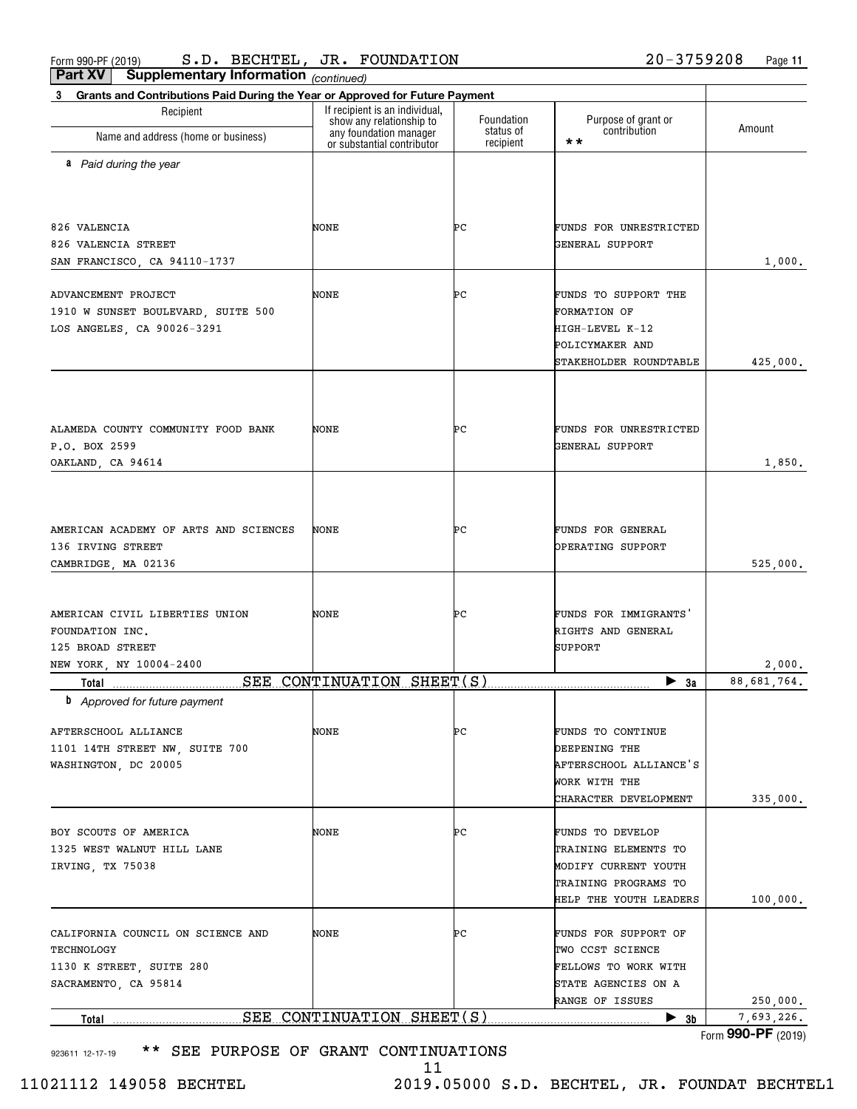*(continued)* **Part XV Supplementary Information**

| Recipient                                                                               | If recipient is an individual,<br>show any relationship to | Foundation             | Purpose of grant or                                                        |                      |
|-----------------------------------------------------------------------------------------|------------------------------------------------------------|------------------------|----------------------------------------------------------------------------|----------------------|
| Name and address (home or business)                                                     | any foundation manager<br>or substantial contributor       | status of<br>recipient | contribution<br>$\star\star$                                               | Amount               |
| a Paid during the year                                                                  |                                                            |                        |                                                                            |                      |
| 826 VALENCIA                                                                            | NONE                                                       | ÞС                     | FUNDS FOR UNRESTRICTED                                                     |                      |
| 826 VALENCIA STREET                                                                     |                                                            |                        | GENERAL SUPPORT                                                            |                      |
| SAN FRANCISCO, CA 94110-1737                                                            |                                                            |                        |                                                                            | 1,000.               |
| ADVANCEMENT PROJECT<br>1910 W SUNSET BOULEVARD, SUITE 500<br>LOS ANGELES, CA 90026-3291 | NONE                                                       | ÞС                     | FUNDS TO SUPPORT THE<br>FORMATION OF<br>HIGH-LEVEL K-12<br>POLICYMAKER AND |                      |
|                                                                                         |                                                            |                        | STAKEHOLDER ROUNDTABLE                                                     | 425,000.             |
|                                                                                         |                                                            |                        |                                                                            |                      |
| ALAMEDA COUNTY COMMUNITY FOOD BANK                                                      | NONE                                                       | ÞС                     | FUNDS FOR UNRESTRICTED                                                     |                      |
| P.O. BOX 2599                                                                           |                                                            |                        | GENERAL SUPPORT                                                            |                      |
| OAKLAND, CA 94614                                                                       |                                                            |                        |                                                                            | 1,850.               |
|                                                                                         |                                                            |                        |                                                                            |                      |
| AMERICAN ACADEMY OF ARTS AND SCIENCES                                                   | NONE                                                       | ÞС                     | FUNDS FOR GENERAL                                                          |                      |
| 136 IRVING STREET                                                                       |                                                            |                        | OPERATING SUPPORT                                                          |                      |
| CAMBRIDGE, MA 02136                                                                     |                                                            |                        |                                                                            | 525,000.             |
| AMERICAN CIVIL LIBERTIES UNION                                                          | NONE                                                       | ÞС                     | FUNDS FOR IMMIGRANTS'                                                      |                      |
| FOUNDATION INC.                                                                         |                                                            |                        | RIGHTS AND GENERAL                                                         |                      |
| 125 BROAD STREET                                                                        |                                                            |                        | SUPPORT                                                                    |                      |
| NEW YORK, NY 10004-2400                                                                 |                                                            |                        |                                                                            | 2,000.               |
| SEE.<br>Total<br><b>b</b> Approved for future payment                                   | CONTINUATION SHEET(S)                                      |                        | ▶<br>3a                                                                    | 88,681,764.          |
|                                                                                         |                                                            |                        |                                                                            |                      |
| AFTERSCHOOL ALLIANCE                                                                    | NONE                                                       | ÞС                     | FUNDS TO CONTINUE                                                          |                      |
| 1101 14TH STREET NW, SUITE 700<br>WASHINGTON, DC 20005                                  |                                                            |                        | DEEPENING THE<br>AFTERSCHOOL ALLIANCE'S                                    |                      |
|                                                                                         |                                                            |                        | WORK WITH THE                                                              |                      |
|                                                                                         |                                                            |                        | CHARACTER DEVELOPMENT                                                      | 335,000.             |
| BOY SCOUTS OF AMERICA                                                                   | NONE                                                       | ÞС                     | FUNDS TO DEVELOP                                                           |                      |
| 1325 WEST WALNUT HILL LANE                                                              |                                                            |                        | TRAINING ELEMENTS TO                                                       |                      |
| IRVING, TX 75038                                                                        |                                                            |                        | MODIFY CURRENT YOUTH                                                       |                      |
|                                                                                         |                                                            |                        | TRAINING PROGRAMS TO                                                       |                      |
|                                                                                         |                                                            |                        | HELP THE YOUTH LEADERS                                                     | 100,000.             |
| CALIFORNIA COUNCIL ON SCIENCE AND                                                       | NONE                                                       | ÞС                     | FUNDS FOR SUPPORT OF                                                       |                      |
| TECHNOLOGY                                                                              |                                                            |                        | TWO CCST SCIENCE                                                           |                      |
| 1130 K STREET, SUITE 280                                                                |                                                            |                        | FELLOWS TO WORK WITH                                                       |                      |
| SACRAMENTO, CA 95814                                                                    |                                                            |                        | STATE AGENCIES ON A<br><b>RANGE OF ISSUES</b>                              | 250,000.             |
| Total                                                                                   | SEE CONTINUATION SHEET(S)                                  |                        | $\blacktriangleright$ 3b                                                   | 7,693,226.           |
|                                                                                         |                                                            |                        |                                                                            | Form $990-PF$ (2019) |

923611 12-17-19 \*\* SEE PURPOSE OF GRANT CONTINUATIONS

11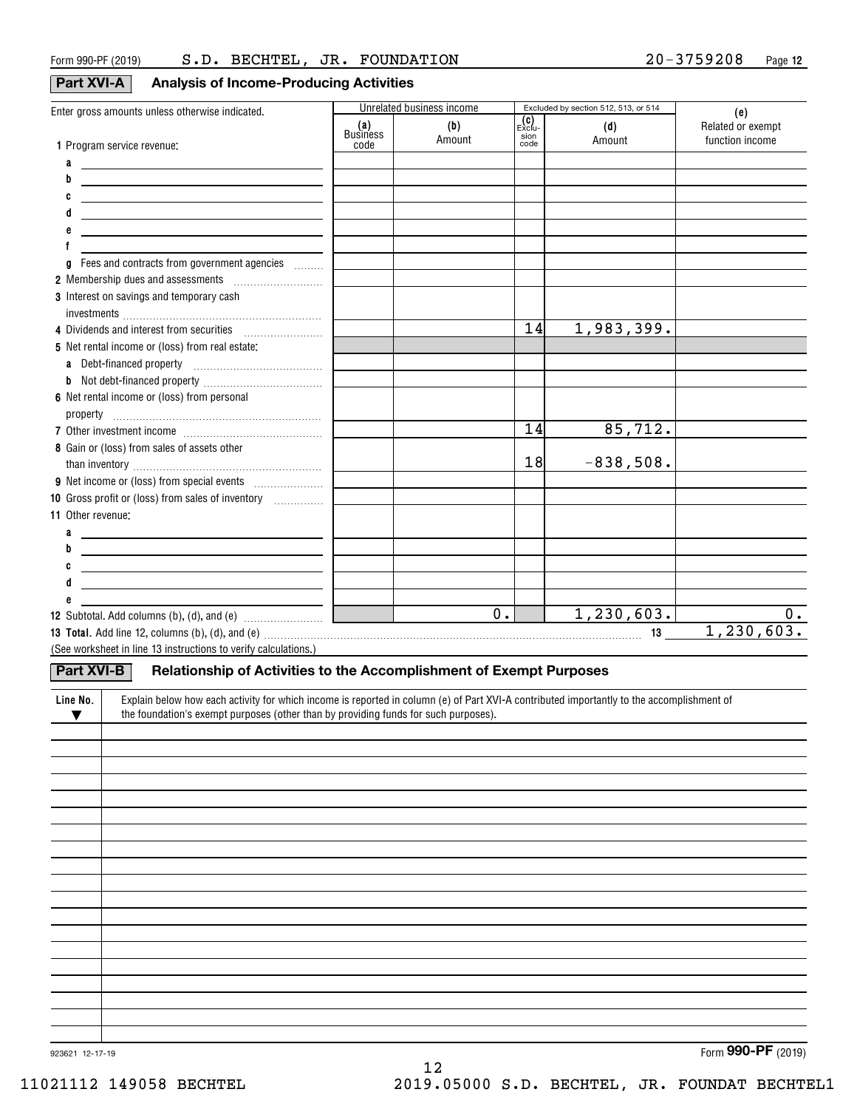## **Part XV**

| VI-A l |  |  | <b>Analysis of Income-Producing Activities</b> |  |
|--------|--|--|------------------------------------------------|--|
|--------|--|--|------------------------------------------------|--|

| Enter gross amounts unless otherwise indicated.                                                                                                                                                                                                                                                                                                                                                                |                 | Unrelated business income |               | Excluded by section 512, 513, or 514 | (e)               |
|----------------------------------------------------------------------------------------------------------------------------------------------------------------------------------------------------------------------------------------------------------------------------------------------------------------------------------------------------------------------------------------------------------------|-----------------|---------------------------|---------------|--------------------------------------|-------------------|
|                                                                                                                                                                                                                                                                                                                                                                                                                | (a)<br>Business | (b)                       | (C)<br>Exclu- | (d)                                  | Related or exempt |
| 1 Program service revenue:                                                                                                                                                                                                                                                                                                                                                                                     | code            | Amount                    | sion<br>code  | Amount                               | function income   |
|                                                                                                                                                                                                                                                                                                                                                                                                                |                 |                           |               |                                      |                   |
| a<br><u> 1980 - Johann Barn, amerikansk politiker (d. 1980)</u>                                                                                                                                                                                                                                                                                                                                                |                 |                           |               |                                      |                   |
| b<br><u> 1989 - Johann Harrison, mars eta bat erroman erroman erroman erroman erroman erroman erroman erroman erroman</u>                                                                                                                                                                                                                                                                                      |                 |                           |               |                                      |                   |
| C<br><u> 1989 - Johann Barn, mars ann an t-Amhain an t-Amhain an t-Amhain an t-Amhain an t-Amhain an t-Amhain an t-Amh</u>                                                                                                                                                                                                                                                                                     |                 |                           |               |                                      |                   |
| d<br>the contract of the contract of the contract of the contract of the contract of                                                                                                                                                                                                                                                                                                                           |                 |                           |               |                                      |                   |
| the control of the control of the control of the control of the control of the control of                                                                                                                                                                                                                                                                                                                      |                 |                           |               |                                      |                   |
|                                                                                                                                                                                                                                                                                                                                                                                                                |                 |                           |               |                                      |                   |
| Fees and contracts from government agencies<br>a                                                                                                                                                                                                                                                                                                                                                               |                 |                           |               |                                      |                   |
| 2 Membership dues and assessments [111] Membership dues and assessments                                                                                                                                                                                                                                                                                                                                        |                 |                           |               |                                      |                   |
| 3 Interest on savings and temporary cash                                                                                                                                                                                                                                                                                                                                                                       |                 |                           |               |                                      |                   |
|                                                                                                                                                                                                                                                                                                                                                                                                                |                 |                           |               |                                      |                   |
| 4 Dividends and interest from securities                                                                                                                                                                                                                                                                                                                                                                       |                 |                           | 14            | 1,983,399.                           |                   |
| 5 Net rental income or (loss) from real estate:                                                                                                                                                                                                                                                                                                                                                                |                 |                           |               |                                      |                   |
| a                                                                                                                                                                                                                                                                                                                                                                                                              |                 |                           |               |                                      |                   |
|                                                                                                                                                                                                                                                                                                                                                                                                                |                 |                           |               |                                      |                   |
| 6 Net rental income or (loss) from personal                                                                                                                                                                                                                                                                                                                                                                    |                 |                           |               |                                      |                   |
| $\begin{minipage}{0.5\textwidth} \centering \begin{tabular}{@{}c@{}} \textbf{property} & \textbf{3.1} & \textbf{1.1} & \textbf{1.1} & \textbf{1.1} & \textbf{1.1} & \textbf{1.1} & \textbf{1.1} & \textbf{1.1} & \textbf{1.1} & \textbf{1.1} & \textbf{1.1} & \textbf{1.1} & \textbf{1.1} & \textbf{1.1} & \textbf{1.1} & \textbf{1.1} & \textbf{1.1} & \textbf{1.1} & \textbf{1.1} & \textbf{1.1} & \textbf{$ |                 |                           |               |                                      |                   |
|                                                                                                                                                                                                                                                                                                                                                                                                                |                 |                           | 14            | 85, 712.                             |                   |
| 8 Gain or (loss) from sales of assets other                                                                                                                                                                                                                                                                                                                                                                    |                 |                           |               |                                      |                   |
|                                                                                                                                                                                                                                                                                                                                                                                                                |                 |                           | 18            | $-838,508.$                          |                   |
|                                                                                                                                                                                                                                                                                                                                                                                                                |                 |                           |               |                                      |                   |
| 10 Gross profit or (loss) from sales of inventory                                                                                                                                                                                                                                                                                                                                                              |                 |                           |               |                                      |                   |
| 11 Other revenue:                                                                                                                                                                                                                                                                                                                                                                                              |                 |                           |               |                                      |                   |
| a<br><u> 1989 - Johann Barn, mars ann an t-Amhain Aonaich an t-Aonaich an t-Aonaich ann an t-Aonaich ann an t-Aonaich</u>                                                                                                                                                                                                                                                                                      |                 |                           |               |                                      |                   |
| b<br><u> 1989 - Johann Stein, mars an deus Amerikaansk kommunister (</u>                                                                                                                                                                                                                                                                                                                                       |                 |                           |               |                                      |                   |
| C<br><u> 1989 - Johann John Stone, markin fizikar (h. 1982).</u>                                                                                                                                                                                                                                                                                                                                               |                 |                           |               |                                      |                   |
| d<br><u> 1989 - Johann John Stone, markin fizikar (</u>                                                                                                                                                                                                                                                                                                                                                        |                 |                           |               |                                      |                   |
| e                                                                                                                                                                                                                                                                                                                                                                                                              |                 |                           |               |                                      |                   |
|                                                                                                                                                                                                                                                                                                                                                                                                                |                 | $\overline{0}$ .          |               | 1, 230, 603.                         | 0.                |
|                                                                                                                                                                                                                                                                                                                                                                                                                |                 |                           |               |                                      | 1, 230, 603.      |
| (See worksheet in line 13 instructions to verify calculations.)                                                                                                                                                                                                                                                                                                                                                |                 |                           |               |                                      |                   |
| Part XVI-B<br>Relationship of Activities to the Accomplishment of Exempt Purposes                                                                                                                                                                                                                                                                                                                              |                 |                           |               |                                      |                   |
|                                                                                                                                                                                                                                                                                                                                                                                                                |                 |                           |               |                                      |                   |
| Explain below how each activity for which income is reported in column (e) of Part XVI-A contributed importantly to the accomplishment of<br>Line No.                                                                                                                                                                                                                                                          |                 |                           |               |                                      |                   |
| the foundation's exempt purposes (other than by providing funds for such purposes).<br>v                                                                                                                                                                                                                                                                                                                       |                 |                           |               |                                      |                   |
|                                                                                                                                                                                                                                                                                                                                                                                                                |                 |                           |               |                                      |                   |
|                                                                                                                                                                                                                                                                                                                                                                                                                |                 |                           |               |                                      |                   |
|                                                                                                                                                                                                                                                                                                                                                                                                                |                 |                           |               |                                      |                   |
|                                                                                                                                                                                                                                                                                                                                                                                                                |                 |                           |               |                                      |                   |
|                                                                                                                                                                                                                                                                                                                                                                                                                |                 |                           |               |                                      |                   |
|                                                                                                                                                                                                                                                                                                                                                                                                                |                 |                           |               |                                      |                   |
|                                                                                                                                                                                                                                                                                                                                                                                                                |                 |                           |               |                                      |                   |
|                                                                                                                                                                                                                                                                                                                                                                                                                |                 |                           |               |                                      |                   |
|                                                                                                                                                                                                                                                                                                                                                                                                                |                 |                           |               |                                      |                   |
|                                                                                                                                                                                                                                                                                                                                                                                                                |                 |                           |               |                                      |                   |
|                                                                                                                                                                                                                                                                                                                                                                                                                |                 |                           |               |                                      |                   |
|                                                                                                                                                                                                                                                                                                                                                                                                                |                 |                           |               |                                      |                   |
|                                                                                                                                                                                                                                                                                                                                                                                                                |                 |                           |               |                                      |                   |
|                                                                                                                                                                                                                                                                                                                                                                                                                |                 |                           |               |                                      |                   |
|                                                                                                                                                                                                                                                                                                                                                                                                                |                 |                           |               |                                      |                   |
|                                                                                                                                                                                                                                                                                                                                                                                                                |                 |                           |               |                                      |                   |
|                                                                                                                                                                                                                                                                                                                                                                                                                |                 |                           |               |                                      |                   |
|                                                                                                                                                                                                                                                                                                                                                                                                                |                 |                           |               |                                      |                   |

12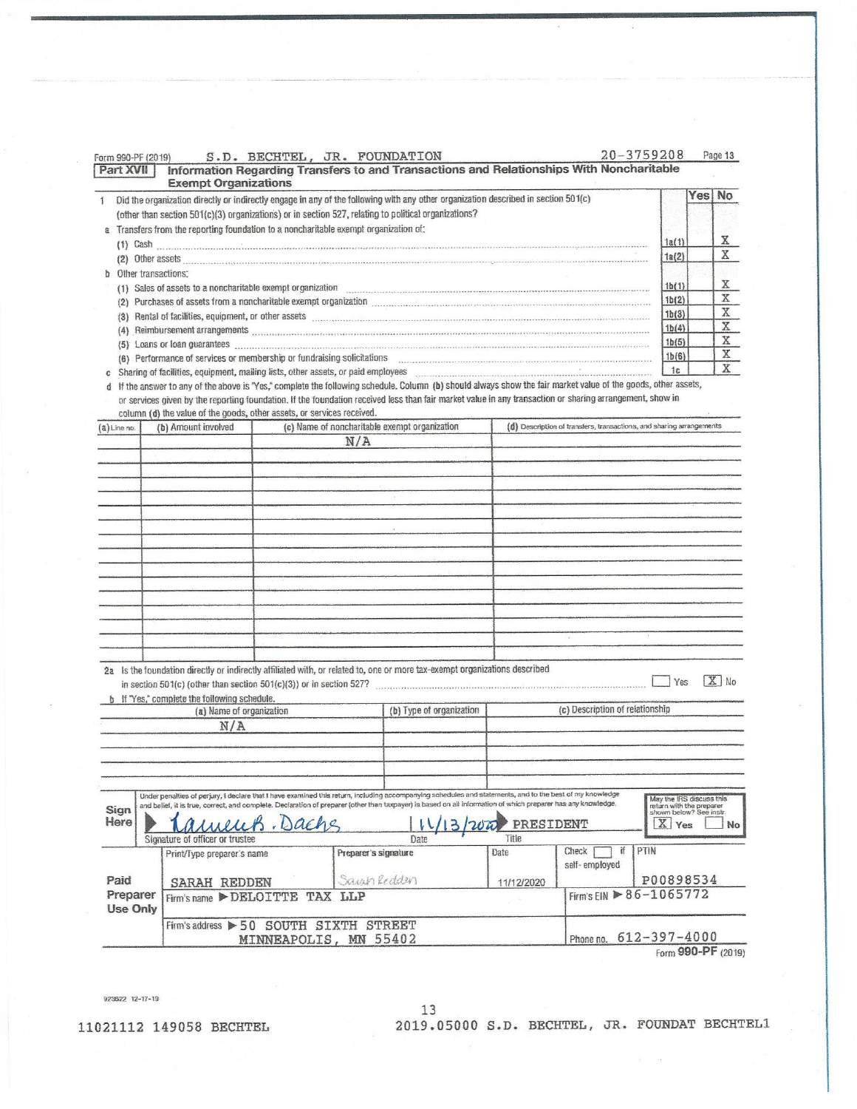| Form 990-PF (2019)<br>Part XVII                                                                                                                                         | <b>Exempt Organizations</b>                                                                                                                                                                                                                                                                                                              | S.D. BECHTEL, JR. FOUNDATION |                      | Information Regarding Transfers to and Transactions and Relationships With Noncharitable                                                                                                                                                                                                                                                                                  |                    | $20 - 3759208$                                                       |                                                                                        |        | Page 13     |  |
|-------------------------------------------------------------------------------------------------------------------------------------------------------------------------|------------------------------------------------------------------------------------------------------------------------------------------------------------------------------------------------------------------------------------------------------------------------------------------------------------------------------------------|------------------------------|----------------------|---------------------------------------------------------------------------------------------------------------------------------------------------------------------------------------------------------------------------------------------------------------------------------------------------------------------------------------------------------------------------|--------------------|----------------------------------------------------------------------|----------------------------------------------------------------------------------------|--------|-------------|--|
| $\mathbf{1}$                                                                                                                                                            |                                                                                                                                                                                                                                                                                                                                          |                              |                      | Did the organization directly or indirectly engage in any of the following with any other organization described in section 501(c)                                                                                                                                                                                                                                        |                    |                                                                      |                                                                                        | Yes No |             |  |
|                                                                                                                                                                         |                                                                                                                                                                                                                                                                                                                                          |                              |                      | (other than section 501(c)(3) organizations) or in section 527, relating to political organizations?                                                                                                                                                                                                                                                                      |                    |                                                                      |                                                                                        |        |             |  |
|                                                                                                                                                                         | a Transfers from the reporting foundation to a noncharitable exempt organization of:                                                                                                                                                                                                                                                     |                              |                      |                                                                                                                                                                                                                                                                                                                                                                           |                    |                                                                      | 1a(1)                                                                                  |        | X           |  |
|                                                                                                                                                                         | $(1)$ Cash $\ldots$ $\ldots$ $\ldots$ $\ldots$ $\ldots$ $\ldots$ $\ldots$ $\ldots$ $\ldots$ $\ldots$ $\ldots$ $\ldots$ $\ldots$ $\ldots$ $\ldots$ $\ldots$ $\ldots$ $\ldots$                                                                                                                                                             |                              |                      |                                                                                                                                                                                                                                                                                                                                                                           |                    |                                                                      |                                                                                        |        |             |  |
|                                                                                                                                                                         |                                                                                                                                                                                                                                                                                                                                          |                              |                      |                                                                                                                                                                                                                                                                                                                                                                           |                    |                                                                      | 1a(2)                                                                                  |        | Χ           |  |
| Other transactions:<br>(1) Sales of assets to a noncharitable exempt organization contained and according to the state of assets to a noncharitable exempt organization |                                                                                                                                                                                                                                                                                                                                          |                              |                      |                                                                                                                                                                                                                                                                                                                                                                           |                    |                                                                      |                                                                                        |        | Χ           |  |
|                                                                                                                                                                         |                                                                                                                                                                                                                                                                                                                                          |                              |                      |                                                                                                                                                                                                                                                                                                                                                                           |                    |                                                                      | 1b(1)<br>1b(2)                                                                         |        | X           |  |
|                                                                                                                                                                         |                                                                                                                                                                                                                                                                                                                                          |                              |                      | (2) Purchases of assets from a noncharitable exempt organization manufactured content of the state of assets from a noncharitable exempt organization                                                                                                                                                                                                                     |                    |                                                                      | 1b(3)                                                                                  |        | X           |  |
|                                                                                                                                                                         | (3) Rental of facilities, equipment, or other assets www.communication.communication.communication.com<br>(4) Reimbursement arrangements manufactured and contact the control of the control of the control of the control of the control of the control of the control of the control of the control of the control of the control of t |                              |                      |                                                                                                                                                                                                                                                                                                                                                                           |                    |                                                                      |                                                                                        |        | $\mathbb X$ |  |
|                                                                                                                                                                         |                                                                                                                                                                                                                                                                                                                                          |                              |                      | (5) Loans or loan guarantees                                                                                                                                                                                                                                                                                                                                              |                    |                                                                      | 1b(4)<br>1b(5)                                                                         |        | $\mathbb X$ |  |
|                                                                                                                                                                         |                                                                                                                                                                                                                                                                                                                                          |                              |                      | (6) Performance of services or membership or fundraising solicitations                                                                                                                                                                                                                                                                                                    |                    |                                                                      | 1b(6)                                                                                  |        | $\mathbb X$ |  |
|                                                                                                                                                                         |                                                                                                                                                                                                                                                                                                                                          |                              |                      | Sharing of facilities, equipment, mailing lists, other assets, or paid employees                                                                                                                                                                                                                                                                                          |                    |                                                                      | 1c                                                                                     |        | X           |  |
| d                                                                                                                                                                       | column (d) the value of the goods, other assets, or services received.                                                                                                                                                                                                                                                                   |                              |                      | If the answer to any of the above is "Yes," complete the following schedule. Column (b) should always show the fair market value of the goods, other assets,<br>or services given by the reporting foundation. If the foundation received less than fair market value in any transaction or sharing arrangement, show in<br>(c) Name of noncharitable exempt organization |                    | (d) Description of transfers, transactions, and sharing arrangements |                                                                                        |        |             |  |
| $(a)$ Line no.                                                                                                                                                          | (b) Amount involved                                                                                                                                                                                                                                                                                                                      |                              | N/A                  |                                                                                                                                                                                                                                                                                                                                                                           |                    |                                                                      |                                                                                        |        |             |  |
|                                                                                                                                                                         |                                                                                                                                                                                                                                                                                                                                          |                              |                      |                                                                                                                                                                                                                                                                                                                                                                           |                    |                                                                      |                                                                                        |        |             |  |
|                                                                                                                                                                         |                                                                                                                                                                                                                                                                                                                                          |                              |                      |                                                                                                                                                                                                                                                                                                                                                                           |                    |                                                                      |                                                                                        |        |             |  |
|                                                                                                                                                                         |                                                                                                                                                                                                                                                                                                                                          |                              |                      |                                                                                                                                                                                                                                                                                                                                                                           |                    |                                                                      |                                                                                        |        |             |  |
|                                                                                                                                                                         |                                                                                                                                                                                                                                                                                                                                          |                              |                      |                                                                                                                                                                                                                                                                                                                                                                           |                    |                                                                      |                                                                                        |        |             |  |
|                                                                                                                                                                         |                                                                                                                                                                                                                                                                                                                                          |                              |                      |                                                                                                                                                                                                                                                                                                                                                                           |                    |                                                                      |                                                                                        |        |             |  |
|                                                                                                                                                                         |                                                                                                                                                                                                                                                                                                                                          |                              |                      |                                                                                                                                                                                                                                                                                                                                                                           |                    |                                                                      |                                                                                        |        |             |  |
|                                                                                                                                                                         |                                                                                                                                                                                                                                                                                                                                          |                              |                      |                                                                                                                                                                                                                                                                                                                                                                           |                    |                                                                      |                                                                                        |        |             |  |
|                                                                                                                                                                         |                                                                                                                                                                                                                                                                                                                                          |                              |                      |                                                                                                                                                                                                                                                                                                                                                                           |                    |                                                                      |                                                                                        |        |             |  |
|                                                                                                                                                                         |                                                                                                                                                                                                                                                                                                                                          |                              |                      |                                                                                                                                                                                                                                                                                                                                                                           |                    |                                                                      |                                                                                        |        |             |  |
|                                                                                                                                                                         |                                                                                                                                                                                                                                                                                                                                          |                              |                      |                                                                                                                                                                                                                                                                                                                                                                           |                    |                                                                      |                                                                                        |        |             |  |
|                                                                                                                                                                         |                                                                                                                                                                                                                                                                                                                                          |                              |                      |                                                                                                                                                                                                                                                                                                                                                                           |                    |                                                                      |                                                                                        |        |             |  |
|                                                                                                                                                                         |                                                                                                                                                                                                                                                                                                                                          |                              |                      |                                                                                                                                                                                                                                                                                                                                                                           |                    |                                                                      |                                                                                        |        |             |  |
|                                                                                                                                                                         | b If "Yes," complete the following schedule.                                                                                                                                                                                                                                                                                             |                              |                      | 2a Is the foundation directly or indirectly affiliated with, or related to, one or more tax-exempt organizations described<br>in section $501(c)$ (other than section $501(c)(3)$ ) or in section $527$<br>(b) Type of organization                                                                                                                                       |                    | (c) Description of relationship                                      | Yes                                                                                    |        | $X$ No      |  |
|                                                                                                                                                                         | (a) Name of organization<br>N/A                                                                                                                                                                                                                                                                                                          |                              |                      |                                                                                                                                                                                                                                                                                                                                                                           |                    |                                                                      |                                                                                        |        |             |  |
|                                                                                                                                                                         |                                                                                                                                                                                                                                                                                                                                          |                              |                      |                                                                                                                                                                                                                                                                                                                                                                           |                    |                                                                      |                                                                                        |        |             |  |
|                                                                                                                                                                         |                                                                                                                                                                                                                                                                                                                                          |                              |                      |                                                                                                                                                                                                                                                                                                                                                                           |                    |                                                                      |                                                                                        |        |             |  |
| Sign<br>Here                                                                                                                                                            | Signature of officer or trustee                                                                                                                                                                                                                                                                                                          | ache                         |                      | Under penalties of perjury, I declare that I have examined this return, including accompanying schedules and statements, and to the best of my knowledge<br>and belief, it is true, correct, and complete. Declaration of preparer (other than taxpayer) is based on all information of which preparer has any knowledge.<br>2077<br>Date                                 | PRESIDENT<br>Title |                                                                      | May the IRS discuss this<br>return with the preparer<br>shown below? See instr.<br>Yes |        | No          |  |
|                                                                                                                                                                         | Print/Type preparer's name                                                                                                                                                                                                                                                                                                               |                              | Preparer's signature |                                                                                                                                                                                                                                                                                                                                                                           | Date               | ĭf<br>Check                                                          | PTIN                                                                                   |        |             |  |
|                                                                                                                                                                         |                                                                                                                                                                                                                                                                                                                                          |                              |                      |                                                                                                                                                                                                                                                                                                                                                                           |                    | self-employed                                                        |                                                                                        |        |             |  |
| Paid                                                                                                                                                                    | <b>SARAH REDDEN</b>                                                                                                                                                                                                                                                                                                                      |                              | Samphedden           |                                                                                                                                                                                                                                                                                                                                                                           | 11/12/2020         |                                                                      | P00898534                                                                              |        |             |  |
| Preparer<br>Use Only                                                                                                                                                    | Firm's name $\blacktriangleright$ DELOITTE                                                                                                                                                                                                                                                                                               | TAX                          | LLP                  |                                                                                                                                                                                                                                                                                                                                                                           |                    | Firm's EIN ▶ 86-1065772                                              |                                                                                        |        |             |  |
|                                                                                                                                                                         | Firm's address > 50 SOUTH SIXTH STREET                                                                                                                                                                                                                                                                                                   |                              |                      |                                                                                                                                                                                                                                                                                                                                                                           |                    |                                                                      | $612 - 397 - 4000$                                                                     |        |             |  |
|                                                                                                                                                                         |                                                                                                                                                                                                                                                                                                                                          | MINNEAPOLIS, MN 55402        |                      |                                                                                                                                                                                                                                                                                                                                                                           |                    | Phone no.                                                            | Form 990-PF (2019)                                                                     |        |             |  |

923622 12-17-19

13

11021112 149058 BECHTEL

2019.05000 S.D. BECHTEL, JR. FOUNDAT BECHTEL1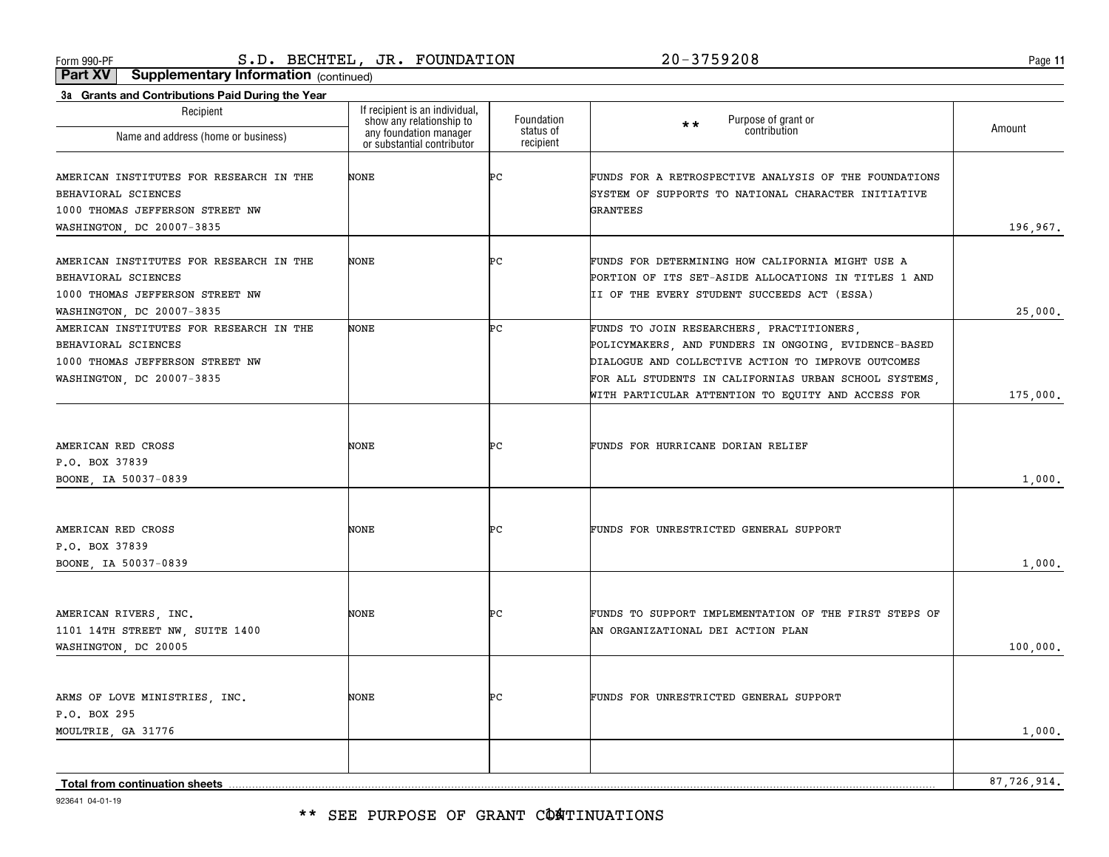**11**

**Part XV Supplementary Information** (continued)

| 3a Grants and Contributions Paid During the Year                     | If recipient is an individual,                     |                         |                                                                                                             |             |
|----------------------------------------------------------------------|----------------------------------------------------|-------------------------|-------------------------------------------------------------------------------------------------------------|-------------|
| Recipient<br>Name and address (home or business)                     | show any relationship to<br>any foundation manager | Foundation<br>status of | Purpose of grant or<br>$**$<br>contribution                                                                 | Amount      |
|                                                                      | or substantial contributor                         | recipient               |                                                                                                             |             |
| AMERICAN INSTITUTES FOR RESEARCH IN THE                              | <b>NONE</b>                                        | ÞС                      | FUNDS FOR A RETROSPECTIVE ANALYSIS OF THE FOUNDATIONS                                                       |             |
| BEHAVIORAL SCIENCES                                                  |                                                    |                         | SYSTEM OF SUPPORTS TO NATIONAL CHARACTER INITIATIVE                                                         |             |
| 1000 THOMAS JEFFERSON STREET NW                                      |                                                    |                         | GRANTEES                                                                                                    |             |
| WASHINGTON, DC 20007-3835                                            |                                                    |                         |                                                                                                             | 196,967.    |
|                                                                      |                                                    | ÞС                      |                                                                                                             |             |
| AMERICAN INSTITUTES FOR RESEARCH IN THE                              | <b>NONE</b>                                        |                         | FUNDS FOR DETERMINING HOW CALIFORNIA MIGHT USE A                                                            |             |
| BEHAVIORAL SCIENCES                                                  |                                                    |                         | PORTION OF ITS SET-ASIDE ALLOCATIONS IN TITLES 1 AND                                                        |             |
| 1000 THOMAS JEFFERSON STREET NW                                      |                                                    |                         | II OF THE EVERY STUDENT SUCCEEDS ACT (ESSA)                                                                 |             |
| WASHINGTON, DC 20007-3835<br>AMERICAN INSTITUTES FOR RESEARCH IN THE | NONE                                               | Þс                      |                                                                                                             | 25,000.     |
|                                                                      |                                                    |                         | FUNDS TO JOIN RESEARCHERS, PRACTITIONERS,                                                                   |             |
| BEHAVIORAL SCIENCES                                                  |                                                    |                         | POLICYMAKERS, AND FUNDERS IN ONGOING, EVIDENCE-BASED                                                        |             |
| 1000 THOMAS JEFFERSON STREET NW                                      |                                                    |                         | DIALOGUE AND COLLECTIVE ACTION TO IMPROVE OUTCOMES                                                          |             |
| WASHINGTON, DC 20007-3835                                            |                                                    |                         | FOR ALL STUDENTS IN CALIFORNIAS URBAN SCHOOL SYSTEMS,<br>WITH PARTICULAR ATTENTION TO EQUITY AND ACCESS FOR | 175,000.    |
|                                                                      |                                                    |                         |                                                                                                             |             |
| AMERICAN RED CROSS                                                   | <b>NONE</b>                                        | ÞС                      | FUNDS FOR HURRICANE DORIAN RELIEF                                                                           |             |
| P.O. BOX 37839                                                       |                                                    |                         |                                                                                                             |             |
| BOONE, IA 50037-0839                                                 |                                                    |                         |                                                                                                             | 1,000.      |
|                                                                      |                                                    |                         |                                                                                                             |             |
| AMERICAN RED CROSS                                                   | NONE                                               | ÞС                      | FUNDS FOR UNRESTRICTED GENERAL SUPPORT                                                                      |             |
| P.O. BOX 37839                                                       |                                                    |                         |                                                                                                             |             |
| BOONE, IA 50037-0839                                                 |                                                    |                         |                                                                                                             | 1,000.      |
|                                                                      |                                                    |                         |                                                                                                             |             |
| AMERICAN RIVERS, INC.                                                | NONE                                               | ÞС                      | FUNDS TO SUPPORT IMPLEMENTATION OF THE FIRST STEPS OF                                                       |             |
| 1101 14TH STREET NW, SUITE 1400                                      |                                                    |                         | AN ORGANIZATIONAL DEI ACTION PLAN                                                                           |             |
| WASHINGTON, DC 20005                                                 |                                                    |                         |                                                                                                             | 100,000.    |
|                                                                      |                                                    |                         |                                                                                                             |             |
| ARMS OF LOVE MINISTRIES, INC.                                        | NONE                                               | ÞС                      | FUNDS FOR UNRESTRICTED GENERAL SUPPORT                                                                      |             |
| P.O. BOX 295                                                         |                                                    |                         |                                                                                                             |             |
| MOULTRIE, GA 31776                                                   |                                                    |                         |                                                                                                             | 1,000.      |
|                                                                      |                                                    |                         |                                                                                                             |             |
| <b>Total from continuation sheets</b>                                |                                                    |                         |                                                                                                             | 87,726,914. |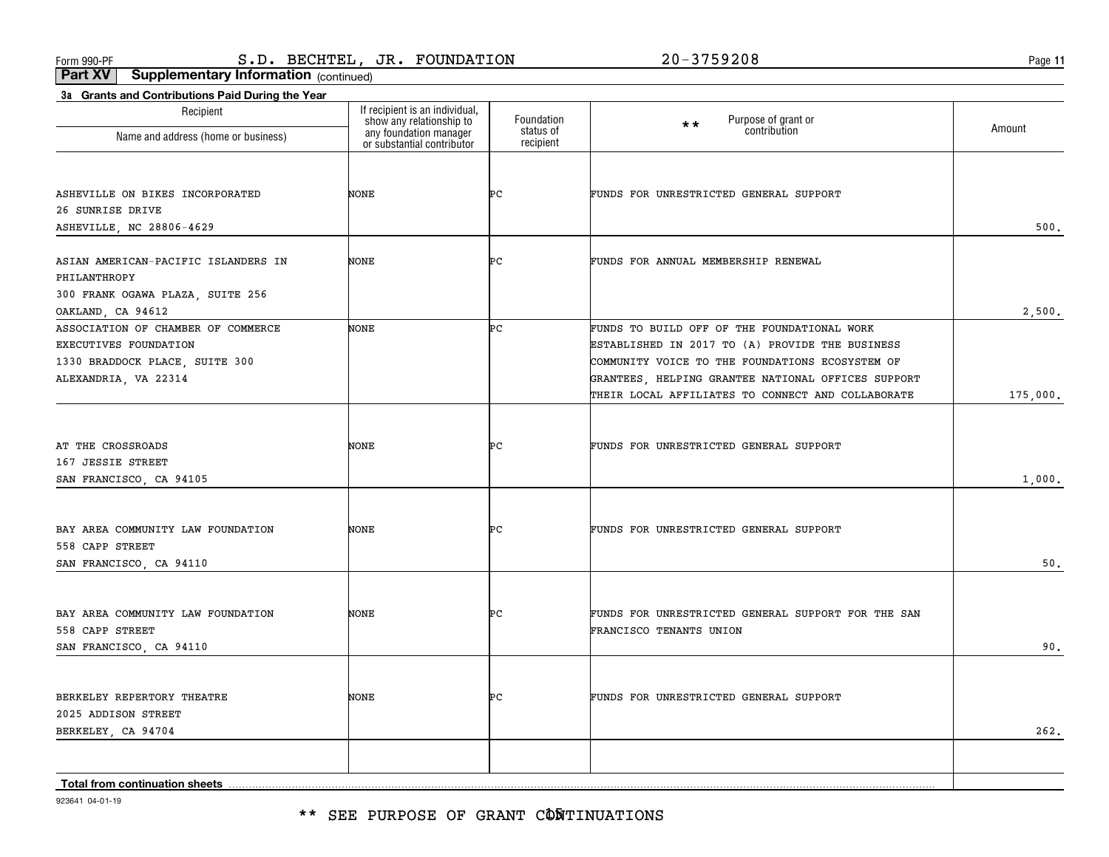\*\* SEE PURPOSE OF GRANT CÔÑTINUATIONS

923641 04-01-19

| Recipient<br>Name and address (home or business)                                                                      | If recipient is an individual,<br>show any relationship to<br>any foundation manager<br>or substantial contributor | Foundation<br>status of | Purpose of grant or<br>$\star \star$<br>contribution                                                                                                                                                                                                         | Amount   |
|-----------------------------------------------------------------------------------------------------------------------|--------------------------------------------------------------------------------------------------------------------|-------------------------|--------------------------------------------------------------------------------------------------------------------------------------------------------------------------------------------------------------------------------------------------------------|----------|
|                                                                                                                       |                                                                                                                    | recipient               |                                                                                                                                                                                                                                                              |          |
| ASHEVILLE ON BIKES INCORPORATED<br>26 SUNRISE DRIVE                                                                   | NONE                                                                                                               | ÞС                      | FUNDS FOR UNRESTRICTED GENERAL SUPPORT                                                                                                                                                                                                                       |          |
| ASHEVILLE, NC 28806-4629                                                                                              |                                                                                                                    |                         |                                                                                                                                                                                                                                                              | 500.     |
| ASIAN AMERICAN-PACIFIC ISLANDERS IN<br>PHILANTHROPY                                                                   | NONE                                                                                                               | ÞС                      | FUNDS FOR ANNUAL MEMBERSHIP RENEWAL                                                                                                                                                                                                                          |          |
| 300 FRANK OGAWA PLAZA, SUITE 256<br>OAKLAND, CA 94612                                                                 |                                                                                                                    |                         |                                                                                                                                                                                                                                                              | 2,500.   |
| ASSOCIATION OF CHAMBER OF COMMERCE<br>EXECUTIVES FOUNDATION<br>1330 BRADDOCK PLACE, SUITE 300<br>ALEXANDRIA, VA 22314 | NONE                                                                                                               | Þс                      | FUNDS TO BUILD OFF OF THE FOUNDATIONAL WORK<br>ESTABLISHED IN 2017 TO (A) PROVIDE THE BUSINESS<br>COMMUNITY VOICE TO THE FOUNDATIONS ECOSYSTEM OF<br>GRANTEES, HELPING GRANTEE NATIONAL OFFICES SUPPORT<br>THEIR LOCAL AFFILIATES TO CONNECT AND COLLABORATE | 175,000. |
| AT THE CROSSROADS<br>167 JESSIE STREET<br>SAN FRANCISCO, CA 94105                                                     | NONE                                                                                                               | ÞС                      | FUNDS FOR UNRESTRICTED GENERAL SUPPORT                                                                                                                                                                                                                       | 1,000,   |
| BAY AREA COMMUNITY LAW FOUNDATION<br>558 CAPP STREET<br>SAN FRANCISCO, CA 94110                                       | NONE                                                                                                               | ÞС                      | FUNDS FOR UNRESTRICTED GENERAL SUPPORT                                                                                                                                                                                                                       | 50.      |
| BAY AREA COMMUNITY LAW FOUNDATION<br>558 CAPP STREET<br>SAN FRANCISCO, CA 94110                                       | NONE                                                                                                               | ÞС                      | FUNDS FOR UNRESTRICTED GENERAL SUPPORT FOR THE SAN<br>FRANCISCO TENANTS UNION                                                                                                                                                                                | 90,      |
| BERKELEY REPERTORY THEATRE<br>2025 ADDISON STREET<br>BERKELEY, CA 94704                                               | NONE                                                                                                               | ÞС                      | FUNDS FOR UNRESTRICTED GENERAL SUPPORT                                                                                                                                                                                                                       | 262.     |
|                                                                                                                       |                                                                                                                    |                         |                                                                                                                                                                                                                                                              |          |
| Total from continuation sheets                                                                                        |                                                                                                                    |                         |                                                                                                                                                                                                                                                              |          |

**Part XV Supplementary Information** (continued)

**3a Grants and Contributions Paid During the Year**

**11**

Form 990-PF Page S.D. BECHTEL, JR. FOUNDATION 20-3759208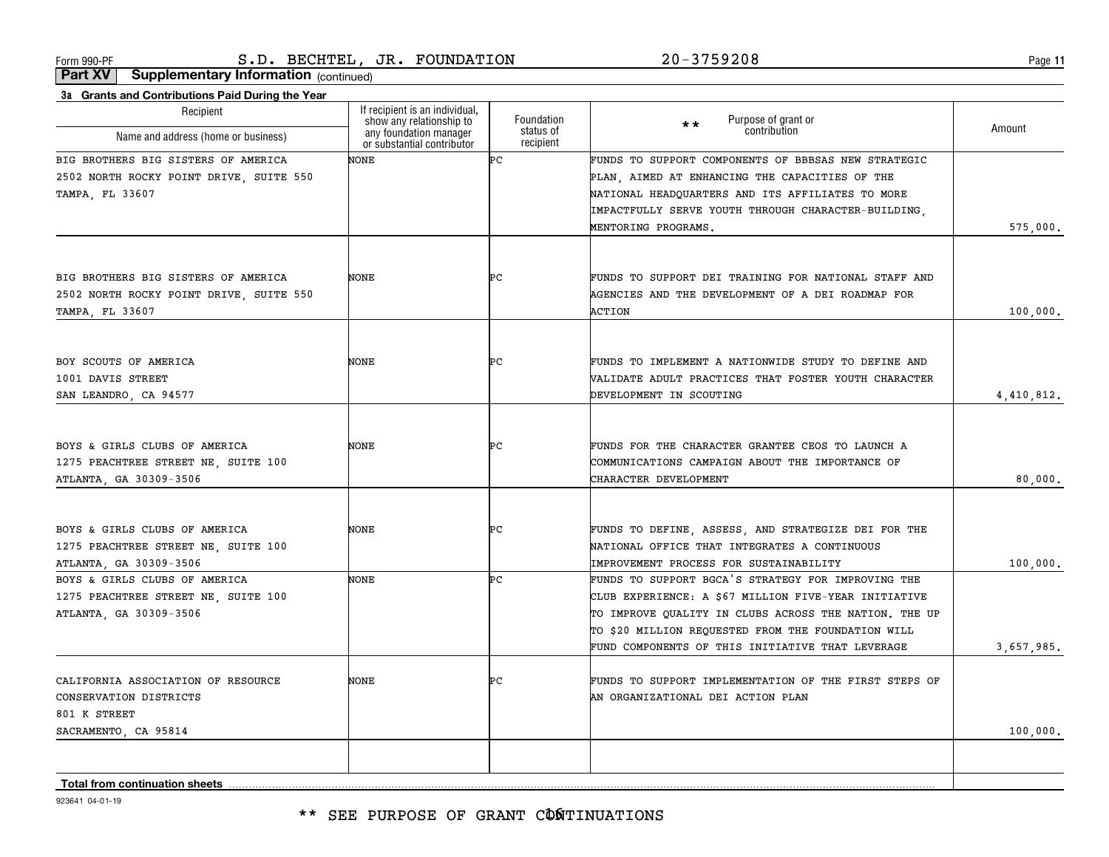**11**

**Part XV Supplementary Information** (continued)

| Recipient                               | If recipient is an individual,<br>show any relationship to | Foundation             | Purpose of grant or<br>$\star \star$                  | Amount     |  |
|-----------------------------------------|------------------------------------------------------------|------------------------|-------------------------------------------------------|------------|--|
| Name and address (home or business)     | any foundation manager<br>or substantial contributor       | status of<br>recipient | contribution                                          |            |  |
| BIG BROTHERS BIG SISTERS OF AMERICA     | NONE                                                       | Þс                     | FUNDS TO SUPPORT COMPONENTS OF BBBSAS NEW STRATEGIC   |            |  |
| 2502 NORTH ROCKY POINT DRIVE, SUITE 550 |                                                            |                        | PLAN, AIMED AT ENHANCING THE CAPACITIES OF THE        |            |  |
| TAMPA, FL 33607                         |                                                            |                        | NATIONAL HEADQUARTERS AND ITS AFFILIATES TO MORE      |            |  |
|                                         |                                                            |                        | IMPACTFULLY SERVE YOUTH THROUGH CHARACTER-BUILDING,   |            |  |
|                                         |                                                            |                        | MENTORING PROGRAMS.                                   | 575,000.   |  |
|                                         |                                                            |                        |                                                       |            |  |
| BIG BROTHERS BIG SISTERS OF AMERICA     | <b>NONE</b>                                                | ÞС                     | FUNDS TO SUPPORT DEI TRAINING FOR NATIONAL STAFF AND  |            |  |
| 2502 NORTH ROCKY POINT DRIVE, SUITE 550 |                                                            |                        | AGENCIES AND THE DEVELOPMENT OF A DEI ROADMAP FOR     |            |  |
| TAMPA, FL 33607                         |                                                            |                        | <b>ACTION</b>                                         | 100,000.   |  |
|                                         |                                                            |                        |                                                       |            |  |
| BOY SCOUTS OF AMERICA                   | <b>NONE</b>                                                | ÞС                     | FUNDS TO IMPLEMENT A NATIONWIDE STUDY TO DEFINE AND   |            |  |
| 1001 DAVIS STREET                       |                                                            |                        | VALIDATE ADULT PRACTICES THAT FOSTER YOUTH CHARACTER  |            |  |
| SAN LEANDRO, CA 94577                   |                                                            |                        | DEVELOPMENT IN SCOUTING                               | 4,410,812. |  |
| BOYS & GIRLS CLUBS OF AMERICA           | <b>NONE</b>                                                | ÞС                     | FUNDS FOR THE CHARACTER GRANTEE CEOS TO LAUNCH A      |            |  |
| 1275 PEACHTREE STREET NE, SUITE 100     |                                                            |                        | COMMUNICATIONS CAMPAIGN ABOUT THE IMPORTANCE OF       |            |  |
| ATLANTA, GA 30309-3506                  |                                                            |                        | CHARACTER DEVELOPMENT                                 | 80,000.    |  |
|                                         |                                                            |                        |                                                       |            |  |
| BOYS & GIRLS CLUBS OF AMERICA           | <b>NONE</b>                                                | ÞС                     | FUNDS TO DEFINE, ASSESS, AND STRATEGIZE DEI FOR THE   |            |  |
| 1275 PEACHTREE STREET NE, SUITE 100     |                                                            |                        | NATIONAL OFFICE THAT INTEGRATES A CONTINUOUS          |            |  |
| ATLANTA, GA 30309-3506                  |                                                            |                        | IMPROVEMENT PROCESS FOR SUSTAINABILITY                | 100,000.   |  |
| BOYS & GIRLS CLUBS OF AMERICA           | NONE                                                       | ÞС                     | FUNDS TO SUPPORT BGCA'S STRATEGY FOR IMPROVING THE    |            |  |
| 1275 PEACHTREE STREET NE, SUITE 100     |                                                            |                        | CLUB EXPERIENCE: A \$67 MILLION FIVE-YEAR INITIATIVE  |            |  |
| ATLANTA, GA 30309-3506                  |                                                            |                        | TO IMPROVE QUALITY IN CLUBS ACROSS THE NATION. THE UP |            |  |
|                                         |                                                            |                        | TO \$20 MILLION REQUESTED FROM THE FOUNDATION WILL    |            |  |
|                                         |                                                            |                        | FUND COMPONENTS OF THIS INITIATIVE THAT LEVERAGE      | 3,657,985. |  |
| CALIFORNIA ASSOCIATION OF RESOURCE      | NONE                                                       | ÞС                     | FUNDS TO SUPPORT IMPLEMENTATION OF THE FIRST STEPS OF |            |  |
| CONSERVATION DISTRICTS                  |                                                            |                        | AN ORGANIZATIONAL DEI ACTION PLAN                     |            |  |
| 801 K STREET                            |                                                            |                        |                                                       |            |  |
| SACRAMENTO, CA 95814                    |                                                            |                        |                                                       | 100,000.   |  |
|                                         |                                                            |                        |                                                       |            |  |
| <b>Total from continuation sheets</b>   |                                                            |                        |                                                       |            |  |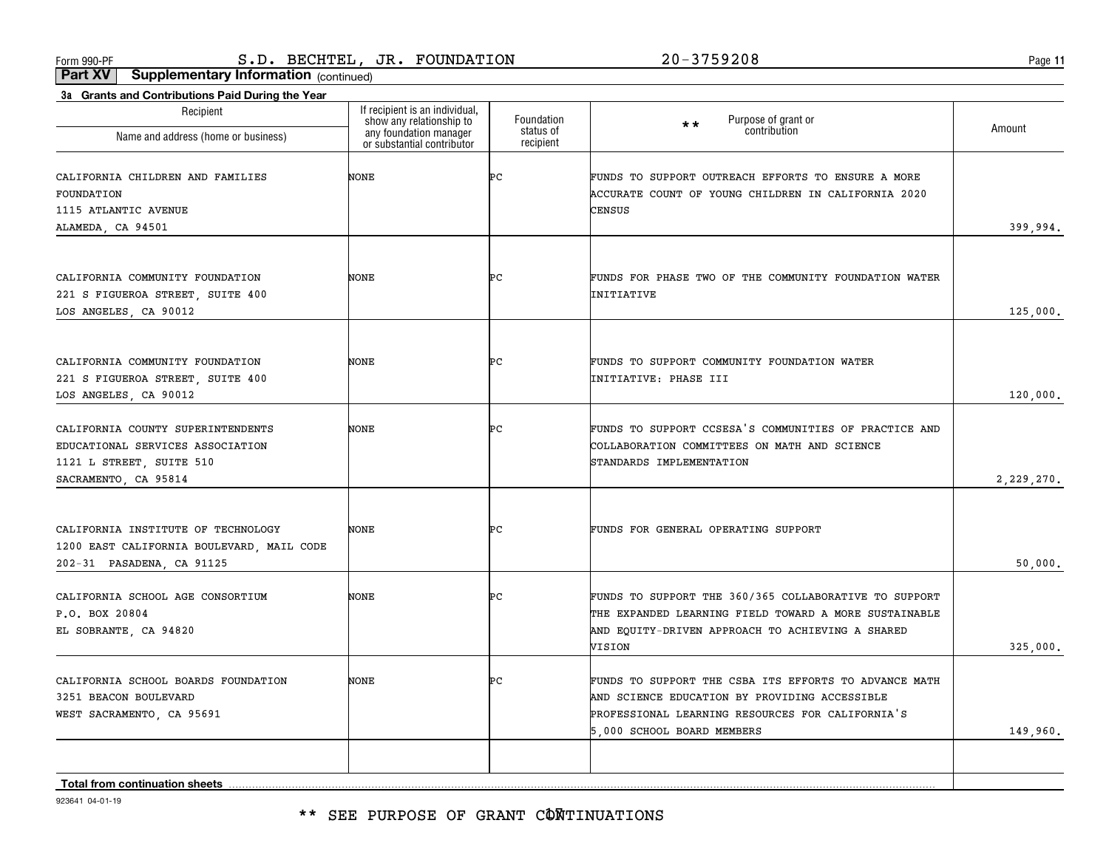**11**

**Part XV Supplementary Information** (continued)

| 3a Grants and Contributions Paid During the Year<br>Recipient                                                             |                                                                                                                    |                                      |                                                                                                                                                                                          |            |
|---------------------------------------------------------------------------------------------------------------------------|--------------------------------------------------------------------------------------------------------------------|--------------------------------------|------------------------------------------------------------------------------------------------------------------------------------------------------------------------------------------|------------|
| Name and address (home or business)                                                                                       | If recipient is an individual,<br>show any relationship to<br>any foundation manager<br>or substantial contributor | Foundation<br>status of<br>recipient | Purpose of grant or<br>$\star\star$<br>contribution                                                                                                                                      | Amount     |
| CALIFORNIA CHILDREN AND FAMILIES<br>FOUNDATION<br>1115 ATLANTIC AVENUE<br>ALAMEDA, CA 94501                               | NONE                                                                                                               | ÞС                                   | FUNDS TO SUPPORT OUTREACH EFFORTS TO ENSURE A MORE<br>ACCURATE COUNT OF YOUNG CHILDREN IN CALIFORNIA 2020<br>CENSUS                                                                      | 399,994.   |
| CALIFORNIA COMMUNITY FOUNDATION<br>221 S FIGUEROA STREET, SUITE 400<br>LOS ANGELES, CA 90012                              | NONE                                                                                                               | ÞС                                   | FUNDS FOR PHASE TWO OF THE COMMUNITY FOUNDATION WATER<br>INITIATIVE                                                                                                                      | 125,000.   |
| CALIFORNIA COMMUNITY FOUNDATION<br>221 S FIGUEROA STREET, SUITE 400<br>LOS ANGELES, CA 90012                              | NONE                                                                                                               | ÞС                                   | FUNDS TO SUPPORT COMMUNITY FOUNDATION WATER<br>INITIATIVE: PHASE III                                                                                                                     | 120,000.   |
| CALIFORNIA COUNTY SUPERINTENDENTS<br>EDUCATIONAL SERVICES ASSOCIATION<br>1121 L STREET, SUITE 510<br>SACRAMENTO, CA 95814 | NONE                                                                                                               | ÞС                                   | FUNDS TO SUPPORT CCSESA'S COMMUNITIES OF PRACTICE AND<br>COLLABORATION COMMITTEES ON MATH AND SCIENCE<br>STANDARDS IMPLEMENTATION                                                        | 2,229,270. |
| CALIFORNIA INSTITUTE OF TECHNOLOGY<br>1200 EAST CALIFORNIA BOULEVARD, MAIL CODE<br>202-31 PASADENA, CA 91125              | NONE                                                                                                               | ÞС                                   | FUNDS FOR GENERAL OPERATING SUPPORT                                                                                                                                                      | 50,000.    |
| CALIFORNIA SCHOOL AGE CONSORTIUM<br>P.O. BOX 20804<br>EL SOBRANTE, CA 94820                                               | NONE                                                                                                               | ÞС                                   | FUNDS TO SUPPORT THE 360/365 COLLABORATIVE TO SUPPORT<br>THE EXPANDED LEARNING FIELD TOWARD A MORE SUSTAINABLE<br>AND EQUITY-DRIVEN APPROACH TO ACHIEVING A SHARED<br>VISION             | 325,000.   |
| CALIFORNIA SCHOOL BOARDS FOUNDATION<br>3251 BEACON BOULEVARD<br>WEST SACRAMENTO, CA 95691                                 | NONE                                                                                                               | ÞС                                   | FUNDS TO SUPPORT THE CSBA ITS EFFORTS TO ADVANCE MATH<br>AND SCIENCE EDUCATION BY PROVIDING ACCESSIBLE<br>PROFESSIONAL LEARNING RESOURCES FOR CALIFORNIA'S<br>5,000 SCHOOL BOARD MEMBERS | 149,960.   |
| <b>Total from continuation sheets</b>                                                                                     |                                                                                                                    |                                      |                                                                                                                                                                                          |            |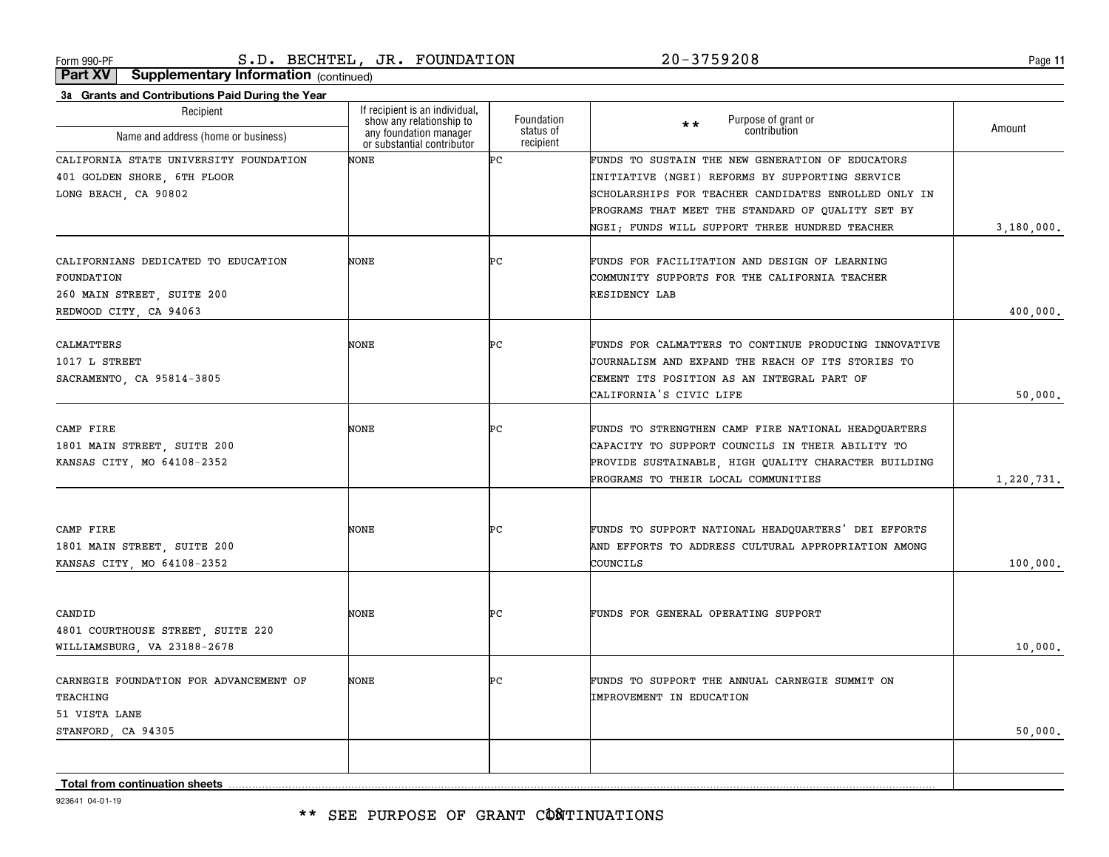**11**

**Part XV Supplementary Information** (continued)

| 3a Grants and Contributions Paid During the Year     |                                                                                                                    |                                      |                                                          |            |
|------------------------------------------------------|--------------------------------------------------------------------------------------------------------------------|--------------------------------------|----------------------------------------------------------|------------|
| Recipient<br>Name and address (home or business)     | If recipient is an individual,<br>show any relationship to<br>any foundation manager<br>or substantial contributor | Foundation<br>status of<br>recipient | Purpose of grant or<br>$***$<br>contribution             | Amount     |
| CALIFORNIA STATE UNIVERSITY FOUNDATION               | NONE                                                                                                               | Þс                                   | FUNDS TO SUSTAIN THE NEW GENERATION OF EDUCATORS         |            |
|                                                      |                                                                                                                    |                                      | INITIATIVE (NGEI) REFORMS BY SUPPORTING SERVICE          |            |
| 401 GOLDEN SHORE, 6TH FLOOR<br>LONG BEACH, CA 90802  |                                                                                                                    |                                      | SCHOLARSHIPS FOR TEACHER CANDIDATES ENROLLED ONLY IN     |            |
|                                                      |                                                                                                                    |                                      | PROGRAMS THAT MEET THE STANDARD OF QUALITY SET BY        |            |
|                                                      |                                                                                                                    |                                      |                                                          | 3,180,000. |
|                                                      |                                                                                                                    |                                      | NGEI; FUNDS WILL SUPPORT THREE HUNDRED TEACHER           |            |
| CALIFORNIANS DEDICATED TO EDUCATION                  | NONE                                                                                                               | ÞС                                   | FUNDS FOR FACILITATION AND DESIGN OF LEARNING            |            |
| FOUNDATION                                           |                                                                                                                    |                                      | COMMUNITY SUPPORTS FOR THE CALIFORNIA TEACHER            |            |
|                                                      |                                                                                                                    |                                      | RESIDENCY LAB                                            |            |
| 260 MAIN STREET, SUITE 200<br>REDWOOD CITY, CA 94063 |                                                                                                                    |                                      |                                                          | 400,000.   |
|                                                      |                                                                                                                    |                                      |                                                          |            |
| CALMATTERS                                           | NONE                                                                                                               | ÞС                                   | FUNDS FOR CALMATTERS TO CONTINUE PRODUCING INNOVATIVE    |            |
| 1017 L STREET                                        |                                                                                                                    |                                      | <b>JOURNALISM AND EXPAND THE REACH OF ITS STORIES TO</b> |            |
| SACRAMENTO, CA 95814-3805                            |                                                                                                                    |                                      | CEMENT ITS POSITION AS AN INTEGRAL PART OF               |            |
|                                                      |                                                                                                                    |                                      | CALIFORNIA'S CIVIC LIFE                                  | 50,000.    |
|                                                      |                                                                                                                    |                                      |                                                          |            |
| CAMP FIRE                                            | NONE                                                                                                               | ÞС                                   | FUNDS TO STRENGTHEN CAMP FIRE NATIONAL HEADQUARTERS      |            |
| 1801 MAIN STREET, SUITE 200                          |                                                                                                                    |                                      | CAPACITY TO SUPPORT COUNCILS IN THEIR ABILITY TO         |            |
| KANSAS CITY, MO 64108-2352                           |                                                                                                                    |                                      | PROVIDE SUSTAINABLE, HIGH QUALITY CHARACTER BUILDING     |            |
|                                                      |                                                                                                                    |                                      | PROGRAMS TO THEIR LOCAL COMMUNITIES                      | 1,220,731. |
|                                                      |                                                                                                                    |                                      |                                                          |            |
| CAMP FIRE                                            | NONE                                                                                                               | ÞС                                   | FUNDS TO SUPPORT NATIONAL HEADQUARTERS' DEI EFFORTS      |            |
| 1801 MAIN STREET, SUITE 200                          |                                                                                                                    |                                      | AND EFFORTS TO ADDRESS CULTURAL APPROPRIATION AMONG      |            |
| KANSAS CITY, MO 64108-2352                           |                                                                                                                    |                                      | COUNCILS                                                 | 100,000.   |
|                                                      |                                                                                                                    |                                      |                                                          |            |
| CANDID                                               | NONE                                                                                                               | ÞС                                   | FUNDS FOR GENERAL OPERATING SUPPORT                      |            |
| 4801 COURTHOUSE STREET, SUITE 220                    |                                                                                                                    |                                      |                                                          |            |
| WILLIAMSBURG, VA 23188-2678                          |                                                                                                                    |                                      |                                                          | 10,000.    |
|                                                      |                                                                                                                    |                                      |                                                          |            |
| CARNEGIE FOUNDATION FOR ADVANCEMENT OF               | NONE                                                                                                               | ÞС                                   | FUNDS TO SUPPORT THE ANNUAL CARNEGIE SUMMIT ON           |            |
| TEACHING                                             |                                                                                                                    |                                      | IMPROVEMENT IN EDUCATION                                 |            |
| 51 VISTA LANE                                        |                                                                                                                    |                                      |                                                          |            |
| STANFORD, CA 94305                                   |                                                                                                                    |                                      |                                                          | 50,000.    |
|                                                      |                                                                                                                    |                                      |                                                          |            |
|                                                      |                                                                                                                    |                                      |                                                          |            |
| Total from continuation sheets                       |                                                                                                                    |                                      |                                                          |            |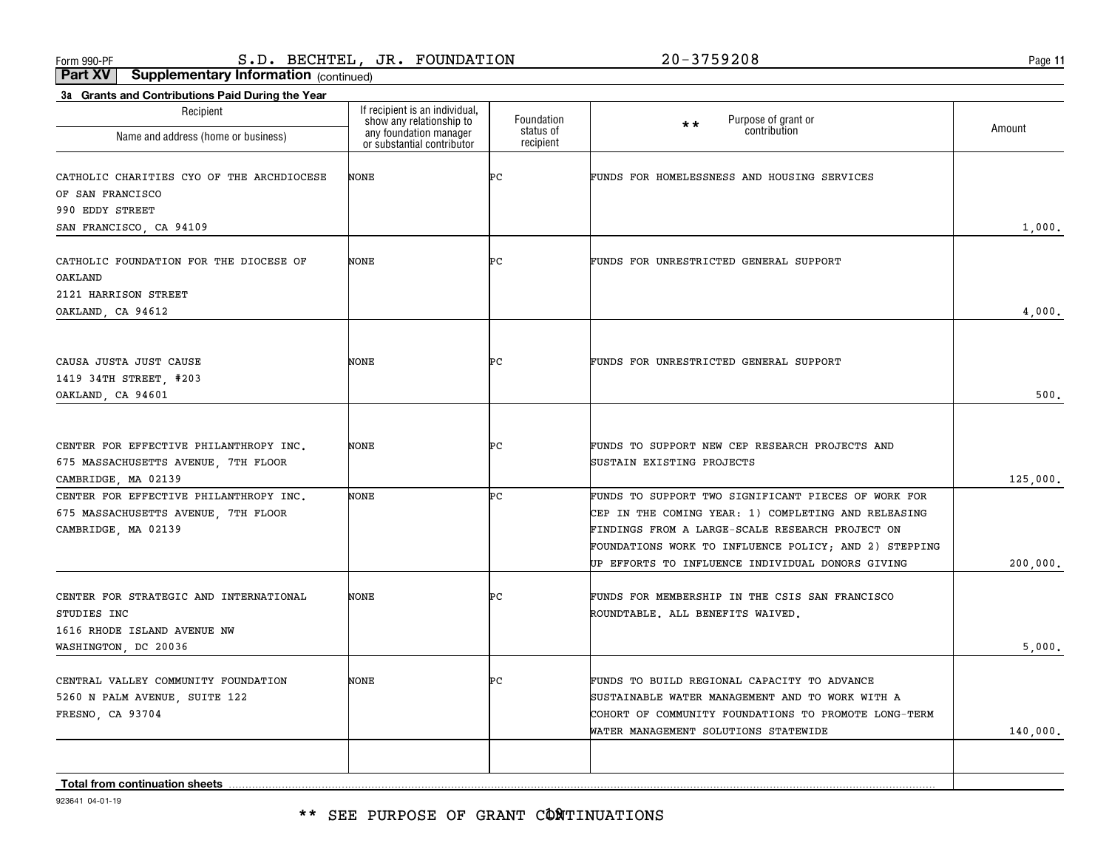**11**

**Part XV Supplementary Information** (continued)

| 3a Grants and Contributions Paid During the Year                              |                                                                                                                    |                         |                                                       |          |
|-------------------------------------------------------------------------------|--------------------------------------------------------------------------------------------------------------------|-------------------------|-------------------------------------------------------|----------|
| Recipient                                                                     | If recipient is an individual,<br>show any relationship to<br>any foundation manager<br>or substantial contributor | Foundation<br>status of | Purpose of grant or<br>$**$<br>contribution           | Amount   |
| Name and address (home or business)                                           |                                                                                                                    | recipient               |                                                       |          |
| CATHOLIC CHARITIES CYO OF THE ARCHDIOCESE                                     | NONE                                                                                                               | ÞС                      | FUNDS FOR HOMELESSNESS AND HOUSING SERVICES           |          |
| OF SAN FRANCISCO                                                              |                                                                                                                    |                         |                                                       |          |
| 990 EDDY STREET<br>SAN FRANCISCO, CA 94109                                    |                                                                                                                    |                         |                                                       | 1,000.   |
|                                                                               |                                                                                                                    |                         |                                                       |          |
| CATHOLIC FOUNDATION FOR THE DIOCESE OF<br>OAKLAND                             | NONE                                                                                                               | ÞС                      | FUNDS FOR UNRESTRICTED GENERAL SUPPORT                |          |
| 2121 HARRISON STREET                                                          |                                                                                                                    |                         |                                                       |          |
| OAKLAND, CA 94612                                                             |                                                                                                                    |                         |                                                       | 4,000.   |
|                                                                               |                                                                                                                    |                         |                                                       |          |
| CAUSA JUSTA JUST CAUSE                                                        | NONE                                                                                                               | ÞС                      | FUNDS FOR UNRESTRICTED GENERAL SUPPORT                |          |
| 1419 34TH STREET, #203                                                        |                                                                                                                    |                         |                                                       |          |
| OAKLAND, CA 94601                                                             |                                                                                                                    |                         |                                                       | 500.     |
|                                                                               |                                                                                                                    |                         |                                                       |          |
|                                                                               |                                                                                                                    |                         |                                                       |          |
| CENTER FOR EFFECTIVE PHILANTHROPY INC.                                        | NONE                                                                                                               | ÞС                      | FUNDS TO SUPPORT NEW CEP RESEARCH PROJECTS AND        |          |
| 675 MASSACHUSETTS AVENUE, 7TH FLOOR                                           |                                                                                                                    |                         | SUSTAIN EXISTING PROJECTS                             |          |
| CAMBRIDGE, MA 02139                                                           | NONE                                                                                                               | ÞС                      | FUNDS TO SUPPORT TWO SIGNIFICANT PIECES OF WORK FOR   | 125,000. |
| CENTER FOR EFFECTIVE PHILANTHROPY INC.<br>675 MASSACHUSETTS AVENUE, 7TH FLOOR |                                                                                                                    |                         | CEP IN THE COMING YEAR: 1) COMPLETING AND RELEASING   |          |
| CAMBRIDGE, MA 02139                                                           |                                                                                                                    |                         | FINDINGS FROM A LARGE-SCALE RESEARCH PROJECT ON       |          |
|                                                                               |                                                                                                                    |                         | FOUNDATIONS WORK TO INFLUENCE POLICY; AND 2) STEPPING |          |
|                                                                               |                                                                                                                    |                         | UP EFFORTS TO INFLUENCE INDIVIDUAL DONORS GIVING      | 200,000. |
|                                                                               |                                                                                                                    |                         |                                                       |          |
| CENTER FOR STRATEGIC AND INTERNATIONAL                                        | NONE                                                                                                               | ÞС                      | FUNDS FOR MEMBERSHIP IN THE CSIS SAN FRANCISCO        |          |
| STUDIES INC                                                                   |                                                                                                                    |                         | ROUNDTABLE. ALL BENEFITS WAIVED.                      |          |
| 1616 RHODE ISLAND AVENUE NW                                                   |                                                                                                                    |                         |                                                       |          |
| WASHINGTON, DC 20036                                                          |                                                                                                                    |                         |                                                       | 5,000.   |
| CENTRAL VALLEY COMMUNITY FOUNDATION                                           | NONE                                                                                                               | ÞС                      | FUNDS TO BUILD REGIONAL CAPACITY TO ADVANCE           |          |
| 5260 N PALM AVENUE, SUITE 122                                                 |                                                                                                                    |                         | SUSTAINABLE WATER MANAGEMENT AND TO WORK WITH A       |          |
| FRESNO, CA 93704                                                              |                                                                                                                    |                         | COHORT OF COMMUNITY FOUNDATIONS TO PROMOTE LONG-TERM  |          |
|                                                                               |                                                                                                                    |                         | WATER MANAGEMENT SOLUTIONS STATEWIDE                  | 140,000. |
|                                                                               |                                                                                                                    |                         |                                                       |          |
|                                                                               |                                                                                                                    |                         |                                                       |          |
| <b>Total from continuation sheets</b>                                         |                                                                                                                    |                         |                                                       |          |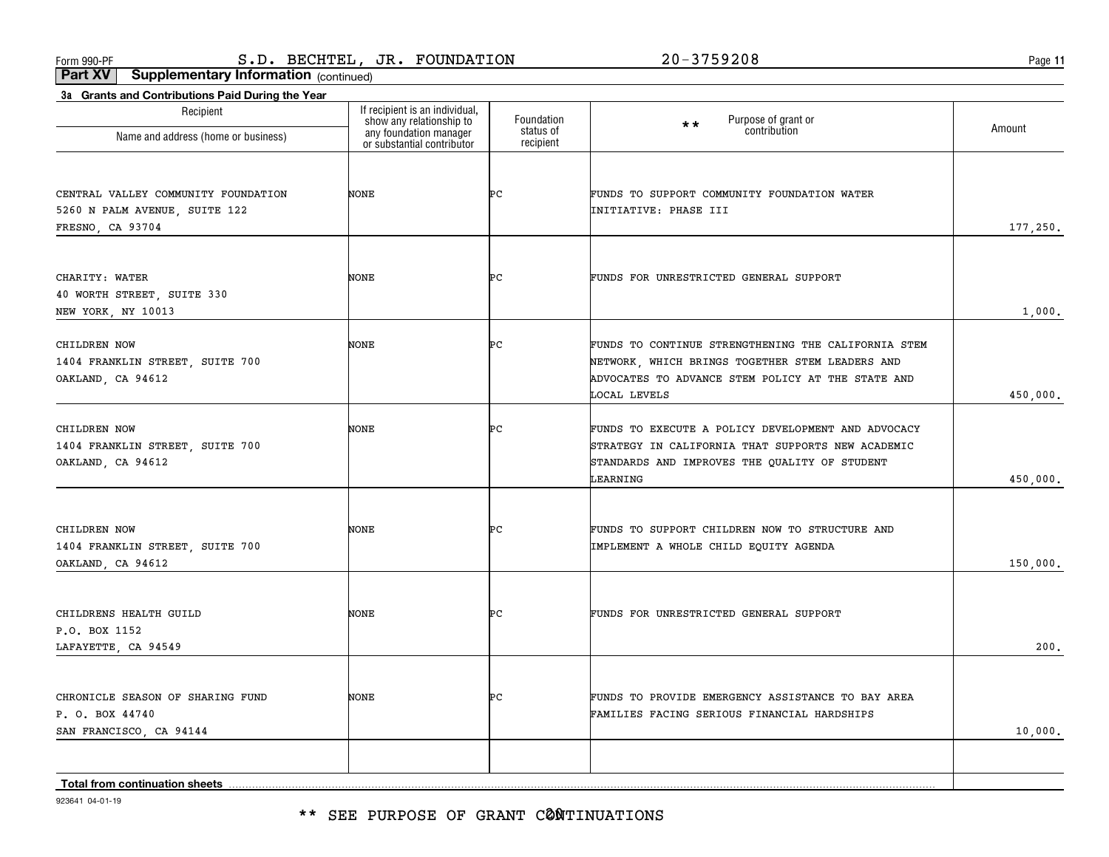\*\* SEE PURPOSE OF GRANT CØNTINUATIONS

923641 04-01-19

| CENTRAL VALLEY COMMUNITY FOUNDATION<br>5260 N PALM AVENUE, SUITE 122<br>FRESNO, CA 93704 | <b>NONE</b> | ÞС | FUNDS TO SUPPORT COMMUNITY FOUNDATION WATER<br>INITIATIVE: PHASE III                                                                                                        | 177,250. |
|------------------------------------------------------------------------------------------|-------------|----|-----------------------------------------------------------------------------------------------------------------------------------------------------------------------------|----------|
| CHARITY: WATER<br>40 WORTH STREET, SUITE 330<br>NEW YORK, NY 10013                       | <b>NONE</b> | ÞС | FUNDS FOR UNRESTRICTED GENERAL SUPPORT                                                                                                                                      | 1,000,   |
| CHILDREN NOW<br>1404 FRANKLIN STREET, SUITE 700<br>OAKLAND, CA 94612                     | NONE        | ÞС | FUNDS TO CONTINUE STRENGTHENING THE CALIFORNIA STEM<br>NETWORK, WHICH BRINGS TOGETHER STEM LEADERS AND<br>ADVOCATES TO ADVANCE STEM POLICY AT THE STATE AND<br>LOCAL LEVELS | 450,000. |
| CHILDREN NOW<br>1404 FRANKLIN STREET, SUITE 700<br>OAKLAND, CA 94612                     | <b>NONE</b> | ÞС | FUNDS TO EXECUTE A POLICY DEVELOPMENT AND ADVOCACY<br>STRATEGY IN CALIFORNIA THAT SUPPORTS NEW ACADEMIC<br>STANDARDS AND IMPROVES THE QUALITY OF STUDENT<br>LEARNING        | 450,000. |
| CHILDREN NOW<br>1404 FRANKLIN STREET, SUITE 700<br>OAKLAND, CA 94612                     | <b>NONE</b> | ÞС | FUNDS TO SUPPORT CHILDREN NOW TO STRUCTURE AND<br>IMPLEMENT A WHOLE CHILD EQUITY AGENDA                                                                                     | 150,000. |
| CHILDRENS HEALTH GUILD<br>P.O. BOX 1152<br>LAFAYETTE, CA 94549                           | <b>NONE</b> | ÞС | FUNDS FOR UNRESTRICTED GENERAL SUPPORT                                                                                                                                      | 200.     |
| CHRONICLE SEASON OF SHARING FUND<br>P. O. BOX 44740<br>SAN FRANCISCO, CA 94144           | <b>NONE</b> | ÞС | FUNDS TO PROVIDE EMERGENCY ASSISTANCE TO BAY AREA<br>FAMILIES FACING SERIOUS FINANCIAL HARDSHIPS                                                                            | 10,000.  |
| <b>Total from continuation sheets</b>                                                    |             |    |                                                                                                                                                                             |          |

Foundation status of recipient

\*\*

If recipient is an individual, show any relationship to any foundation manager or substantial contributor

**Part XV Supplementary Information** (continued)

**3a Grants and Contributions Paid During the Year**

Recipient

Name and address (home or business)

Form 990-PF Page S.D. BECHTEL, JR. FOUNDATION 20-3759208

Purpose of grant or contribution Amount

**11**

1,000.

450,000.

450,000.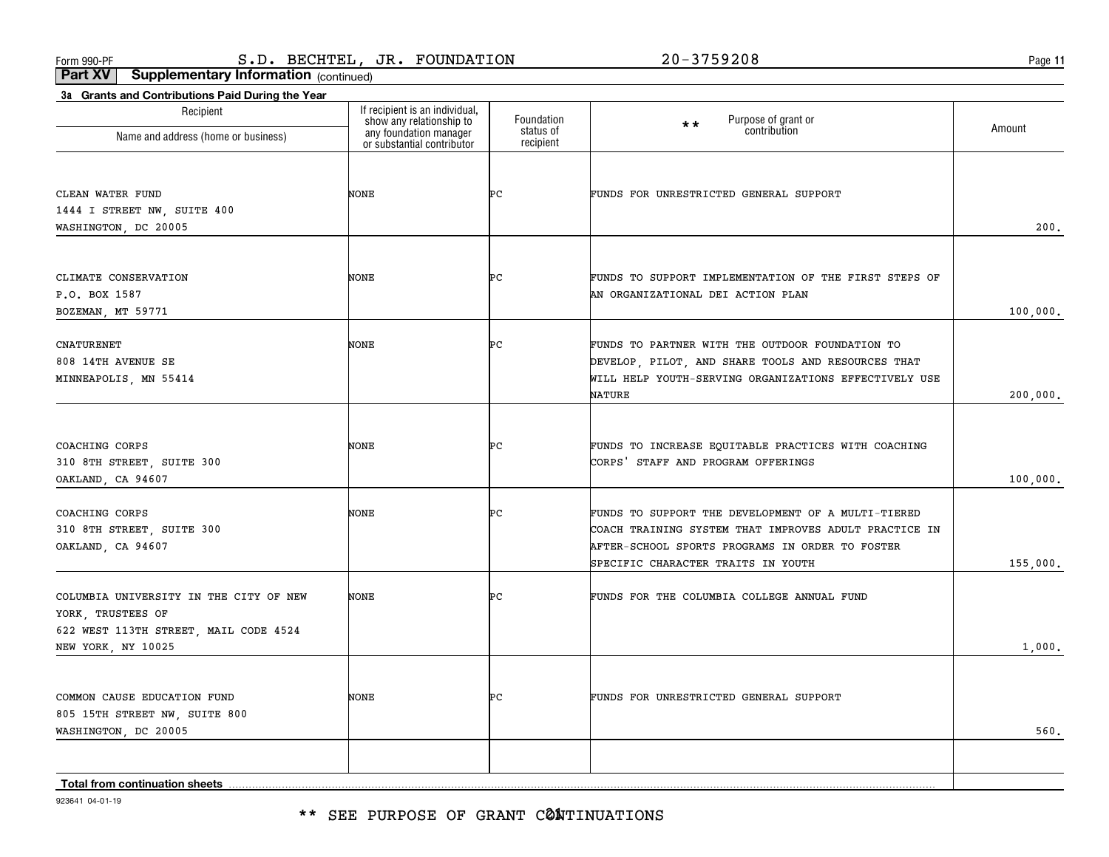**11**

**Part XV Supplementary Information** (continued)

| 3a Grants and Contributions Paid During the Year<br>Recipient | If recipient is an individual,                                                   |                                      |                                                                                            |          |
|---------------------------------------------------------------|----------------------------------------------------------------------------------|--------------------------------------|--------------------------------------------------------------------------------------------|----------|
| Name and address (home or business)                           | show any relationship to<br>any foundation manager<br>or substantial contributor | Foundation<br>status of<br>recipient | Purpose of grant or<br>$\star\star$<br>contribution                                        | Amount   |
|                                                               |                                                                                  |                                      |                                                                                            |          |
| CLEAN WATER FUND                                              | NONE                                                                             | ÞС                                   | FUNDS FOR UNRESTRICTED GENERAL SUPPORT                                                     |          |
| 1444 I STREET NW, SUITE 400<br>WASHINGTON, DC 20005           |                                                                                  |                                      |                                                                                            | 200.     |
|                                                               |                                                                                  |                                      |                                                                                            |          |
| CLIMATE CONSERVATION<br>P.O. BOX 1587                         | NONE                                                                             | ÞС                                   | FUNDS TO SUPPORT IMPLEMENTATION OF THE FIRST STEPS OF<br>AN ORGANIZATIONAL DEI ACTION PLAN |          |
| BOZEMAN, MT 59771                                             |                                                                                  |                                      |                                                                                            | 100,000. |
| <b>CNATURENET</b>                                             | <b>NONE</b>                                                                      | ÞС                                   | FUNDS TO PARTNER WITH THE OUTDOOR FOUNDATION TO                                            |          |
| 808 14TH AVENUE SE                                            |                                                                                  |                                      | DEVELOP, PILOT, AND SHARE TOOLS AND RESOURCES THAT                                         |          |
| MINNEAPOLIS, MN 55414                                         |                                                                                  |                                      | WILL HELP YOUTH-SERVING ORGANIZATIONS EFFECTIVELY USE<br>NATURE                            | 200,000. |
|                                                               |                                                                                  |                                      |                                                                                            |          |
| COACHING CORPS                                                | <b>NONE</b>                                                                      | ÞС                                   | FUNDS TO INCREASE EQUITABLE PRACTICES WITH COACHING                                        |          |
| 310 8TH STREET, SUITE 300<br>OAKLAND, CA 94607                |                                                                                  |                                      | CORPS' STAFF AND PROGRAM OFFERINGS                                                         | 100,000. |
| COACHING CORPS                                                | <b>NONE</b>                                                                      | ÞС                                   | FUNDS TO SUPPORT THE DEVELOPMENT OF A MULTI-TIERED                                         |          |
| 310 8TH STREET, SUITE 300                                     |                                                                                  |                                      | COACH TRAINING SYSTEM THAT IMPROVES ADULT PRACTICE IN                                      |          |
| OAKLAND, CA 94607                                             |                                                                                  |                                      | AFTER-SCHOOL SPORTS PROGRAMS IN ORDER TO FOSTER                                            |          |
|                                                               |                                                                                  |                                      | SPECIFIC CHARACTER TRAITS IN YOUTH                                                         | 155,000. |
| COLUMBIA UNIVERSITY IN THE CITY OF NEW<br>YORK, TRUSTEES OF   | <b>NONE</b>                                                                      | ÞС                                   | FUNDS FOR THE COLUMBIA COLLEGE ANNUAL FUND                                                 |          |
| 622 WEST 113TH STREET, MAIL CODE 4524<br>NEW YORK, NY 10025   |                                                                                  |                                      |                                                                                            | 1,000.   |
|                                                               |                                                                                  |                                      |                                                                                            |          |
| COMMON CAUSE EDUCATION FUND                                   | NONE                                                                             | ÞС                                   | FUNDS FOR UNRESTRICTED GENERAL SUPPORT                                                     |          |
| 805 15TH STREET NW, SUITE 800<br>WASHINGTON, DC 20005         |                                                                                  |                                      |                                                                                            | 560.     |
|                                                               |                                                                                  |                                      |                                                                                            |          |
| Total from continuation sheets                                |                                                                                  |                                      |                                                                                            |          |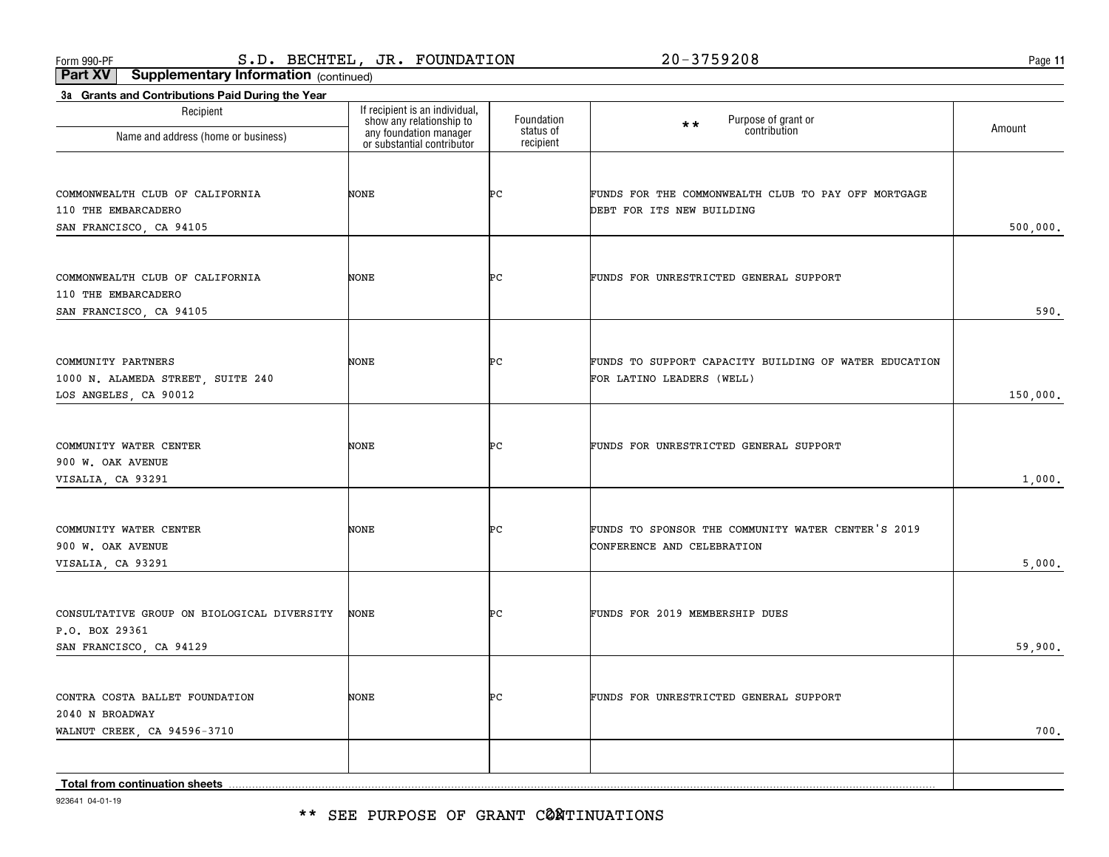\*\* SEE PURPOSE OF GRANT CØNTINUATIONS

923641 04-01-19

| recipient<br>COMMONWEALTH CLUB OF CALIFORNIA<br>NONE<br>ÞС<br>FUNDS FOR THE COMMONWEALTH CLUB TO PAY OFF MORTGAGE<br>DEBT FOR ITS NEW BUILDING<br>110 THE EMBARCADERO<br>SAN FRANCISCO, CA 94105<br>NONE<br>Þс<br>COMMONWEALTH CLUB OF CALIFORNIA<br>FUNDS FOR UNRESTRICTED GENERAL SUPPORT<br>110 THE EMBARCADERO<br>SAN FRANCISCO, CA 94105<br>NONE<br>ÞС<br>FUNDS TO SUPPORT CAPACITY BUILDING OF WATER EDUCATION<br>COMMUNITY PARTNERS<br>1000 N. ALAMEDA STREET, SUITE 240<br>FOR LATINO LEADERS (WELL)<br>LOS ANGELES, CA 90012<br>COMMUNITY WATER CENTER<br>NONE<br>ÞС<br>FUNDS FOR UNRESTRICTED GENERAL SUPPORT<br>900 W. OAK AVENUE<br>VISALIA, CA 93291<br>ÞС<br>FUNDS TO SPONSOR THE COMMUNITY WATER CENTER'S 2019<br>COMMUNITY WATER CENTER<br>NONE<br>900 W. OAK AVENUE<br>CONFERENCE AND CELEBRATION<br>VISALIA, CA 93291<br>CONSULTATIVE GROUP ON BIOLOGICAL DIVERSITY<br><b>NONE</b><br>ÞС<br>FUNDS FOR 2019 MEMBERSHIP DUES<br>P.O. BOX 29361<br>SAN FRANCISCO, CA 94129<br>CONTRA COSTA BALLET FOUNDATION<br>NONE<br>ÞС<br>FUNDS FOR UNRESTRICTED GENERAL SUPPORT<br>2040 N BROADWAY<br>WALNUT CREEK, CA 94596-3710 | Recipient<br>Name and address (home or business) | If recipient is an individual,<br>show any relationship to<br>any foundation manager<br>or substantial contributor | Foundation<br>status of | Purpose of grant or<br>$\star \star$<br>contribution | Amount   |
|---------------------------------------------------------------------------------------------------------------------------------------------------------------------------------------------------------------------------------------------------------------------------------------------------------------------------------------------------------------------------------------------------------------------------------------------------------------------------------------------------------------------------------------------------------------------------------------------------------------------------------------------------------------------------------------------------------------------------------------------------------------------------------------------------------------------------------------------------------------------------------------------------------------------------------------------------------------------------------------------------------------------------------------------------------------------------------------------------------------------------------------|--------------------------------------------------|--------------------------------------------------------------------------------------------------------------------|-------------------------|------------------------------------------------------|----------|
|                                                                                                                                                                                                                                                                                                                                                                                                                                                                                                                                                                                                                                                                                                                                                                                                                                                                                                                                                                                                                                                                                                                                       |                                                  |                                                                                                                    |                         |                                                      |          |
|                                                                                                                                                                                                                                                                                                                                                                                                                                                                                                                                                                                                                                                                                                                                                                                                                                                                                                                                                                                                                                                                                                                                       |                                                  |                                                                                                                    |                         |                                                      | 500,000. |
|                                                                                                                                                                                                                                                                                                                                                                                                                                                                                                                                                                                                                                                                                                                                                                                                                                                                                                                                                                                                                                                                                                                                       |                                                  |                                                                                                                    |                         |                                                      | 590.     |
|                                                                                                                                                                                                                                                                                                                                                                                                                                                                                                                                                                                                                                                                                                                                                                                                                                                                                                                                                                                                                                                                                                                                       |                                                  |                                                                                                                    |                         |                                                      | 150,000. |
|                                                                                                                                                                                                                                                                                                                                                                                                                                                                                                                                                                                                                                                                                                                                                                                                                                                                                                                                                                                                                                                                                                                                       |                                                  |                                                                                                                    |                         |                                                      | 1,000.   |
|                                                                                                                                                                                                                                                                                                                                                                                                                                                                                                                                                                                                                                                                                                                                                                                                                                                                                                                                                                                                                                                                                                                                       |                                                  |                                                                                                                    |                         |                                                      | 5,000.   |
|                                                                                                                                                                                                                                                                                                                                                                                                                                                                                                                                                                                                                                                                                                                                                                                                                                                                                                                                                                                                                                                                                                                                       |                                                  |                                                                                                                    |                         |                                                      | 59,900.  |
|                                                                                                                                                                                                                                                                                                                                                                                                                                                                                                                                                                                                                                                                                                                                                                                                                                                                                                                                                                                                                                                                                                                                       |                                                  |                                                                                                                    |                         |                                                      | 700.     |
|                                                                                                                                                                                                                                                                                                                                                                                                                                                                                                                                                                                                                                                                                                                                                                                                                                                                                                                                                                                                                                                                                                                                       | Total from continuation sheets                   |                                                                                                                    |                         |                                                      |          |

Form 990-PF Page S.D. BECHTEL, JR. FOUNDATION 20-3759208

**Part XV Supplementary Information** (continued)

**3a Grants and Contributions Paid During the Year**

**11**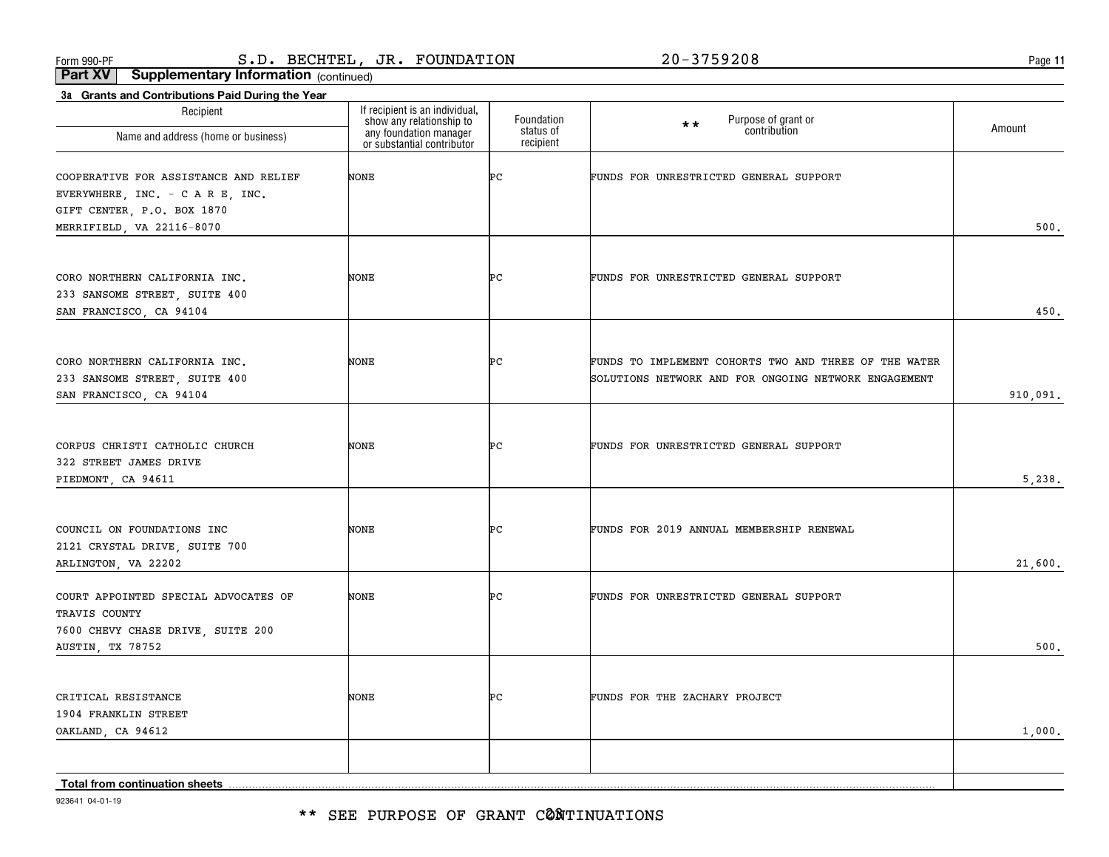\*\* SEE PURPOSE OF GRANT CØNTINUATIONS

923641 04-01-19

| Recipient<br>Name and address (home or business)                                                                                  | If recipient is an individual,<br>show any relationship to<br>any foundation manager<br>or substantial contributor | Foundation<br>status of<br>recipient | Purpose of grant or<br>contribution<br>$**$                                                                   | Amount   |
|-----------------------------------------------------------------------------------------------------------------------------------|--------------------------------------------------------------------------------------------------------------------|--------------------------------------|---------------------------------------------------------------------------------------------------------------|----------|
| COOPERATIVE FOR ASSISTANCE AND RELIEF<br>EVERYWHERE, INC. - CARE, INC.<br>GIFT CENTER, P.O. BOX 1870<br>MERRIFIELD, VA 22116-8070 | NONE                                                                                                               | ÞС                                   | FUNDS FOR UNRESTRICTED GENERAL SUPPORT                                                                        | 500.     |
| CORO NORTHERN CALIFORNIA INC.<br>233 SANSOME STREET, SUITE 400<br>SAN FRANCISCO, CA 94104                                         | NONE                                                                                                               | Þс                                   | FUNDS FOR UNRESTRICTED GENERAL SUPPORT                                                                        | 450.     |
| CORO NORTHERN CALIFORNIA INC.<br>233 SANSOME STREET, SUITE 400<br>SAN FRANCISCO, CA 94104                                         | NONE                                                                                                               | ÞС                                   | FUNDS TO IMPLEMENT COHORTS TWO AND THREE OF THE WATER<br>SOLUTIONS NETWORK AND FOR ONGOING NETWORK ENGAGEMENT | 910,091. |
| CORPUS CHRISTI CATHOLIC CHURCH<br>322 STREET JAMES DRIVE<br>PIEDMONT, CA 94611                                                    | NONE                                                                                                               | Þс                                   | FUNDS FOR UNRESTRICTED GENERAL SUPPORT                                                                        | 5,238.   |
| COUNCIL ON FOUNDATIONS INC<br>2121 CRYSTAL DRIVE, SUITE 700<br>ARLINGTON, VA 22202                                                | NONE                                                                                                               | ÞС                                   | FUNDS FOR 2019 ANNUAL MEMBERSHIP RENEWAL                                                                      | 21,600.  |
| COURT APPOINTED SPECIAL ADVOCATES OF<br>TRAVIS COUNTY<br>7600 CHEVY CHASE DRIVE, SUITE 200<br>AUSTIN, TX 78752                    | NONE                                                                                                               | ÞС                                   | FUNDS FOR UNRESTRICTED GENERAL SUPPORT                                                                        | 500.     |
| CRITICAL RESISTANCE<br>1904 FRANKLIN STREET<br>OAKLAND, CA 94612                                                                  | NONE                                                                                                               | ÞС                                   | FUNDS FOR THE ZACHARY PROJECT                                                                                 | 1,000.   |
| <b>Total from continuation sheets</b>                                                                                             |                                                                                                                    |                                      |                                                                                                               |          |

**Part XV Supplementary Information** (continued)

**3a Grants and Contributions Paid During the Year**

**11**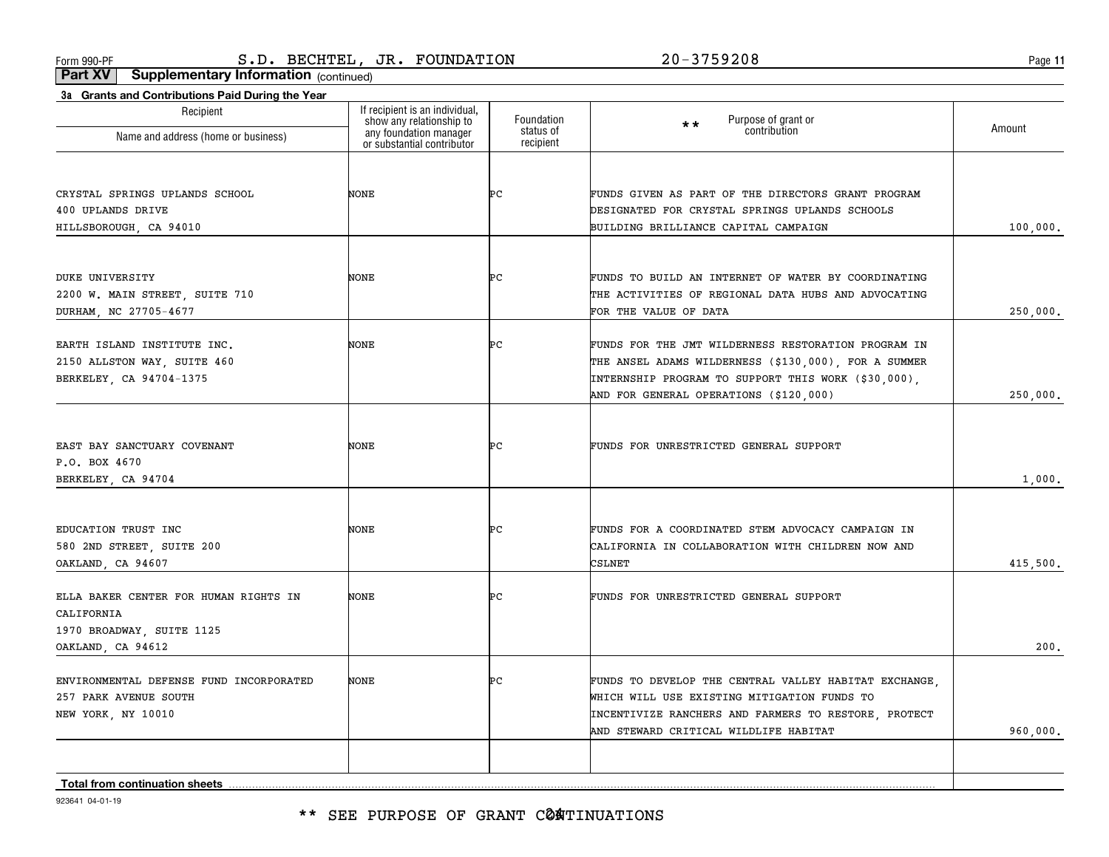**11**

**Part XV Supplementary Information** (continued)

| Recipient                               | If recipient is an individual,                                                   | Foundation             | $\star\star$                                                                 |          |
|-----------------------------------------|----------------------------------------------------------------------------------|------------------------|------------------------------------------------------------------------------|----------|
| Name and address (home or business)     | show any relationship to<br>any foundation manager<br>or substantial contributor | status of<br>recipient | Purpose of grant or<br>contribution                                          | Amount   |
|                                         |                                                                                  |                        |                                                                              |          |
| CRYSTAL SPRINGS UPLANDS SCHOOL          | NONE                                                                             | ÞС                     | FUNDS GIVEN AS PART OF THE DIRECTORS GRANT PROGRAM                           |          |
| 400 UPLANDS DRIVE                       |                                                                                  |                        | DESIGNATED FOR CRYSTAL SPRINGS UPLANDS SCHOOLS                               |          |
| HILLSBOROUGH, CA 94010                  |                                                                                  |                        | BUILDING BRILLIANCE CAPITAL CAMPAIGN                                         | 100,000. |
|                                         |                                                                                  |                        |                                                                              |          |
| <b>DUKE UNIVERSITY</b>                  | NONE                                                                             | ÞС                     | FUNDS TO BUILD AN INTERNET OF WATER BY COORDINATING                          |          |
| 2200 W. MAIN STREET, SUITE 710          |                                                                                  |                        | THE ACTIVITIES OF REGIONAL DATA HUBS AND ADVOCATING<br>FOR THE VALUE OF DATA | 250,000. |
| DURHAM, NC 27705-4677                   |                                                                                  |                        |                                                                              |          |
| EARTH ISLAND INSTITUTE INC.             | NONE                                                                             | ÞС                     | FUNDS FOR THE JMT WILDERNESS RESTORATION PROGRAM IN                          |          |
| 2150 ALLSTON WAY, SUITE 460             |                                                                                  |                        | THE ANSEL ADAMS WILDERNESS (\$130,000), FOR A SUMMER                         |          |
| BERKELEY, CA 94704-1375                 |                                                                                  |                        | INTERNSHIP PROGRAM TO SUPPORT THIS WORK (\$30,000),                          |          |
|                                         |                                                                                  |                        | AND FOR GENERAL OPERATIONS (\$120,000)                                       | 250,000. |
|                                         |                                                                                  |                        |                                                                              |          |
|                                         |                                                                                  |                        |                                                                              |          |
| EAST BAY SANCTUARY COVENANT             | NONE                                                                             | ÞС                     | FUNDS FOR UNRESTRICTED GENERAL SUPPORT                                       |          |
| P.O. BOX 4670                           |                                                                                  |                        |                                                                              |          |
| BERKELEY, CA 94704                      |                                                                                  |                        |                                                                              | 1,000.   |
|                                         |                                                                                  |                        |                                                                              |          |
| EDUCATION TRUST INC                     | NONE                                                                             | ÞС                     | FUNDS FOR A COORDINATED STEM ADVOCACY CAMPAIGN IN                            |          |
| 580 2ND STREET, SUITE 200               |                                                                                  |                        | CALIFORNIA IN COLLABORATION WITH CHILDREN NOW AND<br>CSLNET                  | 415,500. |
| OAKLAND, CA 94607                       |                                                                                  |                        |                                                                              |          |
| ELLA BAKER CENTER FOR HUMAN RIGHTS IN   | NONE                                                                             | ÞС                     | FUNDS FOR UNRESTRICTED GENERAL SUPPORT                                       |          |
| CALIFORNIA                              |                                                                                  |                        |                                                                              |          |
| 1970 BROADWAY, SUITE 1125               |                                                                                  |                        |                                                                              |          |
| OAKLAND, CA 94612                       |                                                                                  |                        |                                                                              | 200.     |
| ENVIRONMENTAL DEFENSE FUND INCORPORATED | NONE                                                                             | PС                     | FUNDS TO DEVELOP THE CENTRAL VALLEY HABITAT EXCHANGE,                        |          |
| 257 PARK AVENUE SOUTH                   |                                                                                  |                        | WHICH WILL USE EXISTING MITIGATION FUNDS TO                                  |          |
| NEW YORK, NY 10010                      |                                                                                  |                        | INCENTIVIZE RANCHERS AND FARMERS TO RESTORE, PROTECT                         |          |
|                                         |                                                                                  |                        | AND STEWARD CRITICAL WILDLIFE HABITAT                                        | 960,000. |
|                                         |                                                                                  |                        |                                                                              |          |
|                                         |                                                                                  |                        |                                                                              |          |
| <b>Total from continuation sheets</b>   |                                                                                  |                        |                                                                              |          |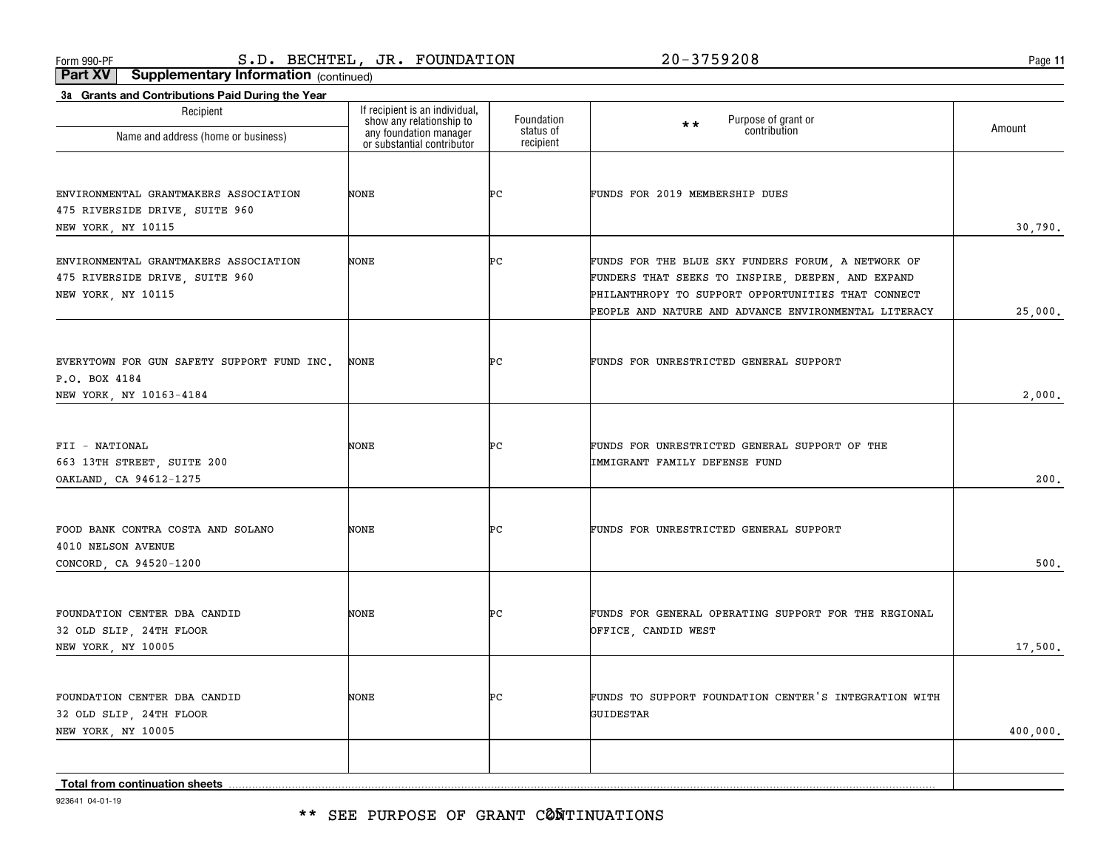\*\* SEE PURPOSE OF GRANT CØÑTINUATIONS

923641 04-01-19

| Name and address (home or business)                                                           | any foundation manager<br>or substantial contributor | status of<br>recipient | contribution                                                                                                                                                                                                          |          |
|-----------------------------------------------------------------------------------------------|------------------------------------------------------|------------------------|-----------------------------------------------------------------------------------------------------------------------------------------------------------------------------------------------------------------------|----------|
|                                                                                               |                                                      |                        |                                                                                                                                                                                                                       |          |
| ENVIRONMENTAL GRANTMAKERS ASSOCIATION<br>475 RIVERSIDE DRIVE, SUITE 960<br>NEW YORK, NY 10115 | NONE                                                 | ÞС                     | FUNDS FOR 2019 MEMBERSHIP DUES                                                                                                                                                                                        | 30,790.  |
| ENVIRONMENTAL GRANTMAKERS ASSOCIATION<br>475 RIVERSIDE DRIVE, SUITE 960<br>NEW YORK, NY 10115 | NONE                                                 | ÞС                     | FUNDS FOR THE BLUE SKY FUNDERS FORUM, A NETWORK OF<br>FUNDERS THAT SEEKS TO INSPIRE, DEEPEN, AND EXPAND<br>PHILANTHROPY TO SUPPORT OPPORTUNITIES THAT CONNECT<br>PEOPLE AND NATURE AND ADVANCE ENVIRONMENTAL LITERACY | 25,000.  |
| EVERYTOWN FOR GUN SAFETY SUPPORT FUND INC.<br>P.O. BOX 4184<br>NEW YORK, NY 10163-4184        | <b>NONE</b>                                          | ÞС                     | FUNDS FOR UNRESTRICTED GENERAL SUPPORT                                                                                                                                                                                | 2,000.   |
| FII - NATIONAL<br>663 13TH STREET, SUITE 200<br>OAKLAND, CA 94612-1275                        | NONE                                                 | Þс                     | FUNDS FOR UNRESTRICTED GENERAL SUPPORT OF THE<br>IMMIGRANT FAMILY DEFENSE FUND                                                                                                                                        | 200.     |
| FOOD BANK CONTRA COSTA AND SOLANO<br>4010 NELSON AVENUE<br>CONCORD, CA 94520-1200             | NONE                                                 | ÞС                     | FUNDS FOR UNRESTRICTED GENERAL SUPPORT                                                                                                                                                                                | 500.     |
| FOUNDATION CENTER DBA CANDID<br>32 OLD SLIP, 24TH FLOOR<br>NEW YORK, NY 10005                 | NONE                                                 | ÞС                     | FUNDS FOR GENERAL OPERATING SUPPORT FOR THE REGIONAL<br>OFFICE, CANDID WEST                                                                                                                                           | 17,500.  |
| FOUNDATION CENTER DBA CANDID<br>32 OLD SLIP, 24TH FLOOR<br>NEW YORK, NY 10005                 | NONE                                                 | ÞС                     | FUNDS TO SUPPORT FOUNDATION CENTER'S INTEGRATION WITH<br>GUIDESTAR                                                                                                                                                    | 400,000. |
| <b>Total from continuation sheets</b>                                                         |                                                      |                        |                                                                                                                                                                                                                       |          |

**Part XV Supplementary Information** (continued)

**3a Grants and Contributions Paid During the Year**

**11**Form 990-PF Page S.D. BECHTEL, JR. FOUNDATION 20-3759208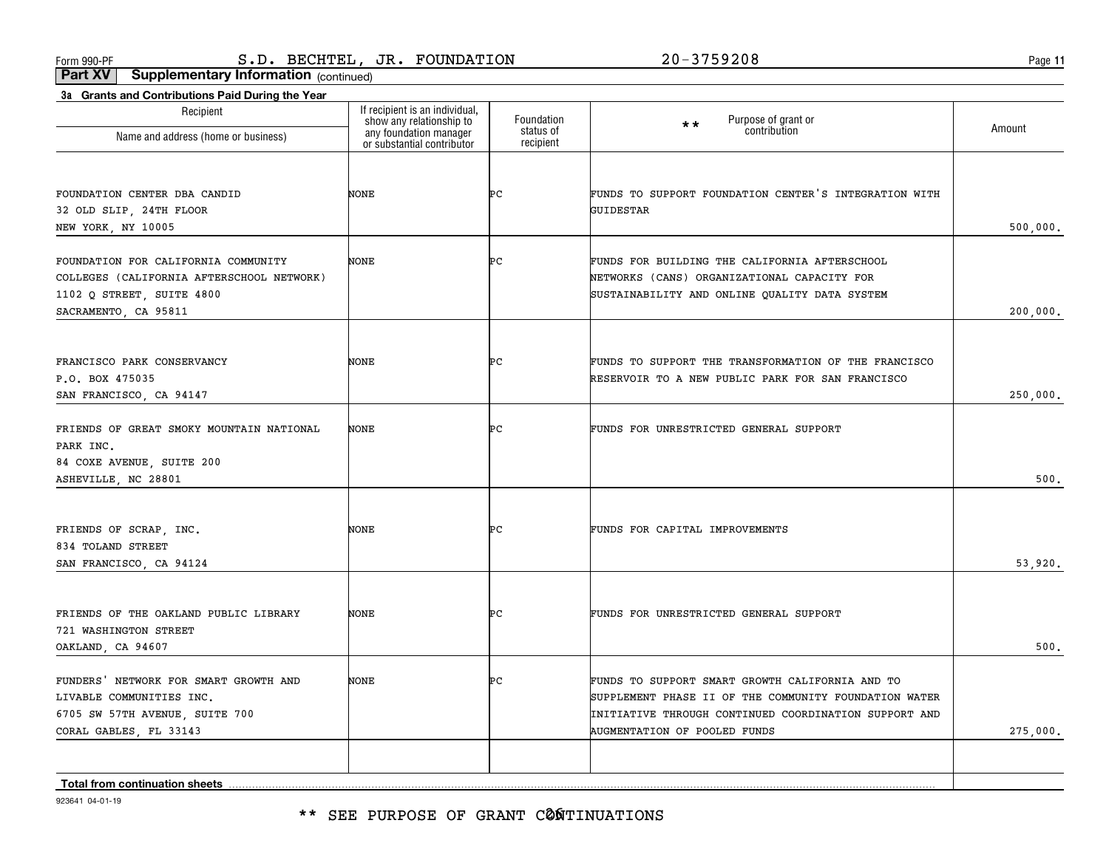\*\* SEE PURPOSE OF GRANT CØÑTINUATIONS

923641 04-01-19

| . . <b>. .</b> . <b>.</b> . <b>.</b><br>Name and address (home or business)                                                           | show any relationship to<br>any foundation manager<br>or substantial contributor | Foundation<br>status of<br>recipient | Purpose of grant or<br>contribution<br>* *                                                                                                                                                        | Amount   |
|---------------------------------------------------------------------------------------------------------------------------------------|----------------------------------------------------------------------------------|--------------------------------------|---------------------------------------------------------------------------------------------------------------------------------------------------------------------------------------------------|----------|
| FOUNDATION CENTER DBA CANDID<br>32 OLD SLIP, 24TH FLOOR<br>NEW YORK, NY 10005                                                         | NONE                                                                             | ÞС                                   | FUNDS TO SUPPORT FOUNDATION CENTER'S INTEGRATION WITH<br>GUIDESTAR                                                                                                                                | 500,000. |
| FOUNDATION FOR CALIFORNIA COMMUNITY<br>COLLEGES (CALIFORNIA AFTERSCHOOL NETWORK)<br>1102 Q STREET, SUITE 4800<br>SACRAMENTO, CA 95811 | NONE                                                                             | ÞС                                   | FUNDS FOR BUILDING THE CALIFORNIA AFTERSCHOOL<br>NETWORKS (CANS) ORGANIZATIONAL CAPACITY FOR<br>SUSTAINABILITY AND ONLINE QUALITY DATA SYSTEM                                                     | 200,000. |
| FRANCISCO PARK CONSERVANCY<br>P.O. BOX 475035<br>SAN FRANCISCO, CA 94147                                                              | NONE                                                                             | ÞС                                   | FUNDS TO SUPPORT THE TRANSFORMATION OF THE FRANCISCO<br>RESERVOIR TO A NEW PUBLIC PARK FOR SAN FRANCISCO                                                                                          | 250,000. |
| FRIENDS OF GREAT SMOKY MOUNTAIN NATIONAL<br>PARK INC.<br>84 COXE AVENUE, SUITE 200<br>ASHEVILLE, NC 28801                             | NONE                                                                             | ÞС                                   | FUNDS FOR UNRESTRICTED GENERAL SUPPORT                                                                                                                                                            | 500.     |
| FRIENDS OF SCRAP, INC.<br>834 TOLAND STREET<br>SAN FRANCISCO, CA 94124                                                                | NONE                                                                             | ÞС                                   | FUNDS FOR CAPITAL IMPROVEMENTS                                                                                                                                                                    | 53,920.  |
| FRIENDS OF THE OAKLAND PUBLIC LIBRARY<br>721 WASHINGTON STREET<br>OAKLAND, CA 94607                                                   | NONE                                                                             | ÞС                                   | FUNDS FOR UNRESTRICTED GENERAL SUPPORT                                                                                                                                                            | 500.     |
| FUNDERS' NETWORK FOR SMART GROWTH AND<br>LIVABLE COMMUNITIES INC.<br>6705 SW 57TH AVENUE, SUITE 700<br>CORAL GABLES, FL 33143         | NONE                                                                             | ÞС                                   | FUNDS TO SUPPORT SMART GROWTH CALIFORNIA AND TO<br>SUPPLEMENT PHASE II OF THE COMMUNITY FOUNDATION WATER<br>INITIATIVE THROUGH CONTINUED COORDINATION SUPPORT AND<br>AUGMENTATION OF POOLED FUNDS | 275,000. |
| Total from continuation sheets                                                                                                        |                                                                                  |                                      |                                                                                                                                                                                                   |          |

**Part XV Supplementary Information** (continued)

**3a Grants and Contributions Paid During the Year**

Recipient

If recipient is an individual,

Form 990-PF Page S.D. BECHTEL, JR. FOUNDATION 20-3759208

**11**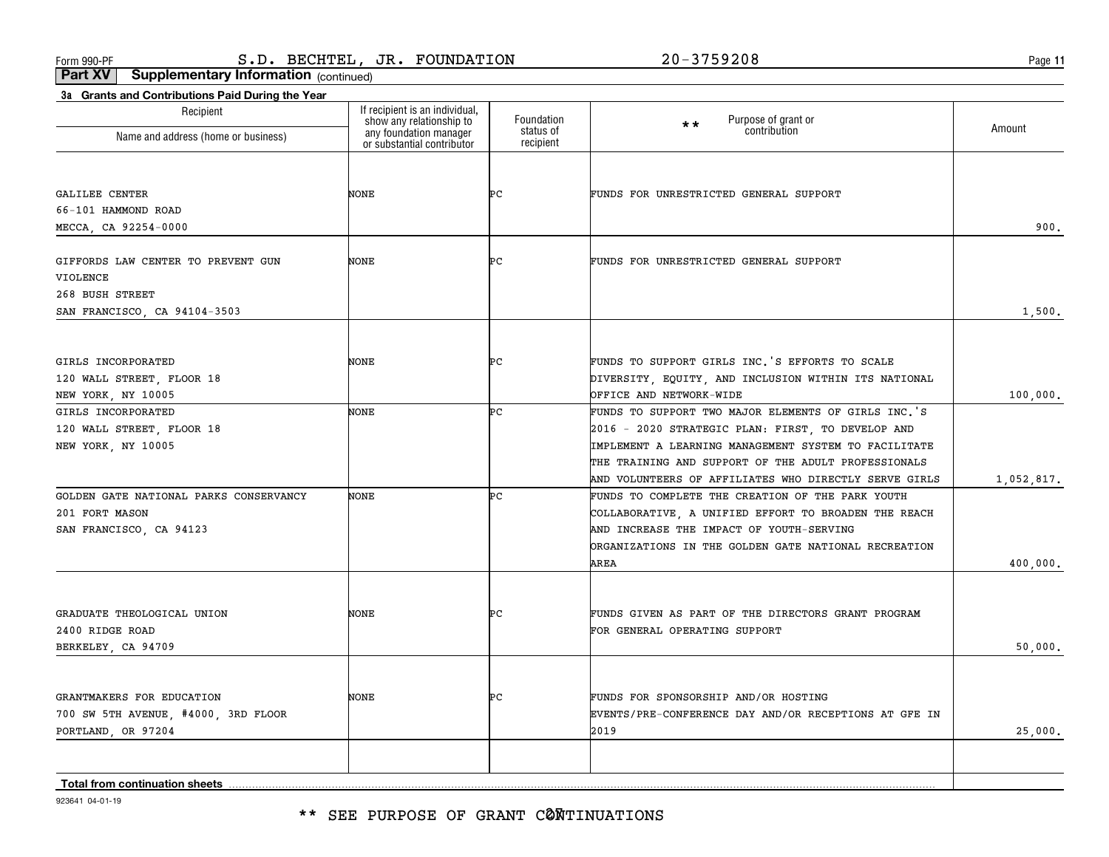**11**

**Part XV Supplementary Information** (continued)

| Recipient                              | If recipient is an individual,                                                   | Foundation             | Purpose of grant or<br>$\star\star$                   |            |
|----------------------------------------|----------------------------------------------------------------------------------|------------------------|-------------------------------------------------------|------------|
| Name and address (home or business)    | show any relationship to<br>any foundation manager<br>or substantial contributor | status of<br>recipient | contribution                                          | Amount     |
|                                        |                                                                                  |                        |                                                       |            |
| <b>GALILEE CENTER</b>                  | NONE                                                                             | ÞС                     | FUNDS FOR UNRESTRICTED GENERAL SUPPORT                |            |
| 66-101 HAMMOND ROAD                    |                                                                                  |                        |                                                       |            |
| MECCA, CA 92254-0000                   |                                                                                  |                        |                                                       | 900.       |
| GIFFORDS LAW CENTER TO PREVENT GUN     | NONE                                                                             | Þс                     | FUNDS FOR UNRESTRICTED GENERAL SUPPORT                |            |
| VIOLENCE                               |                                                                                  |                        |                                                       |            |
| 268 BUSH STREET                        |                                                                                  |                        |                                                       |            |
| SAN FRANCISCO, CA 94104-3503           |                                                                                  |                        |                                                       | 1,500.     |
|                                        |                                                                                  |                        |                                                       |            |
| GIRLS INCORPORATED                     | NONE                                                                             | ÞС                     | FUNDS TO SUPPORT GIRLS INC. 'S EFFORTS TO SCALE       |            |
| 120 WALL STREET, FLOOR 18              |                                                                                  |                        | DIVERSITY, EQUITY, AND INCLUSION WITHIN ITS NATIONAL  |            |
| NEW YORK, NY 10005                     |                                                                                  |                        | OFFICE AND NETWORK-WIDE                               | 100,000.   |
| GIRLS INCORPORATED                     | NONE                                                                             | Þс                     | FUNDS TO SUPPORT TWO MAJOR ELEMENTS OF GIRLS INC. S   |            |
| 120 WALL STREET, FLOOR 18              |                                                                                  |                        | 2016 - 2020 STRATEGIC PLAN: FIRST, TO DEVELOP AND     |            |
| NEW YORK, NY 10005                     |                                                                                  |                        | IMPLEMENT A LEARNING MANAGEMENT SYSTEM TO FACILITATE  |            |
|                                        |                                                                                  |                        | THE TRAINING AND SUPPORT OF THE ADULT PROFESSIONALS   |            |
|                                        |                                                                                  |                        | AND VOLUNTEERS OF AFFILIATES WHO DIRECTLY SERVE GIRLS | 1,052,817. |
| GOLDEN GATE NATIONAL PARKS CONSERVANCY | <b>NONE</b>                                                                      | Þс                     | FUNDS TO COMPLETE THE CREATION OF THE PARK YOUTH      |            |
| 201 FORT MASON                         |                                                                                  |                        | COLLABORATIVE, A UNIFIED EFFORT TO BROADEN THE REACH  |            |
| SAN FRANCISCO, CA 94123                |                                                                                  |                        | AND INCREASE THE IMPACT OF YOUTH-SERVING              |            |
|                                        |                                                                                  |                        | ORGANIZATIONS IN THE GOLDEN GATE NATIONAL RECREATION  |            |
|                                        |                                                                                  |                        | AREA                                                  | 400,000.   |
|                                        |                                                                                  |                        |                                                       |            |
| GRADUATE THEOLOGICAL UNION             | NONE                                                                             | ÞС                     | FUNDS GIVEN AS PART OF THE DIRECTORS GRANT PROGRAM    |            |
| 2400 RIDGE ROAD                        |                                                                                  |                        | FOR GENERAL OPERATING SUPPORT                         |            |
| BERKELEY, CA 94709                     |                                                                                  |                        |                                                       | 50,000.    |
|                                        |                                                                                  |                        |                                                       |            |
| GRANTMAKERS FOR EDUCATION              | NONE                                                                             | ÞС                     | FUNDS FOR SPONSORSHIP AND/OR HOSTING                  |            |
| 700 SW 5TH AVENUE, #4000, 3RD FLOOR    |                                                                                  |                        | EVENTS/PRE-CONFERENCE DAY AND/OR RECEPTIONS AT GFE IN |            |
| PORTLAND, OR 97204                     |                                                                                  |                        | 2019                                                  | 25,000.    |
|                                        |                                                                                  |                        |                                                       |            |
| <b>Total from continuation sheets</b>  |                                                                                  |                        |                                                       |            |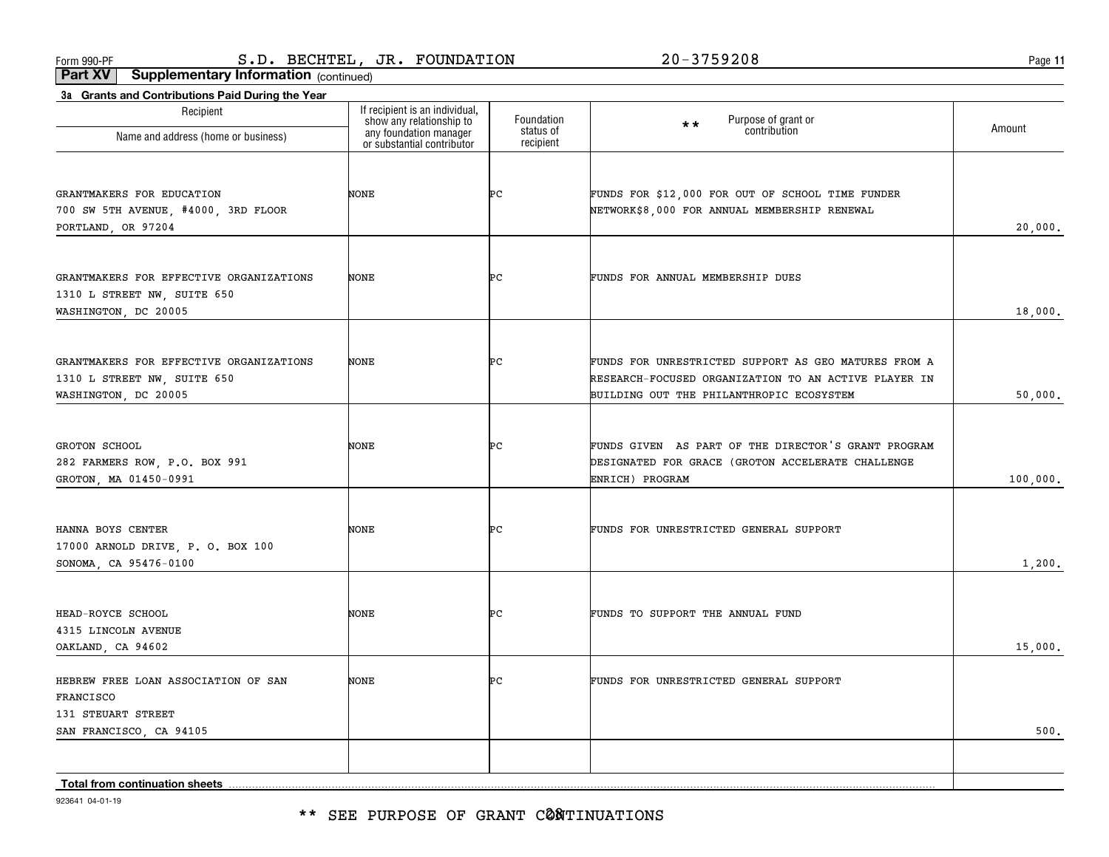\*\* SEE PURPOSE OF GRANT CØNTINUATIONS

923641 04-01-19

| Recipient<br>Name and address (home or business)                                                  | If recipient is an individual,<br>show any relationship to<br>any foundation manager<br>or substantial contributor | Foundation<br>status of<br>recipient | Purpose of grant or<br>$\star\star$<br>contribution                                                                                                      | Amount   |
|---------------------------------------------------------------------------------------------------|--------------------------------------------------------------------------------------------------------------------|--------------------------------------|----------------------------------------------------------------------------------------------------------------------------------------------------------|----------|
| GRANTMAKERS FOR EDUCATION<br>700 SW 5TH AVENUE, #4000, 3RD FLOOR<br>PORTLAND, OR 97204            | NONE                                                                                                               | ÞС                                   | FUNDS FOR \$12,000 FOR OUT OF SCHOOL TIME FUNDER<br>NETWORK\$8,000 FOR ANNUAL MEMBERSHIP RENEWAL                                                         | 20,000.  |
| GRANTMAKERS FOR EFFECTIVE ORGANIZATIONS<br>1310 L STREET NW, SUITE 650<br>WASHINGTON, DC 20005    | <b>NONE</b>                                                                                                        | ÞС                                   | FUNDS FOR ANNUAL MEMBERSHIP DUES                                                                                                                         | 18,000.  |
| GRANTMAKERS FOR EFFECTIVE ORGANIZATIONS<br>1310 L STREET NW, SUITE 650<br>WASHINGTON, DC 20005    | <b>NONE</b>                                                                                                        | ÞС                                   | FUNDS FOR UNRESTRICTED SUPPORT AS GEO MATURES FROM A<br>RESEARCH-FOCUSED ORGANIZATION TO AN ACTIVE PLAYER IN<br>BUILDING OUT THE PHILANTHROPIC ECOSYSTEM | 50,000.  |
| <b>GROTON SCHOOL</b><br>282 FARMERS ROW, P.O. BOX 991<br>GROTON, MA 01450-0991                    | NONE                                                                                                               | ÞС                                   | FUNDS GIVEN AS PART OF THE DIRECTOR'S GRANT PROGRAM<br>DESIGNATED FOR GRACE (GROTON ACCELERATE CHALLENGE<br>ENRICH) PROGRAM                              | 100,000. |
| HANNA BOYS CENTER<br>17000 ARNOLD DRIVE, P. O. BOX 100<br>SONOMA, CA 95476-0100                   | NONE                                                                                                               | ÞС                                   | FUNDS FOR UNRESTRICTED GENERAL SUPPORT                                                                                                                   | 1,200.   |
| HEAD-ROYCE SCHOOL<br>4315 LINCOLN AVENUE<br>OAKLAND, CA 94602                                     | NONE                                                                                                               | ÞС                                   | FUNDS TO SUPPORT THE ANNUAL FUND                                                                                                                         | 15,000.  |
| HEBREW FREE LOAN ASSOCIATION OF SAN<br>FRANCISCO<br>131 STEUART STREET<br>SAN FRANCISCO, CA 94105 | NONE                                                                                                               | Þс                                   | FUNDS FOR UNRESTRICTED GENERAL SUPPORT                                                                                                                   | 500.     |
| <b>Total from continuation sheets</b>                                                             |                                                                                                                    |                                      |                                                                                                                                                          |          |

## **Part XV Supplementary Information** (continued)

**3a Grants and Contributions Paid During the Year**

Recipient

**11**

Form 990-PF Page S.D. BECHTEL, JR. FOUNDATION 20-3759208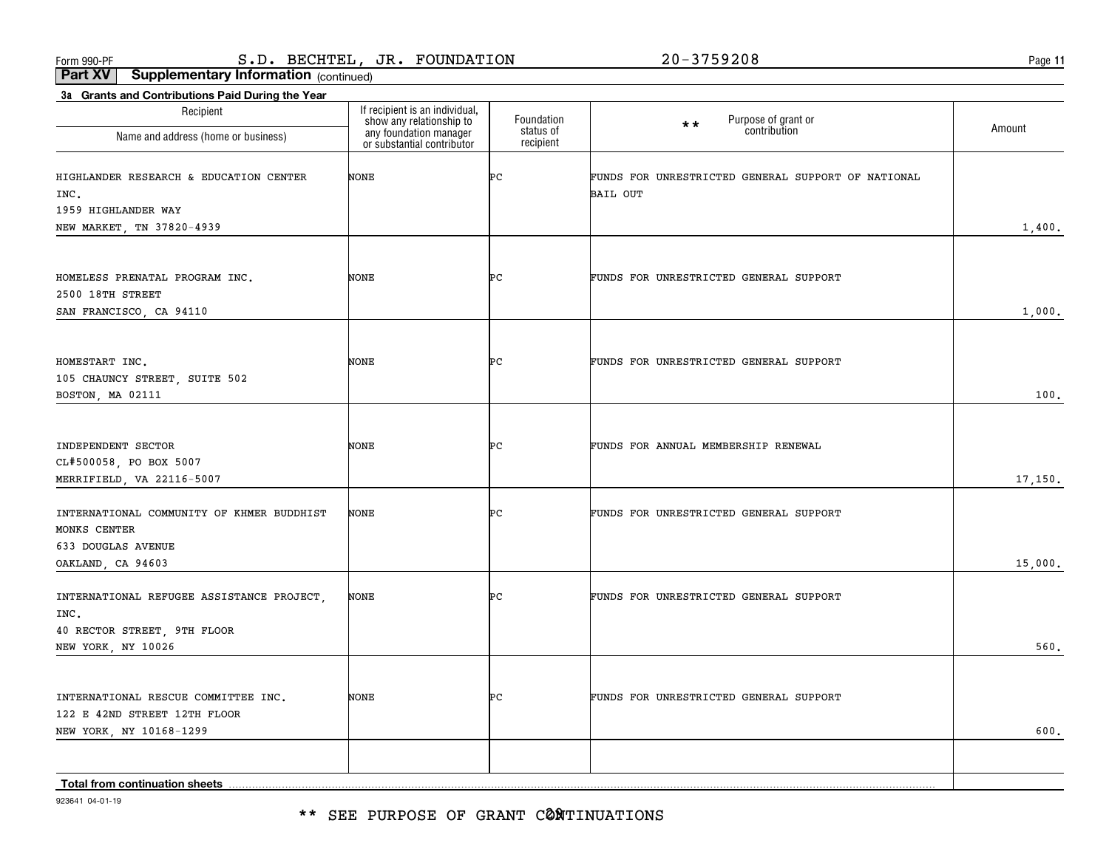**11**

**Part XV Supplementary Information** (continued)

| 3a Grants and Contributions Paid During the Year |                                                                                  |                         |                                                    |         |
|--------------------------------------------------|----------------------------------------------------------------------------------|-------------------------|----------------------------------------------------|---------|
| Recipient                                        | If recipient is an individual,                                                   | Foundation<br>status of | Purpose of grant or<br>$***$<br>contribution       | Amount  |
| Name and address (home or business)              | show any relationship to<br>any foundation manager<br>or substantial contributor | recipient               |                                                    |         |
| HIGHLANDER RESEARCH & EDUCATION CENTER           | NONE                                                                             | ÞС                      | FUNDS FOR UNRESTRICTED GENERAL SUPPORT OF NATIONAL |         |
| INC.                                             |                                                                                  |                         | <b>BAIL OUT</b>                                    |         |
| 1959 HIGHLANDER WAY                              |                                                                                  |                         |                                                    |         |
| NEW MARKET, TN 37820-4939                        |                                                                                  |                         |                                                    | 1,400.  |
|                                                  |                                                                                  |                         |                                                    |         |
| HOMELESS PRENATAL PROGRAM INC.                   | NONE                                                                             | ÞС                      | FUNDS FOR UNRESTRICTED GENERAL SUPPORT             |         |
| 2500 18TH STREET<br>SAN FRANCISCO, CA 94110      |                                                                                  |                         |                                                    | 1,000.  |
|                                                  |                                                                                  |                         |                                                    |         |
| HOMESTART INC.                                   | NONE                                                                             | ÞС                      | FUNDS FOR UNRESTRICTED GENERAL SUPPORT             |         |
| 105 CHAUNCY STREET, SUITE 502                    |                                                                                  |                         |                                                    |         |
| BOSTON, MA 02111                                 |                                                                                  |                         |                                                    | 100.    |
|                                                  |                                                                                  |                         |                                                    |         |
| INDEPENDENT SECTOR                               | NONE                                                                             | ÞС                      | FUNDS FOR ANNUAL MEMBERSHIP RENEWAL                |         |
| CL#500058, PO BOX 5007                           |                                                                                  |                         |                                                    |         |
| MERRIFIELD, VA 22116-5007                        |                                                                                  |                         |                                                    | 17,150. |
|                                                  |                                                                                  |                         |                                                    |         |
| INTERNATIONAL COMMUNITY OF KHMER BUDDHIST        | NONE                                                                             | ÞС                      | FUNDS FOR UNRESTRICTED GENERAL SUPPORT             |         |
| MONKS CENTER                                     |                                                                                  |                         |                                                    |         |
| 633 DOUGLAS AVENUE                               |                                                                                  |                         |                                                    |         |
| OAKLAND, CA 94603                                |                                                                                  |                         |                                                    | 15,000. |
| INTERNATIONAL REFUGEE ASSISTANCE PROJECT,        | NONE                                                                             | ÞС                      | FUNDS FOR UNRESTRICTED GENERAL SUPPORT             |         |
| INC.                                             |                                                                                  |                         |                                                    |         |
| 40 RECTOR STREET, 9TH FLOOR                      |                                                                                  |                         |                                                    |         |
| NEW YORK, NY 10026                               |                                                                                  |                         |                                                    | 560.    |
|                                                  |                                                                                  |                         |                                                    |         |
| INTERNATIONAL RESCUE COMMITTEE INC.              | NONE                                                                             | ÞС                      | FUNDS FOR UNRESTRICTED GENERAL SUPPORT             |         |
| 122 E 42ND STREET 12TH FLOOR                     |                                                                                  |                         |                                                    |         |
| NEW YORK, NY 10168-1299                          |                                                                                  |                         |                                                    | 600.    |
|                                                  |                                                                                  |                         |                                                    |         |
| Total from continuation sheets                   |                                                                                  |                         |                                                    |         |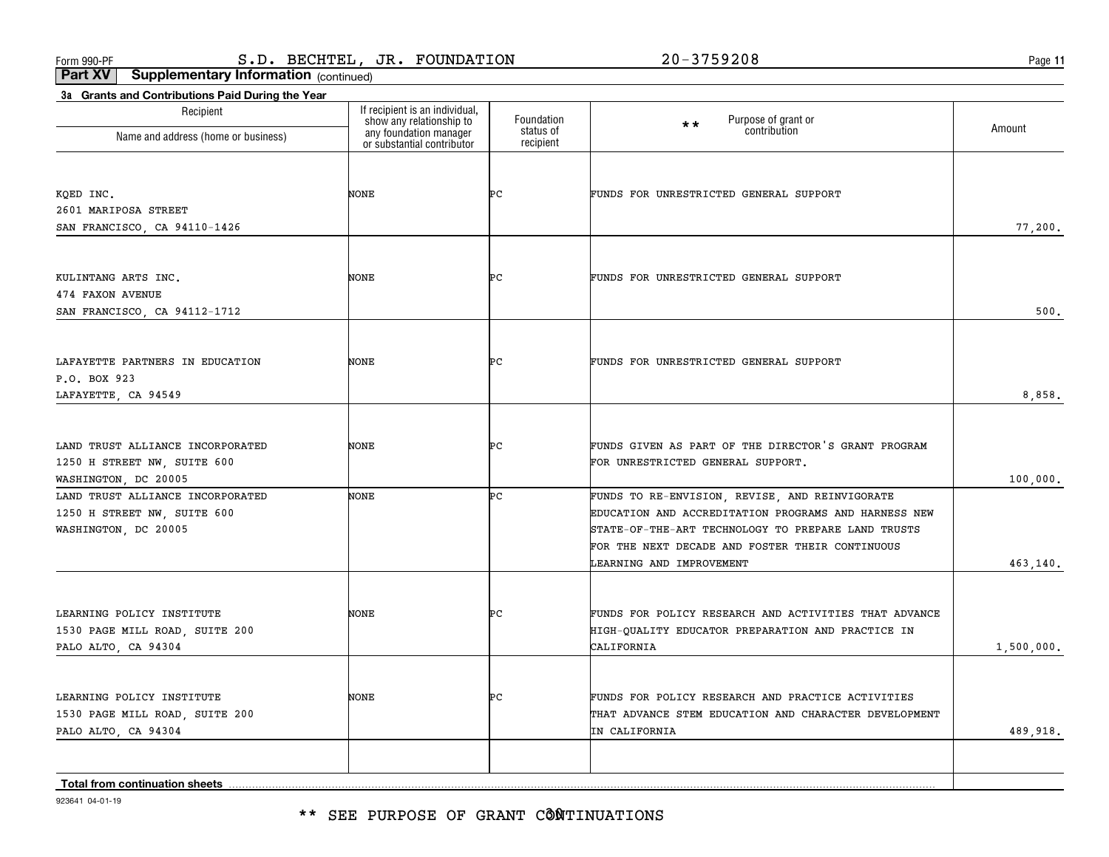\*\* SEE PURPOSE OF GRANT CÔÑTINUATIONS

| Recipient                                                                               | If recipient is an individual,<br>show any relationship to | Foundation<br>status of | Purpose of grant or<br>$**$<br>contribution                                                                                                                                                                                                 | Amount     |
|-----------------------------------------------------------------------------------------|------------------------------------------------------------|-------------------------|---------------------------------------------------------------------------------------------------------------------------------------------------------------------------------------------------------------------------------------------|------------|
| Name and address (home or business)                                                     | any foundation manager<br>or substantial contributor       | recipient               |                                                                                                                                                                                                                                             |            |
| KQED INC.<br>2601 MARIPOSA STREET<br>SAN FRANCISCO, CA 94110-1426                       | NONE                                                       | ÞС                      | FUNDS FOR UNRESTRICTED GENERAL SUPPORT                                                                                                                                                                                                      | 77,200.    |
| KULINTANG ARTS INC.<br>474 FAXON AVENUE<br>SAN FRANCISCO, CA 94112-1712                 | NONE                                                       | ÞС                      | FUNDS FOR UNRESTRICTED GENERAL SUPPORT                                                                                                                                                                                                      | 500.       |
| LAFAYETTE PARTNERS IN EDUCATION<br>P.O. BOX 923<br>LAFAYETTE, CA 94549                  | NONE                                                       | ÞС                      | FUNDS FOR UNRESTRICTED GENERAL SUPPORT                                                                                                                                                                                                      | 8,858.     |
| LAND TRUST ALLIANCE INCORPORATED<br>1250 H STREET NW, SUITE 600<br>WASHINGTON, DC 20005 | NONE                                                       | ÞС                      | FUNDS GIVEN AS PART OF THE DIRECTOR'S GRANT PROGRAM<br>FOR UNRESTRICTED GENERAL SUPPORT.                                                                                                                                                    | 100,000.   |
| LAND TRUST ALLIANCE INCORPORATED<br>1250 H STREET NW, SUITE 600<br>WASHINGTON, DC 20005 | NONE                                                       | Þс                      | FUNDS TO RE-ENVISION, REVISE, AND REINVIGORATE<br>EDUCATION AND ACCREDITATION PROGRAMS AND HARNESS NEW<br>STATE-OF-THE-ART TECHNOLOGY TO PREPARE LAND TRUSTS<br>FOR THE NEXT DECADE AND FOSTER THEIR CONTINUOUS<br>LEARNING AND IMPROVEMENT | 463,140.   |
| LEARNING POLICY INSTITUTE<br>1530 PAGE MILL ROAD, SUITE 200<br>PALO ALTO, CA 94304      | NONE                                                       | ÞС                      | FUNDS FOR POLICY RESEARCH AND ACTIVITIES THAT ADVANCE<br>HIGH-QUALITY EDUCATOR PREPARATION AND PRACTICE IN<br>CALIFORNIA                                                                                                                    | 1,500,000. |
| LEARNING POLICY INSTITUTE<br>1530 PAGE MILL ROAD, SUITE 200<br>PALO ALTO, CA 94304      | NONE                                                       | ÞС                      | FUNDS FOR POLICY RESEARCH AND PRACTICE ACTIVITIES<br>THAT ADVANCE STEM EDUCATION AND CHARACTER DEVELOPMENT<br>IN CALIFORNIA                                                                                                                 | 489,918.   |
| <b>Total from continuation sheets</b>                                                   |                                                            |                         |                                                                                                                                                                                                                                             |            |

**Part XV Supplementary Information** (continued)

**3a Grants and Contributions Paid During the Year**

923641 04-01-19

**11**Form 990-PF Page S.D. BECHTEL, JR. FOUNDATION 20-3759208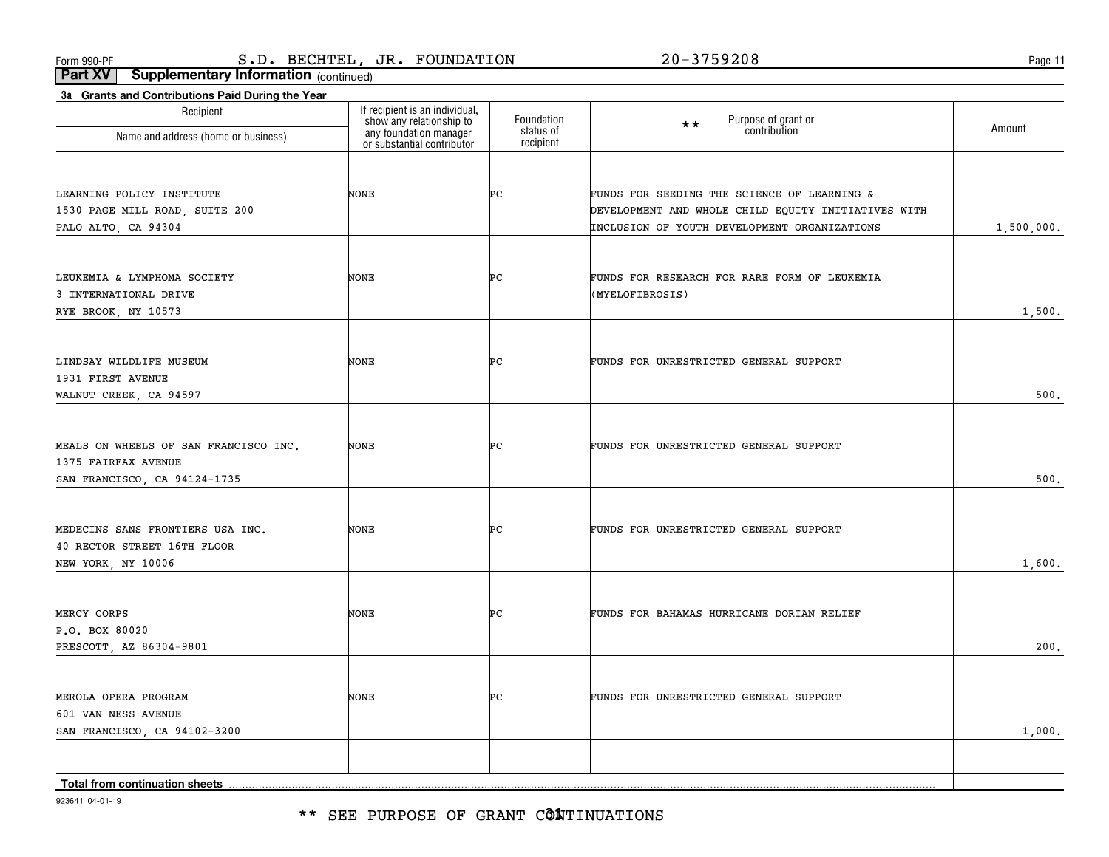\*\* SEE PURPOSE OF GRANT CÔNTINUATIONS

923641 04-01-19

| Recipient                                                       | If recipient is an individual,<br>show any relationship to | Foundation<br>status of | Purpose of grant or<br>contribution<br>$\star\star$ | Amount     |
|-----------------------------------------------------------------|------------------------------------------------------------|-------------------------|-----------------------------------------------------|------------|
| Name and address (home or business)                             | any foundation manager<br>or substantial contributor       | recipient               |                                                     |            |
| LEARNING POLICY INSTITUTE                                       | NONE                                                       | ÞС                      | FUNDS FOR SEEDING THE SCIENCE OF LEARNING &         |            |
| 1530 PAGE MILL ROAD, SUITE 200                                  |                                                            |                         | DEVELOPMENT AND WHOLE CHILD EQUITY INITIATIVES WITH |            |
| PALO ALTO, CA 94304                                             |                                                            |                         | INCLUSION OF YOUTH DEVELOPMENT ORGANIZATIONS        | 1,500,000. |
| LEUKEMIA & LYMPHOMA SOCIETY                                     | NONE                                                       | ÞС                      | FUNDS FOR RESEARCH FOR RARE FORM OF LEUKEMIA        |            |
| 3 INTERNATIONAL DRIVE<br>RYE BROOK, NY 10573                    |                                                            |                         | (MYELOFIBROSIS)                                     | 1,500.     |
|                                                                 |                                                            |                         |                                                     |            |
| LINDSAY WILDLIFE MUSEUM<br>1931 FIRST AVENUE                    | NONE                                                       | ÞС                      | FUNDS FOR UNRESTRICTED GENERAL SUPPORT              |            |
| WALNUT CREEK, CA 94597                                          |                                                            |                         |                                                     | 500.       |
|                                                                 |                                                            |                         |                                                     |            |
| MEALS ON WHEELS OF SAN FRANCISCO INC.<br>1375 FAIRFAX AVENUE    | NONE                                                       | ÞС                      | FUNDS FOR UNRESTRICTED GENERAL SUPPORT              |            |
| SAN FRANCISCO, CA 94124-1735                                    |                                                            |                         |                                                     | $500.$     |
|                                                                 |                                                            |                         |                                                     |            |
| MEDECINS SANS FRONTIERS USA INC.<br>40 RECTOR STREET 16TH FLOOR | NONE                                                       | ÞС                      | FUNDS FOR UNRESTRICTED GENERAL SUPPORT              |            |
| NEW YORK, NY 10006                                              |                                                            |                         |                                                     | 1,600.     |
|                                                                 |                                                            |                         |                                                     |            |
| MERCY CORPS                                                     | NONE                                                       | ÞС                      | FUNDS FOR BAHAMAS HURRICANE DORIAN RELIEF           |            |
| P.O. BOX 80020<br>PRESCOTT, AZ 86304-9801                       |                                                            |                         |                                                     | 200.       |
|                                                                 |                                                            |                         |                                                     |            |
| MEROLA OPERA PROGRAM<br>601 VAN NESS AVENUE                     | NONE                                                       | ÞС                      | FUNDS FOR UNRESTRICTED GENERAL SUPPORT              |            |
| SAN FRANCISCO, CA 94102-3200                                    |                                                            |                         |                                                     | 1,000.     |
|                                                                 |                                                            |                         |                                                     |            |
| Total from continuation sheets                                  |                                                            |                         |                                                     |            |

**Part XV Supplementary Information** (continued)

Recipient

**3a Grants and Contributions Paid During the Year**

Form 990-PF Page S.D. BECHTEL, JR. FOUNDATION 20-3759208

**11**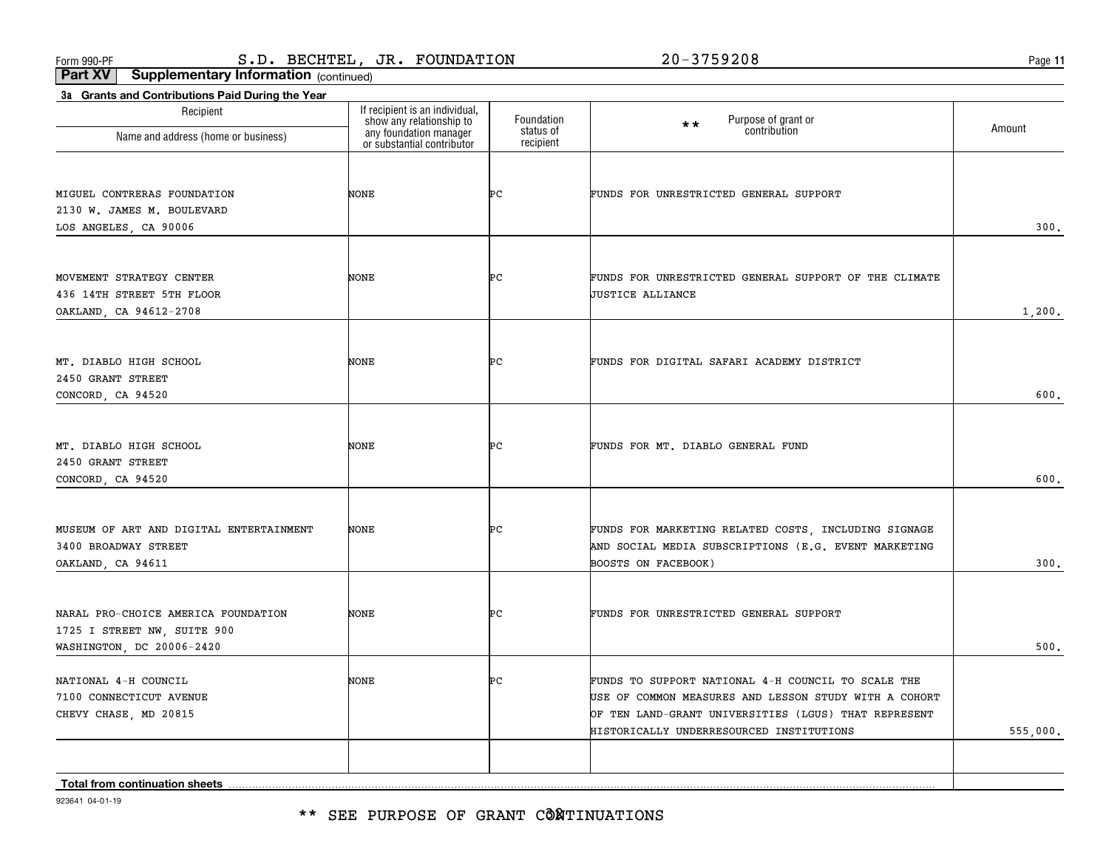**11**

**Part XV Supplementary Information** (continued)

| 3a Grants and Contributions Paid During the Year<br>Recipient | If recipient is an individual,                                                   | Foundation             |                                                                                                              |          |
|---------------------------------------------------------------|----------------------------------------------------------------------------------|------------------------|--------------------------------------------------------------------------------------------------------------|----------|
| Name and address (home or business)                           | show any relationship to<br>any foundation manager<br>or substantial contributor | status of<br>recipient | Purpose of grant or<br>contribution<br>$\star\star$                                                          | Amount   |
|                                                               |                                                                                  |                        |                                                                                                              |          |
| MIGUEL CONTRERAS FOUNDATION                                   | NONE                                                                             | ÞС                     | FUNDS FOR UNRESTRICTED GENERAL SUPPORT                                                                       |          |
| 2130 W. JAMES M. BOULEVARD                                    |                                                                                  |                        |                                                                                                              |          |
| LOS ANGELES, CA 90006                                         |                                                                                  |                        |                                                                                                              | 300.     |
| MOVEMENT STRATEGY CENTER                                      | NONE                                                                             | ÞС                     | FUNDS FOR UNRESTRICTED GENERAL SUPPORT OF THE CLIMATE                                                        |          |
| 436 14TH STREET 5TH FLOOR                                     |                                                                                  |                        | <b>JUSTICE ALLIANCE</b>                                                                                      |          |
| OAKLAND, CA 94612-2708                                        |                                                                                  |                        |                                                                                                              | 1,200.   |
|                                                               |                                                                                  |                        |                                                                                                              |          |
| MT. DIABLO HIGH SCHOOL                                        | NONE                                                                             | ÞС                     | FUNDS FOR DIGITAL SAFARI ACADEMY DISTRICT                                                                    |          |
| 2450 GRANT STREET                                             |                                                                                  |                        |                                                                                                              |          |
| CONCORD, CA 94520                                             |                                                                                  |                        |                                                                                                              | 600.     |
| MT. DIABLO HIGH SCHOOL                                        | NONE                                                                             | ÞС                     | FUNDS FOR MT. DIABLO GENERAL FUND                                                                            |          |
| 2450 GRANT STREET                                             |                                                                                  |                        |                                                                                                              |          |
| CONCORD, CA 94520                                             |                                                                                  |                        |                                                                                                              | 600.     |
| MUSEUM OF ART AND DIGITAL ENTERTAINMENT                       | NONE                                                                             |                        |                                                                                                              |          |
| 3400 BROADWAY STREET                                          |                                                                                  | ÞС                     | FUNDS FOR MARKETING RELATED COSTS, INCLUDING SIGNAGE<br>AND SOCIAL MEDIA SUBSCRIPTIONS (E.G. EVENT MARKETING |          |
| OAKLAND, CA 94611                                             |                                                                                  |                        | BOOSTS ON FACEBOOK)                                                                                          | 300.     |
|                                                               |                                                                                  |                        |                                                                                                              |          |
| NARAL PRO-CHOICE AMERICA FOUNDATION                           | NONE                                                                             | ÞС                     | FUNDS FOR UNRESTRICTED GENERAL SUPPORT                                                                       |          |
| 1725 I STREET NW, SUITE 900                                   |                                                                                  |                        |                                                                                                              |          |
| WASHINGTON, DC 20006-2420                                     |                                                                                  |                        |                                                                                                              | 500.     |
| NATIONAL 4-H COUNCIL                                          | NONE                                                                             | ÞС                     | FUNDS TO SUPPORT NATIONAL 4-H COUNCIL TO SCALE THE                                                           |          |
| 7100 CONNECTICUT AVENUE                                       |                                                                                  |                        | USE OF COMMON MEASURES AND LESSON STUDY WITH A COHORT                                                        |          |
| CHEVY CHASE, MD 20815                                         |                                                                                  |                        | OF TEN LAND-GRANT UNIVERSITIES (LGUS) THAT REPRESENT                                                         |          |
|                                                               |                                                                                  |                        | HISTORICALLY UNDERRESOURCED INSTITUTIONS                                                                     | 555,000. |
| Total from continuation sheets                                |                                                                                  |                        |                                                                                                              |          |
|                                                               |                                                                                  |                        |                                                                                                              |          |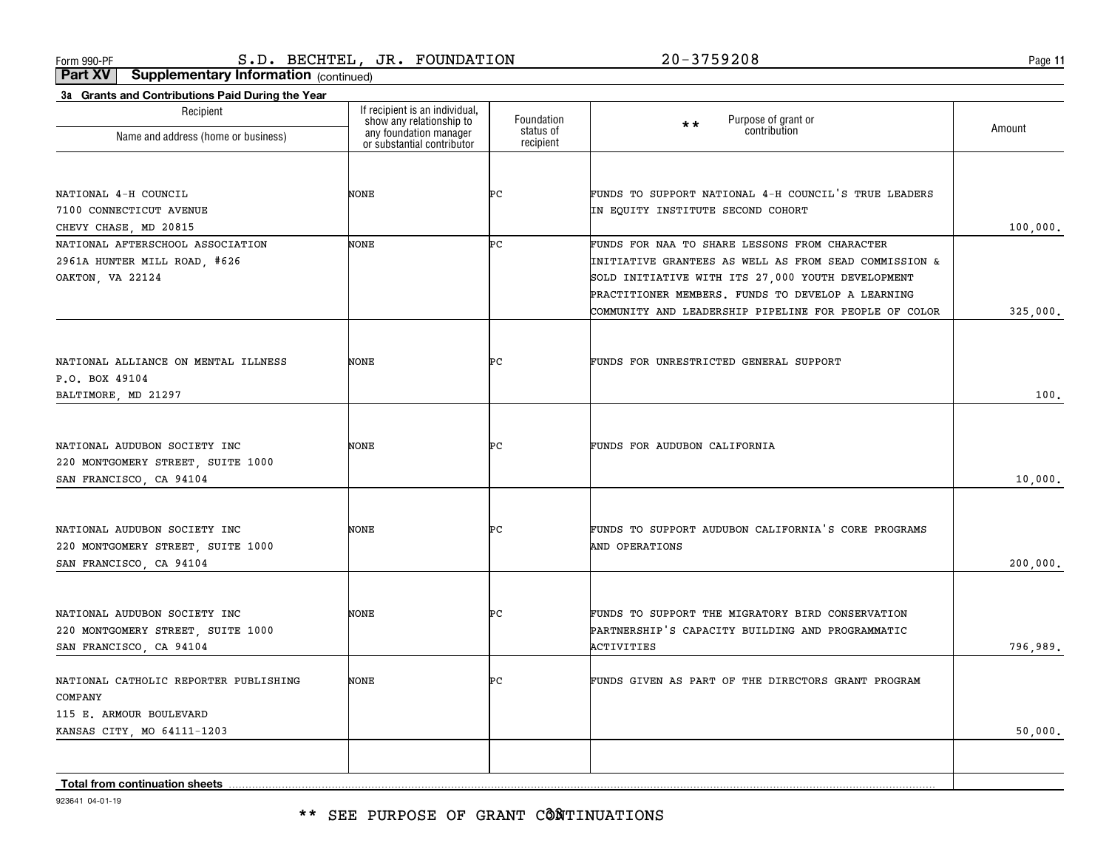\*\* SEE PURPOSE OF GRANT CÔÑTINUATIONS

923641 04-01-19

| Recipient<br>Name and address (home or business) | If recipient is an individual,<br>show any relationship to<br>any foundation manager<br>or substantial contributor | Foundation<br>status of<br>recipient | Purpose of grant or<br>$\star\star$<br>contribution   | Amount   |
|--------------------------------------------------|--------------------------------------------------------------------------------------------------------------------|--------------------------------------|-------------------------------------------------------|----------|
|                                                  |                                                                                                                    |                                      |                                                       |          |
| NATIONAL 4-H COUNCIL                             | NONE                                                                                                               | ÞС                                   | FUNDS TO SUPPORT NATIONAL 4-H COUNCIL'S TRUE LEADERS  |          |
| 7100 CONNECTICUT AVENUE                          |                                                                                                                    |                                      | IN EQUITY INSTITUTE SECOND COHORT                     |          |
| CHEVY CHASE, MD 20815                            |                                                                                                                    |                                      |                                                       | 100,000. |
| NATIONAL AFTERSCHOOL ASSOCIATION                 | NONE                                                                                                               | Þс                                   | FUNDS FOR NAA TO SHARE LESSONS FROM CHARACTER         |          |
| 2961A HUNTER MILL ROAD, #626                     |                                                                                                                    |                                      | INITIATIVE GRANTEES AS WELL AS FROM SEAD COMMISSION & |          |
| OAKTON, VA 22124                                 |                                                                                                                    |                                      | SOLD INITIATIVE WITH ITS 27,000 YOUTH DEVELOPMENT     |          |
|                                                  |                                                                                                                    |                                      | PRACTITIONER MEMBERS. FUNDS TO DEVELOP A LEARNING     |          |
|                                                  |                                                                                                                    |                                      | COMMUNITY AND LEADERSHIP PIPELINE FOR PEOPLE OF COLOR | 325,000. |
|                                                  |                                                                                                                    |                                      |                                                       |          |
| NATIONAL ALLIANCE ON MENTAL ILLNESS              | NONE                                                                                                               | ÞС                                   | FUNDS FOR UNRESTRICTED GENERAL SUPPORT                |          |
| P.O. BOX 49104                                   |                                                                                                                    |                                      |                                                       |          |
| BALTIMORE, MD 21297                              |                                                                                                                    |                                      |                                                       | 100.     |
|                                                  |                                                                                                                    |                                      |                                                       |          |
|                                                  |                                                                                                                    |                                      |                                                       |          |
| NATIONAL AUDUBON SOCIETY INC                     | NONE                                                                                                               | ÞС                                   | FUNDS FOR AUDUBON CALIFORNIA                          |          |
| 220 MONTGOMERY STREET, SUITE 1000                |                                                                                                                    |                                      |                                                       |          |
| SAN FRANCISCO, CA 94104                          |                                                                                                                    |                                      |                                                       | 10,000.  |
|                                                  |                                                                                                                    |                                      |                                                       |          |
| NATIONAL AUDUBON SOCIETY INC                     | NONE                                                                                                               | ÞС                                   | FUNDS TO SUPPORT AUDUBON CALIFORNIA'S CORE PROGRAMS   |          |
| 220 MONTGOMERY STREET, SUITE 1000                |                                                                                                                    |                                      | AND OPERATIONS                                        |          |
| SAN FRANCISCO, CA 94104                          |                                                                                                                    |                                      |                                                       | 200,000. |
|                                                  |                                                                                                                    |                                      |                                                       |          |
| NATIONAL AUDUBON SOCIETY INC                     | NONE                                                                                                               | ÞС                                   | FUNDS TO SUPPORT THE MIGRATORY BIRD CONSERVATION      |          |
| 220 MONTGOMERY STREET, SUITE 1000                |                                                                                                                    |                                      | PARTNERSHIP'S CAPACITY BUILDING AND PROGRAMMATIC      |          |
| SAN FRANCISCO, CA 94104                          |                                                                                                                    |                                      | ACTIVITIES                                            | 796,989. |
| NATIONAL CATHOLIC REPORTER PUBLISHING            | NONE                                                                                                               | ÞС                                   | FUNDS GIVEN AS PART OF THE DIRECTORS GRANT PROGRAM    |          |
| COMPANY                                          |                                                                                                                    |                                      |                                                       |          |
| 115 E. ARMOUR BOULEVARD                          |                                                                                                                    |                                      |                                                       |          |
| KANSAS CITY, MO 64111-1203                       |                                                                                                                    |                                      |                                                       | 50,000.  |
|                                                  |                                                                                                                    |                                      |                                                       |          |
|                                                  |                                                                                                                    |                                      |                                                       |          |
| Total from continuation sheets                   |                                                                                                                    |                                      |                                                       |          |

**Part XV Supplementary Information** (continued)

**3a Grants and Contributions Paid During the Year**

**11**

Form 990-PF Page S.D. BECHTEL, JR. FOUNDATION 20-3759208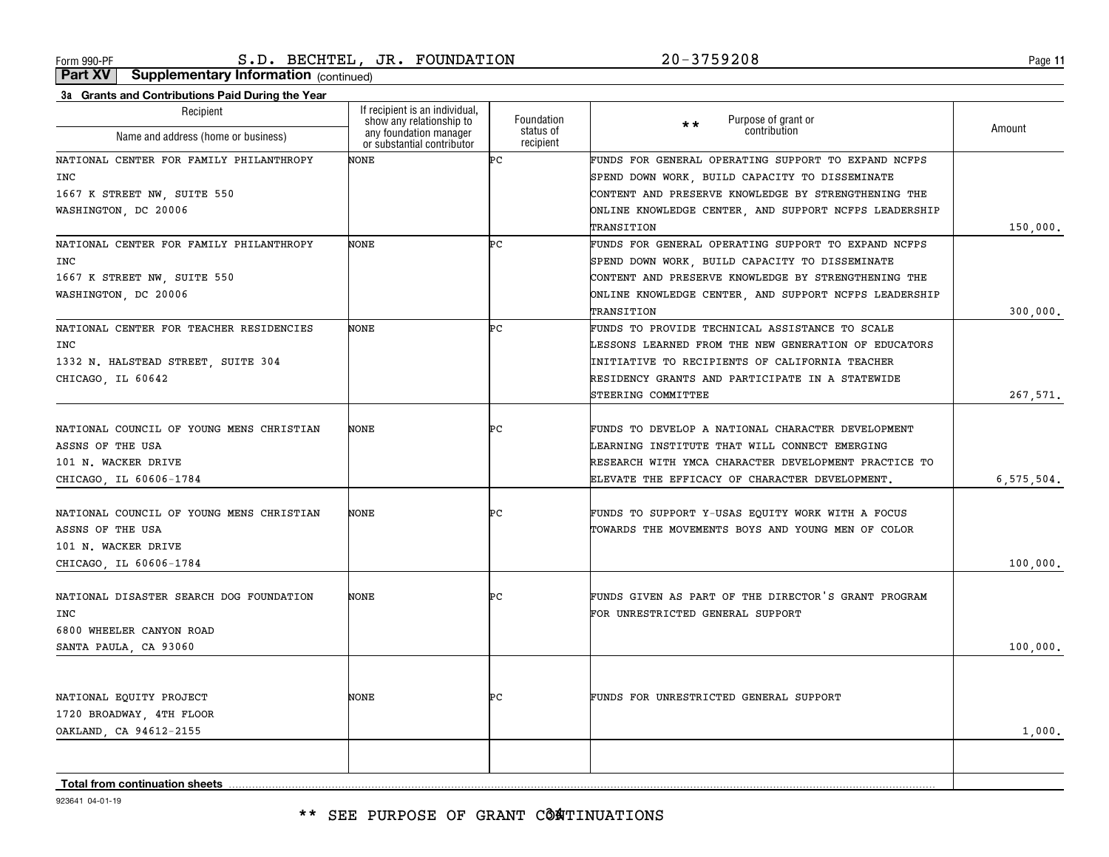**11**

**Part XV Supplementary Information** (continued)

| 3a Grants and Contributions Paid During the Year |                                                                                      |                         |                                                             |            |
|--------------------------------------------------|--------------------------------------------------------------------------------------|-------------------------|-------------------------------------------------------------|------------|
| Recipient<br>Name and address (home or business) | If recipient is an individual,<br>show any relationship to<br>any foundation manager | Foundation<br>status of | Purpose of grant or<br>$***$<br>contribution                | Amount     |
|                                                  | or substantial contributor                                                           | recipient               |                                                             |            |
| NATIONAL CENTER FOR FAMILY PHILANTHROPY          | NONE                                                                                 | Þс                      | FUNDS FOR GENERAL OPERATING SUPPORT TO EXPAND NCFPS         |            |
| INC                                              |                                                                                      |                         | SPEND DOWN WORK, BUILD CAPACITY TO DISSEMINATE              |            |
| 1667 K STREET NW, SUITE 550                      |                                                                                      |                         | CONTENT AND PRESERVE KNOWLEDGE BY STRENGTHENING THE         |            |
| WASHINGTON, DC 20006                             |                                                                                      |                         | ONLINE KNOWLEDGE CENTER, AND SUPPORT NCFPS LEADERSHIP       |            |
|                                                  |                                                                                      |                         | TRANSITION                                                  | 150,000.   |
| NATIONAL CENTER FOR FAMILY PHILANTHROPY          | NONE                                                                                 | Þс                      | FUNDS FOR GENERAL OPERATING SUPPORT TO EXPAND NCFPS         |            |
| INC                                              |                                                                                      |                         | SPEND DOWN WORK, BUILD CAPACITY TO DISSEMINATE              |            |
| 1667 K STREET NW, SUITE 550                      |                                                                                      |                         | CONTENT AND PRESERVE KNOWLEDGE BY STRENGTHENING THE         |            |
| WASHINGTON, DC 20006                             |                                                                                      |                         | ONLINE KNOWLEDGE CENTER, AND SUPPORT NCFPS LEADERSHIP       |            |
|                                                  |                                                                                      |                         | TRANSITION                                                  | 300,000.   |
| NATIONAL CENTER FOR TEACHER RESIDENCIES          | NONE                                                                                 | Þс                      | FUNDS TO PROVIDE TECHNICAL ASSISTANCE TO SCALE              |            |
| INC                                              |                                                                                      |                         | <b>LESSONS LEARNED FROM THE NEW GENERATION OF EDUCATORS</b> |            |
| 1332 N. HALSTEAD STREET, SUITE 304               |                                                                                      |                         | INITIATIVE TO RECIPIENTS OF CALIFORNIA TEACHER              |            |
| CHICAGO, IL 60642                                |                                                                                      |                         | RESIDENCY GRANTS AND PARTICIPATE IN A STATEWIDE             |            |
|                                                  |                                                                                      |                         | STEERING COMMITTEE                                          | 267,571.   |
|                                                  |                                                                                      |                         |                                                             |            |
| NATIONAL COUNCIL OF YOUNG MENS CHRISTIAN         | NONE                                                                                 | ÞС                      | FUNDS TO DEVELOP A NATIONAL CHARACTER DEVELOPMENT           |            |
| ASSNS OF THE USA                                 |                                                                                      |                         | LEARNING INSTITUTE THAT WILL CONNECT EMERGING               |            |
| 101 N. WACKER DRIVE                              |                                                                                      |                         | RESEARCH WITH YMCA CHARACTER DEVELOPMENT PRACTICE TO        |            |
| CHICAGO, IL 60606-1784                           |                                                                                      |                         | ELEVATE THE EFFICACY OF CHARACTER DEVELOPMENT.              | 6,575,504. |
|                                                  |                                                                                      |                         |                                                             |            |
| NATIONAL COUNCIL OF YOUNG MENS CHRISTIAN         | NONE                                                                                 | ÞС                      | FUNDS TO SUPPORT Y-USAS EQUITY WORK WITH A FOCUS            |            |
| ASSNS OF THE USA                                 |                                                                                      |                         | TOWARDS THE MOVEMENTS BOYS AND YOUNG MEN OF COLOR           |            |
| 101 N. WACKER DRIVE                              |                                                                                      |                         |                                                             |            |
| CHICAGO, IL 60606-1784                           |                                                                                      |                         |                                                             | 100,000.   |
|                                                  |                                                                                      |                         |                                                             |            |
| NATIONAL DISASTER SEARCH DOG FOUNDATION          | NONE                                                                                 | ÞС                      | FUNDS GIVEN AS PART OF THE DIRECTOR'S GRANT PROGRAM         |            |
| INC                                              |                                                                                      |                         | FOR UNRESTRICTED GENERAL SUPPORT                            |            |
| 6800 WHEELER CANYON ROAD                         |                                                                                      |                         |                                                             |            |
|                                                  |                                                                                      |                         |                                                             |            |
| SANTA PAULA, CA 93060                            |                                                                                      |                         |                                                             | 100,000.   |
|                                                  |                                                                                      |                         |                                                             |            |
|                                                  | NONE                                                                                 | ÞС                      |                                                             |            |
| NATIONAL EQUITY PROJECT                          |                                                                                      |                         | FUNDS FOR UNRESTRICTED GENERAL SUPPORT                      |            |
| 1720 BROADWAY, 4TH FLOOR                         |                                                                                      |                         |                                                             |            |
| OAKLAND, CA 94612-2155                           |                                                                                      |                         |                                                             | 1,000.     |
|                                                  |                                                                                      |                         |                                                             |            |
|                                                  |                                                                                      |                         |                                                             |            |
| <b>Total from continuation sheets</b>            |                                                                                      |                         |                                                             |            |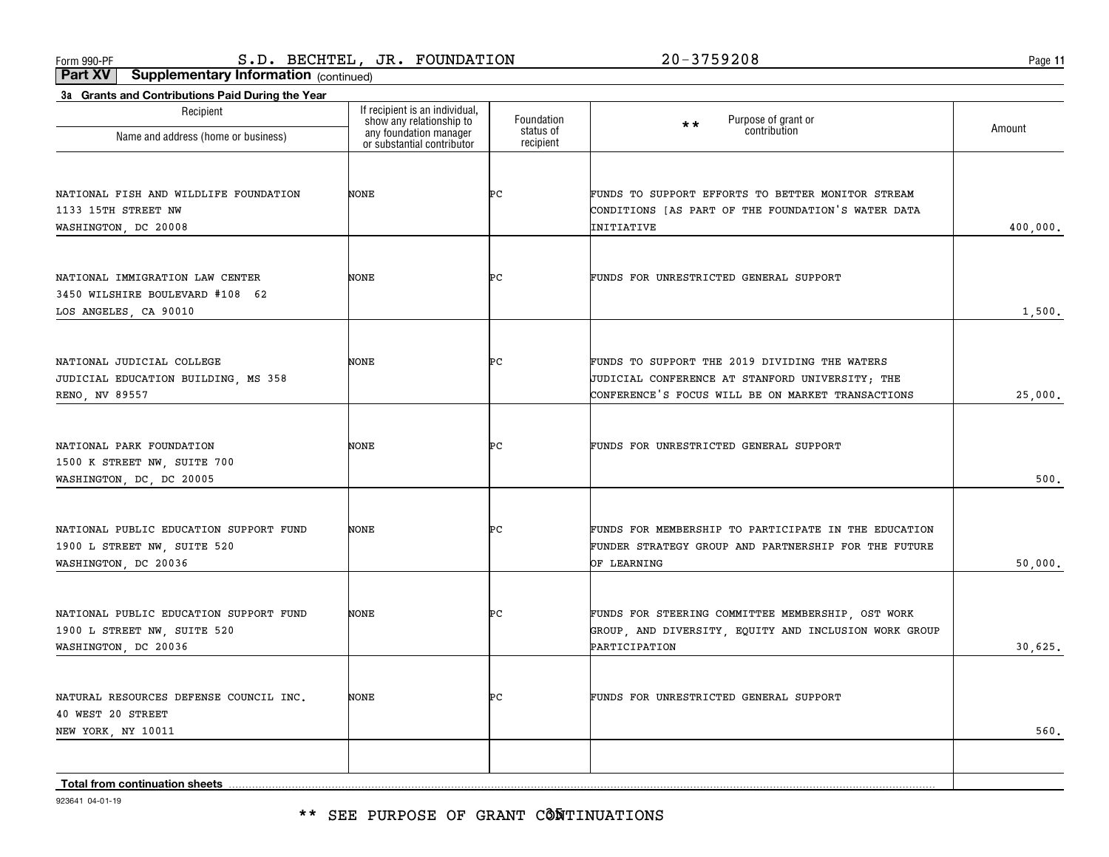**11**

**Part XV Supplementary Information** (continued)

| Recipient                                               |                                                                                                                    | Foundation             |                                                       |          |
|---------------------------------------------------------|--------------------------------------------------------------------------------------------------------------------|------------------------|-------------------------------------------------------|----------|
| Name and address (home or business)                     | If recipient is an individual,<br>show any relationship to<br>any foundation manager<br>or substantial contributor | status of<br>recipient | Purpose of grant or<br>contribution<br>$\star\star$   | Amount   |
|                                                         |                                                                                                                    |                        |                                                       |          |
| NATIONAL FISH AND WILDLIFE FOUNDATION                   | NONE                                                                                                               | ÞС                     | FUNDS TO SUPPORT EFFORTS TO BETTER MONITOR STREAM     |          |
| 1133 15TH STREET NW                                     |                                                                                                                    |                        | CONDITIONS [AS PART OF THE FOUNDATION'S WATER DATA    |          |
| WASHINGTON, DC 20008                                    |                                                                                                                    |                        | INITIATIVE                                            | 400,000. |
|                                                         |                                                                                                                    |                        |                                                       |          |
| NATIONAL IMMIGRATION LAW CENTER                         | NONE                                                                                                               | ÞС                     | FUNDS FOR UNRESTRICTED GENERAL SUPPORT                |          |
| 3450 WILSHIRE BOULEVARD #108 62                         |                                                                                                                    |                        |                                                       |          |
| LOS ANGELES, CA 90010                                   |                                                                                                                    |                        |                                                       | 1,500.   |
|                                                         |                                                                                                                    |                        |                                                       |          |
| NATIONAL JUDICIAL COLLEGE                               | NONE                                                                                                               | ÞС                     | FUNDS TO SUPPORT THE 2019 DIVIDING THE WATERS         |          |
| JUDICIAL EDUCATION BUILDING, MS 358                     |                                                                                                                    |                        | JUDICIAL CONFERENCE AT STANFORD UNIVERSITY; THE       |          |
| RENO, NV 89557                                          |                                                                                                                    |                        | CONFERENCE'S FOCUS WILL BE ON MARKET TRANSACTIONS     | 25,000.  |
|                                                         |                                                                                                                    |                        |                                                       |          |
| NATIONAL PARK FOUNDATION<br>1500 K STREET NW, SUITE 700 | NONE                                                                                                               | ÞС                     | FUNDS FOR UNRESTRICTED GENERAL SUPPORT                |          |
| WASHINGTON, DC, DC 20005                                |                                                                                                                    |                        |                                                       | 500.     |
|                                                         |                                                                                                                    |                        |                                                       |          |
| NATIONAL PUBLIC EDUCATION SUPPORT FUND                  | NONE                                                                                                               | ÞС                     | FUNDS FOR MEMBERSHIP TO PARTICIPATE IN THE EDUCATION  |          |
| 1900 L STREET NW, SUITE 520                             |                                                                                                                    |                        | FUNDER STRATEGY GROUP AND PARTNERSHIP FOR THE FUTURE  |          |
| WASHINGTON, DC 20036                                    |                                                                                                                    |                        | OF LEARNING                                           | 50,000.  |
|                                                         |                                                                                                                    |                        |                                                       |          |
| NATIONAL PUBLIC EDUCATION SUPPORT FUND                  | NONE                                                                                                               | ÞС                     | FUNDS FOR STEERING COMMITTEE MEMBERSHIP, OST WORK     |          |
| 1900 L STREET NW, SUITE 520                             |                                                                                                                    |                        | GROUP, AND DIVERSITY, EQUITY AND INCLUSION WORK GROUP |          |
| WASHINGTON, DC 20036                                    |                                                                                                                    |                        | PARTICIPATION                                         | 30,625.  |
|                                                         |                                                                                                                    |                        |                                                       |          |
| NATURAL RESOURCES DEFENSE COUNCIL INC.                  | NONE                                                                                                               | ÞС                     | FUNDS FOR UNRESTRICTED GENERAL SUPPORT                |          |
| 40 WEST 20 STREET                                       |                                                                                                                    |                        |                                                       | 560.     |
| NEW YORK, NY 10011                                      |                                                                                                                    |                        |                                                       |          |
| <b>Total from continuation sheets</b>                   |                                                                                                                    |                        |                                                       |          |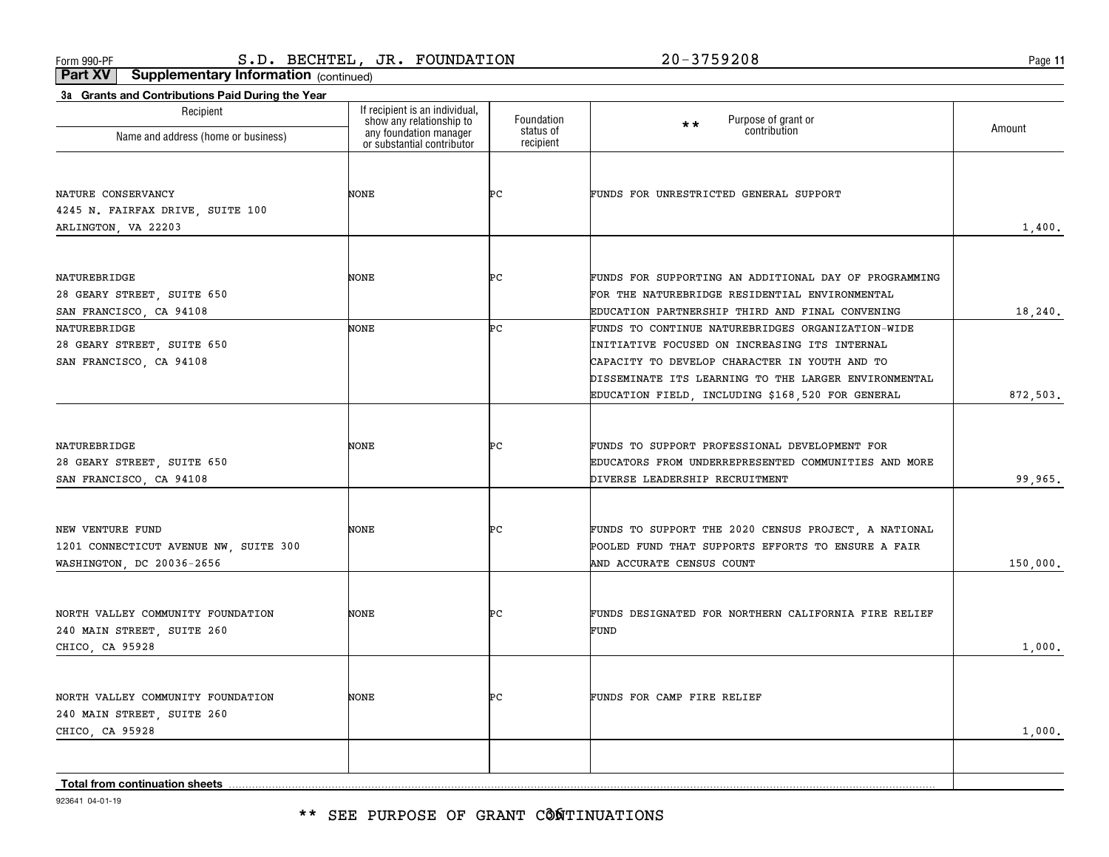\*\* SEE PURPOSE OF GRANT CÔÑTINUATIONS

923641 04-01-19

| несіріені                             | ιι ι συμποιτι το απ πιμινιμμαι,<br>show any relationship to | Foundation             | Purpose of grant or<br>$**$                           | Amount   |
|---------------------------------------|-------------------------------------------------------------|------------------------|-------------------------------------------------------|----------|
| Name and address (home or business)   | any foundation manager<br>or substantial contributor        | status of<br>recipient | contribution                                          |          |
|                                       |                                                             |                        |                                                       |          |
|                                       |                                                             |                        |                                                       |          |
| NATURE CONSERVANCY                    | NONE                                                        | ÞС                     | FUNDS FOR UNRESTRICTED GENERAL SUPPORT                |          |
| 4245 N. FAIRFAX DRIVE, SUITE 100      |                                                             |                        |                                                       |          |
| ARLINGTON, VA 22203                   |                                                             |                        |                                                       | 1,400.   |
|                                       |                                                             |                        |                                                       |          |
| NATUREBRIDGE                          | NONE                                                        | ÞС                     | FUNDS FOR SUPPORTING AN ADDITIONAL DAY OF PROGRAMMING |          |
| 28 GEARY STREET, SUITE 650            |                                                             |                        | FOR THE NATUREBRIDGE RESIDENTIAL ENVIRONMENTAL        |          |
| SAN FRANCISCO, CA 94108               |                                                             |                        | EDUCATION PARTNERSHIP THIRD AND FINAL CONVENING       | 18,240.  |
| NATUREBRIDGE                          | NONE                                                        | Þс                     | FUNDS TO CONTINUE NATUREBRIDGES ORGANIZATION-WIDE     |          |
| 28 GEARY STREET, SUITE 650            |                                                             |                        | INITIATIVE FOCUSED ON INCREASING ITS INTERNAL         |          |
| SAN FRANCISCO, CA 94108               |                                                             |                        | CAPACITY TO DEVELOP CHARACTER IN YOUTH AND TO         |          |
|                                       |                                                             |                        | DISSEMINATE ITS LEARNING TO THE LARGER ENVIRONMENTAL  |          |
|                                       |                                                             |                        | EDUCATION FIELD, INCLUDING \$168,520 FOR GENERAL      | 872,503. |
|                                       |                                                             |                        |                                                       |          |
| NATUREBRIDGE                          | NONE                                                        | ÞС                     | FUNDS TO SUPPORT PROFESSIONAL DEVELOPMENT FOR         |          |
| 28 GEARY STREET, SUITE 650            |                                                             |                        | EDUCATORS FROM UNDERREPRESENTED COMMUNITIES AND MORE  |          |
| SAN FRANCISCO, CA 94108               |                                                             |                        | DIVERSE LEADERSHIP RECRUITMENT                        | 99,965.  |
|                                       |                                                             |                        |                                                       |          |
| NEW VENTURE FUND                      | NONE                                                        | ÞС                     | FUNDS TO SUPPORT THE 2020 CENSUS PROJECT, A NATIONAL  |          |
| 1201 CONNECTICUT AVENUE NW, SUITE 300 |                                                             |                        | POOLED FUND THAT SUPPORTS EFFORTS TO ENSURE A FAIR    |          |
| WASHINGTON, DC 20036-2656             |                                                             |                        | AND ACCURATE CENSUS COUNT                             | 150,000. |
|                                       |                                                             |                        |                                                       |          |
| NORTH VALLEY COMMUNITY FOUNDATION     | NONE                                                        | ÞС                     | FUNDS DESIGNATED FOR NORTHERN CALIFORNIA FIRE RELIEF  |          |
|                                       |                                                             |                        | FUND                                                  |          |
| 240 MAIN STREET, SUITE 260            |                                                             |                        |                                                       |          |
| CHICO, CA 95928                       |                                                             |                        |                                                       | 1,000.   |
|                                       |                                                             |                        |                                                       |          |
| NORTH VALLEY COMMUNITY FOUNDATION     | NONE                                                        | ÞС                     | FUNDS FOR CAMP FIRE RELIEF                            |          |
| 240 MAIN STREET, SUITE 260            |                                                             |                        |                                                       |          |
| CHICO, CA 95928                       |                                                             |                        |                                                       | 1,000.   |
|                                       |                                                             |                        |                                                       |          |
| Total from continuation sheets        |                                                             |                        |                                                       |          |

**Part XV Supplementary Information** (continued)

**3a Grants and Contributions Paid During the Year**

Recipient

**11**

If recipient is an individual,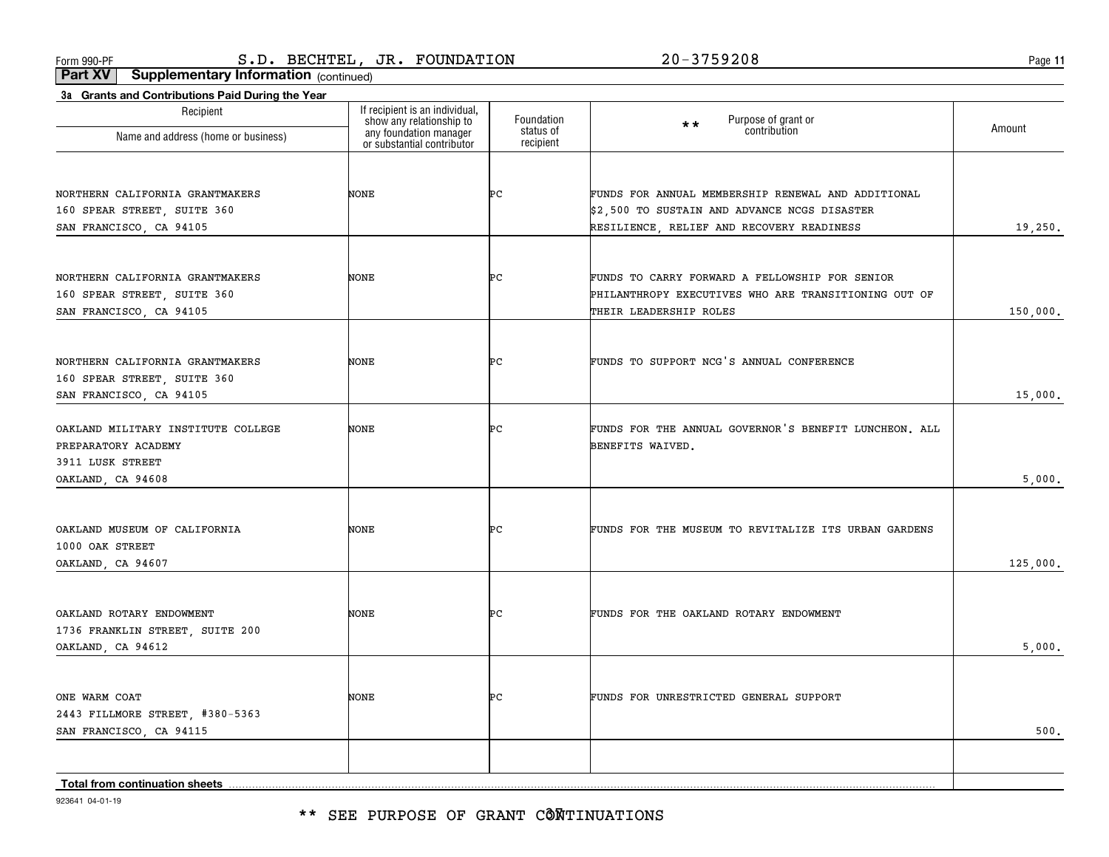\*\* SEE PURPOSE OF GRANT CÔÑTINUATIONS

923641 04-01-19

| Recipient<br>Name and address (home or business)                                                   | If recipient is an individual,<br>show any relationship to<br>any foundation manager | Foundation<br>status of | Purpose of grant or<br>contribution<br>$\star\star$                                                                              | Amount   |
|----------------------------------------------------------------------------------------------------|--------------------------------------------------------------------------------------|-------------------------|----------------------------------------------------------------------------------------------------------------------------------|----------|
| NORTHERN CALIFORNIA GRANTMAKERS<br>160 SPEAR STREET, SUITE 360                                     | or substantial contributor<br>NONE                                                   | recipient<br>ÞС         | FUNDS FOR ANNUAL MEMBERSHIP RENEWAL AND ADDITIONAL<br>\$2,500 TO SUSTAIN AND ADVANCE NCGS DISASTER                               |          |
| SAN FRANCISCO, CA 94105                                                                            |                                                                                      |                         | RESILIENCE, RELIEF AND RECOVERY READINESS                                                                                        | 19,250.  |
| NORTHERN CALIFORNIA GRANTMAKERS<br>160 SPEAR STREET, SUITE 360<br>SAN FRANCISCO, CA 94105          | NONE                                                                                 | ÞС                      | FUNDS TO CARRY FORWARD A FELLOWSHIP FOR SENIOR<br>PHILANTHROPY EXECUTIVES WHO ARE TRANSITIONING OUT OF<br>THEIR LEADERSHIP ROLES | 150,000. |
| NORTHERN CALIFORNIA GRANTMAKERS<br>160 SPEAR STREET, SUITE 360<br>SAN FRANCISCO, CA 94105          | NONE                                                                                 | ÞС                      | FUNDS TO SUPPORT NCG'S ANNUAL CONFERENCE                                                                                         | 15,000.  |
| OAKLAND MILITARY INSTITUTE COLLEGE<br>PREPARATORY ACADEMY<br>3911 LUSK STREET<br>OAKLAND, CA 94608 | NONE                                                                                 | ÞС                      | FUNDS FOR THE ANNUAL GOVERNOR'S BENEFIT LUNCHEON. ALL<br>BENEFITS WAIVED.                                                        | 5,000.   |
| OAKLAND MUSEUM OF CALIFORNIA<br>1000 OAK STREET<br>OAKLAND, CA 94607                               | NONE                                                                                 | ÞС                      | FUNDS FOR THE MUSEUM TO REVITALIZE ITS URBAN GARDENS                                                                             | 125,000. |
| OAKLAND ROTARY ENDOWMENT<br>1736 FRANKLIN STREET, SUITE 200<br>OAKLAND, CA 94612                   | NONE                                                                                 | ÞС                      | FUNDS FOR THE OAKLAND ROTARY ENDOWMENT                                                                                           | 5,000.   |
| ONE WARM COAT<br>2443 FILLMORE STREET, #380-5363<br>SAN FRANCISCO, CA 94115                        | NONE                                                                                 | ÞС                      | FUNDS FOR UNRESTRICTED GENERAL SUPPORT                                                                                           | 500.     |
| Total from continuation sheets                                                                     |                                                                                      |                         |                                                                                                                                  |          |

**Part XV Supplementary Information** (continued)

**3a Grants and Contributions Paid During the Year**

**11**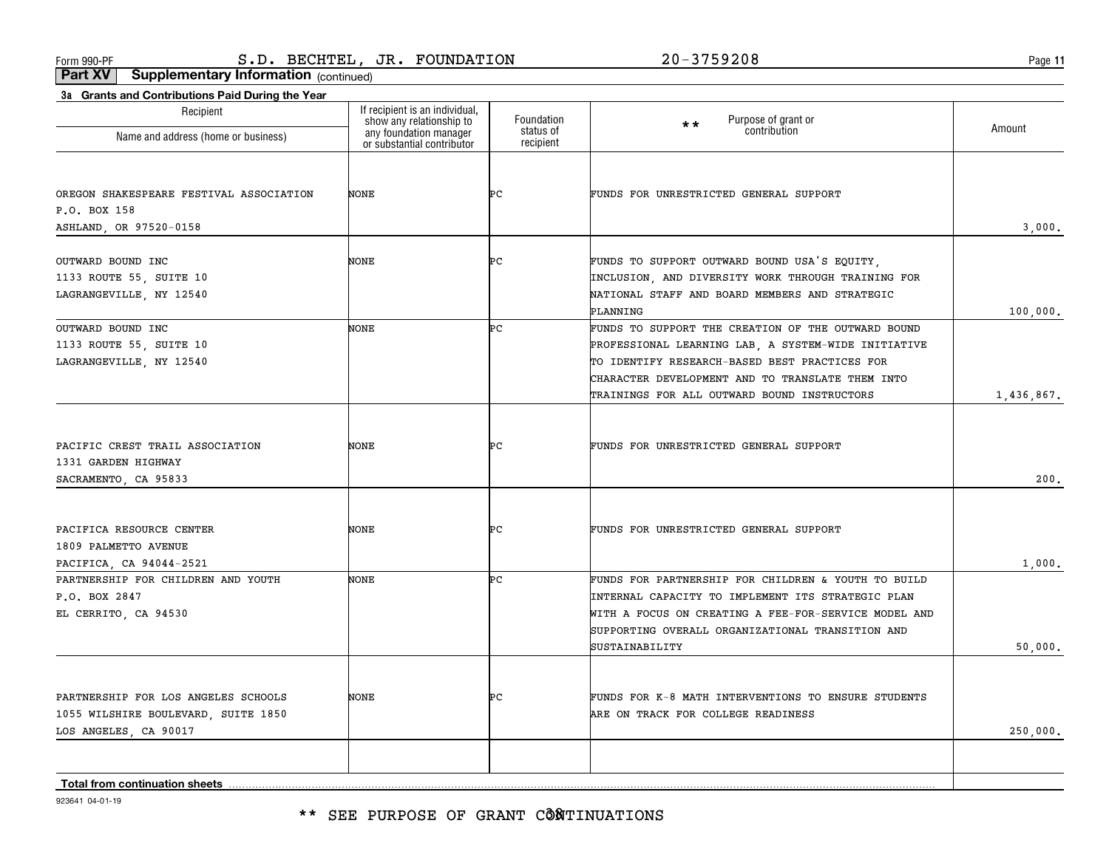**11**

**Part XV Supplementary Information** (continued)

| Recipient                                                     | If recipient is an individual,<br>show any relationship to<br>any foundation manager | Foundation             | Purpose of grant or<br>$***$                                                                             | Amount     |
|---------------------------------------------------------------|--------------------------------------------------------------------------------------|------------------------|----------------------------------------------------------------------------------------------------------|------------|
| Name and address (home or business)                           | or substantial contributor                                                           | status of<br>recipient | contribution                                                                                             |            |
|                                                               |                                                                                      |                        |                                                                                                          |            |
| OREGON SHAKESPEARE FESTIVAL ASSOCIATION                       | NONE                                                                                 | ÞС                     | FUNDS FOR UNRESTRICTED GENERAL SUPPORT                                                                   |            |
| P.O. BOX 158                                                  |                                                                                      |                        |                                                                                                          |            |
| ASHLAND, OR 97520-0158                                        |                                                                                      |                        |                                                                                                          | 3,000.     |
| OUTWARD BOUND INC                                             | NONE                                                                                 | ÞС                     | FUNDS TO SUPPORT OUTWARD BOUND USA'S EQUITY,                                                             |            |
| 1133 ROUTE 55, SUITE 10                                       |                                                                                      |                        | INCLUSION, AND DIVERSITY WORK THROUGH TRAINING FOR                                                       |            |
| LAGRANGEVILLE, NY 12540                                       |                                                                                      |                        | NATIONAL STAFF AND BOARD MEMBERS AND STRATEGIC                                                           |            |
|                                                               |                                                                                      |                        | PLANNING                                                                                                 | 100,000.   |
| OUTWARD BOUND INC                                             | NONE                                                                                 | Þс                     | FUNDS TO SUPPORT THE CREATION OF THE OUTWARD BOUND                                                       |            |
| 1133 ROUTE 55, SUITE 10                                       |                                                                                      |                        | PROFESSIONAL LEARNING LAB, A SYSTEM-WIDE INITIATIVE                                                      |            |
| LAGRANGEVILLE, NY 12540                                       |                                                                                      |                        | TO IDENTIFY RESEARCH-BASED BEST PRACTICES FOR                                                            |            |
|                                                               |                                                                                      |                        | CHARACTER DEVELOPMENT AND TO TRANSLATE THEM INTO                                                         |            |
|                                                               |                                                                                      |                        | TRAININGS FOR ALL OUTWARD BOUND INSTRUCTORS                                                              | 1,436,867. |
|                                                               |                                                                                      |                        |                                                                                                          |            |
| PACIFIC CREST TRAIL ASSOCIATION                               | <b>NONE</b>                                                                          | ÞС                     | FUNDS FOR UNRESTRICTED GENERAL SUPPORT                                                                   |            |
| 1331 GARDEN HIGHWAY                                           |                                                                                      |                        |                                                                                                          |            |
| SACRAMENTO, CA 95833                                          |                                                                                      |                        |                                                                                                          | 200.       |
|                                                               |                                                                                      |                        |                                                                                                          |            |
| PACIFICA RESOURCE CENTER                                      | <b>NONE</b>                                                                          | ÞС                     | FUNDS FOR UNRESTRICTED GENERAL SUPPORT                                                                   |            |
| 1809 PALMETTO AVENUE                                          |                                                                                      |                        |                                                                                                          |            |
| PACIFICA, CA 94044-2521<br>PARTNERSHIP FOR CHILDREN AND YOUTH | NONE                                                                                 | ÞС                     |                                                                                                          | 1,000.     |
| P.O. BOX 2847                                                 |                                                                                      |                        | FUNDS FOR PARTNERSHIP FOR CHILDREN & YOUTH TO BUILD<br>INTERNAL CAPACITY TO IMPLEMENT ITS STRATEGIC PLAN |            |
| EL CERRITO, CA 94530                                          |                                                                                      |                        | WITH A FOCUS ON CREATING A FEE-FOR-SERVICE MODEL AND                                                     |            |
|                                                               |                                                                                      |                        | SUPPORTING OVERALL ORGANIZATIONAL TRANSITION AND                                                         |            |
|                                                               |                                                                                      |                        | SUSTAINABILITY                                                                                           | 50,000.    |
|                                                               |                                                                                      |                        |                                                                                                          |            |
| PARTNERSHIP FOR LOS ANGELES SCHOOLS                           | NONE                                                                                 | ÞС                     | FUNDS FOR K-8 MATH INTERVENTIONS TO ENSURE STUDENTS                                                      |            |
| 1055 WILSHIRE BOULEVARD, SUITE 1850                           |                                                                                      |                        | ARE ON TRACK FOR COLLEGE READINESS                                                                       |            |
| LOS ANGELES, CA 90017                                         |                                                                                      |                        |                                                                                                          | 250,000.   |
|                                                               |                                                                                      |                        |                                                                                                          |            |
| Total from continuation sheets                                |                                                                                      |                        |                                                                                                          |            |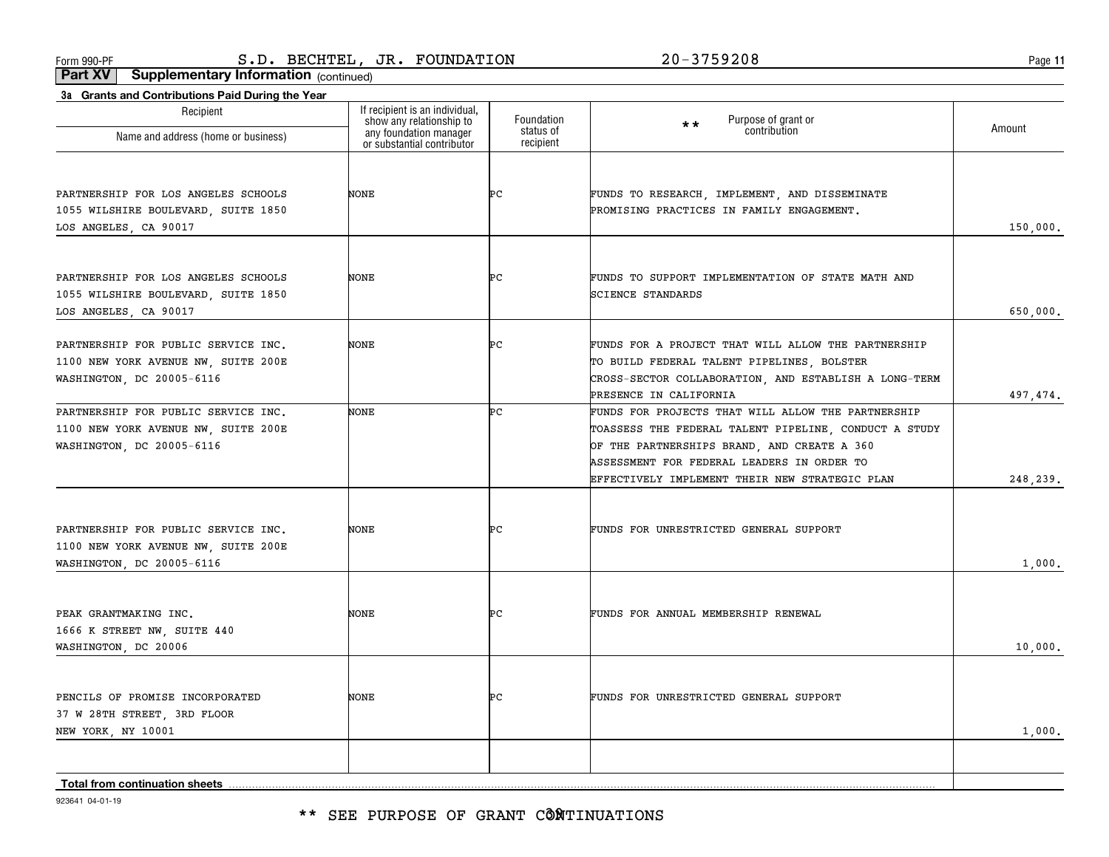\*\* SEE PURPOSE OF GRANT CÔNTINUATIONS

923641 04-01-19

| Recipient<br>Name and address (home or business)                                                        | If recipient is an individual,<br>show any relationship to<br>any foundation manager<br>or substantial contributor | Foundation<br>status of<br>recipient | Purpose of grant or<br>* *<br>contribution                                                                                                                                                                                                                 | Amount   |
|---------------------------------------------------------------------------------------------------------|--------------------------------------------------------------------------------------------------------------------|--------------------------------------|------------------------------------------------------------------------------------------------------------------------------------------------------------------------------------------------------------------------------------------------------------|----------|
| PARTNERSHIP FOR LOS ANGELES SCHOOLS<br>1055 WILSHIRE BOULEVARD, SUITE 1850<br>LOS ANGELES, CA 90017     | NONE                                                                                                               | ÞС                                   | FUNDS TO RESEARCH, IMPLEMENT, AND DISSEMINATE<br>PROMISING PRACTICES IN FAMILY ENGAGEMENT.                                                                                                                                                                 | 150,000. |
| PARTNERSHIP FOR LOS ANGELES SCHOOLS<br>1055 WILSHIRE BOULEVARD, SUITE 1850<br>LOS ANGELES, CA 90017     | NONE                                                                                                               | ÞС                                   | FUNDS TO SUPPORT IMPLEMENTATION OF STATE MATH AND<br><b>SCIENCE STANDARDS</b>                                                                                                                                                                              | 650,000. |
| PARTNERSHIP FOR PUBLIC SERVICE INC.<br>1100 NEW YORK AVENUE NW, SUITE 200E<br>WASHINGTON, DC 20005-6116 | NONE                                                                                                               | ÞС                                   | FUNDS FOR A PROJECT THAT WILL ALLOW THE PARTNERSHIP<br>TO BUILD FEDERAL TALENT PIPELINES BOLSTER<br>CROSS-SECTOR COLLABORATION, AND ESTABLISH A LONG-TERM<br>PRESENCE IN CALIFORNIA                                                                        | 497,474. |
| PARTNERSHIP FOR PUBLIC SERVICE INC.<br>1100 NEW YORK AVENUE NW, SUITE 200E<br>WASHINGTON, DC 20005-6116 | NONE                                                                                                               | ÞС                                   | FUNDS FOR PROJECTS THAT WILL ALLOW THE PARTNERSHIP<br>TOASSESS THE FEDERAL TALENT PIPELINE, CONDUCT A STUDY<br>OF THE PARTNERSHIPS BRAND, AND CREATE A 360<br>ASSESSMENT FOR FEDERAL LEADERS IN ORDER TO<br>EFFECTIVELY IMPLEMENT THEIR NEW STRATEGIC PLAN | 248,239. |
| PARTNERSHIP FOR PUBLIC SERVICE INC.<br>1100 NEW YORK AVENUE NW, SUITE 200E<br>WASHINGTON, DC 20005-6116 | NONE                                                                                                               | ÞС                                   | FUNDS FOR UNRESTRICTED GENERAL SUPPORT                                                                                                                                                                                                                     | 1,000.   |
| PEAK GRANTMAKING INC.<br>1666 K STREET NW, SUITE 440<br>WASHINGTON, DC 20006                            | NONE                                                                                                               | ÞС                                   | FUNDS FOR ANNUAL MEMBERSHIP RENEWAL                                                                                                                                                                                                                        | 10,000.  |
| PENCILS OF PROMISE INCORPORATED<br>37 W 28TH STREET, 3RD FLOOR<br>NEW YORK, NY 10001                    | NONE                                                                                                               | ÞС                                   | FUNDS FOR UNRESTRICTED GENERAL SUPPORT                                                                                                                                                                                                                     | 1,000.   |
| Total from continuation sheets                                                                          |                                                                                                                    |                                      |                                                                                                                                                                                                                                                            |          |

# **Part XV Supplementary Information** (continued)

**3a Grants and Contributions Paid During the Year**

Recipient

**11**

Form 990-PF Page S.D. BECHTEL, JR. FOUNDATION 20-3759208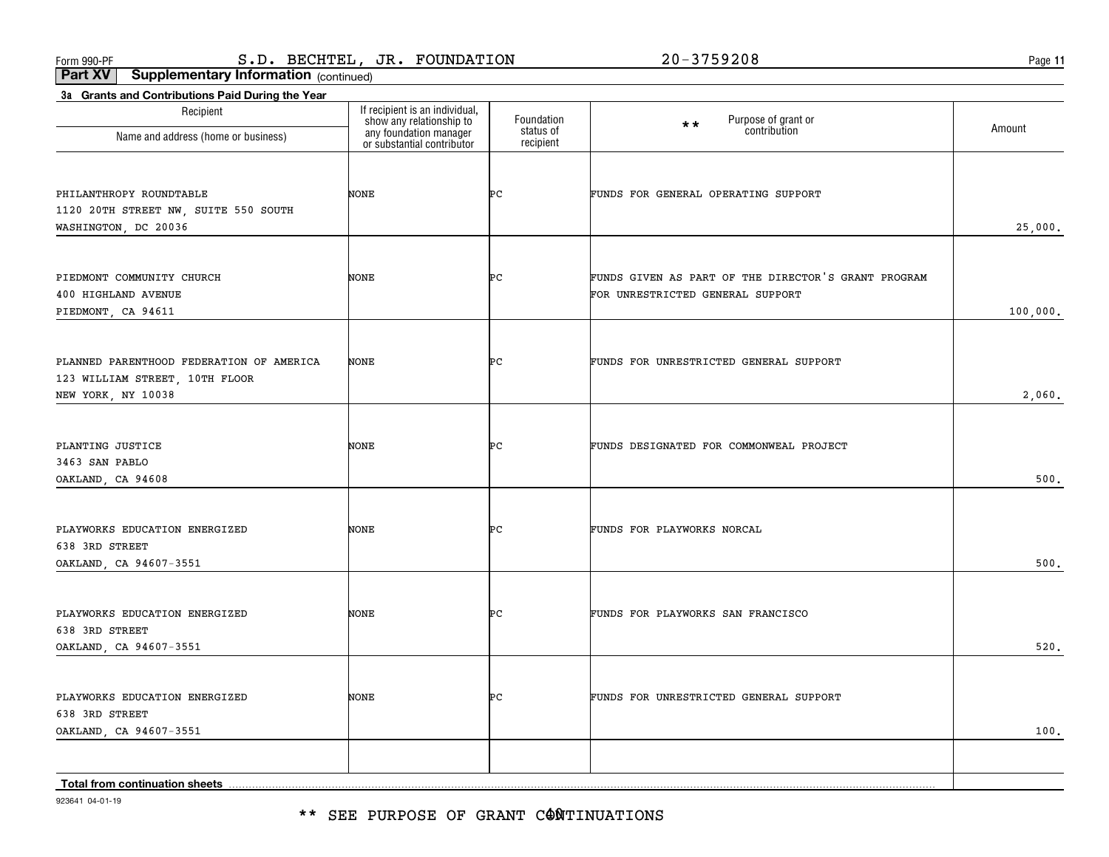\*\* SEE PURPOSE OF GRANT CONTINUATIONS

923641 04-01-19

| Recipient<br>Name and address (home or business)                                                 | If recipient is an individual,<br>show any relationship to<br>any foundation manager<br>or substantial contributor | Foundation<br>status of | Purpose of grant or<br>$\star \star$<br>contribution                                    | Amount   |
|--------------------------------------------------------------------------------------------------|--------------------------------------------------------------------------------------------------------------------|-------------------------|-----------------------------------------------------------------------------------------|----------|
| PHILANTHROPY ROUNDTABLE<br>1120 20TH STREET NW, SUITE 550 SOUTH<br>WASHINGTON, DC 20036          | NONE                                                                                                               | recipient<br>ÞС         | FUNDS FOR GENERAL OPERATING SUPPORT                                                     | 25,000.  |
| PIEDMONT COMMUNITY CHURCH<br>400 HIGHLAND AVENUE<br>PIEDMONT, CA 94611                           | NONE                                                                                                               | Þс                      | FUNDS GIVEN AS PART OF THE DIRECTOR'S GRANT PROGRAM<br>FOR UNRESTRICTED GENERAL SUPPORT | 100,000. |
| PLANNED PARENTHOOD FEDERATION OF AMERICA<br>123 WILLIAM STREET, 10TH FLOOR<br>NEW YORK, NY 10038 | NONE                                                                                                               | ÞС                      | FUNDS FOR UNRESTRICTED GENERAL SUPPORT                                                  | 2,060.   |
| PLANTING JUSTICE<br>3463 SAN PABLO<br>OAKLAND, CA 94608                                          | NONE                                                                                                               | ÞС                      | FUNDS DESIGNATED FOR COMMONWEAL PROJECT                                                 | 500.     |
| PLAYWORKS EDUCATION ENERGIZED<br>638 3RD STREET<br>OAKLAND, CA 94607-3551                        | NONE                                                                                                               | ÞС                      | FUNDS FOR PLAYWORKS NORCAL                                                              | 500.     |
| PLAYWORKS EDUCATION ENERGIZED<br>638 3RD STREET<br>OAKLAND, CA 94607-3551                        | <b>NONE</b>                                                                                                        | ÞС                      | FUNDS FOR PLAYWORKS SAN FRANCISCO                                                       | 520.     |
| PLAYWORKS EDUCATION ENERGIZED<br>638 3RD STREET<br>OAKLAND, CA 94607-3551                        | NONE                                                                                                               | ÞС                      | FUNDS FOR UNRESTRICTED GENERAL SUPPORT                                                  | 100.     |
| Total from continuation sheets                                                                   |                                                                                                                    |                         |                                                                                         |          |

**Part XV Supplementary Information** (continued)

**3a Grants and Contributions Paid During the Year**

Recipient

**11**Form 990-PF Page S.D. BECHTEL, JR. FOUNDATION 20-3759208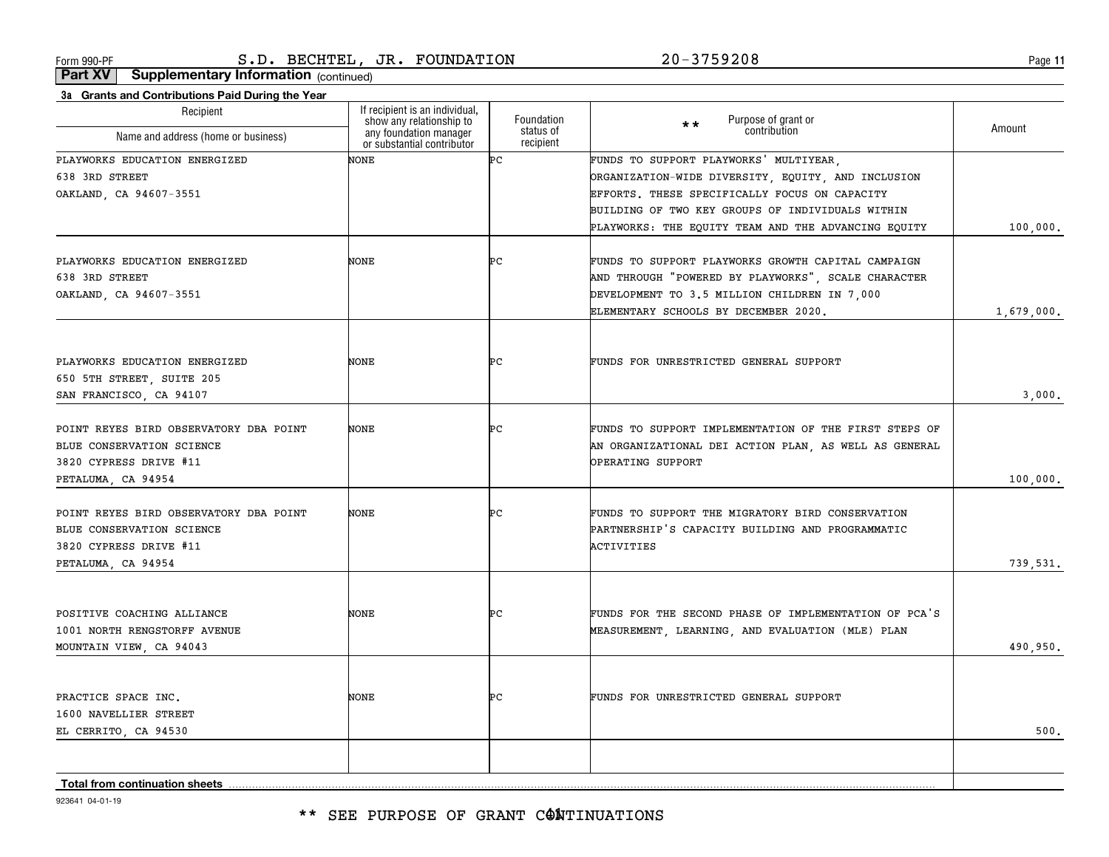**11**

**Part XV Supplementary Information** (continued)

| 3a Grants and Contributions Paid During the Year<br>Recipient | If recipient is an individual,                                                   |                                      |                                                       |            |
|---------------------------------------------------------------|----------------------------------------------------------------------------------|--------------------------------------|-------------------------------------------------------|------------|
| Name and address (home or business)                           | show any relationship to<br>any foundation manager<br>or substantial contributor | Foundation<br>status of<br>recipient | Purpose of grant or<br>$***$<br>contribution          | Amount     |
| PLAYWORKS EDUCATION ENERGIZED                                 | NONE                                                                             | Þс                                   | FUNDS TO SUPPORT PLAYWORKS' MULTIYEAR,                |            |
| 638 3RD STREET                                                |                                                                                  |                                      | DRGANIZATION-WIDE DIVERSITY, EQUITY, AND INCLUSION    |            |
| OAKLAND, CA 94607-3551                                        |                                                                                  |                                      | EFFORTS. THESE SPECIFICALLY FOCUS ON CAPACITY         |            |
|                                                               |                                                                                  |                                      | BUILDING OF TWO KEY GROUPS OF INDIVIDUALS WITHIN      |            |
|                                                               |                                                                                  |                                      | PLAYWORKS: THE EQUITY TEAM AND THE ADVANCING EQUITY   | 100,000.   |
| PLAYWORKS EDUCATION ENERGIZED                                 | NONE                                                                             | ÞС                                   | FUNDS TO SUPPORT PLAYWORKS GROWTH CAPITAL CAMPAIGN    |            |
|                                                               |                                                                                  |                                      |                                                       |            |
| 638 3RD STREET                                                |                                                                                  |                                      | AND THROUGH "POWERED BY PLAYWORKS", SCALE CHARACTER   |            |
| OAKLAND, CA 94607-3551                                        |                                                                                  |                                      | DEVELOPMENT TO 3.5 MILLION CHILDREN IN 7,000          |            |
|                                                               |                                                                                  |                                      | ELEMENTARY SCHOOLS BY DECEMBER 2020.                  | 1,679,000. |
|                                                               |                                                                                  |                                      |                                                       |            |
| PLAYWORKS EDUCATION ENERGIZED                                 | NONE                                                                             | ÞС                                   | FUNDS FOR UNRESTRICTED GENERAL SUPPORT                |            |
| 650 5TH STREET, SUITE 205                                     |                                                                                  |                                      |                                                       |            |
| SAN FRANCISCO, CA 94107                                       |                                                                                  |                                      |                                                       | 3,000.     |
| POINT REYES BIRD OBSERVATORY DBA POINT                        | NONE                                                                             | ÞС                                   | FUNDS TO SUPPORT IMPLEMENTATION OF THE FIRST STEPS OF |            |
| BLUE CONSERVATION SCIENCE                                     |                                                                                  |                                      | AN ORGANIZATIONAL DEI ACTION PLAN, AS WELL AS GENERAL |            |
| 3820 CYPRESS DRIVE #11                                        |                                                                                  |                                      | OPERATING SUPPORT                                     |            |
| PETALUMA, CA 94954                                            |                                                                                  |                                      |                                                       | 100,000.   |
| POINT REYES BIRD OBSERVATORY DBA POINT                        | NONE                                                                             | ÞС                                   | FUNDS TO SUPPORT THE MIGRATORY BIRD CONSERVATION      |            |
| BLUE CONSERVATION SCIENCE                                     |                                                                                  |                                      | PARTNERSHIP'S CAPACITY BUILDING AND PROGRAMMATIC      |            |
| 3820 CYPRESS DRIVE #11                                        |                                                                                  |                                      | ACTIVITIES                                            |            |
| PETALUMA, CA 94954                                            |                                                                                  |                                      |                                                       | 739,531.   |
|                                                               |                                                                                  |                                      |                                                       |            |
| POSITIVE COACHING ALLIANCE                                    | NONE                                                                             | ÞС                                   | FUNDS FOR THE SECOND PHASE OF IMPLEMENTATION OF PCA'S |            |
| 1001 NORTH RENGSTORFF AVENUE                                  |                                                                                  |                                      | MEASUREMENT, LEARNING, AND EVALUATION (MLE) PLAN      |            |
| MOUNTAIN VIEW, CA 94043                                       |                                                                                  |                                      |                                                       | 490,950.   |
|                                                               |                                                                                  |                                      |                                                       |            |
|                                                               |                                                                                  |                                      |                                                       |            |
| PRACTICE SPACE INC.                                           | NONE                                                                             | ÞС                                   | FUNDS FOR UNRESTRICTED GENERAL SUPPORT                |            |
| 1600 NAVELLIER STREET                                         |                                                                                  |                                      |                                                       |            |
| EL CERRITO, CA 94530                                          |                                                                                  |                                      |                                                       | 500.       |
|                                                               |                                                                                  |                                      |                                                       |            |
| <b>Total from continuation sheets</b>                         |                                                                                  |                                      |                                                       |            |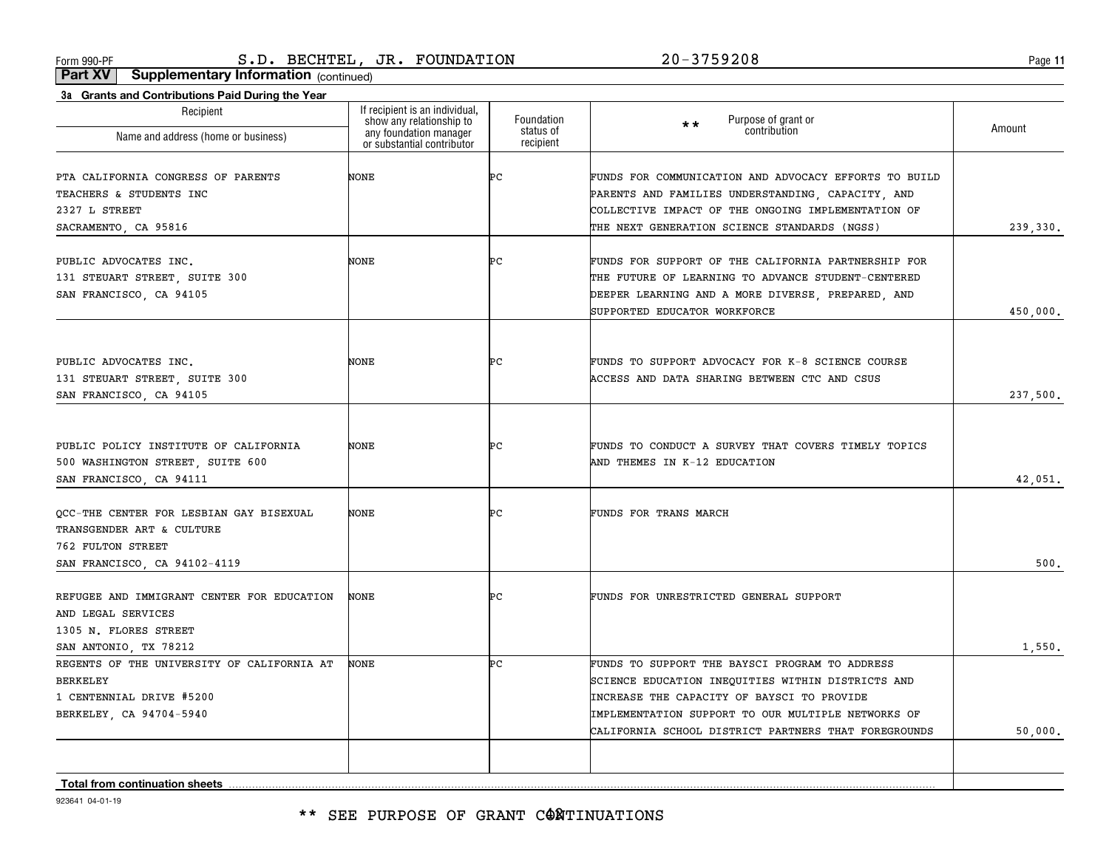**11**

**Part XV Supplementary Information** (continued)

| 3a Grants and Contributions Paid During the Year<br>Recipient | If recipient is an individual,                     |                                      |                                                       |          |
|---------------------------------------------------------------|----------------------------------------------------|--------------------------------------|-------------------------------------------------------|----------|
| Name and address (home or business)                           | show any relationship to<br>any foundation manager | Foundation<br>status of<br>recipient | Purpose of grant or<br>$\star \star$<br>contribution  | Amount   |
|                                                               | or substantial contributor                         |                                      |                                                       |          |
| PTA CALIFORNIA CONGRESS OF PARENTS                            | NONE                                               | Þс                                   | FUNDS FOR COMMUNICATION AND ADVOCACY EFFORTS TO BUILD |          |
| TEACHERS & STUDENTS INC                                       |                                                    |                                      | PARENTS AND FAMILIES UNDERSTANDING, CAPACITY, AND     |          |
| 2327 L STREET                                                 |                                                    |                                      | COLLECTIVE IMPACT OF THE ONGOING IMPLEMENTATION OF    |          |
| SACRAMENTO, CA 95816                                          |                                                    |                                      | THE NEXT GENERATION SCIENCE STANDARDS (NGSS)          | 239,330. |
| PUBLIC ADVOCATES INC.                                         | NONE                                               | ÞС                                   | FUNDS FOR SUPPORT OF THE CALIFORNIA PARTNERSHIP FOR   |          |
| 131 STEUART STREET, SUITE 300                                 |                                                    |                                      | THE FUTURE OF LEARNING TO ADVANCE STUDENT-CENTERED    |          |
| SAN FRANCISCO, CA 94105                                       |                                                    |                                      | DEEPER LEARNING AND A MORE DIVERSE, PREPARED, AND     |          |
|                                                               |                                                    |                                      | SUPPORTED EDUCATOR WORKFORCE                          | 450,000. |
|                                                               |                                                    |                                      |                                                       |          |
| PUBLIC ADVOCATES INC.                                         | NONE                                               | ÞС                                   | FUNDS TO SUPPORT ADVOCACY FOR K-8 SCIENCE COURSE      |          |
| 131 STEUART STREET, SUITE 300                                 |                                                    |                                      | ACCESS AND DATA SHARING BETWEEN CTC AND CSUS          |          |
| SAN FRANCISCO, CA 94105                                       |                                                    |                                      |                                                       | 237,500. |
|                                                               |                                                    |                                      |                                                       |          |
| PUBLIC POLICY INSTITUTE OF CALIFORNIA                         | NONE                                               | ÞС                                   | FUNDS TO CONDUCT A SURVEY THAT COVERS TIMELY TOPICS   |          |
| 500 WASHINGTON STREET, SUITE 600                              |                                                    |                                      | AND THEMES IN K-12 EDUCATION                          |          |
| SAN FRANCISCO, CA 94111                                       |                                                    |                                      |                                                       | 42,051.  |
|                                                               |                                                    |                                      |                                                       |          |
| QCC-THE CENTER FOR LESBIAN GAY BISEXUAL                       | NONE                                               | ÞС                                   | FUNDS FOR TRANS MARCH                                 |          |
| TRANSGENDER ART & CULTURE                                     |                                                    |                                      |                                                       |          |
| 762 FULTON STREET                                             |                                                    |                                      |                                                       |          |
| SAN FRANCISCO, CA 94102-4119                                  |                                                    |                                      |                                                       | 500.     |
| REFUGEE AND IMMIGRANT CENTER FOR EDUCATION                    | NONE                                               | ÞС                                   | FUNDS FOR UNRESTRICTED GENERAL SUPPORT                |          |
| AND LEGAL SERVICES                                            |                                                    |                                      |                                                       |          |
| 1305 N. FLORES STREET                                         |                                                    |                                      |                                                       |          |
| SAN ANTONIO, TX 78212                                         |                                                    |                                      |                                                       | 1,550.   |
| REGENTS OF THE UNIVERSITY OF CALIFORNIA AT                    | NONE                                               | ÞС                                   | FUNDS TO SUPPORT THE BAYSCI PROGRAM TO ADDRESS        |          |
| <b>BERKELEY</b>                                               |                                                    |                                      | SCIENCE EDUCATION INEQUITIES WITHIN DISTRICTS AND     |          |
| 1 CENTENNIAL DRIVE #5200                                      |                                                    |                                      | INCREASE THE CAPACITY OF BAYSCI TO PROVIDE            |          |
| BERKELEY, CA 94704-5940                                       |                                                    |                                      | IMPLEMENTATION SUPPORT TO OUR MULTIPLE NETWORKS OF    |          |
|                                                               |                                                    |                                      | CALIFORNIA SCHOOL DISTRICT PARTNERS THAT FOREGROUNDS  | 50,000.  |
|                                                               |                                                    |                                      |                                                       |          |
| <b>Total from continuation sheets</b>                         |                                                    |                                      |                                                       |          |
|                                                               |                                                    |                                      |                                                       |          |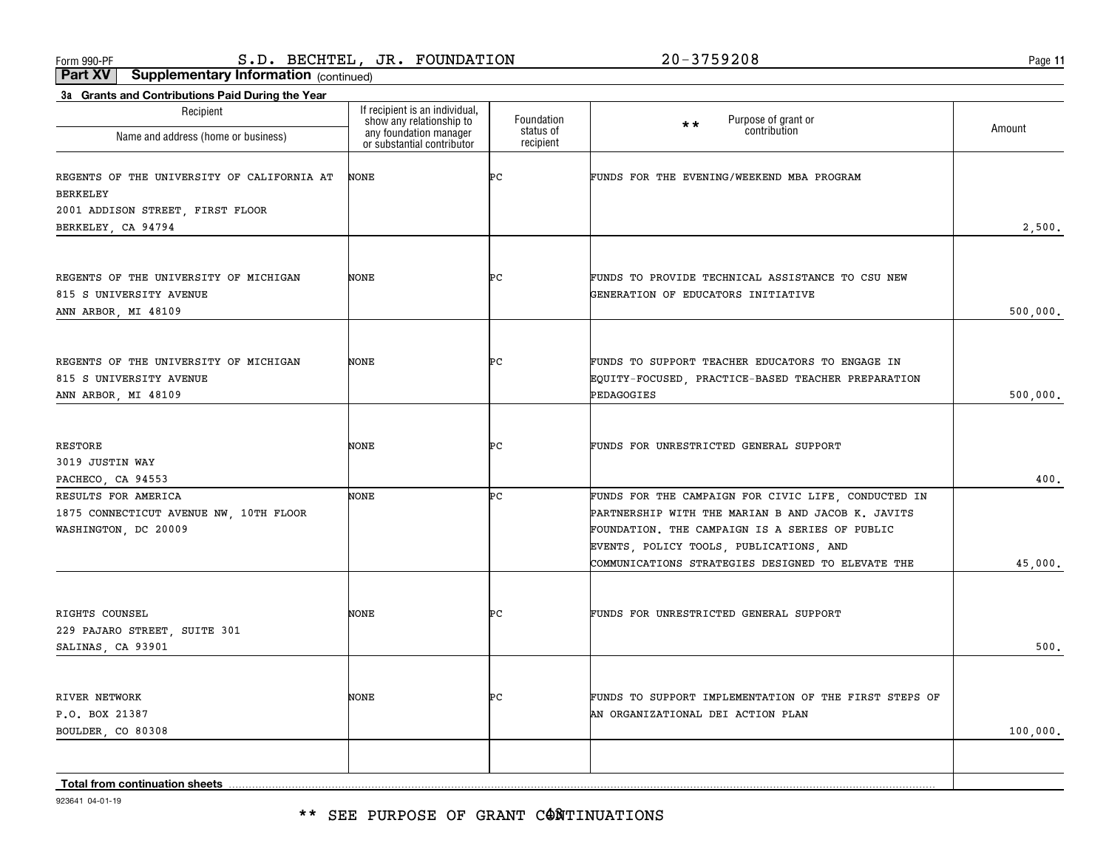\*\* SEE PURPOSE OF GRANT CONTINUATIONS

923641 04-01-19

| Recipient<br>Name and address (home or business)                                                                        | If recipient is an individual,<br>show any relationship to<br>any foundation manager<br>or substantial contributor | Foundation<br>status of<br>recipient | Purpose of grant or<br>$* *$<br>contribution                                                                                                                                                                                                               | Amount   |
|-------------------------------------------------------------------------------------------------------------------------|--------------------------------------------------------------------------------------------------------------------|--------------------------------------|------------------------------------------------------------------------------------------------------------------------------------------------------------------------------------------------------------------------------------------------------------|----------|
| REGENTS OF THE UNIVERSITY OF CALIFORNIA AT<br><b>BERKELEY</b><br>2001 ADDISON STREET, FIRST FLOOR<br>BERKELEY, CA 94794 | NONE                                                                                                               | ÞС                                   | FUNDS FOR THE EVENING/WEEKEND MBA PROGRAM                                                                                                                                                                                                                  | 2,500.   |
| REGENTS OF THE UNIVERSITY OF MICHIGAN<br>815 S UNIVERSITY AVENUE<br>ANN ARBOR, MI 48109                                 | <b>NONE</b>                                                                                                        | ÞС                                   | FUNDS TO PROVIDE TECHNICAL ASSISTANCE TO CSU NEW<br>GENERATION OF EDUCATORS INITIATIVE                                                                                                                                                                     | 500,000. |
| REGENTS OF THE UNIVERSITY OF MICHIGAN<br>815 S UNIVERSITY AVENUE<br>ANN ARBOR, MI 48109                                 | NONE                                                                                                               | ÞС                                   | FUNDS TO SUPPORT TEACHER EDUCATORS TO ENGAGE IN<br>EQUITY-FOCUSED, PRACTICE-BASED TEACHER PREPARATION<br>PEDAGOGIES                                                                                                                                        | 500,000. |
| <b>RESTORE</b><br>3019 JUSTIN WAY<br>PACHECO, CA 94553                                                                  | NONE                                                                                                               | Þс                                   | FUNDS FOR UNRESTRICTED GENERAL SUPPORT                                                                                                                                                                                                                     | 400.     |
| RESULTS FOR AMERICA<br>1875 CONNECTICUT AVENUE NW, 10TH FLOOR<br>WASHINGTON, DC 20009                                   | <b>NONE</b>                                                                                                        | ÞС                                   | FUNDS FOR THE CAMPAIGN FOR CIVIC LIFE, CONDUCTED IN<br>PARTNERSHIP WITH THE MARIAN B AND JACOB K. JAVITS<br>FOUNDATION. THE CAMPAIGN IS A SERIES OF PUBLIC<br>EVENTS, POLICY TOOLS, PUBLICATIONS, AND<br>COMMUNICATIONS STRATEGIES DESIGNED TO ELEVATE THE | 45,000.  |
| RIGHTS COUNSEL<br>229 PAJARO STREET, SUITE 301<br>SALINAS, CA 93901                                                     | NONE                                                                                                               | Þс                                   | FUNDS FOR UNRESTRICTED GENERAL SUPPORT                                                                                                                                                                                                                     | 500.     |
| RIVER NETWORK<br>P.O. BOX 21387<br>BOULDER, CO 80308                                                                    | NONE                                                                                                               | ÞС                                   | FUNDS TO SUPPORT IMPLEMENTATION OF THE FIRST STEPS OF<br>AN ORGANIZATIONAL DEI ACTION PLAN                                                                                                                                                                 | 100,000. |
| Total from continuation sheets                                                                                          |                                                                                                                    |                                      |                                                                                                                                                                                                                                                            |          |

**Part XV Supplementary Information** (continued)

**3a Grants and Contributions Paid During the Year**

Form 990-PF Page S.D. BECHTEL, JR. FOUNDATION 20-3759208

**11**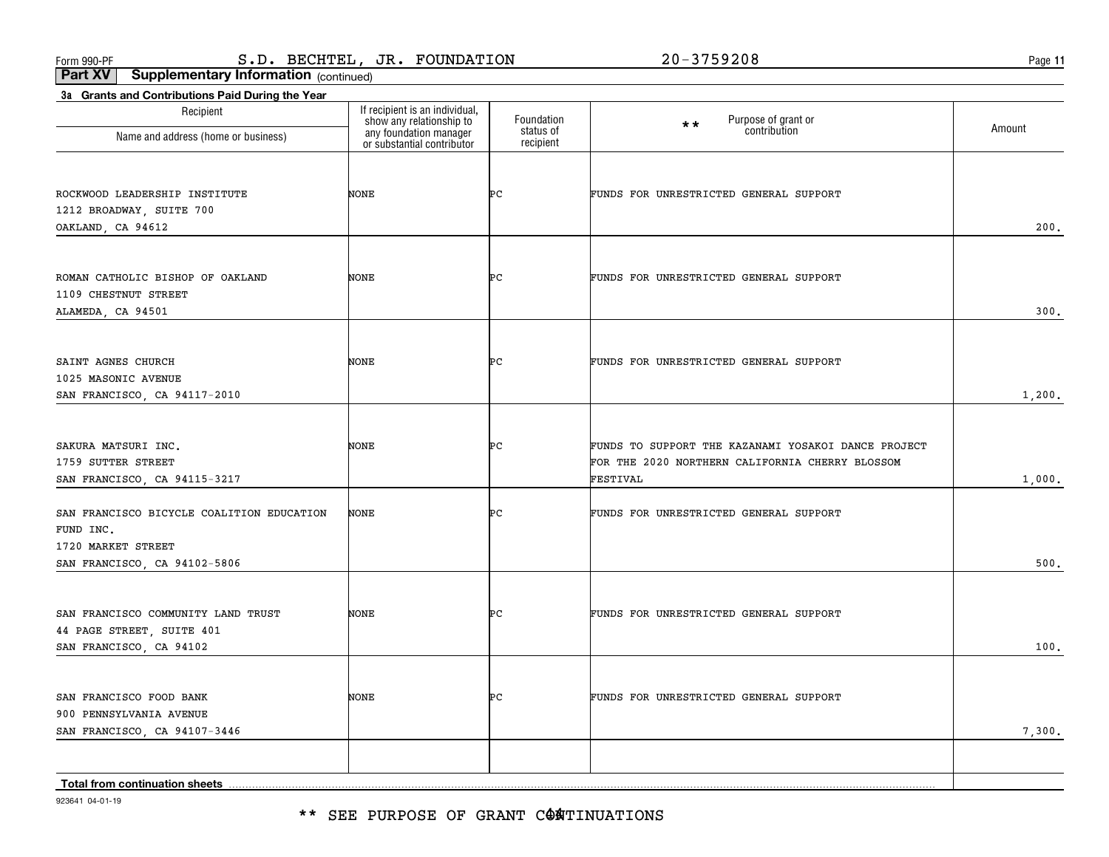\*\* SEE PURPOSE OF GRANT C@ATINUATIONS

923641 04-01-19

| Recipient<br>Name and address (home or business)                                                             | If recipient is an individual,<br>show any relationship to | Foundation<br>status of | Purpose of grant or<br>contribution<br>$\star\star$                                                                | Amount |
|--------------------------------------------------------------------------------------------------------------|------------------------------------------------------------|-------------------------|--------------------------------------------------------------------------------------------------------------------|--------|
|                                                                                                              | any foundation manager<br>or substantial contributor       | recipient               |                                                                                                                    |        |
| ROCKWOOD LEADERSHIP INSTITUTE<br>1212 BROADWAY, SUITE 700<br>OAKLAND, CA 94612                               | <b>NONE</b>                                                | ÞС                      | FUNDS FOR UNRESTRICTED GENERAL SUPPORT                                                                             | 200.   |
| ROMAN CATHOLIC BISHOP OF OAKLAND<br>1109 CHESTNUT STREET<br>ALAMEDA, CA 94501                                | NONE                                                       | Þс                      | FUNDS FOR UNRESTRICTED GENERAL SUPPORT                                                                             | 300.   |
| SAINT AGNES CHURCH<br>1025 MASONIC AVENUE<br>SAN FRANCISCO, CA 94117-2010                                    | NONE                                                       | ÞС                      | FUNDS FOR UNRESTRICTED GENERAL SUPPORT                                                                             | 1,200. |
| SAKURA MATSURI INC.<br>1759 SUTTER STREET<br>SAN FRANCISCO, CA 94115-3217                                    | <b>NONE</b>                                                | ÞС                      | FUNDS TO SUPPORT THE KAZANAMI YOSAKOI DANCE PROJECT<br>FOR THE 2020 NORTHERN CALIFORNIA CHERRY BLOSSOM<br>FESTIVAL | 1,000. |
| SAN FRANCISCO BICYCLE COALITION EDUCATION<br>FUND INC.<br>1720 MARKET STREET<br>SAN FRANCISCO, CA 94102-5806 | <b>NONE</b>                                                | ÞС                      | FUNDS FOR UNRESTRICTED GENERAL SUPPORT                                                                             | 500.   |
| SAN FRANCISCO COMMUNITY LAND TRUST<br>44 PAGE STREET, SUITE 401<br>SAN FRANCISCO, CA 94102                   | <b>NONE</b>                                                | ÞС                      | FUNDS FOR UNRESTRICTED GENERAL SUPPORT                                                                             | 100.   |
| SAN FRANCISCO FOOD BANK<br>900 PENNSYLVANIA AVENUE<br>SAN FRANCISCO, CA 94107-3446                           | <b>NONE</b>                                                | ÞС                      | FUNDS FOR UNRESTRICTED GENERAL SUPPORT                                                                             | 7,300. |
| <b>Total from continuation sheets</b>                                                                        |                                                            |                         |                                                                                                                    |        |

**Part XV Supplementary Information** (continued)

**3a Grants and Contributions Paid During the Year**

**11**

Form 990-PF Page S.D. BECHTEL, JR. FOUNDATION 20-3759208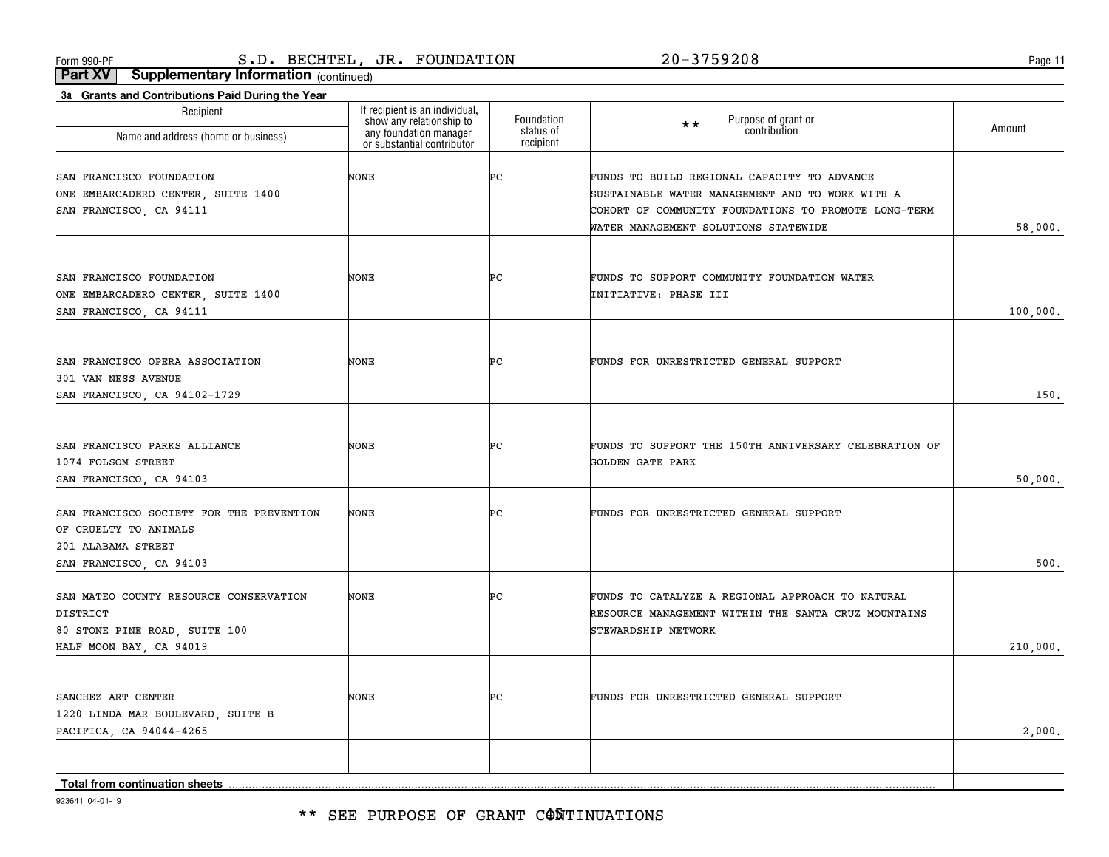\*\* SEE PURPOSE OF GRANT CONTINUATIONS

923641 04-01-19

| Recipient<br>Name and address (home or business)                                                                   | if recipient is an individual,<br>show any relationship to<br>any foundation manager<br>or substantial contributor | Foundation<br>status of<br>recipient | Purpose of grant or<br>$\star \star$<br>contribution                                                                                                                                           | Amount   |
|--------------------------------------------------------------------------------------------------------------------|--------------------------------------------------------------------------------------------------------------------|--------------------------------------|------------------------------------------------------------------------------------------------------------------------------------------------------------------------------------------------|----------|
| SAN FRANCISCO FOUNDATION<br>ONE EMBARCADERO CENTER, SUITE 1400<br>SAN FRANCISCO, CA 94111                          | <b>NONE</b>                                                                                                        | ÞС                                   | FUNDS TO BUILD REGIONAL CAPACITY TO ADVANCE<br>SUSTAINABLE WATER MANAGEMENT AND TO WORK WITH A<br>COHORT OF COMMUNITY FOUNDATIONS TO PROMOTE LONG-TERM<br>WATER MANAGEMENT SOLUTIONS STATEWIDE | 58,000.  |
| SAN FRANCISCO FOUNDATION<br>ONE EMBARCADERO CENTER, SUITE 1400<br>SAN FRANCISCO, CA 94111                          | <b>NONE</b>                                                                                                        | ÞС                                   | FUNDS TO SUPPORT COMMUNITY FOUNDATION WATER<br>INITIATIVE: PHASE III                                                                                                                           | 100,000. |
| SAN FRANCISCO OPERA ASSOCIATION<br>301 VAN NESS AVENUE<br>SAN FRANCISCO, CA 94102-1729                             | NONE                                                                                                               | ÞС                                   | FUNDS FOR UNRESTRICTED GENERAL SUPPORT                                                                                                                                                         | 150.     |
| SAN FRANCISCO PARKS ALLIANCE<br>1074 FOLSOM STREET<br>SAN FRANCISCO, CA 94103                                      | NONE                                                                                                               | ÞС                                   | FUNDS TO SUPPORT THE 150TH ANNIVERSARY CELEBRATION OF<br>GOLDEN GATE PARK                                                                                                                      | 50,000.  |
| SAN FRANCISCO SOCIETY FOR THE PREVENTION<br>OF CRUELTY TO ANIMALS<br>201 ALABAMA STREET<br>SAN FRANCISCO, CA 94103 | <b>NONE</b>                                                                                                        | ÞС                                   | FUNDS FOR UNRESTRICTED GENERAL SUPPORT                                                                                                                                                         | 500.     |
| SAN MATEO COUNTY RESOURCE CONSERVATION<br>DISTRICT<br>80 STONE PINE ROAD, SUITE 100<br>HALF MOON BAY, CA 94019     | <b>NONE</b>                                                                                                        | ÞС                                   | FUNDS TO CATALYZE A REGIONAL APPROACH TO NATURAL<br>RESOURCE MANAGEMENT WITHIN THE SANTA CRUZ MOUNTAINS<br>STEWARDSHIP NETWORK                                                                 | 210,000. |
| SANCHEZ ART CENTER<br>1220 LINDA MAR BOULEVARD, SUITE B<br>PACIFICA, CA 94044-4265                                 | <b>NONE</b>                                                                                                        | ÞС                                   | FUNDS FOR UNRESTRICTED GENERAL SUPPORT                                                                                                                                                         | 2,000.   |
| Total from continuation sheets                                                                                     |                                                                                                                    |                                      |                                                                                                                                                                                                |          |

**Part XV Supplementary Information** (continued)

If recipient is an individual,

**3a Grants and Contributions Paid During the Year**

Recipient

**11**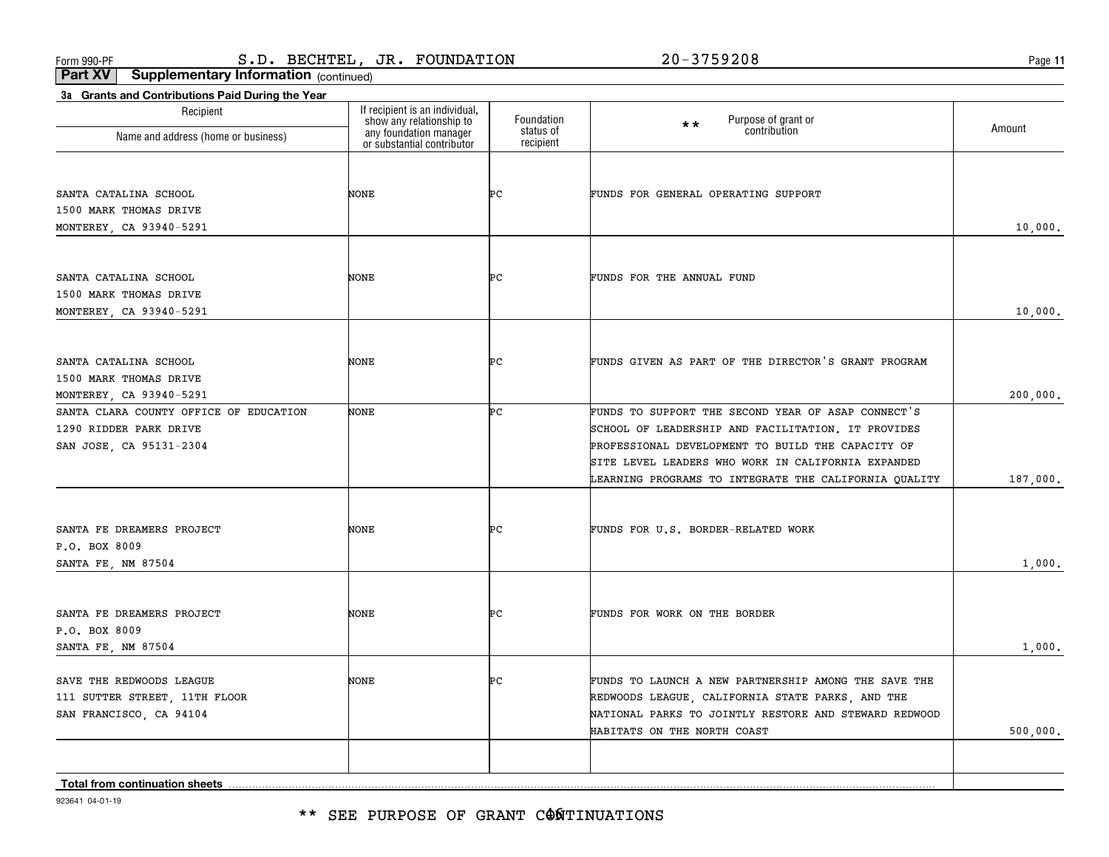\*\* SEE PURPOSE OF GRANT C@ÑTINUATIONS

923641 04-01-19

| Name and address (home or business)    | any foundation manager<br>or substantial contributor | status of<br>recipient | contribution                                          | <b>AIIIUUIIL</b> |
|----------------------------------------|------------------------------------------------------|------------------------|-------------------------------------------------------|------------------|
|                                        |                                                      |                        |                                                       |                  |
| SANTA CATALINA SCHOOL                  | NONE                                                 | ÞС                     | FUNDS FOR GENERAL OPERATING SUPPORT                   |                  |
| 1500 MARK THOMAS DRIVE                 |                                                      |                        |                                                       |                  |
| MONTEREY, CA 93940-5291                |                                                      |                        |                                                       | 10,000.          |
|                                        |                                                      |                        |                                                       |                  |
| SANTA CATALINA SCHOOL                  | NONE                                                 | ÞС                     | FUNDS FOR THE ANNUAL FUND                             |                  |
| 1500 MARK THOMAS DRIVE                 |                                                      |                        |                                                       |                  |
| MONTEREY, CA 93940-5291                |                                                      |                        |                                                       | 10,000.          |
|                                        |                                                      |                        |                                                       |                  |
| SANTA CATALINA SCHOOL                  | NONE                                                 | ÞС                     | FUNDS GIVEN AS PART OF THE DIRECTOR'S GRANT PROGRAM   |                  |
| 1500 MARK THOMAS DRIVE                 |                                                      |                        |                                                       |                  |
| MONTEREY, CA 93940-5291                |                                                      |                        |                                                       | 200,000.         |
| SANTA CLARA COUNTY OFFICE OF EDUCATION | NONE                                                 | Þс                     | FUNDS TO SUPPORT THE SECOND YEAR OF ASAP CONNECT'S    |                  |
| 1290 RIDDER PARK DRIVE                 |                                                      |                        | SCHOOL OF LEADERSHIP AND FACILITATION. IT PROVIDES    |                  |
| SAN JOSE, CA 95131-2304                |                                                      |                        | PROFESSIONAL DEVELOPMENT TO BUILD THE CAPACITY OF     |                  |
|                                        |                                                      |                        | SITE LEVEL LEADERS WHO WORK IN CALIFORNIA EXPANDED    |                  |
|                                        |                                                      |                        | LEARNING PROGRAMS TO INTEGRATE THE CALIFORNIA QUALITY | 187,000.         |
|                                        |                                                      |                        |                                                       |                  |
| SANTA FE DREAMERS PROJECT              | NONE                                                 | ÞС                     | FUNDS FOR U.S. BORDER-RELATED WORK                    |                  |
| P.O. BOX 8009                          |                                                      |                        |                                                       |                  |
| SANTA FE, NM 87504                     |                                                      |                        |                                                       | 1,000.           |
|                                        |                                                      |                        |                                                       |                  |
| SANTA FE DREAMERS PROJECT              | NONE                                                 | ÞС                     | FUNDS FOR WORK ON THE BORDER                          |                  |
| P.O. BOX 8009                          |                                                      |                        |                                                       |                  |
| SANTA FE, NM 87504                     |                                                      |                        |                                                       | 1,000.           |
| SAVE THE REDWOODS LEAGUE               | NONE                                                 | ÞС                     | FUNDS TO LAUNCH A NEW PARTNERSHIP AMONG THE SAVE THE  |                  |
| 111 SUTTER STREET, 11TH FLOOR          |                                                      |                        | REDWOODS LEAGUE, CALIFORNIA STATE PARKS, AND THE      |                  |
| SAN FRANCISCO, CA 94104                |                                                      |                        | NATIONAL PARKS TO JOINTLY RESTORE AND STEWARD REDWOOD |                  |
|                                        |                                                      |                        | <b>HABITATS ON THE NORTH COAST</b>                    | 500,000.         |
|                                        |                                                      |                        |                                                       |                  |
| Total from continuation sheets         |                                                      |                        |                                                       |                  |
|                                        |                                                      |                        |                                                       |                  |

Foundationstatus of

# **Part XV Supplementary Information** (continued)

If recipient is an individual, show any relationship to

**3a Grants and Contributions Paid During the Year**

Recipient

Form 990-PF Page S.D. BECHTEL, JR. FOUNDATION 20-3759208

\*\*

**11**

Purpose of grant or contribution Amount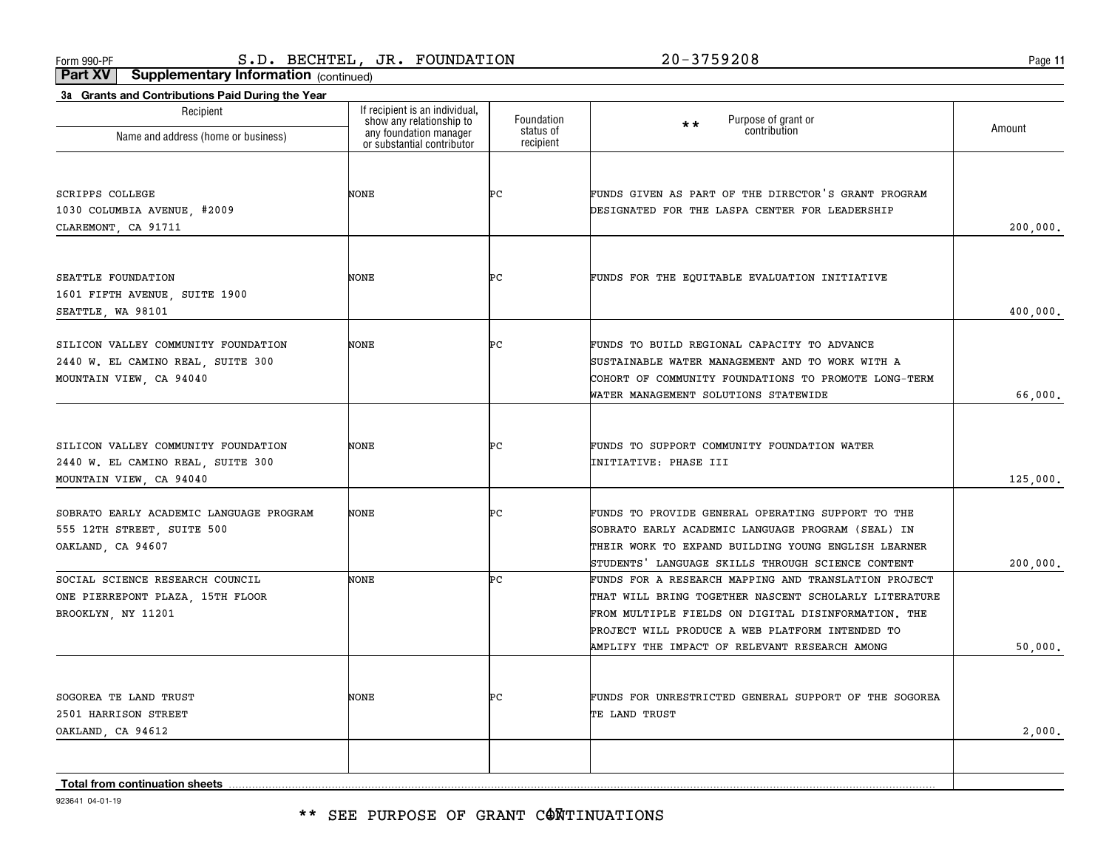**11**

**Part XV Supplementary Information** (continued)

| Recipient                               | If recipient is an individual,                                                   | Foundation             |                                                                                                  |          |
|-----------------------------------------|----------------------------------------------------------------------------------|------------------------|--------------------------------------------------------------------------------------------------|----------|
| Name and address (home or business)     | show any relationship to<br>any foundation manager<br>or substantial contributor | status of<br>recipient | Purpose of grant or<br>contribution<br>$\star\star$                                              | Amount   |
|                                         |                                                                                  |                        |                                                                                                  |          |
| SCRIPPS COLLEGE                         | NONE                                                                             | ÞС                     | FUNDS GIVEN AS PART OF THE DIRECTOR'S GRANT PROGRAM                                              |          |
| 1030 COLUMBIA AVENUE, #2009             |                                                                                  |                        | DESIGNATED FOR THE LASPA CENTER FOR LEADERSHIP                                                   |          |
| CLAREMONT, CA 91711                     |                                                                                  |                        |                                                                                                  | 200,000. |
| SEATTLE FOUNDATION                      | NONE                                                                             | ÞС                     | FUNDS FOR THE EQUITABLE EVALUATION INITIATIVE                                                    |          |
| 1601 FIFTH AVENUE, SUITE 1900           |                                                                                  |                        |                                                                                                  |          |
| SEATTLE, WA 98101                       |                                                                                  |                        |                                                                                                  | 400,000. |
| SILICON VALLEY COMMUNITY FOUNDATION     | NONE                                                                             | ÞС                     | FUNDS TO BUILD REGIONAL CAPACITY TO ADVANCE                                                      |          |
| 2440 W. EL CAMINO REAL, SUITE 300       |                                                                                  |                        | SUSTAINABLE WATER MANAGEMENT AND TO WORK WITH A                                                  |          |
| MOUNTAIN VIEW, CA 94040                 |                                                                                  |                        | COHORT OF COMMUNITY FOUNDATIONS TO PROMOTE LONG-TERM                                             |          |
|                                         |                                                                                  |                        | WATER MANAGEMENT SOLUTIONS STATEWIDE                                                             | 66,000.  |
| SILICON VALLEY COMMUNITY FOUNDATION     | NONE                                                                             | ÞС                     | FUNDS TO SUPPORT COMMUNITY FOUNDATION WATER                                                      |          |
| 2440 W. EL CAMINO REAL, SUITE 300       |                                                                                  |                        | INITIATIVE: PHASE III                                                                            |          |
| MOUNTAIN VIEW, CA 94040                 |                                                                                  |                        |                                                                                                  | 125,000. |
| SOBRATO EARLY ACADEMIC LANGUAGE PROGRAM | NONE                                                                             | ÞС                     | FUNDS TO PROVIDE GENERAL OPERATING SUPPORT TO THE                                                |          |
| 555 12TH STREET, SUITE 500              |                                                                                  |                        | SOBRATO EARLY ACADEMIC LANGUAGE PROGRAM (SEAL) IN                                                |          |
| OAKLAND, CA 94607                       |                                                                                  |                        | THEIR WORK TO EXPAND BUILDING YOUNG ENGLISH LEARNER                                              |          |
|                                         |                                                                                  |                        | STUDENTS' LANGUAGE SKILLS THROUGH SCIENCE CONTENT                                                | 200,000. |
| SOCIAL SCIENCE RESEARCH COUNCIL         | NONE                                                                             | ÞС                     | FUNDS FOR A RESEARCH MAPPING AND TRANSLATION PROJECT                                             |          |
| ONE PIERREPONT PLAZA, 15TH FLOOR        |                                                                                  |                        | THAT WILL BRING TOGETHER NASCENT SCHOLARLY LITERATURE                                            |          |
| BROOKLYN, NY 11201                      |                                                                                  |                        | FROM MULTIPLE FIELDS ON DIGITAL DISINFORMATION. THE                                              |          |
|                                         |                                                                                  |                        | PROJECT WILL PRODUCE A WEB PLATFORM INTENDED TO<br>AMPLIFY THE IMPACT OF RELEVANT RESEARCH AMONG | 50,000.  |
|                                         |                                                                                  |                        |                                                                                                  |          |
| SOGOREA TE LAND TRUST                   | NONE                                                                             | ÞС                     | FUNDS FOR UNRESTRICTED GENERAL SUPPORT OF THE SOGOREA                                            |          |
| 2501 HARRISON STREET                    |                                                                                  |                        | TE LAND TRUST                                                                                    |          |
| OAKLAND, CA 94612                       |                                                                                  |                        |                                                                                                  | 2,000.   |
|                                         |                                                                                  |                        |                                                                                                  |          |
| <b>Total from continuation sheets</b>   |                                                                                  |                        |                                                                                                  |          |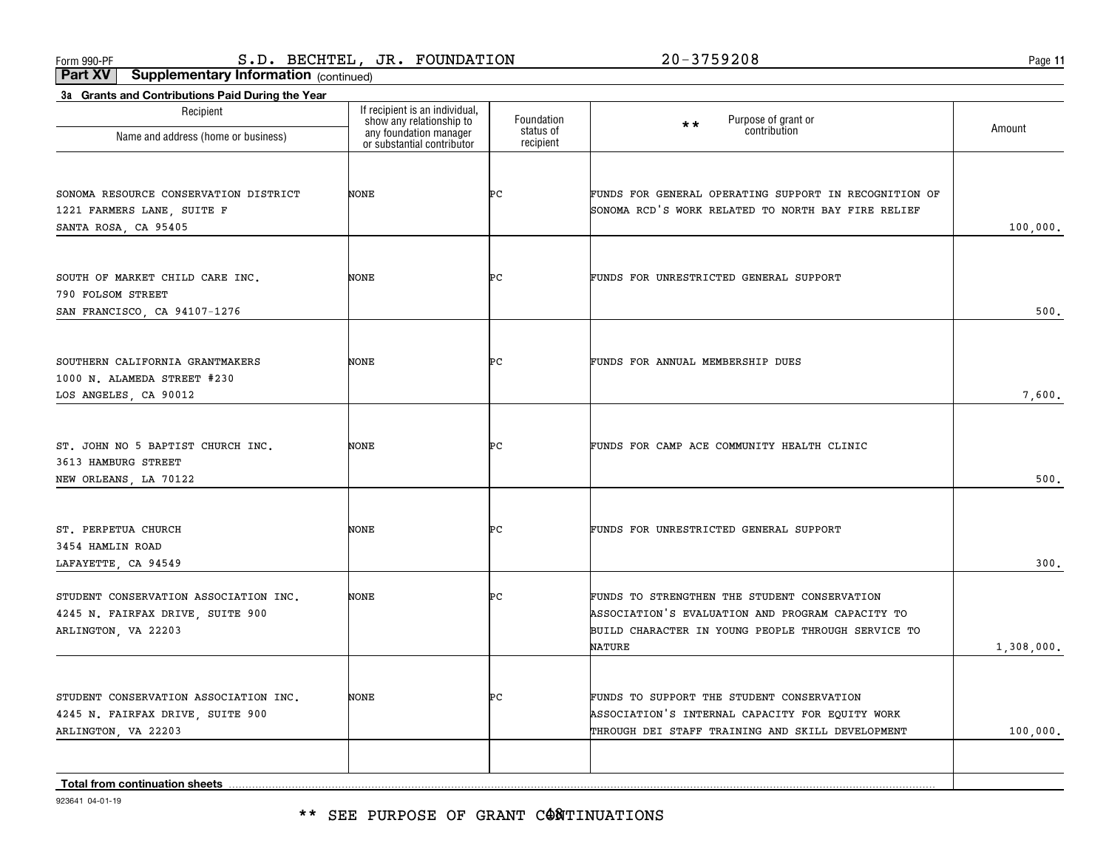\*\* SEE PURPOSE OF GRANT CONTINUATIONS

923641 04-01-19

| Recipient<br>Name and address (home or business) | If recipient is an individual,<br>show any relationship to<br>any foundation manager<br>or substantial contributor | Foundation<br>status of | Purpose of grant or<br>$\star\star$<br>contribution   | Amount     |
|--------------------------------------------------|--------------------------------------------------------------------------------------------------------------------|-------------------------|-------------------------------------------------------|------------|
|                                                  |                                                                                                                    | recipient               |                                                       |            |
| SONOMA RESOURCE CONSERVATION DISTRICT            | NONE                                                                                                               | ÞС                      | FUNDS FOR GENERAL OPERATING SUPPORT IN RECOGNITION OF |            |
| 1221 FARMERS LANE, SUITE F                       |                                                                                                                    |                         | SONOMA RCD'S WORK RELATED TO NORTH BAY FIRE RELIEF    |            |
| SANTA ROSA, CA 95405                             |                                                                                                                    |                         |                                                       | 100,000.   |
| SOUTH OF MARKET CHILD CARE INC.                  | NONE                                                                                                               | ÞС                      | FUNDS FOR UNRESTRICTED GENERAL SUPPORT                |            |
| 790 FOLSOM STREET                                |                                                                                                                    |                         |                                                       |            |
| SAN FRANCISCO, CA 94107-1276                     |                                                                                                                    |                         |                                                       | 500.       |
| SOUTHERN CALIFORNIA GRANTMAKERS                  | NONE                                                                                                               | ÞС                      | FUNDS FOR ANNUAL MEMBERSHIP DUES                      |            |
| 1000 N. ALAMEDA STREET #230                      |                                                                                                                    |                         |                                                       |            |
| LOS ANGELES, CA 90012                            |                                                                                                                    |                         |                                                       | 7,600.     |
| ST. JOHN NO 5 BAPTIST CHURCH INC.                | NONE                                                                                                               | Þс                      | FUNDS FOR CAMP ACE COMMUNITY HEALTH CLINIC            |            |
| 3613 HAMBURG STREET                              |                                                                                                                    |                         |                                                       |            |
| NEW ORLEANS, LA 70122                            |                                                                                                                    |                         |                                                       | 500.       |
|                                                  |                                                                                                                    |                         |                                                       |            |
| ST. PERPETUA CHURCH<br>3454 HAMLIN ROAD          | NONE                                                                                                               | ÞС                      | FUNDS FOR UNRESTRICTED GENERAL SUPPORT                |            |
| LAFAYETTE, CA 94549                              |                                                                                                                    |                         |                                                       | 300.       |
| STUDENT CONSERVATION ASSOCIATION INC.            | <b>NONE</b>                                                                                                        | ÞС                      | FUNDS TO STRENGTHEN THE STUDENT CONSERVATION          |            |
| 4245 N. FAIRFAX DRIVE, SUITE 900                 |                                                                                                                    |                         | ASSOCIATION'S EVALUATION AND PROGRAM CAPACITY TO      |            |
| ARLINGTON, VA 22203                              |                                                                                                                    |                         | BUILD CHARACTER IN YOUNG PEOPLE THROUGH SERVICE TO    |            |
|                                                  |                                                                                                                    |                         | <b>NATURE</b>                                         | 1,308,000. |
| STUDENT CONSERVATION ASSOCIATION INC.            | <b>NONE</b>                                                                                                        | ÞС                      | FUNDS TO SUPPORT THE STUDENT CONSERVATION             |            |
| 4245 N. FAIRFAX DRIVE, SUITE 900                 |                                                                                                                    |                         | ASSOCIATION'S INTERNAL CAPACITY FOR EQUITY WORK       |            |
| ARLINGTON, VA 22203                              |                                                                                                                    |                         | THROUGH DEI STAFF TRAINING AND SKILL DEVELOPMENT      | 100,000.   |
|                                                  |                                                                                                                    |                         |                                                       |            |
| Total from continuation sheets                   |                                                                                                                    |                         |                                                       |            |

**Part XV Supplementary Information** (continued)

**3a Grants and Contributions Paid During the Year**

Recipient

Form 990-PF Page S.D. BECHTEL, JR. FOUNDATION 20-3759208

**11**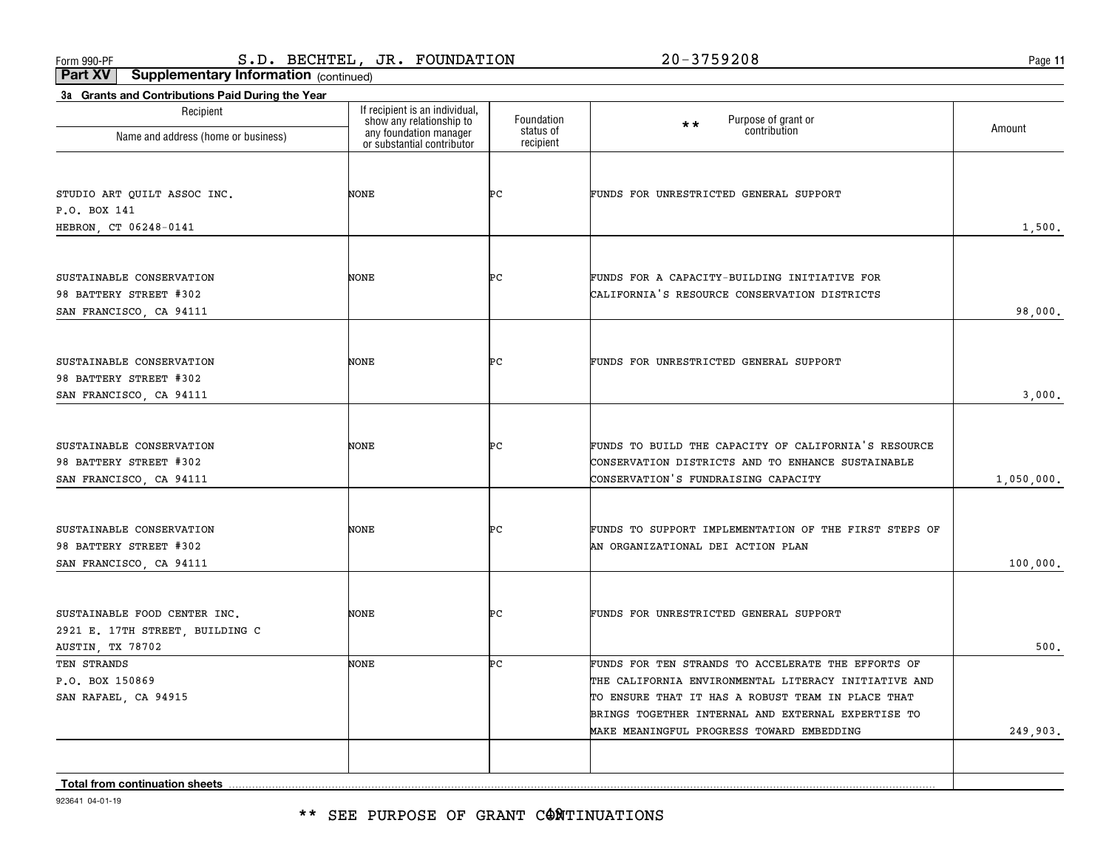**11**

**Part XV Supplementary Information** (continued)

| Recipient                           |                                                                                                                    | Foundation             | Purpose of grant or<br>contribution<br>$\star\star$   |            |
|-------------------------------------|--------------------------------------------------------------------------------------------------------------------|------------------------|-------------------------------------------------------|------------|
| Name and address (home or business) | If recipient is an individual,<br>show any relationship to<br>any foundation manager<br>or substantial contributor | status of<br>recipient |                                                       | Amount     |
|                                     |                                                                                                                    |                        |                                                       |            |
| STUDIO ART QUILT ASSOC INC.         | NONE                                                                                                               | ÞС                     | FUNDS FOR UNRESTRICTED GENERAL SUPPORT                |            |
| P.O. BOX 141                        |                                                                                                                    |                        |                                                       |            |
| HEBRON, CT 06248-0141               |                                                                                                                    |                        |                                                       | 1,500.     |
| SUSTAINABLE CONSERVATION            | NONE                                                                                                               | ÞС                     | FUNDS FOR A CAPACITY-BUILDING INITIATIVE FOR          |            |
| 98 BATTERY STREET #302              |                                                                                                                    |                        | CALIFORNIA'S RESOURCE CONSERVATION DISTRICTS          |            |
| SAN FRANCISCO, CA 94111             |                                                                                                                    |                        |                                                       | 98,000.    |
|                                     |                                                                                                                    |                        |                                                       |            |
| SUSTAINABLE CONSERVATION            | NONE                                                                                                               | ÞС                     | FUNDS FOR UNRESTRICTED GENERAL SUPPORT                |            |
| 98 BATTERY STREET #302              |                                                                                                                    |                        |                                                       |            |
| SAN FRANCISCO, CA 94111             |                                                                                                                    |                        |                                                       | 3,000.     |
| SUSTAINABLE CONSERVATION            | NONE                                                                                                               | ÞС                     | FUNDS TO BUILD THE CAPACITY OF CALIFORNIA'S RESOURCE  |            |
| 98 BATTERY STREET #302              |                                                                                                                    |                        | CONSERVATION DISTRICTS AND TO ENHANCE SUSTAINABLE     |            |
| SAN FRANCISCO, CA 94111             |                                                                                                                    |                        | CONSERVATION'S FUNDRAISING CAPACITY                   | 1,050,000. |
| SUSTAINABLE CONSERVATION            | NONE                                                                                                               | ÞС                     | FUNDS TO SUPPORT IMPLEMENTATION OF THE FIRST STEPS OF |            |
| 98 BATTERY STREET #302              |                                                                                                                    |                        | AN ORGANIZATIONAL DEI ACTION PLAN                     |            |
| SAN FRANCISCO, CA 94111             |                                                                                                                    |                        |                                                       | 100,000.   |
|                                     |                                                                                                                    |                        |                                                       |            |
| SUSTAINABLE FOOD CENTER INC.        | NONE                                                                                                               | ÞС                     | FUNDS FOR UNRESTRICTED GENERAL SUPPORT                |            |
| 2921 E. 17TH STREET, BUILDING C     |                                                                                                                    |                        |                                                       |            |
| AUSTIN, TX 78702<br>TEN STRANDS     | NONE                                                                                                               | ÞС                     | FUNDS FOR TEN STRANDS TO ACCELERATE THE EFFORTS OF    | 500.       |
| P.O. BOX 150869                     |                                                                                                                    |                        | THE CALIFORNIA ENVIRONMENTAL LITERACY INITIATIVE AND  |            |
| SAN RAFAEL, CA 94915                |                                                                                                                    |                        | TO ENSURE THAT IT HAS A ROBUST TEAM IN PLACE THAT     |            |
|                                     |                                                                                                                    |                        | BRINGS TOGETHER INTERNAL AND EXTERNAL EXPERTISE TO    |            |
|                                     |                                                                                                                    |                        | MAKE MEANINGFUL PROGRESS TOWARD EMBEDDING             | 249,903.   |
|                                     |                                                                                                                    |                        |                                                       |            |
| Total from continuation sheets      |                                                                                                                    |                        |                                                       |            |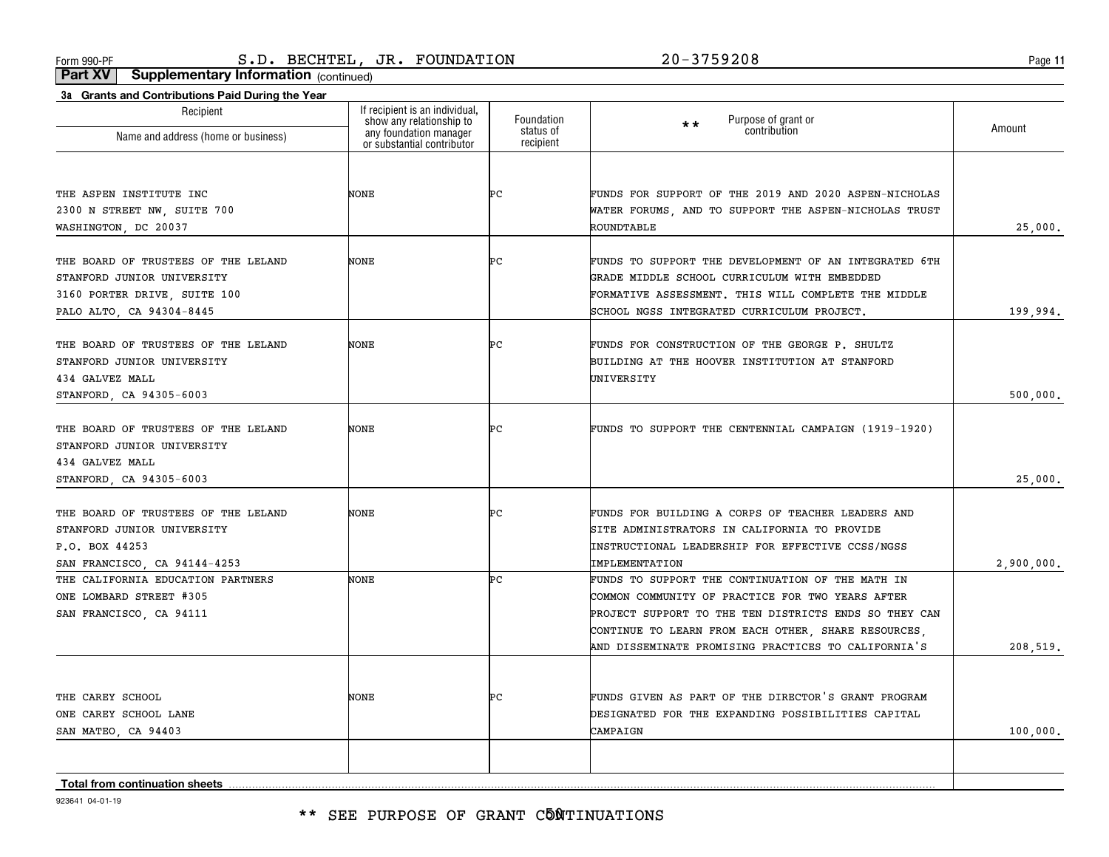**11**

**Part XV Supplementary Information** (continued)

| Recipient                                                         | If recipient is an individual,<br>show any relationship to<br>any foundation manager | Foundation             | Purpose of grant or<br>$**$                                                                       | Amount     |
|-------------------------------------------------------------------|--------------------------------------------------------------------------------------|------------------------|---------------------------------------------------------------------------------------------------|------------|
| Name and address (home or business)                               | or substantial contributor                                                           | status of<br>recipient | contribution                                                                                      |            |
|                                                                   |                                                                                      |                        |                                                                                                   |            |
| THE ASPEN INSTITUTE INC                                           | NONE                                                                                 | ÞС                     | FUNDS FOR SUPPORT OF THE 2019 AND 2020 ASPEN-NICHOLAS                                             |            |
| 2300 N STREET NW, SUITE 700                                       |                                                                                      |                        | WATER FORUMS, AND TO SUPPORT THE ASPEN-NICHOLAS TRUST                                             |            |
| WASHINGTON, DC 20037                                              |                                                                                      |                        | ROUNDTABLE                                                                                        | 25,000.    |
| THE BOARD OF TRUSTEES OF THE LELAND                               | NONE                                                                                 | Þс                     | FUNDS TO SUPPORT THE DEVELOPMENT OF AN INTEGRATED 6TH                                             |            |
| STANFORD JUNIOR UNIVERSITY                                        |                                                                                      |                        | GRADE MIDDLE SCHOOL CURRICULUM WITH EMBEDDED                                                      |            |
| 3160 PORTER DRIVE, SUITE 100                                      |                                                                                      |                        | FORMATIVE ASSESSMENT. THIS WILL COMPLETE THE MIDDLE                                               |            |
| PALO ALTO, CA 94304-8445                                          |                                                                                      |                        | SCHOOL NGSS INTEGRATED CURRICULUM PROJECT.                                                        | 199,994.   |
|                                                                   |                                                                                      |                        |                                                                                                   |            |
| THE BOARD OF TRUSTEES OF THE LELAND                               | NONE                                                                                 | Þс                     | FUNDS FOR CONSTRUCTION OF THE GEORGE P. SHULTZ                                                    |            |
| STANFORD JUNIOR UNIVERSITY                                        |                                                                                      |                        | BUILDING AT THE HOOVER INSTITUTION AT STANFORD                                                    |            |
| 434 GALVEZ MALL                                                   |                                                                                      |                        | UNIVERSITY                                                                                        |            |
| STANFORD, CA 94305-6003                                           |                                                                                      |                        |                                                                                                   | 500,000.   |
| THE BOARD OF TRUSTEES OF THE LELAND                               | NONE                                                                                 | ÞС                     | FUNDS TO SUPPORT THE CENTENNIAL CAMPAIGN (1919-1920)                                              |            |
| STANFORD JUNIOR UNIVERSITY                                        |                                                                                      |                        |                                                                                                   |            |
| 434 GALVEZ MALL                                                   |                                                                                      |                        |                                                                                                   |            |
| STANFORD, CA 94305-6003                                           |                                                                                      |                        |                                                                                                   | 25,000.    |
|                                                                   |                                                                                      |                        |                                                                                                   |            |
| THE BOARD OF TRUSTEES OF THE LELAND<br>STANFORD JUNIOR UNIVERSITY | NONE                                                                                 | ÞС                     | FUNDS FOR BUILDING A CORPS OF TEACHER LEADERS AND<br>SITE ADMINISTRATORS IN CALIFORNIA TO PROVIDE |            |
| P.O. BOX 44253                                                    |                                                                                      |                        | INSTRUCTIONAL LEADERSHIP FOR EFFECTIVE CCSS/NGSS                                                  |            |
| SAN FRANCISCO, CA 94144-4253                                      |                                                                                      |                        | IMPLEMENTATION                                                                                    | 2,900,000. |
| THE CALIFORNIA EDUCATION PARTNERS                                 | NONE                                                                                 | ÞС                     | FUNDS TO SUPPORT THE CONTINUATION OF THE MATH IN                                                  |            |
| ONE LOMBARD STREET #305                                           |                                                                                      |                        | COMMON COMMUNITY OF PRACTICE FOR TWO YEARS AFTER                                                  |            |
| SAN FRANCISCO, CA 94111                                           |                                                                                      |                        | PROJECT SUPPORT TO THE TEN DISTRICTS ENDS SO THEY CAN                                             |            |
|                                                                   |                                                                                      |                        | CONTINUE TO LEARN FROM EACH OTHER, SHARE RESOURCES                                                |            |
|                                                                   |                                                                                      |                        | AND DISSEMINATE PROMISING PRACTICES TO CALIFORNIA'S                                               | 208,519.   |
|                                                                   |                                                                                      |                        |                                                                                                   |            |
| THE CAREY SCHOOL                                                  | NONE                                                                                 | ÞС                     | FUNDS GIVEN AS PART OF THE DIRECTOR'S GRANT PROGRAM                                               |            |
| ONE CAREY SCHOOL LANE                                             |                                                                                      |                        | DESIGNATED FOR THE EXPANDING POSSIBILITIES CAPITAL                                                |            |
| SAN MATEO, CA 94403                                               |                                                                                      |                        | CAMPAIGN                                                                                          | 100,000.   |
|                                                                   |                                                                                      |                        |                                                                                                   |            |
|                                                                   |                                                                                      |                        |                                                                                                   |            |
| <b>Total from continuation sheets</b>                             |                                                                                      |                        |                                                                                                   |            |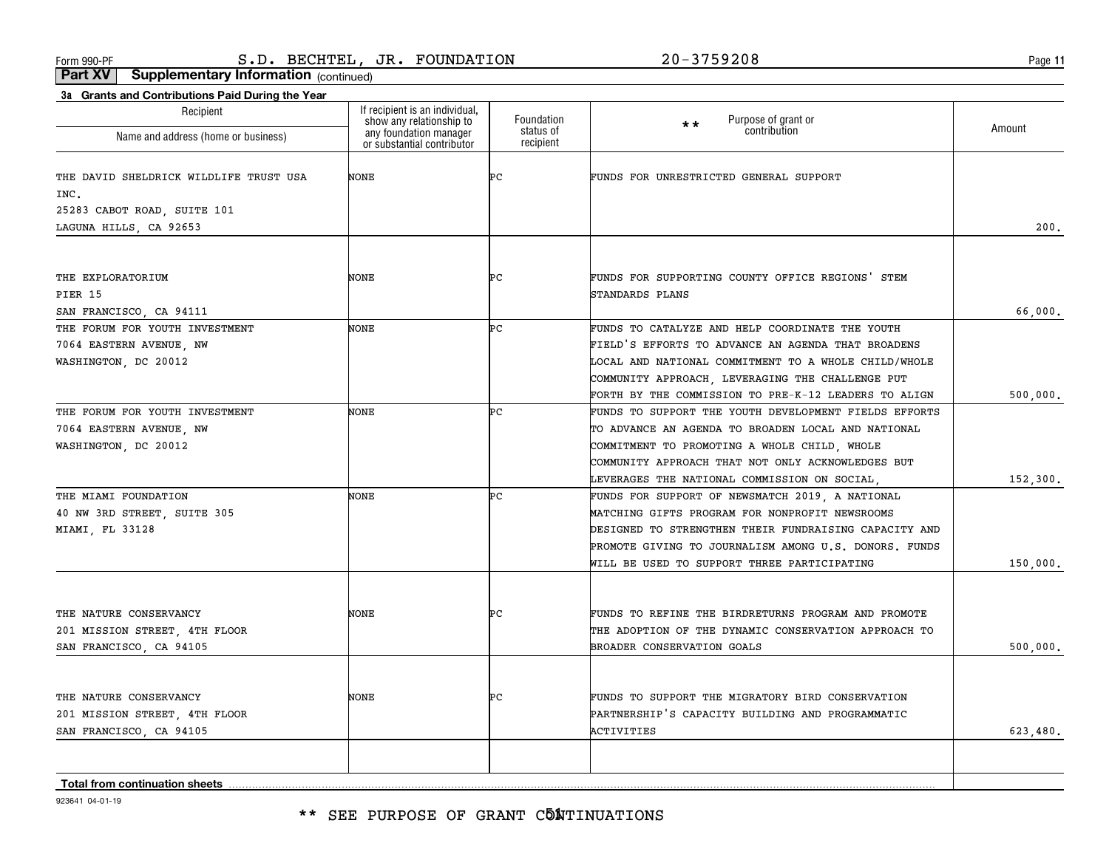**11**

**Part XV Supplementary Information** (continued)

| 3a Grants and Contributions Paid During the Year<br>Recipient | If recipient is an individual,<br>show any relationship to<br>any foundation manager | Foundation             | Purpose of grant or<br>contribution<br>$\star\star$   |          |
|---------------------------------------------------------------|--------------------------------------------------------------------------------------|------------------------|-------------------------------------------------------|----------|
| Name and address (home or business)                           | or substantial contributor                                                           | status of<br>recipient |                                                       | Amount   |
| THE DAVID SHELDRICK WILDLIFE TRUST USA                        | NONE                                                                                 | ÞС                     | FUNDS FOR UNRESTRICTED GENERAL SUPPORT                |          |
| INC.                                                          |                                                                                      |                        |                                                       |          |
| 25283 CABOT ROAD, SUITE 101                                   |                                                                                      |                        |                                                       |          |
| LAGUNA HILLS, CA 92653                                        |                                                                                      |                        |                                                       | 200.     |
| THE EXPLORATORIUM                                             | NONE                                                                                 | ÞС                     | FUNDS FOR SUPPORTING COUNTY OFFICE REGIONS' STEM      |          |
|                                                               |                                                                                      |                        | STANDARDS PLANS                                       |          |
| PIER 15                                                       |                                                                                      |                        |                                                       | 66,000.  |
| SAN FRANCISCO, CA 94111<br>THE FORUM FOR YOUTH INVESTMENT     | <b>NONE</b>                                                                          | Þс                     | FUNDS TO CATALYZE AND HELP COORDINATE THE YOUTH       |          |
| 7064 EASTERN AVENUE, NW                                       |                                                                                      |                        | FIELD'S EFFORTS TO ADVANCE AN AGENDA THAT BROADENS    |          |
| WASHINGTON, DC 20012                                          |                                                                                      |                        | LOCAL AND NATIONAL COMMITMENT TO A WHOLE CHILD/WHOLE  |          |
|                                                               |                                                                                      |                        | COMMUNITY APPROACH, LEVERAGING THE CHALLENGE PUT      |          |
|                                                               |                                                                                      |                        | FORTH BY THE COMMISSION TO PRE-K-12 LEADERS TO ALIGN  | 500,000. |
| THE FORUM FOR YOUTH INVESTMENT                                | <b>NONE</b>                                                                          | Þс                     | FUNDS TO SUPPORT THE YOUTH DEVELOPMENT FIELDS EFFORTS |          |
| 7064 EASTERN AVENUE, NW                                       |                                                                                      |                        | TO ADVANCE AN AGENDA TO BROADEN LOCAL AND NATIONAL    |          |
| WASHINGTON, DC 20012                                          |                                                                                      |                        | COMMITMENT TO PROMOTING A WHOLE CHILD, WHOLE          |          |
|                                                               |                                                                                      |                        | COMMUNITY APPROACH THAT NOT ONLY ACKNOWLEDGES BUT     |          |
|                                                               |                                                                                      |                        | LEVERAGES THE NATIONAL COMMISSION ON SOCIAL,          | 152,300. |
| THE MIAMI FOUNDATION                                          | <b>NONE</b>                                                                          | ÞС                     | FUNDS FOR SUPPORT OF NEWSMATCH 2019, A NATIONAL       |          |
| 40 NW 3RD STREET, SUITE 305                                   |                                                                                      |                        | MATCHING GIFTS PROGRAM FOR NONPROFIT NEWSROOMS        |          |
| MIAMI, FL 33128                                               |                                                                                      |                        | DESIGNED TO STRENGTHEN THEIR FUNDRAISING CAPACITY AND |          |
|                                                               |                                                                                      |                        | PROMOTE GIVING TO JOURNALISM AMONG U.S. DONORS. FUNDS |          |
|                                                               |                                                                                      |                        | WILL BE USED TO SUPPORT THREE PARTICIPATING           | 150,000. |
|                                                               |                                                                                      |                        |                                                       |          |
| THE NATURE CONSERVANCY                                        | NONE                                                                                 | ÞС                     | FUNDS TO REFINE THE BIRDRETURNS PROGRAM AND PROMOTE   |          |
| 201 MISSION STREET, 4TH FLOOR                                 |                                                                                      |                        | THE ADOPTION OF THE DYNAMIC CONSERVATION APPROACH TO  |          |
| SAN FRANCISCO, CA 94105                                       |                                                                                      |                        | BROADER CONSERVATION GOALS                            | 500,000. |
|                                                               |                                                                                      |                        |                                                       |          |
| THE NATURE CONSERVANCY                                        | NONE                                                                                 | ÞС                     | FUNDS TO SUPPORT THE MIGRATORY BIRD CONSERVATION      |          |
| 201 MISSION STREET, 4TH FLOOR                                 |                                                                                      |                        | PARTNERSHIP'S CAPACITY BUILDING AND PROGRAMMATIC      |          |
| SAN FRANCISCO, CA 94105                                       |                                                                                      |                        | ACTIVITIES                                            | 623,480. |
|                                                               |                                                                                      |                        |                                                       |          |
| <b>Total from continuation sheets</b>                         |                                                                                      |                        |                                                       |          |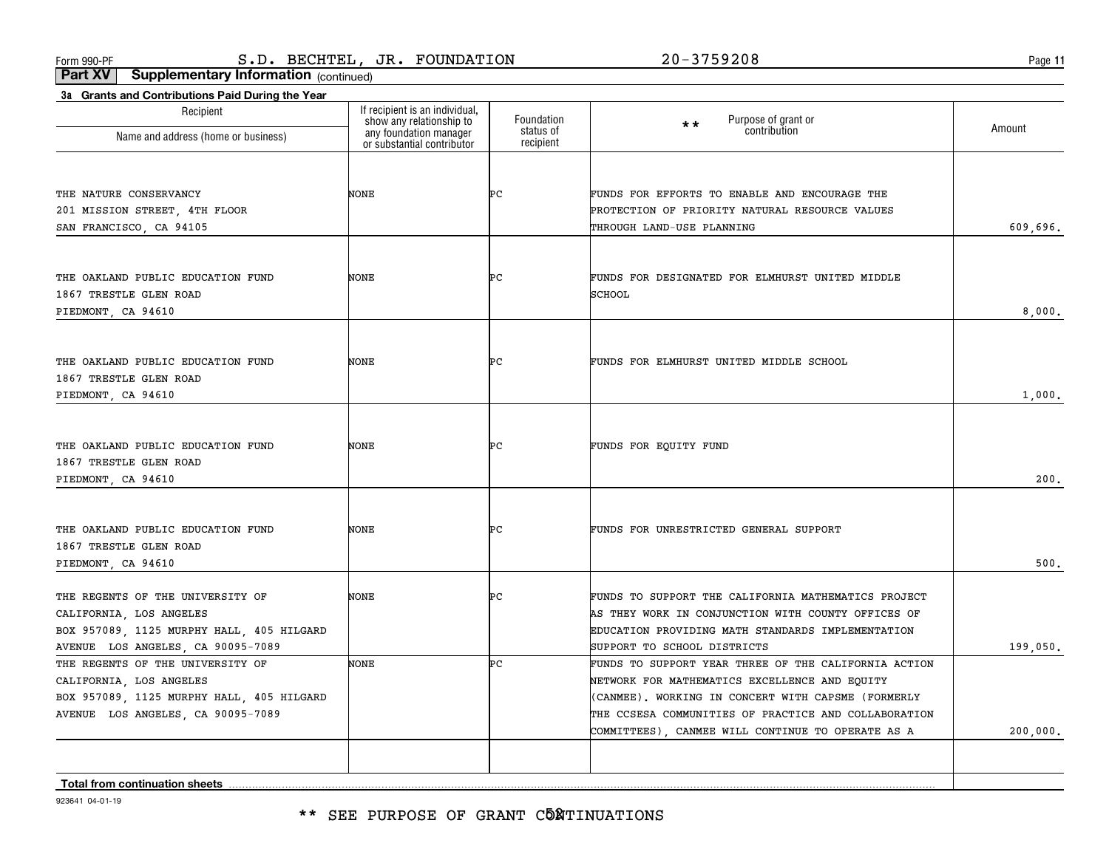**11**

**Part XV Supplementary Information** (continued)

| If recipient is an individual,<br>Recipient<br>Foundation<br>show any relationship to<br>any foundation manager<br>or substantial contributor<br>Purpose of grant or<br>$\star\star$<br>Amount<br>contribution<br>status of<br>Name and address (home or business)<br>recipient<br>ÞС<br>THE NATURE CONSERVANCY<br>NONE<br>FUNDS FOR EFFORTS TO ENABLE AND ENCOURAGE THE<br>201 MISSION STREET, 4TH FLOOR<br>PROTECTION OF PRIORITY NATURAL RESOURCE VALUES<br>SAN FRANCISCO, CA 94105<br>THROUGH LAND-USE PLANNING<br>THE OAKLAND PUBLIC EDUCATION FUND<br>ÞС<br>NONE<br>FUNDS FOR DESIGNATED FOR ELMHURST UNITED MIDDLE<br>SCHOOL<br>1867 TRESTLE GLEN ROAD<br>PIEDMONT, CA 94610<br>THE OAKLAND PUBLIC EDUCATION FUND<br>NONE<br>ÞС<br>FUNDS FOR ELMHURST UNITED MIDDLE SCHOOL<br>1867 TRESTLE GLEN ROAD<br>PIEDMONT, CA 94610<br>THE OAKLAND PUBLIC EDUCATION FUND<br>NONE<br>ÞС<br>FUNDS FOR EQUITY FUND<br>1867 TRESTLE GLEN ROAD<br>PIEDMONT, CA 94610<br>ÞС<br>THE OAKLAND PUBLIC EDUCATION FUND<br>NONE<br>FUNDS FOR UNRESTRICTED GENERAL SUPPORT<br>1867 TRESTLE GLEN ROAD<br>PIEDMONT, CA 94610<br>ÞС<br>THE REGENTS OF THE UNIVERSITY OF<br>NONE<br>FUNDS TO SUPPORT THE CALIFORNIA MATHEMATICS PROJECT<br>CALIFORNIA, LOS ANGELES<br>AS THEY WORK IN CONJUNCTION WITH COUNTY OFFICES OF<br>BOX 957089, 1125 MURPHY HALL, 405 HILGARD<br>EDUCATION PROVIDING MATH STANDARDS IMPLEMENTATION<br>AVENUE LOS ANGELES, CA 90095-7089<br>SUPPORT TO SCHOOL DISTRICTS<br>ÞС<br>THE REGENTS OF THE UNIVERSITY OF<br>NONE<br>FUNDS TO SUPPORT YEAR THREE OF THE CALIFORNIA ACTION<br>CALIFORNIA, LOS ANGELES<br>NETWORK FOR MATHEMATICS EXCELLENCE AND EQUITY<br>BOX 957089, 1125 MURPHY HALL, 405 HILGARD<br>(CANMEE). WORKING IN CONCERT WITH CAPSME (FORMERLY | 3a Grants and Contributions Paid During the Year |  |          |
|---------------------------------------------------------------------------------------------------------------------------------------------------------------------------------------------------------------------------------------------------------------------------------------------------------------------------------------------------------------------------------------------------------------------------------------------------------------------------------------------------------------------------------------------------------------------------------------------------------------------------------------------------------------------------------------------------------------------------------------------------------------------------------------------------------------------------------------------------------------------------------------------------------------------------------------------------------------------------------------------------------------------------------------------------------------------------------------------------------------------------------------------------------------------------------------------------------------------------------------------------------------------------------------------------------------------------------------------------------------------------------------------------------------------------------------------------------------------------------------------------------------------------------------------------------------------------------------------------------------------------------------------------------------------------------------------------------------------------------------------------------------------|--------------------------------------------------|--|----------|
|                                                                                                                                                                                                                                                                                                                                                                                                                                                                                                                                                                                                                                                                                                                                                                                                                                                                                                                                                                                                                                                                                                                                                                                                                                                                                                                                                                                                                                                                                                                                                                                                                                                                                                                                                                     |                                                  |  |          |
|                                                                                                                                                                                                                                                                                                                                                                                                                                                                                                                                                                                                                                                                                                                                                                                                                                                                                                                                                                                                                                                                                                                                                                                                                                                                                                                                                                                                                                                                                                                                                                                                                                                                                                                                                                     |                                                  |  |          |
|                                                                                                                                                                                                                                                                                                                                                                                                                                                                                                                                                                                                                                                                                                                                                                                                                                                                                                                                                                                                                                                                                                                                                                                                                                                                                                                                                                                                                                                                                                                                                                                                                                                                                                                                                                     |                                                  |  |          |
|                                                                                                                                                                                                                                                                                                                                                                                                                                                                                                                                                                                                                                                                                                                                                                                                                                                                                                                                                                                                                                                                                                                                                                                                                                                                                                                                                                                                                                                                                                                                                                                                                                                                                                                                                                     |                                                  |  |          |
|                                                                                                                                                                                                                                                                                                                                                                                                                                                                                                                                                                                                                                                                                                                                                                                                                                                                                                                                                                                                                                                                                                                                                                                                                                                                                                                                                                                                                                                                                                                                                                                                                                                                                                                                                                     |                                                  |  |          |
|                                                                                                                                                                                                                                                                                                                                                                                                                                                                                                                                                                                                                                                                                                                                                                                                                                                                                                                                                                                                                                                                                                                                                                                                                                                                                                                                                                                                                                                                                                                                                                                                                                                                                                                                                                     |                                                  |  | 609,696. |
|                                                                                                                                                                                                                                                                                                                                                                                                                                                                                                                                                                                                                                                                                                                                                                                                                                                                                                                                                                                                                                                                                                                                                                                                                                                                                                                                                                                                                                                                                                                                                                                                                                                                                                                                                                     |                                                  |  |          |
|                                                                                                                                                                                                                                                                                                                                                                                                                                                                                                                                                                                                                                                                                                                                                                                                                                                                                                                                                                                                                                                                                                                                                                                                                                                                                                                                                                                                                                                                                                                                                                                                                                                                                                                                                                     |                                                  |  |          |
|                                                                                                                                                                                                                                                                                                                                                                                                                                                                                                                                                                                                                                                                                                                                                                                                                                                                                                                                                                                                                                                                                                                                                                                                                                                                                                                                                                                                                                                                                                                                                                                                                                                                                                                                                                     |                                                  |  |          |
|                                                                                                                                                                                                                                                                                                                                                                                                                                                                                                                                                                                                                                                                                                                                                                                                                                                                                                                                                                                                                                                                                                                                                                                                                                                                                                                                                                                                                                                                                                                                                                                                                                                                                                                                                                     |                                                  |  | 8,000.   |
|                                                                                                                                                                                                                                                                                                                                                                                                                                                                                                                                                                                                                                                                                                                                                                                                                                                                                                                                                                                                                                                                                                                                                                                                                                                                                                                                                                                                                                                                                                                                                                                                                                                                                                                                                                     |                                                  |  |          |
|                                                                                                                                                                                                                                                                                                                                                                                                                                                                                                                                                                                                                                                                                                                                                                                                                                                                                                                                                                                                                                                                                                                                                                                                                                                                                                                                                                                                                                                                                                                                                                                                                                                                                                                                                                     |                                                  |  |          |
|                                                                                                                                                                                                                                                                                                                                                                                                                                                                                                                                                                                                                                                                                                                                                                                                                                                                                                                                                                                                                                                                                                                                                                                                                                                                                                                                                                                                                                                                                                                                                                                                                                                                                                                                                                     |                                                  |  |          |
|                                                                                                                                                                                                                                                                                                                                                                                                                                                                                                                                                                                                                                                                                                                                                                                                                                                                                                                                                                                                                                                                                                                                                                                                                                                                                                                                                                                                                                                                                                                                                                                                                                                                                                                                                                     |                                                  |  | 1,000.   |
|                                                                                                                                                                                                                                                                                                                                                                                                                                                                                                                                                                                                                                                                                                                                                                                                                                                                                                                                                                                                                                                                                                                                                                                                                                                                                                                                                                                                                                                                                                                                                                                                                                                                                                                                                                     |                                                  |  |          |
|                                                                                                                                                                                                                                                                                                                                                                                                                                                                                                                                                                                                                                                                                                                                                                                                                                                                                                                                                                                                                                                                                                                                                                                                                                                                                                                                                                                                                                                                                                                                                                                                                                                                                                                                                                     |                                                  |  |          |
|                                                                                                                                                                                                                                                                                                                                                                                                                                                                                                                                                                                                                                                                                                                                                                                                                                                                                                                                                                                                                                                                                                                                                                                                                                                                                                                                                                                                                                                                                                                                                                                                                                                                                                                                                                     |                                                  |  | 200.     |
|                                                                                                                                                                                                                                                                                                                                                                                                                                                                                                                                                                                                                                                                                                                                                                                                                                                                                                                                                                                                                                                                                                                                                                                                                                                                                                                                                                                                                                                                                                                                                                                                                                                                                                                                                                     |                                                  |  |          |
|                                                                                                                                                                                                                                                                                                                                                                                                                                                                                                                                                                                                                                                                                                                                                                                                                                                                                                                                                                                                                                                                                                                                                                                                                                                                                                                                                                                                                                                                                                                                                                                                                                                                                                                                                                     |                                                  |  |          |
|                                                                                                                                                                                                                                                                                                                                                                                                                                                                                                                                                                                                                                                                                                                                                                                                                                                                                                                                                                                                                                                                                                                                                                                                                                                                                                                                                                                                                                                                                                                                                                                                                                                                                                                                                                     |                                                  |  |          |
|                                                                                                                                                                                                                                                                                                                                                                                                                                                                                                                                                                                                                                                                                                                                                                                                                                                                                                                                                                                                                                                                                                                                                                                                                                                                                                                                                                                                                                                                                                                                                                                                                                                                                                                                                                     |                                                  |  | 500.     |
|                                                                                                                                                                                                                                                                                                                                                                                                                                                                                                                                                                                                                                                                                                                                                                                                                                                                                                                                                                                                                                                                                                                                                                                                                                                                                                                                                                                                                                                                                                                                                                                                                                                                                                                                                                     |                                                  |  |          |
|                                                                                                                                                                                                                                                                                                                                                                                                                                                                                                                                                                                                                                                                                                                                                                                                                                                                                                                                                                                                                                                                                                                                                                                                                                                                                                                                                                                                                                                                                                                                                                                                                                                                                                                                                                     |                                                  |  |          |
|                                                                                                                                                                                                                                                                                                                                                                                                                                                                                                                                                                                                                                                                                                                                                                                                                                                                                                                                                                                                                                                                                                                                                                                                                                                                                                                                                                                                                                                                                                                                                                                                                                                                                                                                                                     |                                                  |  |          |
|                                                                                                                                                                                                                                                                                                                                                                                                                                                                                                                                                                                                                                                                                                                                                                                                                                                                                                                                                                                                                                                                                                                                                                                                                                                                                                                                                                                                                                                                                                                                                                                                                                                                                                                                                                     |                                                  |  | 199,050. |
|                                                                                                                                                                                                                                                                                                                                                                                                                                                                                                                                                                                                                                                                                                                                                                                                                                                                                                                                                                                                                                                                                                                                                                                                                                                                                                                                                                                                                                                                                                                                                                                                                                                                                                                                                                     |                                                  |  |          |
|                                                                                                                                                                                                                                                                                                                                                                                                                                                                                                                                                                                                                                                                                                                                                                                                                                                                                                                                                                                                                                                                                                                                                                                                                                                                                                                                                                                                                                                                                                                                                                                                                                                                                                                                                                     |                                                  |  |          |
|                                                                                                                                                                                                                                                                                                                                                                                                                                                                                                                                                                                                                                                                                                                                                                                                                                                                                                                                                                                                                                                                                                                                                                                                                                                                                                                                                                                                                                                                                                                                                                                                                                                                                                                                                                     |                                                  |  |          |
| AVENUE LOS ANGELES, CA 90095-7089<br>THE CCSESA COMMUNITIES OF PRACTICE AND COLLABORATION                                                                                                                                                                                                                                                                                                                                                                                                                                                                                                                                                                                                                                                                                                                                                                                                                                                                                                                                                                                                                                                                                                                                                                                                                                                                                                                                                                                                                                                                                                                                                                                                                                                                           |                                                  |  |          |
| COMMITTEES), CANMEE WILL CONTINUE TO OPERATE AS A                                                                                                                                                                                                                                                                                                                                                                                                                                                                                                                                                                                                                                                                                                                                                                                                                                                                                                                                                                                                                                                                                                                                                                                                                                                                                                                                                                                                                                                                                                                                                                                                                                                                                                                   |                                                  |  | 200,000. |
|                                                                                                                                                                                                                                                                                                                                                                                                                                                                                                                                                                                                                                                                                                                                                                                                                                                                                                                                                                                                                                                                                                                                                                                                                                                                                                                                                                                                                                                                                                                                                                                                                                                                                                                                                                     |                                                  |  |          |

**Total from continuation sheets**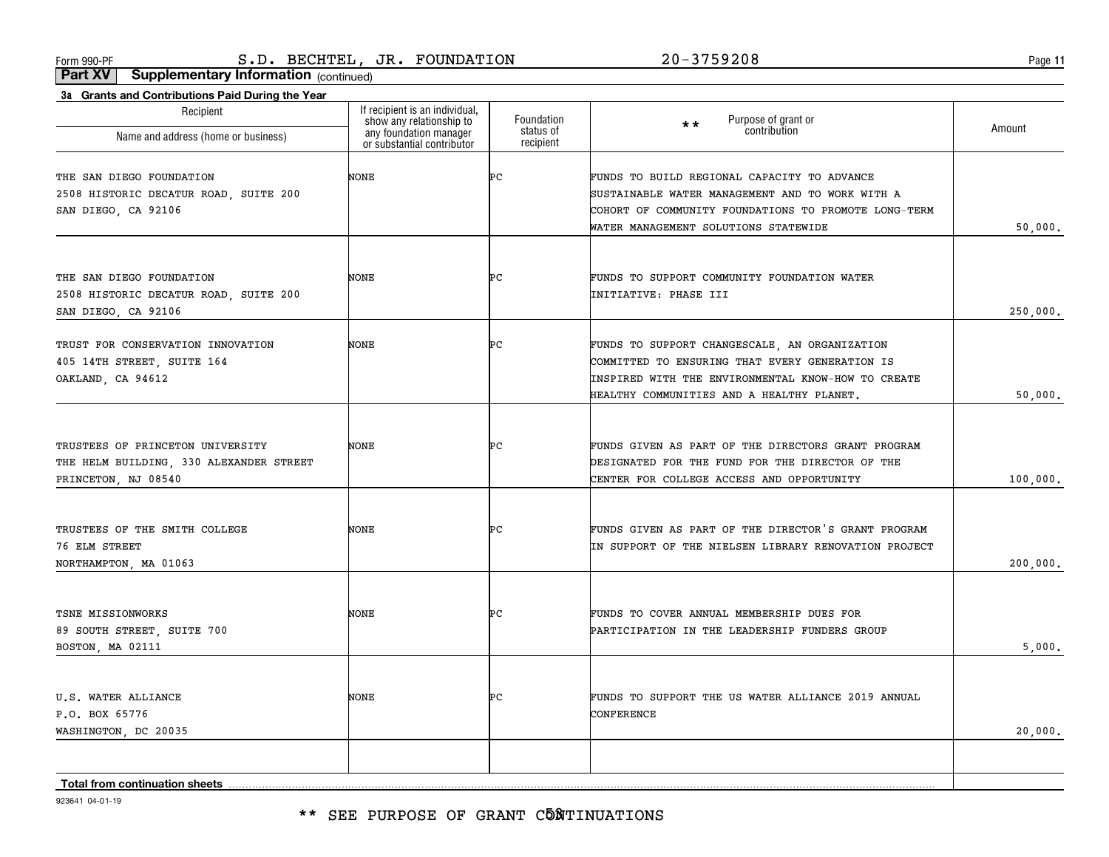\*\* SEE PURPOSE OF GRANT C5NTINUATIONS

923641 04-01-19

| . . <b>. .</b> . <b>.</b> . <b>.</b><br>Name and address (home or business)                        | show any relationship to<br>any foundation manager<br>or substantial contributor | Foundation<br>status of<br>recipient | Purpose of grant or<br>contribution<br>* *                                                                                                                                                         | Amount   |
|----------------------------------------------------------------------------------------------------|----------------------------------------------------------------------------------|--------------------------------------|----------------------------------------------------------------------------------------------------------------------------------------------------------------------------------------------------|----------|
| THE SAN DIEGO FOUNDATION<br>2508 HISTORIC DECATUR ROAD, SUITE 200<br>SAN DIEGO, CA 92106           | NONE                                                                             | ÞС                                   | FUNDS TO BUILD REGIONAL CAPACITY TO ADVANCE<br>SUSTAINABLE WATER MANAGEMENT AND TO WORK WITH A<br>COHORT OF COMMUNITY FOUNDATIONS TO PROMOTE LONG-TERM<br>WATER MANAGEMENT SOLUTIONS STATEWIDE     | 50,000.  |
| THE SAN DIEGO FOUNDATION<br>2508 HISTORIC DECATUR ROAD, SUITE 200<br>SAN DIEGO, CA 92106           | NONE                                                                             | ÞС                                   | FUNDS TO SUPPORT COMMUNITY FOUNDATION WATER<br>INITIATIVE: PHASE III                                                                                                                               | 250,000. |
| TRUST FOR CONSERVATION INNOVATION<br>405 14TH STREET, SUITE 164<br>OAKLAND, CA 94612               | NONE                                                                             | ÞС                                   | FUNDS TO SUPPORT CHANGESCALE, AN ORGANIZATION<br>COMMITTED TO ENSURING THAT EVERY GENERATION IS<br>INSPIRED WITH THE ENVIRONMENTAL KNOW-HOW TO CREATE<br>HEALTHY COMMUNITIES AND A HEALTHY PLANET. | 50,000.  |
| TRUSTEES OF PRINCETON UNIVERSITY<br>THE HELM BUILDING, 330 ALEXANDER STREET<br>PRINCETON, NJ 08540 | <b>NONE</b>                                                                      | ÞС                                   | FUNDS GIVEN AS PART OF THE DIRECTORS GRANT PROGRAM<br>DESIGNATED FOR THE FUND FOR THE DIRECTOR OF THE<br>CENTER FOR COLLEGE ACCESS AND OPPORTUNITY                                                 | 100,000. |
| TRUSTEES OF THE SMITH COLLEGE<br>76 ELM STREET<br>NORTHAMPTON, MA 01063                            | <b>NONE</b>                                                                      | ÞС                                   | FUNDS GIVEN AS PART OF THE DIRECTOR'S GRANT PROGRAM<br>IN SUPPORT OF THE NIELSEN LIBRARY RENOVATION PROJECT                                                                                        | 200,000. |
| TSNE MISSIONWORKS<br>89 SOUTH STREET, SUITE 700<br>BOSTON, MA 02111                                | NONE                                                                             | ÞС                                   | FUNDS TO COVER ANNUAL MEMBERSHIP DUES FOR<br>PARTICIPATION IN THE LEADERSHIP FUNDERS GROUP                                                                                                         | 5,000.   |
| U.S. WATER ALLIANCE<br>P.O. BOX 65776<br>WASHINGTON, DC 20035                                      | NONE                                                                             | ÞС                                   | FUNDS TO SUPPORT THE US WATER ALLIANCE 2019 ANNUAL<br>CONFERENCE                                                                                                                                   | 20,000.  |
| <b>Total from continuation sheets</b>                                                              |                                                                                  |                                      |                                                                                                                                                                                                    |          |

**Part XV Supplementary Information** (continued)

If recipient is an individual,

**3a Grants and Contributions Paid During the Year**

Recipient

Form 990-PF Page S.D. BECHTEL, JR. FOUNDATION 20-3759208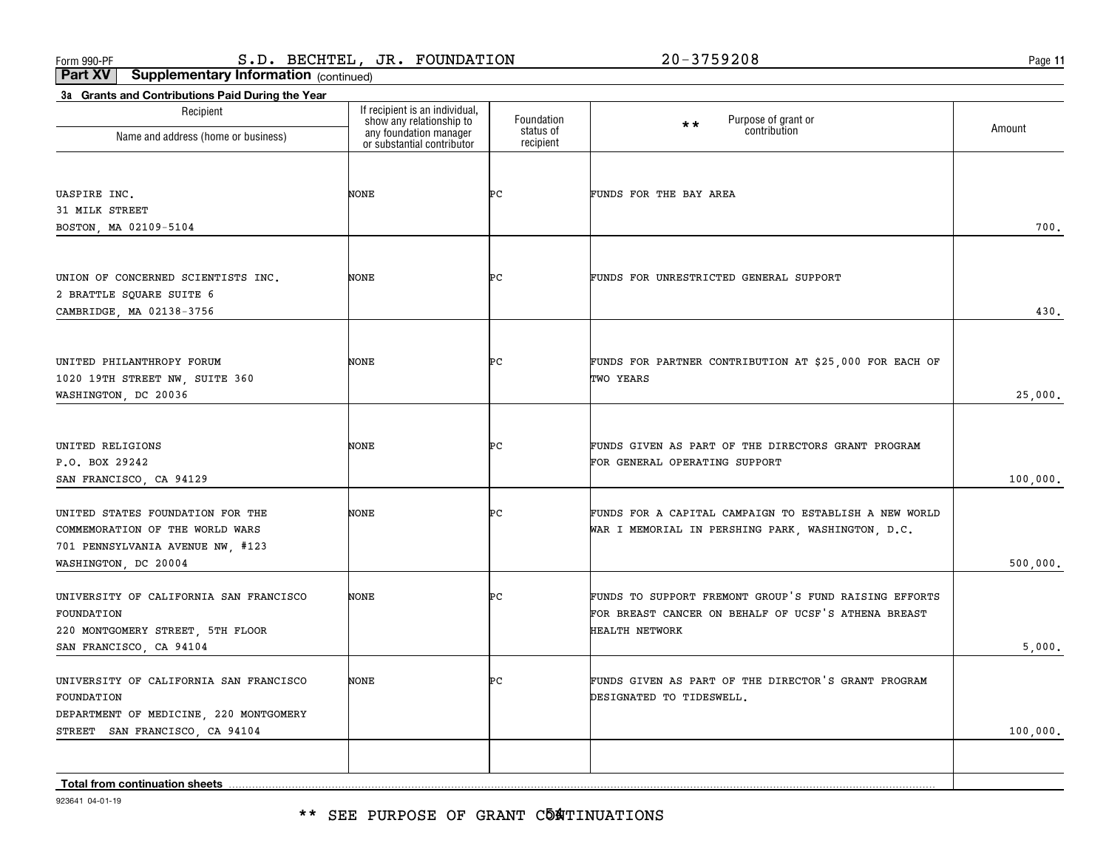**11**

**Part XV Supplementary Information** (continued)

| 3a Grants and Contributions Paid During the Year            |                                                                                                                    |                         |                                                        |          |
|-------------------------------------------------------------|--------------------------------------------------------------------------------------------------------------------|-------------------------|--------------------------------------------------------|----------|
| Recipient                                                   | If recipient is an individual,<br>show any relationship to<br>any foundation manager<br>or substantial contributor | Foundation<br>status of | Purpose of grant or<br>$\star \star$<br>contribution   | Amount   |
| Name and address (home or business)                         |                                                                                                                    | recipient               |                                                        |          |
|                                                             |                                                                                                                    |                         |                                                        |          |
| UASPIRE INC.                                                | NONE                                                                                                               | ÞС                      | FUNDS FOR THE BAY AREA                                 |          |
| 31 MILK STREET                                              |                                                                                                                    |                         |                                                        |          |
| BOSTON, MA 02109-5104                                       |                                                                                                                    |                         |                                                        | 700.     |
| UNION OF CONCERNED SCIENTISTS INC.                          | NONE                                                                                                               | ÞС                      | FUNDS FOR UNRESTRICTED GENERAL SUPPORT                 |          |
| 2 BRATTLE SQUARE SUITE 6                                    |                                                                                                                    |                         |                                                        |          |
| CAMBRIDGE, MA 02138-3756                                    |                                                                                                                    |                         |                                                        | 430.     |
|                                                             |                                                                                                                    |                         |                                                        |          |
| UNITED PHILANTHROPY FORUM                                   | NONE                                                                                                               | ÞС                      | FUNDS FOR PARTNER CONTRIBUTION AT \$25,000 FOR EACH OF |          |
| 1020 19TH STREET NW, SUITE 360                              |                                                                                                                    |                         | TWO YEARS                                              |          |
| WASHINGTON, DC 20036                                        |                                                                                                                    |                         |                                                        | 25,000.  |
| UNITED RELIGIONS                                            | NONE                                                                                                               | ÞС                      | FUNDS GIVEN AS PART OF THE DIRECTORS GRANT PROGRAM     |          |
| P.O. BOX 29242                                              |                                                                                                                    |                         | FOR GENERAL OPERATING SUPPORT                          |          |
| SAN FRANCISCO, CA 94129                                     |                                                                                                                    |                         |                                                        | 100,000. |
| UNITED STATES FOUNDATION FOR THE                            | NONE                                                                                                               | ÞС                      | FUNDS FOR A CAPITAL CAMPAIGN TO ESTABLISH A NEW WORLD  |          |
| COMMEMORATION OF THE WORLD WARS                             |                                                                                                                    |                         | WAR I MEMORIAL IN PERSHING PARK, WASHINGTON, D.C.      |          |
| 701 PENNSYLVANIA AVENUE NW, #123                            |                                                                                                                    |                         |                                                        |          |
| WASHINGTON, DC 20004                                        |                                                                                                                    |                         |                                                        | 500,000. |
| UNIVERSITY OF CALIFORNIA SAN FRANCISCO                      | NONE                                                                                                               | ÞС                      | FUNDS TO SUPPORT FREMONT GROUP'S FUND RAISING EFFORTS  |          |
| FOUNDATION                                                  |                                                                                                                    |                         | FOR BREAST CANCER ON BEHALF OF UCSF'S ATHENA BREAST    |          |
| 220 MONTGOMERY STREET, 5TH FLOOR<br>SAN FRANCISCO, CA 94104 |                                                                                                                    |                         | HEALTH NETWORK                                         | 5,000.   |
| UNIVERSITY OF CALIFORNIA SAN FRANCISCO                      | NONE                                                                                                               | ÞС                      | FUNDS GIVEN AS PART OF THE DIRECTOR'S GRANT PROGRAM    |          |
| FOUNDATION                                                  |                                                                                                                    |                         | DESIGNATED TO TIDESWELL.                               |          |
| DEPARTMENT OF MEDICINE, 220 MONTGOMERY                      |                                                                                                                    |                         |                                                        |          |
| STREET SAN FRANCISCO, CA 94104                              |                                                                                                                    |                         |                                                        | 100,000. |
|                                                             |                                                                                                                    |                         |                                                        |          |
| Total from continuation choote                              |                                                                                                                    |                         |                                                        |          |

**Total from continuation sheets**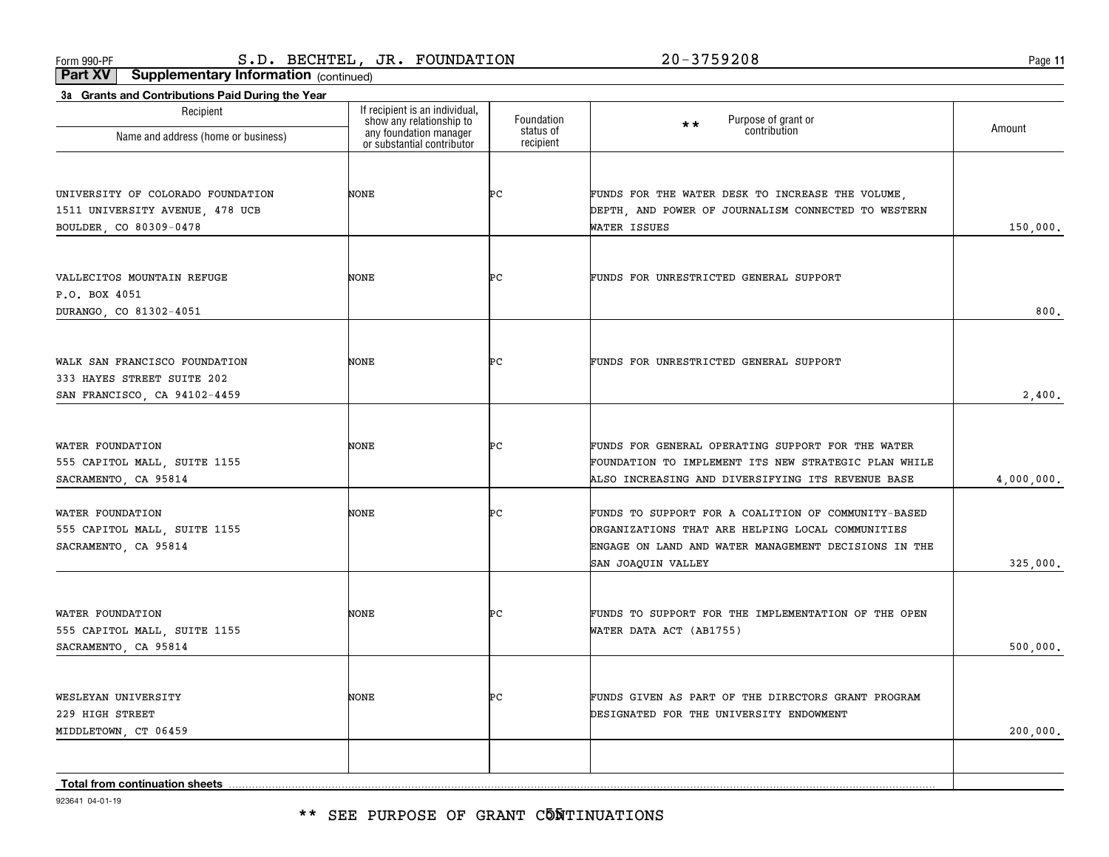**11**

**Part XV Supplementary Information** (continued)

| 3a Grants and Contributions Paid During the Year     |                                                                                                                    |                        |                                                                                                           |            |
|------------------------------------------------------|--------------------------------------------------------------------------------------------------------------------|------------------------|-----------------------------------------------------------------------------------------------------------|------------|
| Recipient                                            | If recipient is an individual,<br>show any relationship to<br>any foundation manager<br>or substantial contributor | Foundation             | Purpose of grant or<br>$\star\star$<br>contribution                                                       | Amount     |
| Name and address (home or business)                  |                                                                                                                    | status of<br>recipient |                                                                                                           |            |
|                                                      |                                                                                                                    |                        |                                                                                                           |            |
| UNIVERSITY OF COLORADO FOUNDATION                    | NONE                                                                                                               | ÞС                     | FUNDS FOR THE WATER DESK TO INCREASE THE VOLUME,                                                          |            |
| 1511 UNIVERSITY AVENUE, 478 UCB                      |                                                                                                                    |                        | DEPTH, AND POWER OF JOURNALISM CONNECTED TO WESTERN                                                       |            |
| BOULDER, CO 80309-0478                               |                                                                                                                    |                        | WATER ISSUES                                                                                              | 150,000.   |
| VALLECITOS MOUNTAIN REFUGE                           | NONE                                                                                                               | ÞС                     | FUNDS FOR UNRESTRICTED GENERAL SUPPORT                                                                    |            |
| P.O. BOX 4051                                        |                                                                                                                    |                        |                                                                                                           |            |
| DURANGO, CO 81302-4051                               |                                                                                                                    |                        |                                                                                                           | 800.       |
|                                                      |                                                                                                                    |                        |                                                                                                           |            |
| WALK SAN FRANCISCO FOUNDATION                        | NONE                                                                                                               | ÞС                     | FUNDS FOR UNRESTRICTED GENERAL SUPPORT                                                                    |            |
| 333 HAYES STREET SUITE 202                           |                                                                                                                    |                        |                                                                                                           |            |
| SAN FRANCISCO, CA 94102-4459                         |                                                                                                                    |                        |                                                                                                           | 2,400.     |
|                                                      |                                                                                                                    |                        |                                                                                                           |            |
| WATER FOUNDATION                                     | NONE                                                                                                               | ÞС                     | FUNDS FOR GENERAL OPERATING SUPPORT FOR THE WATER                                                         |            |
| 555 CAPITOL MALL, SUITE 1155<br>SACRAMENTO, CA 95814 |                                                                                                                    |                        | FOUNDATION TO IMPLEMENT ITS NEW STRATEGIC PLAN WHILE<br>ALSO INCREASING AND DIVERSIFYING ITS REVENUE BASE | 4,000,000. |
|                                                      |                                                                                                                    |                        |                                                                                                           |            |
| WATER FOUNDATION                                     | NONE                                                                                                               | ÞС                     | FUNDS TO SUPPORT FOR A COALITION OF COMMUNITY-BASED                                                       |            |
| 555 CAPITOL MALL, SUITE 1155                         |                                                                                                                    |                        | ORGANIZATIONS THAT ARE HELPING LOCAL COMMUNITIES                                                          |            |
| SACRAMENTO, CA 95814                                 |                                                                                                                    |                        | ENGAGE ON LAND AND WATER MANAGEMENT DECISIONS IN THE                                                      |            |
|                                                      |                                                                                                                    |                        | SAN JOAQUIN VALLEY                                                                                        | 325,000.   |
|                                                      |                                                                                                                    |                        |                                                                                                           |            |
| WATER FOUNDATION                                     | NONE                                                                                                               | ÞС                     | FUNDS TO SUPPORT FOR THE IMPLEMENTATION OF THE OPEN                                                       |            |
| 555 CAPITOL MALL, SUITE 1155<br>SACRAMENTO, CA 95814 |                                                                                                                    |                        | WATER DATA ACT (AB1755)                                                                                   | 500,000.   |
|                                                      |                                                                                                                    |                        |                                                                                                           |            |
| WESLEYAN UNIVERSITY                                  | NONE                                                                                                               | ÞС                     | FUNDS GIVEN AS PART OF THE DIRECTORS GRANT PROGRAM                                                        |            |
| 229 HIGH STREET                                      |                                                                                                                    |                        | DESIGNATED FOR THE UNIVERSITY ENDOWMENT                                                                   |            |
| MIDDLETOWN, CT 06459                                 |                                                                                                                    |                        |                                                                                                           | 200,000.   |
|                                                      |                                                                                                                    |                        |                                                                                                           |            |
| <b>Total from continuation sheets</b>                |                                                                                                                    |                        |                                                                                                           |            |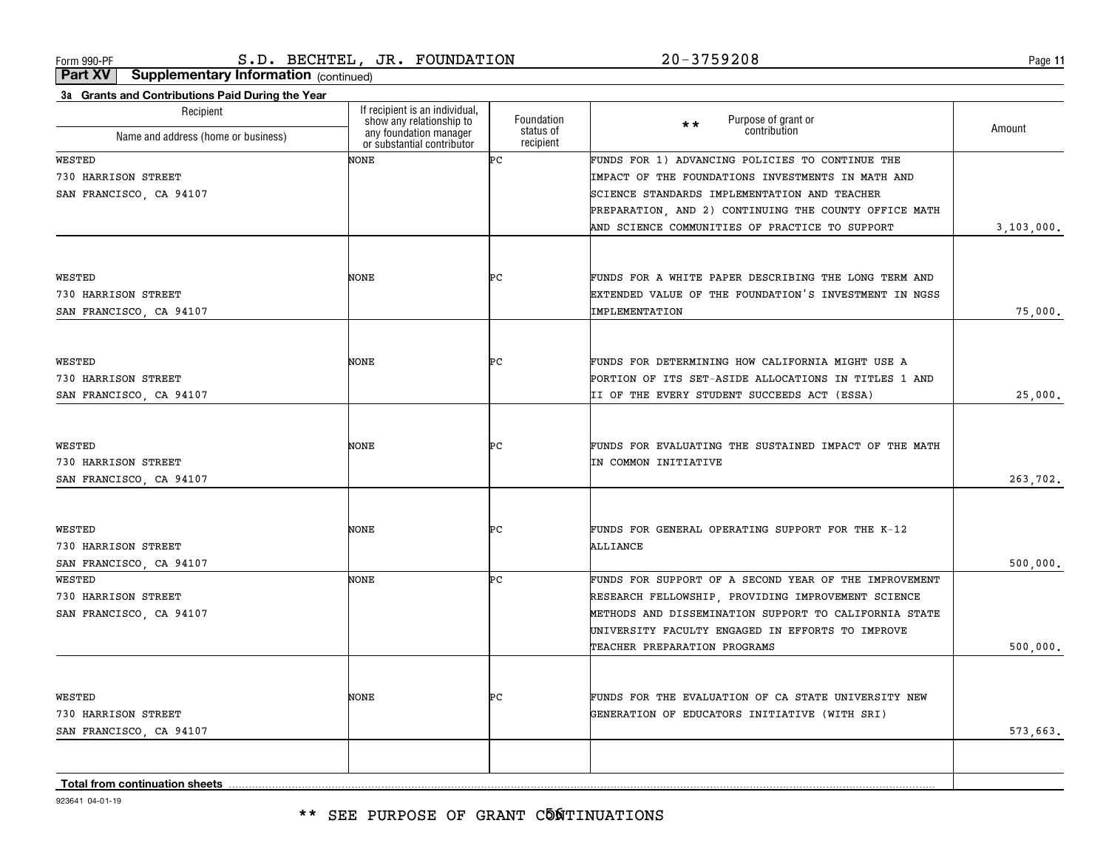**11**

**Part XV Supplementary Information** (continued)

| Recipient                             | If recipient is an individual,                                                   | Foundation             | $\star\star$                                          |              |
|---------------------------------------|----------------------------------------------------------------------------------|------------------------|-------------------------------------------------------|--------------|
| Name and address (home or business)   | show any relationship to<br>any foundation manager<br>or substantial contributor | status of<br>recipient | Purpose of grant or<br>contribution                   | Amount       |
| <b>WESTED</b>                         | <b>NONE</b>                                                                      | Þс                     | FUNDS FOR 1) ADVANCING POLICIES TO CONTINUE THE       |              |
| 730 HARRISON STREET                   |                                                                                  |                        | IMPACT OF THE FOUNDATIONS INVESTMENTS IN MATH AND     |              |
| SAN FRANCISCO, CA 94107               |                                                                                  |                        | SCIENCE STANDARDS IMPLEMENTATION AND TEACHER          |              |
|                                       |                                                                                  |                        | PREPARATION, AND 2) CONTINUING THE COUNTY OFFICE MATH |              |
|                                       |                                                                                  |                        | AND SCIENCE COMMUNITIES OF PRACTICE TO SUPPORT        | 3, 103, 000. |
|                                       |                                                                                  |                        |                                                       |              |
| WESTED                                | NONE                                                                             | ÞС                     | FUNDS FOR A WHITE PAPER DESCRIBING THE LONG TERM AND  |              |
| 730 HARRISON STREET                   |                                                                                  |                        | EXTENDED VALUE OF THE FOUNDATION'S INVESTMENT IN NGSS |              |
| SAN FRANCISCO, CA 94107               |                                                                                  |                        | IMPLEMENTATION                                        | 75,000.      |
|                                       |                                                                                  |                        |                                                       |              |
| WESTED                                | NONE                                                                             | ÞС                     | FUNDS FOR DETERMINING HOW CALIFORNIA MIGHT USE A      |              |
| 730 HARRISON STREET                   |                                                                                  |                        | PORTION OF ITS SET-ASIDE ALLOCATIONS IN TITLES 1 AND  |              |
| SAN FRANCISCO, CA 94107               |                                                                                  |                        | II OF THE EVERY STUDENT SUCCEEDS ACT (ESSA)           | 25,000.      |
|                                       |                                                                                  |                        |                                                       |              |
| WESTED                                | NONE                                                                             | ÞС                     | FUNDS FOR EVALUATING THE SUSTAINED IMPACT OF THE MATH |              |
| 730 HARRISON STREET                   |                                                                                  |                        | IN COMMON INITIATIVE                                  |              |
| SAN FRANCISCO, CA 94107               |                                                                                  |                        |                                                       | 263,702.     |
|                                       |                                                                                  |                        |                                                       |              |
| WESTED                                | NONE                                                                             | ÞС                     | FUNDS FOR GENERAL OPERATING SUPPORT FOR THE K-12      |              |
| 730 HARRISON STREET                   |                                                                                  |                        | ALLIANCE                                              |              |
| SAN FRANCISCO, CA 94107               |                                                                                  |                        |                                                       | 500,000.     |
| WESTED                                | NONE                                                                             | ÞС                     | FUNDS FOR SUPPORT OF A SECOND YEAR OF THE IMPROVEMENT |              |
| 730 HARRISON STREET                   |                                                                                  |                        | RESEARCH FELLOWSHIP, PROVIDING IMPROVEMENT SCIENCE    |              |
| SAN FRANCISCO, CA 94107               |                                                                                  |                        | METHODS AND DISSEMINATION SUPPORT TO CALIFORNIA STATE |              |
|                                       |                                                                                  |                        | UNIVERSITY FACULTY ENGAGED IN EFFORTS TO IMPROVE      |              |
|                                       |                                                                                  |                        | TEACHER PREPARATION PROGRAMS                          | 500,000.     |
|                                       |                                                                                  |                        |                                                       |              |
| WESTED                                | NONE                                                                             | ÞС                     | FUNDS FOR THE EVALUATION OF CA STATE UNIVERSITY NEW   |              |
| 730 HARRISON STREET                   |                                                                                  |                        | GENERATION OF EDUCATORS INITIATIVE (WITH SRI)         |              |
| SAN FRANCISCO, CA 94107               |                                                                                  |                        |                                                       | 573,663.     |
|                                       |                                                                                  |                        |                                                       |              |
| <b>Total from continuation sheets</b> |                                                                                  |                        |                                                       |              |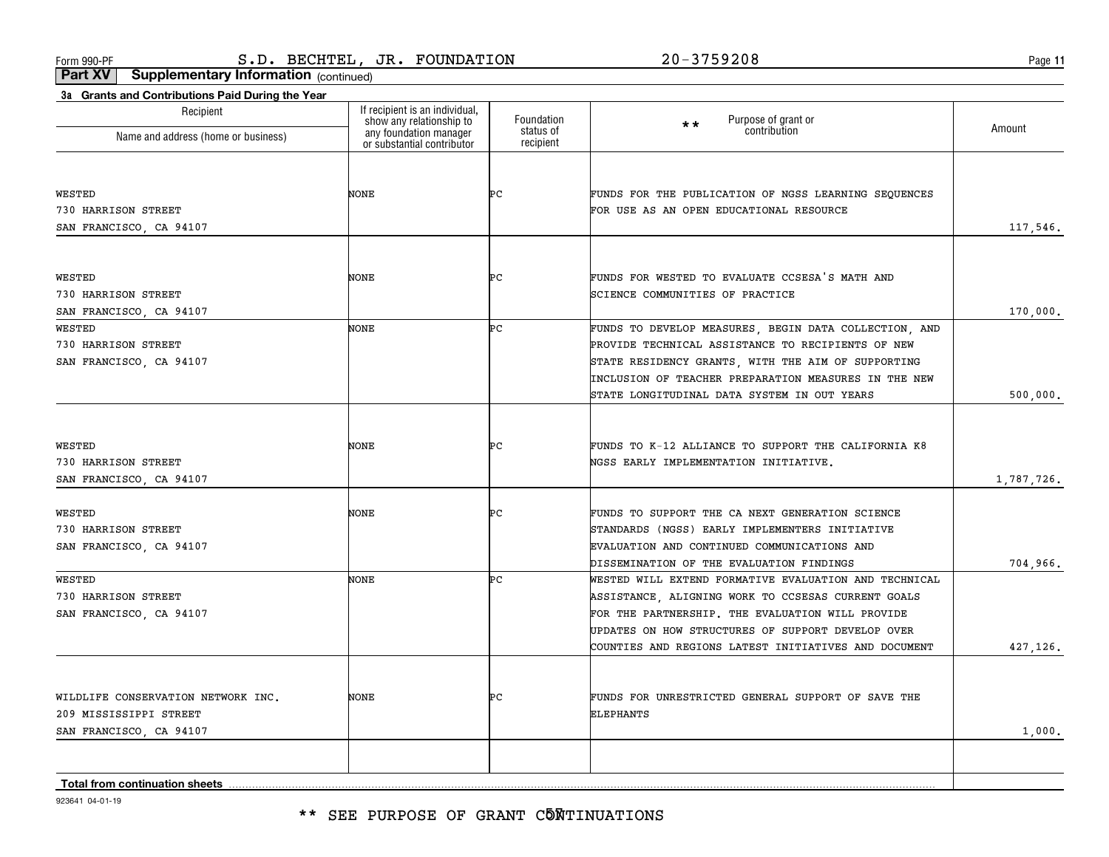**11**

**Part XV Supplementary Information** (continued)

| Recipient                                      | If recipient is an individual,                                                   | Foundation             | Purpose of grant or<br>$\star\star$                   |            |
|------------------------------------------------|----------------------------------------------------------------------------------|------------------------|-------------------------------------------------------|------------|
| Name and address (home or business)            | show any relationship to<br>any foundation manager<br>or substantial contributor | status of<br>recipient | contribution                                          | Amount     |
|                                                |                                                                                  |                        |                                                       |            |
| WESTED                                         | NONE                                                                             | ÞС                     | FUNDS FOR THE PUBLICATION OF NGSS LEARNING SEQUENCES  |            |
| 730 HARRISON STREET                            |                                                                                  |                        | FOR USE AS AN OPEN EDUCATIONAL RESOURCE               |            |
| SAN FRANCISCO, CA 94107                        |                                                                                  |                        |                                                       | 117,546.   |
| WESTED                                         | NONE                                                                             | ÞС                     | FUNDS FOR WESTED TO EVALUATE CCSESA'S MATH AND        |            |
| 730 HARRISON STREET                            |                                                                                  |                        | SCIENCE COMMUNITIES OF PRACTICE                       |            |
| SAN FRANCISCO, CA 94107                        |                                                                                  |                        |                                                       | 170,000.   |
| <b>WESTED</b>                                  | NONE                                                                             | Þс                     | FUNDS TO DEVELOP MEASURES, BEGIN DATA COLLECTION, AND |            |
| 730 HARRISON STREET                            |                                                                                  |                        | PROVIDE TECHNICAL ASSISTANCE TO RECIPIENTS OF NEW     |            |
| SAN FRANCISCO, CA 94107                        |                                                                                  |                        | STATE RESIDENCY GRANTS, WITH THE AIM OF SUPPORTING    |            |
|                                                |                                                                                  |                        | INCLUSION OF TEACHER PREPARATION MEASURES IN THE NEW  |            |
|                                                |                                                                                  |                        | STATE LONGITUDINAL DATA SYSTEM IN OUT YEARS           | 500,000.   |
|                                                |                                                                                  |                        |                                                       |            |
| WESTED                                         | NONE                                                                             | ÞС                     | FUNDS TO K-12 ALLIANCE TO SUPPORT THE CALIFORNIA K8   |            |
| 730 HARRISON STREET<br>SAN FRANCISCO, CA 94107 |                                                                                  |                        | NGSS EARLY IMPLEMENTATION INITIATIVE.                 | 1,787,726. |
|                                                |                                                                                  |                        |                                                       |            |
| <b>WESTED</b>                                  | NONE                                                                             | ÞС                     | FUNDS TO SUPPORT THE CA NEXT GENERATION SCIENCE       |            |
| 730 HARRISON STREET                            |                                                                                  |                        | STANDARDS (NGSS) EARLY IMPLEMENTERS INITIATIVE        |            |
| SAN FRANCISCO, CA 94107                        |                                                                                  |                        | EVALUATION AND CONTINUED COMMUNICATIONS AND           |            |
|                                                |                                                                                  |                        | DISSEMINATION OF THE EVALUATION FINDINGS              | 704,966.   |
| <b>WESTED</b>                                  | NONE                                                                             | Þс                     | WESTED WILL EXTEND FORMATIVE EVALUATION AND TECHNICAL |            |
| 730 HARRISON STREET                            |                                                                                  |                        | ASSISTANCE, ALIGNING WORK TO CCSESAS CURRENT GOALS    |            |
| SAN FRANCISCO, CA 94107                        |                                                                                  |                        | FOR THE PARTNERSHIP. THE EVALUATION WILL PROVIDE      |            |
|                                                |                                                                                  |                        | UPDATES ON HOW STRUCTURES OF SUPPORT DEVELOP OVER     |            |
|                                                |                                                                                  |                        | COUNTIES AND REGIONS LATEST INITIATIVES AND DOCUMENT  | 427, 126.  |
| WILDLIFE CONSERVATION NETWORK INC.             | NONE                                                                             | ÞС                     | FUNDS FOR UNRESTRICTED GENERAL SUPPORT OF SAVE THE    |            |
| 209 MISSISSIPPI STREET                         |                                                                                  |                        | <b>ELEPHANTS</b>                                      |            |
| SAN FRANCISCO, CA 94107                        |                                                                                  |                        |                                                       | 1,000.     |
|                                                |                                                                                  |                        |                                                       |            |
| Total from continuation sheets                 |                                                                                  |                        |                                                       |            |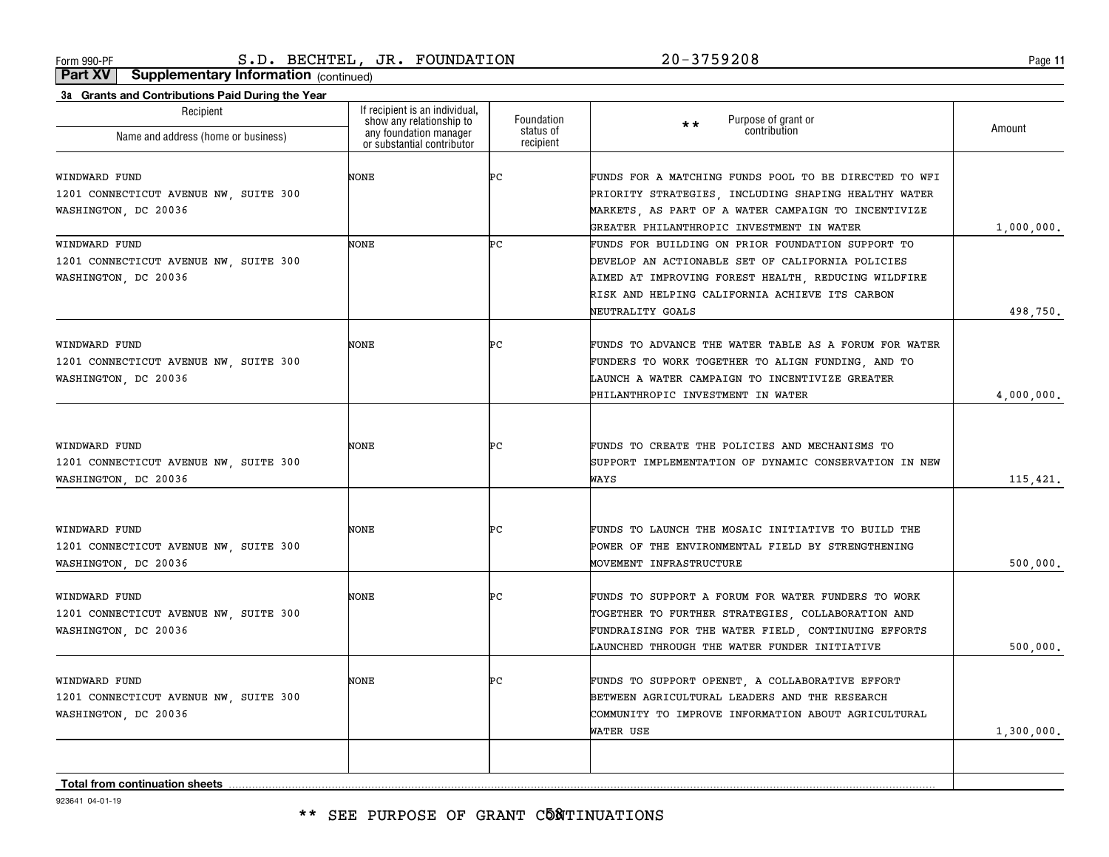**11**

**Part XV Supplementary Information** (continued)

| 3a Grants and Contributions Paid During the Year<br>Recipient | If recipient is an individual,                                                   |                                      |                                                                                                          |            |
|---------------------------------------------------------------|----------------------------------------------------------------------------------|--------------------------------------|----------------------------------------------------------------------------------------------------------|------------|
| Name and address (home or business)                           | show any relationship to<br>any foundation manager<br>or substantial contributor | Foundation<br>status of<br>recipient | Purpose of grant or<br>$**$<br>contribution                                                              | Amount     |
|                                                               |                                                                                  |                                      |                                                                                                          |            |
| WINDWARD FUND                                                 | NONE                                                                             | Þс                                   | FUNDS FOR A MATCHING FUNDS POOL TO BE DIRECTED TO WFI                                                    |            |
| 1201 CONNECTICUT AVENUE NW, SUITE 300                         |                                                                                  |                                      | PRIORITY STRATEGIES, INCLUDING SHAPING HEALTHY WATER                                                     |            |
| WASHINGTON, DC 20036                                          |                                                                                  |                                      | MARKETS, AS PART OF A WATER CAMPAIGN TO INCENTIVIZE                                                      |            |
|                                                               |                                                                                  |                                      | GREATER PHILANTHROPIC INVESTMENT IN WATER                                                                | 1,000,000. |
| WINDWARD FUND                                                 | NONE                                                                             | Þс                                   | FUNDS FOR BUILDING ON PRIOR FOUNDATION SUPPORT TO                                                        |            |
| 1201 CONNECTICUT AVENUE NW, SUITE 300                         |                                                                                  |                                      | DEVELOP AN ACTIONABLE SET OF CALIFORNIA POLICIES                                                         |            |
| WASHINGTON, DC 20036                                          |                                                                                  |                                      | AIMED AT IMPROVING FOREST HEALTH, REDUCING WILDFIRE                                                      |            |
|                                                               |                                                                                  |                                      | RISK AND HELPING CALIFORNIA ACHIEVE ITS CARBON                                                           |            |
|                                                               |                                                                                  |                                      | NEUTRALITY GOALS                                                                                         | 498,750.   |
|                                                               |                                                                                  |                                      |                                                                                                          |            |
| WINDWARD FUND                                                 | NONE                                                                             | ÞС                                   | FUNDS TO ADVANCE THE WATER TABLE AS A FORUM FOR WATER                                                    |            |
| 1201 CONNECTICUT AVENUE NW, SUITE 300                         |                                                                                  |                                      | FUNDERS TO WORK TOGETHER TO ALIGN FUNDING, AND TO                                                        |            |
| WASHINGTON, DC 20036                                          |                                                                                  |                                      | LAUNCH A WATER CAMPAIGN TO INCENTIVIZE GREATER<br>PHILANTHROPIC INVESTMENT IN WATER                      | 4,000,000. |
|                                                               |                                                                                  |                                      |                                                                                                          |            |
|                                                               |                                                                                  |                                      |                                                                                                          |            |
| WINDWARD FUND                                                 | NONE                                                                             | ÞС                                   | FUNDS TO CREATE THE POLICIES AND MECHANISMS TO                                                           |            |
| 1201 CONNECTICUT AVENUE NW, SUITE 300                         |                                                                                  |                                      | SUPPORT IMPLEMENTATION OF DYNAMIC CONSERVATION IN NEW                                                    |            |
| WASHINGTON, DC 20036                                          |                                                                                  |                                      | WAYS                                                                                                     | 115,421.   |
|                                                               |                                                                                  |                                      |                                                                                                          |            |
| WINDWARD FUND                                                 | NONE                                                                             | ÞС                                   | FUNDS TO LAUNCH THE MOSAIC INITIATIVE TO BUILD THE                                                       |            |
| 1201 CONNECTICUT AVENUE NW, SUITE 300                         |                                                                                  |                                      | POWER OF THE ENVIRONMENTAL FIELD BY STRENGTHENING                                                        |            |
| WASHINGTON, DC 20036                                          |                                                                                  |                                      | MOVEMENT INFRASTRUCTURE                                                                                  | 500,000.   |
|                                                               | NONE                                                                             | ÞС                                   |                                                                                                          |            |
| WINDWARD FUND                                                 |                                                                                  |                                      | FUNDS TO SUPPORT A FORUM FOR WATER FUNDERS TO WORK                                                       |            |
| 1201 CONNECTICUT AVENUE NW, SUITE 300                         |                                                                                  |                                      | TOGETHER TO FURTHER STRATEGIES, COLLABORATION AND<br>FUNDRAISING FOR THE WATER FIELD, CONTINUING EFFORTS |            |
| WASHINGTON, DC 20036                                          |                                                                                  |                                      | LAUNCHED THROUGH THE WATER FUNDER INITIATIVE                                                             |            |
|                                                               |                                                                                  |                                      |                                                                                                          | 500,000.   |
| WINDWARD FUND                                                 | NONE                                                                             | ÞС                                   | FUNDS TO SUPPORT OPENET, A COLLABORATIVE EFFORT                                                          |            |
| 1201 CONNECTICUT AVENUE NW, SUITE 300                         |                                                                                  |                                      | BETWEEN AGRICULTURAL LEADERS AND THE RESEARCH                                                            |            |
| WASHINGTON, DC 20036                                          |                                                                                  |                                      | COMMUNITY TO IMPROVE INFORMATION ABOUT AGRICULTURAL                                                      |            |
|                                                               |                                                                                  |                                      | WATER USE                                                                                                | 1,300,000. |
|                                                               |                                                                                  |                                      |                                                                                                          |            |
|                                                               |                                                                                  |                                      |                                                                                                          |            |
| <b>Total from continuation sheets</b>                         |                                                                                  |                                      |                                                                                                          |            |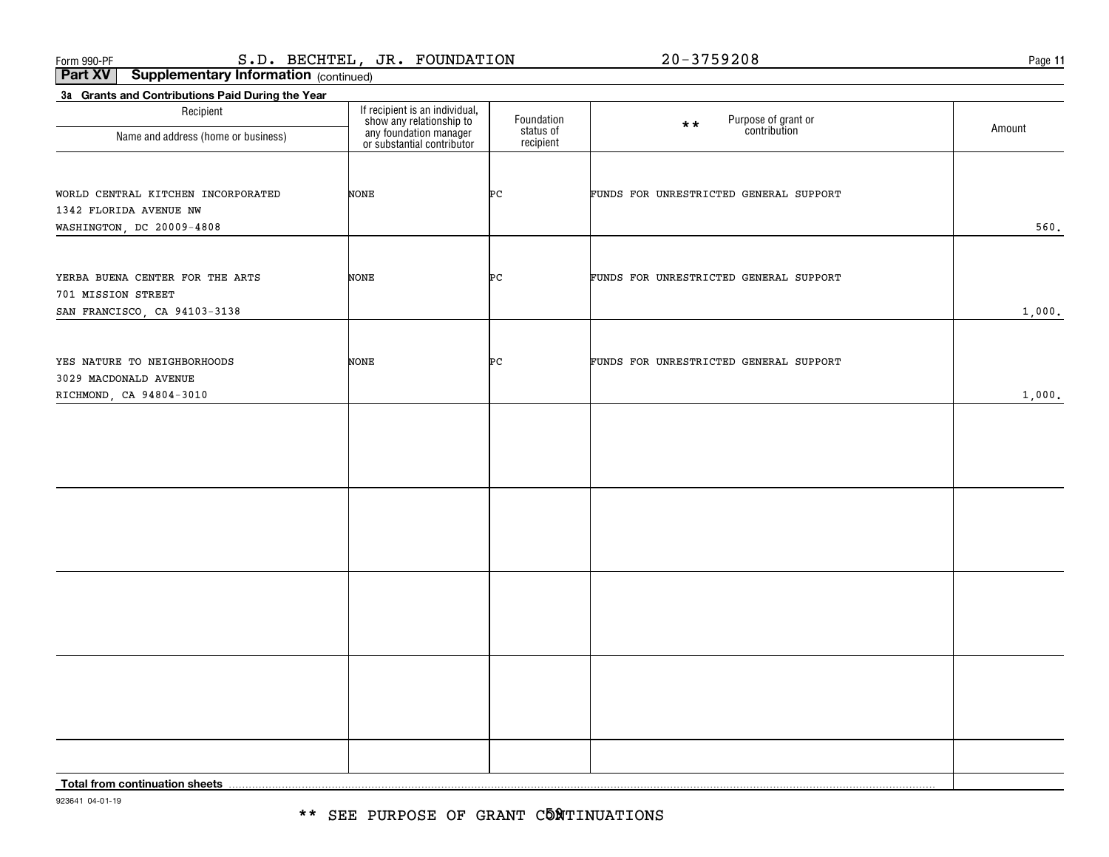**11**

**Part XV Supplementary Information** (continued)

| 3a Grants and Contributions Paid During the Year             |                                                                                                                    |                        |                                                     |        |
|--------------------------------------------------------------|--------------------------------------------------------------------------------------------------------------------|------------------------|-----------------------------------------------------|--------|
| Recipient                                                    | If recipient is an individual,<br>show any relationship to<br>any foundation manager<br>or substantial contributor | Foundation             | Purpose of grant or<br>contribution<br>$\star\star$ | Amount |
| Name and address (home or business)                          |                                                                                                                    | status of<br>recipient |                                                     |        |
|                                                              |                                                                                                                    |                        |                                                     |        |
|                                                              |                                                                                                                    |                        |                                                     |        |
| WORLD CENTRAL KITCHEN INCORPORATED<br>1342 FLORIDA AVENUE NW | NONE                                                                                                               | ÞС                     | FUNDS FOR UNRESTRICTED GENERAL SUPPORT              |        |
| WASHINGTON, DC 20009-4808                                    |                                                                                                                    |                        |                                                     | 560.   |
|                                                              |                                                                                                                    |                        |                                                     |        |
|                                                              |                                                                                                                    |                        |                                                     |        |
| YERBA BUENA CENTER FOR THE ARTS                              | NONE                                                                                                               | ÞС                     | FUNDS FOR UNRESTRICTED GENERAL SUPPORT              |        |
| 701 MISSION STREET                                           |                                                                                                                    |                        |                                                     |        |
| SAN FRANCISCO, CA 94103-3138                                 |                                                                                                                    |                        |                                                     | 1,000. |
|                                                              |                                                                                                                    |                        |                                                     |        |
| YES NATURE TO NEIGHBORHOODS                                  | NONE                                                                                                               | ÞС                     | FUNDS FOR UNRESTRICTED GENERAL SUPPORT              |        |
| 3029 MACDONALD AVENUE                                        |                                                                                                                    |                        |                                                     |        |
| RICHMOND, CA 94804-3010                                      |                                                                                                                    |                        |                                                     | 1,000. |
|                                                              |                                                                                                                    |                        |                                                     |        |
|                                                              |                                                                                                                    |                        |                                                     |        |
|                                                              |                                                                                                                    |                        |                                                     |        |
|                                                              |                                                                                                                    |                        |                                                     |        |
|                                                              |                                                                                                                    |                        |                                                     |        |
|                                                              |                                                                                                                    |                        |                                                     |        |
|                                                              |                                                                                                                    |                        |                                                     |        |
|                                                              |                                                                                                                    |                        |                                                     |        |
|                                                              |                                                                                                                    |                        |                                                     |        |
|                                                              |                                                                                                                    |                        |                                                     |        |
|                                                              |                                                                                                                    |                        |                                                     |        |
|                                                              |                                                                                                                    |                        |                                                     |        |
|                                                              |                                                                                                                    |                        |                                                     |        |
|                                                              |                                                                                                                    |                        |                                                     |        |
|                                                              |                                                                                                                    |                        |                                                     |        |
|                                                              |                                                                                                                    |                        |                                                     |        |
|                                                              |                                                                                                                    |                        |                                                     |        |
|                                                              |                                                                                                                    |                        |                                                     |        |
|                                                              |                                                                                                                    |                        |                                                     |        |
| Total from continuation sheets                               |                                                                                                                    |                        |                                                     |        |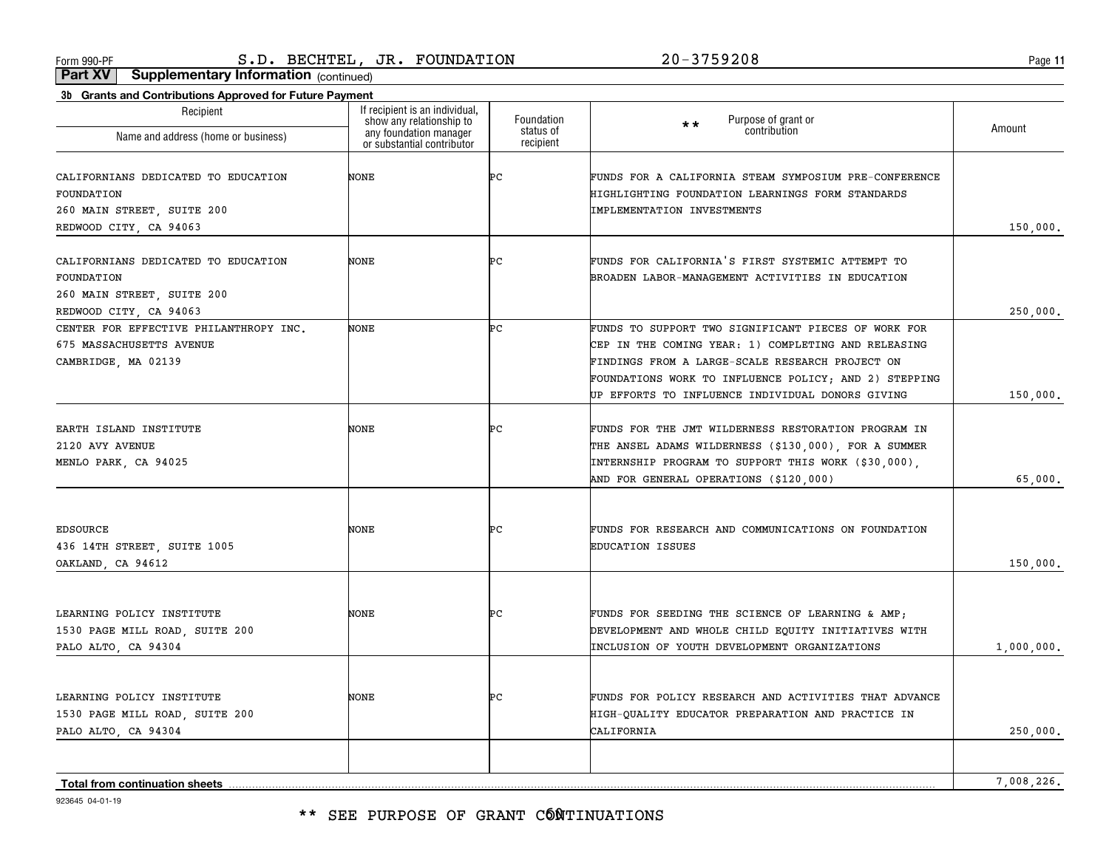\*\* SEE PURPOSE OF GRANT CÓÑTINUATIONS

| 3b Grants and Contributions Approved for Future Payment |                                                                                      |                         |                                                                                                            |            |
|---------------------------------------------------------|--------------------------------------------------------------------------------------|-------------------------|------------------------------------------------------------------------------------------------------------|------------|
| Recipient                                               | If recipient is an individual,<br>show any relationship to<br>any foundation manager | Foundation<br>status of | Purpose of grant or<br>contribution<br>$\star\star$                                                        | Amount     |
| Name and address (home or business)                     | or substantial contributor                                                           | recipient               |                                                                                                            |            |
|                                                         |                                                                                      |                         |                                                                                                            |            |
| CALIFORNIANS DEDICATED TO EDUCATION                     | <b>NONE</b>                                                                          | ÞС                      | FUNDS FOR A CALIFORNIA STEAM SYMPOSIUM PRE-CONFERENCE                                                      |            |
| FOUNDATION                                              |                                                                                      |                         | HIGHLIGHTING FOUNDATION LEARNINGS FORM STANDARDS                                                           |            |
| 260 MAIN STREET, SUITE 200                              |                                                                                      |                         | IMPLEMENTATION INVESTMENTS                                                                                 |            |
| REDWOOD CITY, CA 94063                                  |                                                                                      |                         |                                                                                                            | 150,000.   |
| CALIFORNIANS DEDICATED TO EDUCATION                     | <b>NONE</b>                                                                          | ÞС                      | FUNDS FOR CALIFORNIA'S FIRST SYSTEMIC ATTEMPT TO                                                           |            |
| FOUNDATION                                              |                                                                                      |                         | BROADEN LABOR-MANAGEMENT ACTIVITIES IN EDUCATION                                                           |            |
| 260 MAIN STREET, SUITE 200                              |                                                                                      |                         |                                                                                                            |            |
| REDWOOD CITY, CA 94063                                  |                                                                                      |                         |                                                                                                            | 250,000.   |
| CENTER FOR EFFECTIVE PHILANTHROPY INC.                  | NONE                                                                                 | Þс                      | FUNDS TO SUPPORT TWO SIGNIFICANT PIECES OF WORK FOR                                                        |            |
| 675 MASSACHUSETTS AVENUE                                |                                                                                      |                         | CEP IN THE COMING YEAR: 1) COMPLETING AND RELEASING                                                        |            |
| CAMBRIDGE, MA 02139                                     |                                                                                      |                         | FINDINGS FROM A LARGE-SCALE RESEARCH PROJECT ON                                                            |            |
|                                                         |                                                                                      |                         | FOUNDATIONS WORK TO INFLUENCE POLICY; AND 2) STEPPING                                                      |            |
|                                                         |                                                                                      |                         | UP EFFORTS TO INFLUENCE INDIVIDUAL DONORS GIVING                                                           | 150,000.   |
|                                                         |                                                                                      |                         |                                                                                                            |            |
| EARTH ISLAND INSTITUTE                                  | NONE                                                                                 | ÞС                      | FUNDS FOR THE JMT WILDERNESS RESTORATION PROGRAM IN                                                        |            |
| 2120 AVY AVENUE                                         |                                                                                      |                         | THE ANSEL ADAMS WILDERNESS (\$130,000), FOR A SUMMER                                                       |            |
| MENLO PARK, CA 94025                                    |                                                                                      |                         | INTERNSHIP PROGRAM TO SUPPORT THIS WORK (\$30,000),                                                        |            |
|                                                         |                                                                                      |                         | AND FOR GENERAL OPERATIONS (\$120,000)                                                                     | 65,000.    |
|                                                         |                                                                                      |                         |                                                                                                            |            |
| <b>EDSOURCE</b>                                         | NONE                                                                                 | ÞС                      | FUNDS FOR RESEARCH AND COMMUNICATIONS ON FOUNDATION                                                        |            |
| 436 14TH STREET, SUITE 1005                             |                                                                                      |                         | <b>EDUCATION ISSUES</b>                                                                                    |            |
| OAKLAND, CA 94612                                       |                                                                                      |                         |                                                                                                            | 150,000.   |
|                                                         |                                                                                      |                         |                                                                                                            |            |
| LEARNING POLICY INSTITUTE                               | <b>NONE</b>                                                                          | ÞС                      | FUNDS FOR SEEDING THE SCIENCE OF LEARNING & AMP;                                                           |            |
| 1530 PAGE MILL ROAD, SUITE 200                          |                                                                                      |                         | DEVELOPMENT AND WHOLE CHILD EQUITY INITIATIVES WITH                                                        |            |
| PALO ALTO, CA 94304                                     |                                                                                      |                         | INCLUSION OF YOUTH DEVELOPMENT ORGANIZATIONS                                                               | 1,000,000. |
|                                                         |                                                                                      |                         |                                                                                                            |            |
|                                                         |                                                                                      |                         |                                                                                                            |            |
| LEARNING POLICY INSTITUTE                               | <b>NONE</b>                                                                          | ÞС                      | FUNDS FOR POLICY RESEARCH AND ACTIVITIES THAT ADVANCE<br>HIGH-QUALITY EDUCATOR PREPARATION AND PRACTICE IN |            |
| 1530 PAGE MILL ROAD, SUITE 200                          |                                                                                      |                         | CALIFORNIA                                                                                                 |            |
| PALO ALTO, CA 94304                                     |                                                                                      |                         |                                                                                                            | 250,000.   |
|                                                         |                                                                                      |                         |                                                                                                            |            |
|                                                         |                                                                                      |                         |                                                                                                            | 7,008,226. |

**Total from continuation sheets**

923645 04-01-19

**11**

Form 990-PF Page S.D. BECHTEL, JR. FOUNDATION 20-3759208 **Part XV Supplementary Information** (continued)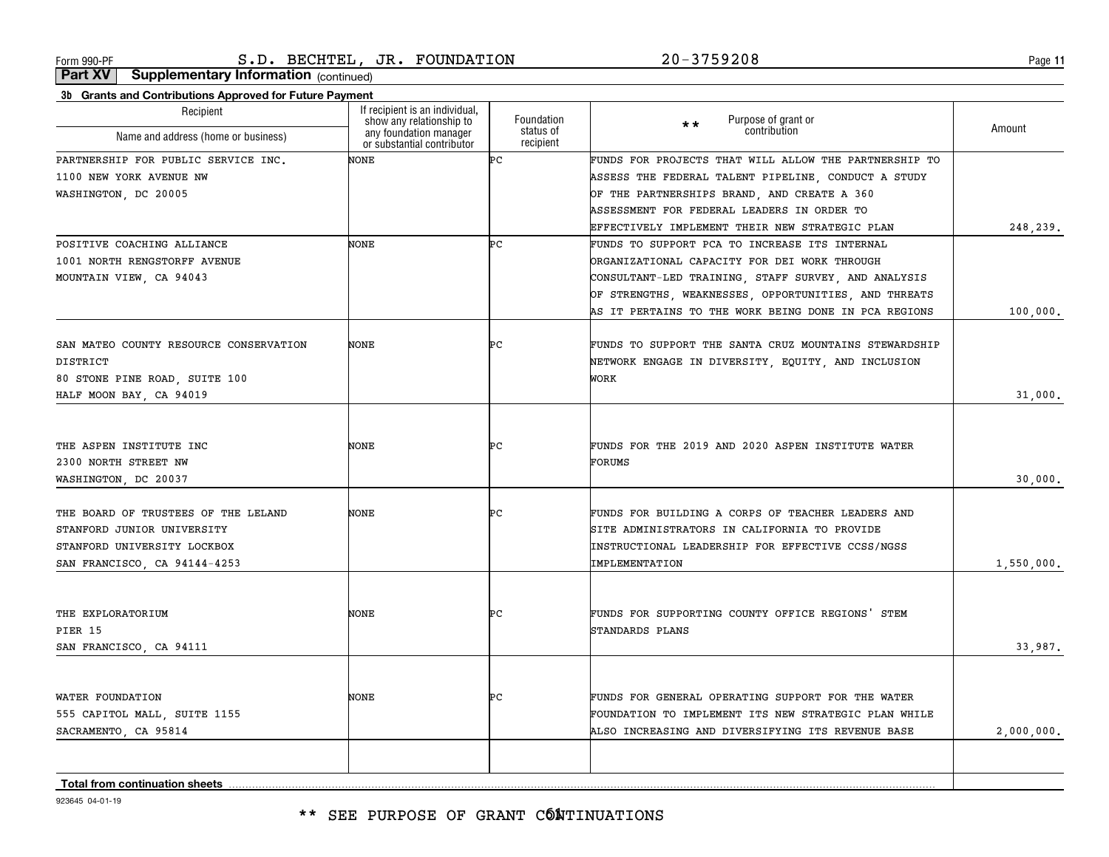\*\* SEE PURPOSE OF GRANT CÓNTINUATIONS

923645 04-01-19

| ÞС<br>PARTNERSHIP FOR PUBLIC SERVICE INC.<br>NONE<br>FUNDS FOR PROJECTS THAT WILL ALLOW THE PARTNERSHIP TO<br>1100 NEW YORK AVENUE NW<br>ASSESS THE FEDERAL TALENT PIPELINE, CONDUCT A STUDY<br>OF THE PARTNERSHIPS BRAND, AND CREATE A 360<br>WASHINGTON, DC 20005<br>ASSESSMENT FOR FEDERAL LEADERS IN ORDER TO<br>EFFECTIVELY IMPLEMENT THEIR NEW STRATEGIC PLAN<br>POSITIVE COACHING ALLIANCE<br>ÞС<br>NONE<br>FUNDS TO SUPPORT PCA TO INCREASE ITS INTERNAL<br>1001 NORTH RENGSTORFF AVENUE<br>ORGANIZATIONAL CAPACITY FOR DEI WORK THROUGH<br>MOUNTAIN VIEW, CA 94043<br>CONSULTANT-LED TRAINING, STAFF SURVEY, AND ANALYSIS<br>OF STRENGTHS, WEAKNESSES, OPPORTUNITIES, AND THREATS<br>AS IT PERTAINS TO THE WORK BEING DONE IN PCA REGIONS<br>ÞС<br>SAN MATEO COUNTY RESOURCE CONSERVATION<br>NONE<br>FUNDS TO SUPPORT THE SANTA CRUZ MOUNTAINS STEWARDSHIP<br>DISTRICT<br>NETWORK ENGAGE IN DIVERSITY, EQUITY, AND INCLUSION<br>80 STONE PINE ROAD, SUITE 100<br>WORK<br>HALF MOON BAY, CA 94019<br>THE ASPEN INSTITUTE INC<br>NONE<br>ÞС<br>FUNDS FOR THE 2019 AND 2020 ASPEN INSTITUTE WATER<br>2300 NORTH STREET NW<br>FORUMS<br>WASHINGTON, DC 20037<br>NONE<br>ÞС<br>THE BOARD OF TRUSTEES OF THE LELAND<br>FUNDS FOR BUILDING A CORPS OF TEACHER LEADERS AND<br>STANFORD JUNIOR UNIVERSITY<br>SITE ADMINISTRATORS IN CALIFORNIA TO PROVIDE<br>INSTRUCTIONAL LEADERSHIP FOR EFFECTIVE CCSS/NGSS<br>STANFORD UNIVERSITY LOCKBOX<br>SAN FRANCISCO, CA 94144-4253<br>IMPLEMENTATION<br>FUNDS FOR SUPPORTING COUNTY OFFICE REGIONS' STEM<br>THE EXPLORATORIUM<br>NONE<br>ÞС<br>PIER 15<br>STANDARDS PLANS<br>SAN FRANCISCO, CA 94111<br>ÞС<br>WATER FOUNDATION<br>NONE<br>FUNDS FOR GENERAL OPERATING SUPPORT FOR THE WATER<br>555 CAPITOL MALL, SUITE 1155<br>FOUNDATION TO IMPLEMENT ITS NEW STRATEGIC PLAN WHILE<br>SACRAMENTO, CA 95814<br>ALSO INCREASING AND DIVERSIFYING ITS REVENUE BASE<br>Total from continuation sheets | Recipient<br>Name and address (home or business) | If recipient is an individual,<br>show any relationship to<br>any foundation manager<br>or substantial contributor | Foundation<br>status of<br>recipient | Purpose of grant or<br>$\star \star$<br>contribution | Amount     |
|----------------------------------------------------------------------------------------------------------------------------------------------------------------------------------------------------------------------------------------------------------------------------------------------------------------------------------------------------------------------------------------------------------------------------------------------------------------------------------------------------------------------------------------------------------------------------------------------------------------------------------------------------------------------------------------------------------------------------------------------------------------------------------------------------------------------------------------------------------------------------------------------------------------------------------------------------------------------------------------------------------------------------------------------------------------------------------------------------------------------------------------------------------------------------------------------------------------------------------------------------------------------------------------------------------------------------------------------------------------------------------------------------------------------------------------------------------------------------------------------------------------------------------------------------------------------------------------------------------------------------------------------------------------------------------------------------------------------------------------------------------------------------------------------------------------------------------------------------------------------------------------------------------------------------------------------|--------------------------------------------------|--------------------------------------------------------------------------------------------------------------------|--------------------------------------|------------------------------------------------------|------------|
|                                                                                                                                                                                                                                                                                                                                                                                                                                                                                                                                                                                                                                                                                                                                                                                                                                                                                                                                                                                                                                                                                                                                                                                                                                                                                                                                                                                                                                                                                                                                                                                                                                                                                                                                                                                                                                                                                                                                              |                                                  |                                                                                                                    |                                      |                                                      |            |
|                                                                                                                                                                                                                                                                                                                                                                                                                                                                                                                                                                                                                                                                                                                                                                                                                                                                                                                                                                                                                                                                                                                                                                                                                                                                                                                                                                                                                                                                                                                                                                                                                                                                                                                                                                                                                                                                                                                                              |                                                  |                                                                                                                    |                                      |                                                      |            |
|                                                                                                                                                                                                                                                                                                                                                                                                                                                                                                                                                                                                                                                                                                                                                                                                                                                                                                                                                                                                                                                                                                                                                                                                                                                                                                                                                                                                                                                                                                                                                                                                                                                                                                                                                                                                                                                                                                                                              |                                                  |                                                                                                                    |                                      |                                                      |            |
|                                                                                                                                                                                                                                                                                                                                                                                                                                                                                                                                                                                                                                                                                                                                                                                                                                                                                                                                                                                                                                                                                                                                                                                                                                                                                                                                                                                                                                                                                                                                                                                                                                                                                                                                                                                                                                                                                                                                              |                                                  |                                                                                                                    |                                      |                                                      |            |
|                                                                                                                                                                                                                                                                                                                                                                                                                                                                                                                                                                                                                                                                                                                                                                                                                                                                                                                                                                                                                                                                                                                                                                                                                                                                                                                                                                                                                                                                                                                                                                                                                                                                                                                                                                                                                                                                                                                                              |                                                  |                                                                                                                    |                                      |                                                      | 248,239.   |
|                                                                                                                                                                                                                                                                                                                                                                                                                                                                                                                                                                                                                                                                                                                                                                                                                                                                                                                                                                                                                                                                                                                                                                                                                                                                                                                                                                                                                                                                                                                                                                                                                                                                                                                                                                                                                                                                                                                                              |                                                  |                                                                                                                    |                                      |                                                      |            |
|                                                                                                                                                                                                                                                                                                                                                                                                                                                                                                                                                                                                                                                                                                                                                                                                                                                                                                                                                                                                                                                                                                                                                                                                                                                                                                                                                                                                                                                                                                                                                                                                                                                                                                                                                                                                                                                                                                                                              |                                                  |                                                                                                                    |                                      |                                                      |            |
|                                                                                                                                                                                                                                                                                                                                                                                                                                                                                                                                                                                                                                                                                                                                                                                                                                                                                                                                                                                                                                                                                                                                                                                                                                                                                                                                                                                                                                                                                                                                                                                                                                                                                                                                                                                                                                                                                                                                              |                                                  |                                                                                                                    |                                      |                                                      |            |
|                                                                                                                                                                                                                                                                                                                                                                                                                                                                                                                                                                                                                                                                                                                                                                                                                                                                                                                                                                                                                                                                                                                                                                                                                                                                                                                                                                                                                                                                                                                                                                                                                                                                                                                                                                                                                                                                                                                                              |                                                  |                                                                                                                    |                                      |                                                      |            |
|                                                                                                                                                                                                                                                                                                                                                                                                                                                                                                                                                                                                                                                                                                                                                                                                                                                                                                                                                                                                                                                                                                                                                                                                                                                                                                                                                                                                                                                                                                                                                                                                                                                                                                                                                                                                                                                                                                                                              |                                                  |                                                                                                                    |                                      |                                                      | 100,000,   |
|                                                                                                                                                                                                                                                                                                                                                                                                                                                                                                                                                                                                                                                                                                                                                                                                                                                                                                                                                                                                                                                                                                                                                                                                                                                                                                                                                                                                                                                                                                                                                                                                                                                                                                                                                                                                                                                                                                                                              |                                                  |                                                                                                                    |                                      |                                                      |            |
|                                                                                                                                                                                                                                                                                                                                                                                                                                                                                                                                                                                                                                                                                                                                                                                                                                                                                                                                                                                                                                                                                                                                                                                                                                                                                                                                                                                                                                                                                                                                                                                                                                                                                                                                                                                                                                                                                                                                              |                                                  |                                                                                                                    |                                      |                                                      |            |
|                                                                                                                                                                                                                                                                                                                                                                                                                                                                                                                                                                                                                                                                                                                                                                                                                                                                                                                                                                                                                                                                                                                                                                                                                                                                                                                                                                                                                                                                                                                                                                                                                                                                                                                                                                                                                                                                                                                                              |                                                  |                                                                                                                    |                                      |                                                      |            |
|                                                                                                                                                                                                                                                                                                                                                                                                                                                                                                                                                                                                                                                                                                                                                                                                                                                                                                                                                                                                                                                                                                                                                                                                                                                                                                                                                                                                                                                                                                                                                                                                                                                                                                                                                                                                                                                                                                                                              |                                                  |                                                                                                                    |                                      |                                                      | 31,000.    |
|                                                                                                                                                                                                                                                                                                                                                                                                                                                                                                                                                                                                                                                                                                                                                                                                                                                                                                                                                                                                                                                                                                                                                                                                                                                                                                                                                                                                                                                                                                                                                                                                                                                                                                                                                                                                                                                                                                                                              |                                                  |                                                                                                                    |                                      |                                                      |            |
|                                                                                                                                                                                                                                                                                                                                                                                                                                                                                                                                                                                                                                                                                                                                                                                                                                                                                                                                                                                                                                                                                                                                                                                                                                                                                                                                                                                                                                                                                                                                                                                                                                                                                                                                                                                                                                                                                                                                              |                                                  |                                                                                                                    |                                      |                                                      |            |
|                                                                                                                                                                                                                                                                                                                                                                                                                                                                                                                                                                                                                                                                                                                                                                                                                                                                                                                                                                                                                                                                                                                                                                                                                                                                                                                                                                                                                                                                                                                                                                                                                                                                                                                                                                                                                                                                                                                                              |                                                  |                                                                                                                    |                                      |                                                      |            |
|                                                                                                                                                                                                                                                                                                                                                                                                                                                                                                                                                                                                                                                                                                                                                                                                                                                                                                                                                                                                                                                                                                                                                                                                                                                                                                                                                                                                                                                                                                                                                                                                                                                                                                                                                                                                                                                                                                                                              |                                                  |                                                                                                                    |                                      |                                                      | 30,000,    |
|                                                                                                                                                                                                                                                                                                                                                                                                                                                                                                                                                                                                                                                                                                                                                                                                                                                                                                                                                                                                                                                                                                                                                                                                                                                                                                                                                                                                                                                                                                                                                                                                                                                                                                                                                                                                                                                                                                                                              |                                                  |                                                                                                                    |                                      |                                                      |            |
|                                                                                                                                                                                                                                                                                                                                                                                                                                                                                                                                                                                                                                                                                                                                                                                                                                                                                                                                                                                                                                                                                                                                                                                                                                                                                                                                                                                                                                                                                                                                                                                                                                                                                                                                                                                                                                                                                                                                              |                                                  |                                                                                                                    |                                      |                                                      |            |
|                                                                                                                                                                                                                                                                                                                                                                                                                                                                                                                                                                                                                                                                                                                                                                                                                                                                                                                                                                                                                                                                                                                                                                                                                                                                                                                                                                                                                                                                                                                                                                                                                                                                                                                                                                                                                                                                                                                                              |                                                  |                                                                                                                    |                                      |                                                      |            |
|                                                                                                                                                                                                                                                                                                                                                                                                                                                                                                                                                                                                                                                                                                                                                                                                                                                                                                                                                                                                                                                                                                                                                                                                                                                                                                                                                                                                                                                                                                                                                                                                                                                                                                                                                                                                                                                                                                                                              |                                                  |                                                                                                                    |                                      |                                                      | 1,550,000. |
|                                                                                                                                                                                                                                                                                                                                                                                                                                                                                                                                                                                                                                                                                                                                                                                                                                                                                                                                                                                                                                                                                                                                                                                                                                                                                                                                                                                                                                                                                                                                                                                                                                                                                                                                                                                                                                                                                                                                              |                                                  |                                                                                                                    |                                      |                                                      |            |
|                                                                                                                                                                                                                                                                                                                                                                                                                                                                                                                                                                                                                                                                                                                                                                                                                                                                                                                                                                                                                                                                                                                                                                                                                                                                                                                                                                                                                                                                                                                                                                                                                                                                                                                                                                                                                                                                                                                                              |                                                  |                                                                                                                    |                                      |                                                      |            |
|                                                                                                                                                                                                                                                                                                                                                                                                                                                                                                                                                                                                                                                                                                                                                                                                                                                                                                                                                                                                                                                                                                                                                                                                                                                                                                                                                                                                                                                                                                                                                                                                                                                                                                                                                                                                                                                                                                                                              |                                                  |                                                                                                                    |                                      |                                                      |            |
|                                                                                                                                                                                                                                                                                                                                                                                                                                                                                                                                                                                                                                                                                                                                                                                                                                                                                                                                                                                                                                                                                                                                                                                                                                                                                                                                                                                                                                                                                                                                                                                                                                                                                                                                                                                                                                                                                                                                              |                                                  |                                                                                                                    |                                      |                                                      | 33,987,    |
|                                                                                                                                                                                                                                                                                                                                                                                                                                                                                                                                                                                                                                                                                                                                                                                                                                                                                                                                                                                                                                                                                                                                                                                                                                                                                                                                                                                                                                                                                                                                                                                                                                                                                                                                                                                                                                                                                                                                              |                                                  |                                                                                                                    |                                      |                                                      |            |
|                                                                                                                                                                                                                                                                                                                                                                                                                                                                                                                                                                                                                                                                                                                                                                                                                                                                                                                                                                                                                                                                                                                                                                                                                                                                                                                                                                                                                                                                                                                                                                                                                                                                                                                                                                                                                                                                                                                                              |                                                  |                                                                                                                    |                                      |                                                      |            |
|                                                                                                                                                                                                                                                                                                                                                                                                                                                                                                                                                                                                                                                                                                                                                                                                                                                                                                                                                                                                                                                                                                                                                                                                                                                                                                                                                                                                                                                                                                                                                                                                                                                                                                                                                                                                                                                                                                                                              |                                                  |                                                                                                                    |                                      |                                                      |            |
|                                                                                                                                                                                                                                                                                                                                                                                                                                                                                                                                                                                                                                                                                                                                                                                                                                                                                                                                                                                                                                                                                                                                                                                                                                                                                                                                                                                                                                                                                                                                                                                                                                                                                                                                                                                                                                                                                                                                              |                                                  |                                                                                                                    |                                      |                                                      | 2,000,000. |
|                                                                                                                                                                                                                                                                                                                                                                                                                                                                                                                                                                                                                                                                                                                                                                                                                                                                                                                                                                                                                                                                                                                                                                                                                                                                                                                                                                                                                                                                                                                                                                                                                                                                                                                                                                                                                                                                                                                                              |                                                  |                                                                                                                    |                                      |                                                      |            |

# **3b Grants and Contributions Approved for Future Payment**

**Part XV Supplementary Information** (continued)

Recipient

Form 990-PF Page S.D. BECHTEL, JR. FOUNDATION 20-3759208

**11**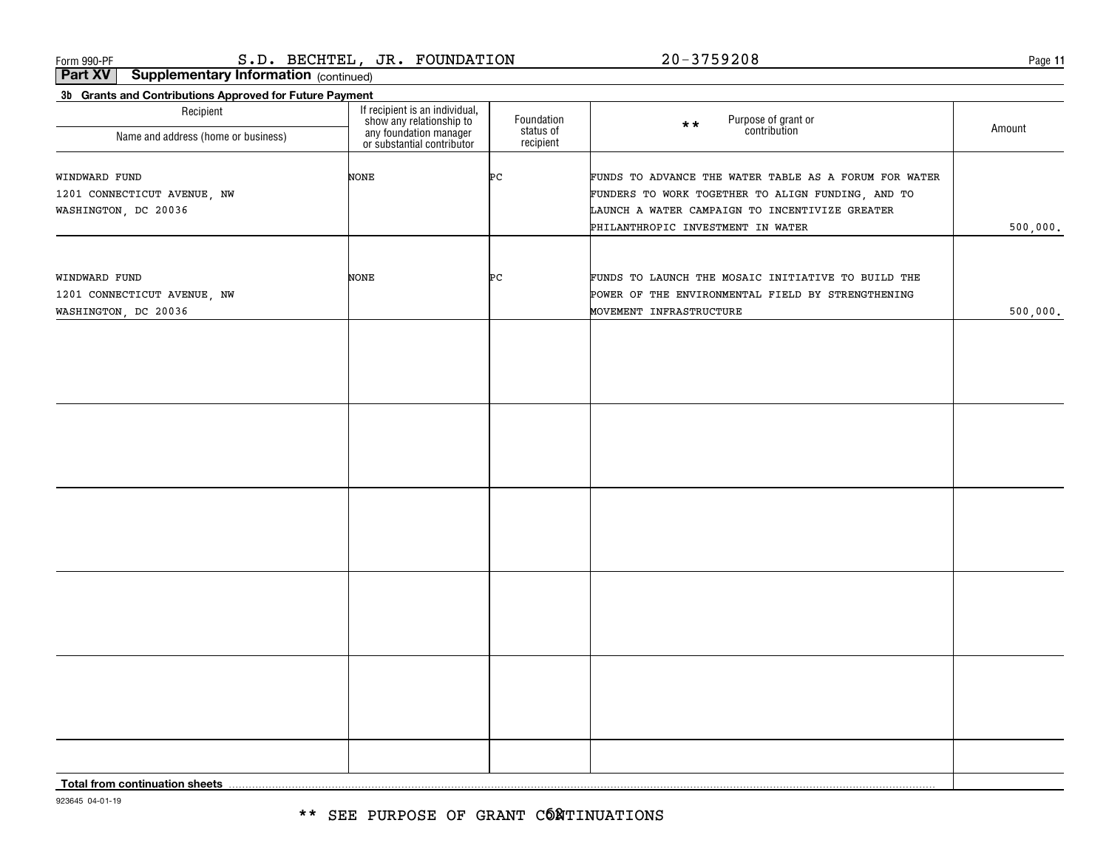**11**

**3b Grants and Contributions Approved for Future Payment Part XV Supplementary Information** (continued)

| <u>of change and continuations Approved for Fatare Fayment</u><br>Recipient<br>Name and address (home or business) | If recipient is an individual,<br>show any relationship to<br>any foundation manager<br>or substantial contributor | Foundation<br>status of<br>recipient | Purpose of grant or<br>contribution<br>$\star\star$                                                                                                                                               | Amount   |
|--------------------------------------------------------------------------------------------------------------------|--------------------------------------------------------------------------------------------------------------------|--------------------------------------|---------------------------------------------------------------------------------------------------------------------------------------------------------------------------------------------------|----------|
| WINDWARD FUND<br>1201 CONNECTICUT AVENUE, NW<br>WASHINGTON, DC 20036                                               | NONE                                                                                                               | Þс                                   | FUNDS TO ADVANCE THE WATER TABLE AS A FORUM FOR WATER<br>FUNDERS TO WORK TOGETHER TO ALIGN FUNDING, AND TO<br>LAUNCH A WATER CAMPAIGN TO INCENTIVIZE GREATER<br>PHILANTHROPIC INVESTMENT IN WATER | 500,000. |
| WINDWARD FUND<br>1201 CONNECTICUT AVENUE, NW<br>WASHINGTON, DC 20036                                               | NONE                                                                                                               | ÞС                                   | FUNDS TO LAUNCH THE MOSAIC INITIATIVE TO BUILD THE<br>POWER OF THE ENVIRONMENTAL FIELD BY STRENGTHENING<br>MOVEMENT INFRASTRUCTURE                                                                | 500,000. |
|                                                                                                                    |                                                                                                                    |                                      |                                                                                                                                                                                                   |          |
|                                                                                                                    |                                                                                                                    |                                      |                                                                                                                                                                                                   |          |
|                                                                                                                    |                                                                                                                    |                                      |                                                                                                                                                                                                   |          |
|                                                                                                                    |                                                                                                                    |                                      |                                                                                                                                                                                                   |          |
|                                                                                                                    |                                                                                                                    |                                      |                                                                                                                                                                                                   |          |
| Total from continuation sheets                                                                                     |                                                                                                                    |                                      |                                                                                                                                                                                                   |          |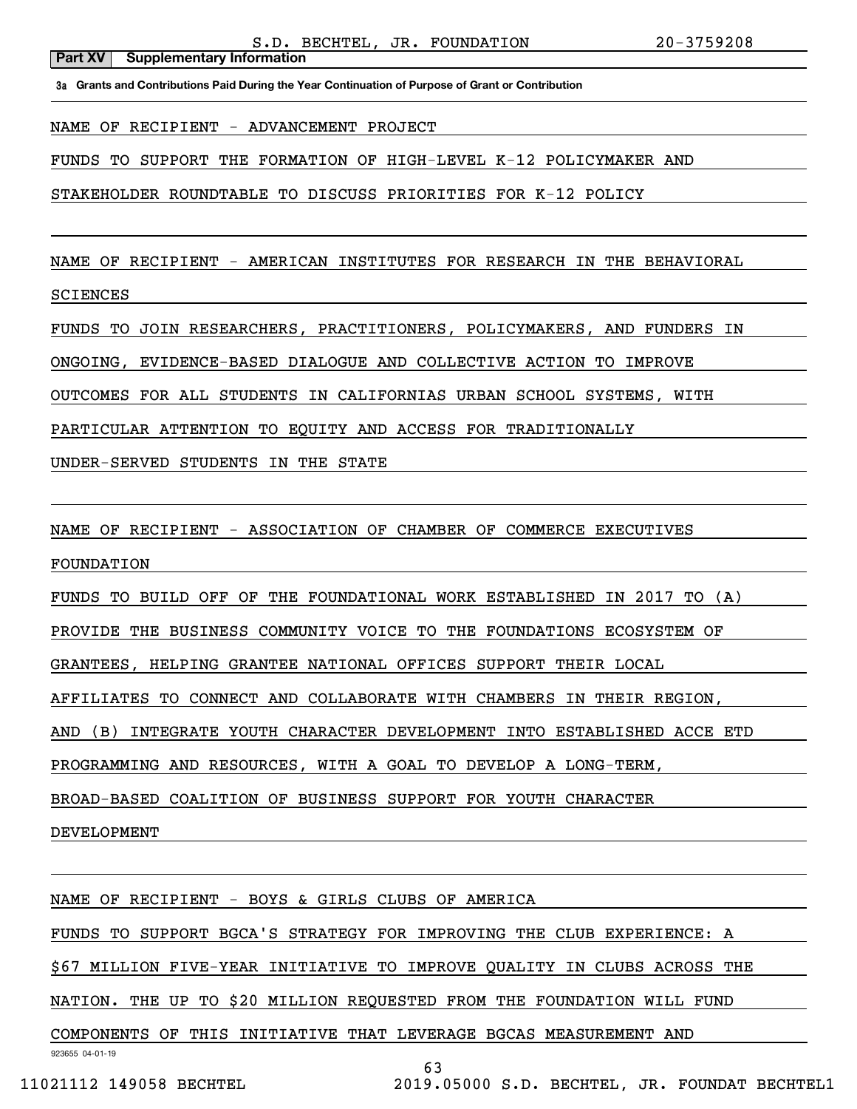**3a Grants and Contributions Paid During the Year Continuation of Purpose of Grant or Contribution**

NAME OF RECIPIENT - ADVANCEMENT PROJECT

**Part XV** Supplementary Information

FUNDS TO SUPPORT THE FORMATION OF HIGH-LEVEL K-12 POLICYMAKER AND

STAKEHOLDER ROUNDTABLE TO DISCUSS PRIORITIES FOR K-12 POLICY

NAME OF RECIPIENT - AMERICAN INSTITUTES FOR RESEARCH IN THE BEHAVIORAL

SCIENCES

FUNDS TO JOIN RESEARCHERS, PRACTITIONERS, POLICYMAKERS, AND FUNDERS IN

ONGOING, EVIDENCE-BASED DIALOGUE AND COLLECTIVE ACTION TO IMPROVE

OUTCOMES FOR ALL STUDENTS IN CALIFORNIAS URBAN SCHOOL SYSTEMS, WITH

PARTICULAR ATTENTION TO EQUITY AND ACCESS FOR TRADITIONALLY

UNDER-SERVED STUDENTS IN THE STATE

NAME OF RECIPIENT - ASSOCIATION OF CHAMBER OF COMMERCE EXECUTIVES

FOUNDATION

FUNDS TO BUILD OFF OF THE FOUNDATIONAL WORK ESTABLISHED IN 2017 TO (A)

PROVIDE THE BUSINESS COMMUNITY VOICE TO THE FOUNDATIONS ECOSYSTEM OF

GRANTEES, HELPING GRANTEE NATIONAL OFFICES SUPPORT THEIR LOCAL

AFFILIATES TO CONNECT AND COLLABORATE WITH CHAMBERS IN THEIR REGION,

AND (B) INTEGRATE YOUTH CHARACTER DEVELOPMENT INTO ESTABLISHED ACCE ETD

PROGRAMMING AND RESOURCES, WITH A GOAL TO DEVELOP A LONG-TERM,

BROAD-BASED COALITION OF BUSINESS SUPPORT FOR YOUTH CHARACTER

DEVELOPMENT

NAME OF RECIPIENT - BOYS & GIRLS CLUBS OF AMERICA

FUNDS TO SUPPORT BGCA'S STRATEGY FOR IMPROVING THE CLUB EXPERIENCE: A

\$67 MILLION FIVE-YEAR INITIATIVE TO IMPROVE QUALITY IN CLUBS ACROSS THE

NATION. THE UP TO \$20 MILLION REQUESTED FROM THE FOUNDATION WILL FUND

COMPONENTS OF THIS INITIATIVE THAT LEVERAGE BGCAS MEASUREMENT AND

923655 04-01-19

63

11021112 149058 BECHTEL 2019.05000 S.D. BECHTEL, JR. FOUNDAT BECHTEL1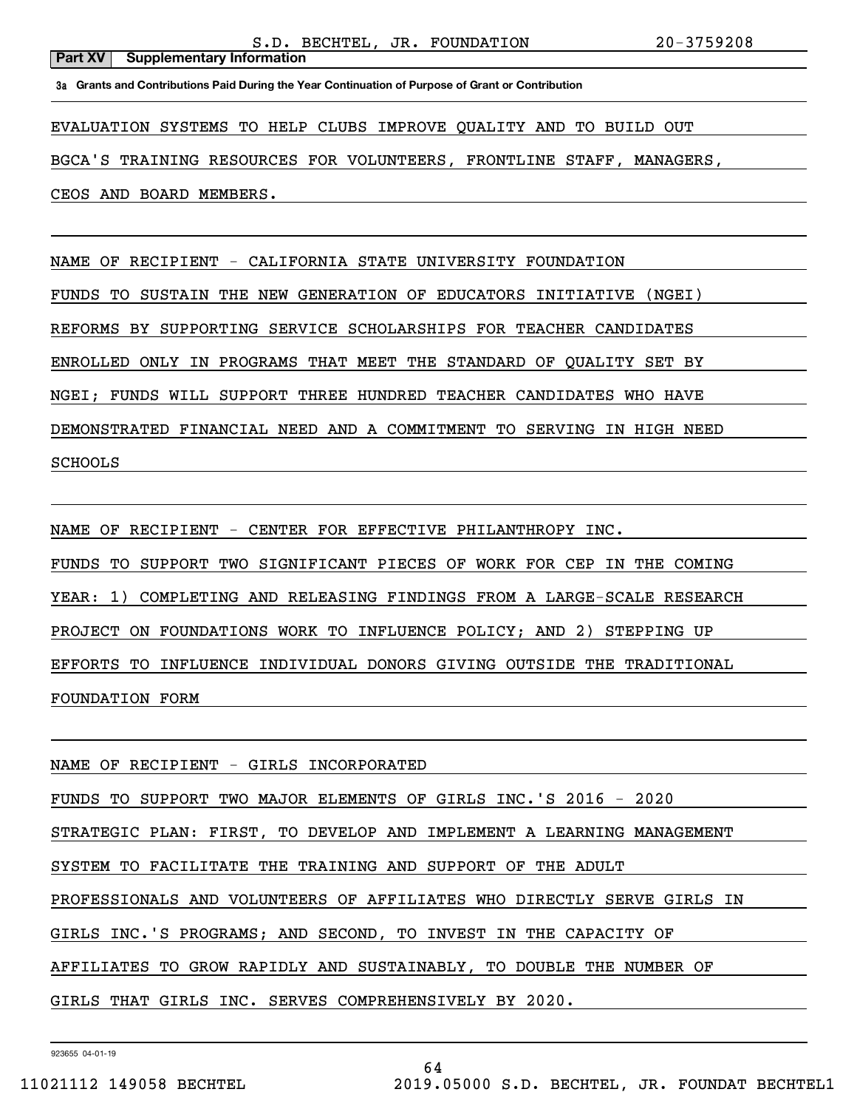**3a Grants and Contributions Paid During the Year Continuation of Purpose of Grant or Contribution**

EVALUATION SYSTEMS TO HELP CLUBS IMPROVE QUALITY AND TO BUILD OUT

BGCA'S TRAINING RESOURCES FOR VOLUNTEERS, FRONTLINE STAFF, MANAGERS,

CEOS AND BOARD MEMBERS.

NAME OF RECIPIENT - CALIFORNIA STATE UNIVERSITY FOUNDATION

FUNDS TO SUSTAIN THE NEW GENERATION OF EDUCATORS INITIATIVE (NGEI)

REFORMS BY SUPPORTING SERVICE SCHOLARSHIPS FOR TEACHER CANDIDATES

ENROLLED ONLY IN PROGRAMS THAT MEET THE STANDARD OF QUALITY SET BY

NGEI; FUNDS WILL SUPPORT THREE HUNDRED TEACHER CANDIDATES WHO HAVE

DEMONSTRATED FINANCIAL NEED AND A COMMITMENT TO SERVING IN HIGH NEED

SCHOOLS

NAME OF RECIPIENT - CENTER FOR EFFECTIVE PHILANTHROPY INC. FUNDS TO SUPPORT TWO SIGNIFICANT PIECES OF WORK FOR CEP IN THE COMING YEAR: 1) COMPLETING AND RELEASING FINDINGS FROM A LARGE-SCALE RESEARCH PROJECT ON FOUNDATIONS WORK TO INFLUENCE POLICY; AND 2) STEPPING UP EFFORTS TO INFLUENCE INDIVIDUAL DONORS GIVING OUTSIDE THE TRADITIONAL FOUNDATION FORM

NAME OF RECIPIENT - GIRLS INCORPORATED

FUNDS TO SUPPORT TWO MAJOR ELEMENTS OF GIRLS INC.'S 2016 - 2020

STRATEGIC PLAN: FIRST, TO DEVELOP AND IMPLEMENT A LEARNING MANAGEMENT

SYSTEM TO FACILITATE THE TRAINING AND SUPPORT OF THE ADULT

PROFESSIONALS AND VOLUNTEERS OF AFFILIATES WHO DIRECTLY SERVE GIRLS IN

GIRLS INC.'S PROGRAMS; AND SECOND, TO INVEST IN THE CAPACITY OF

AFFILIATES TO GROW RAPIDLY AND SUSTAINABLY, TO DOUBLE THE NUMBER OF

GIRLS THAT GIRLS INC. SERVES COMPREHENSIVELY BY 2020.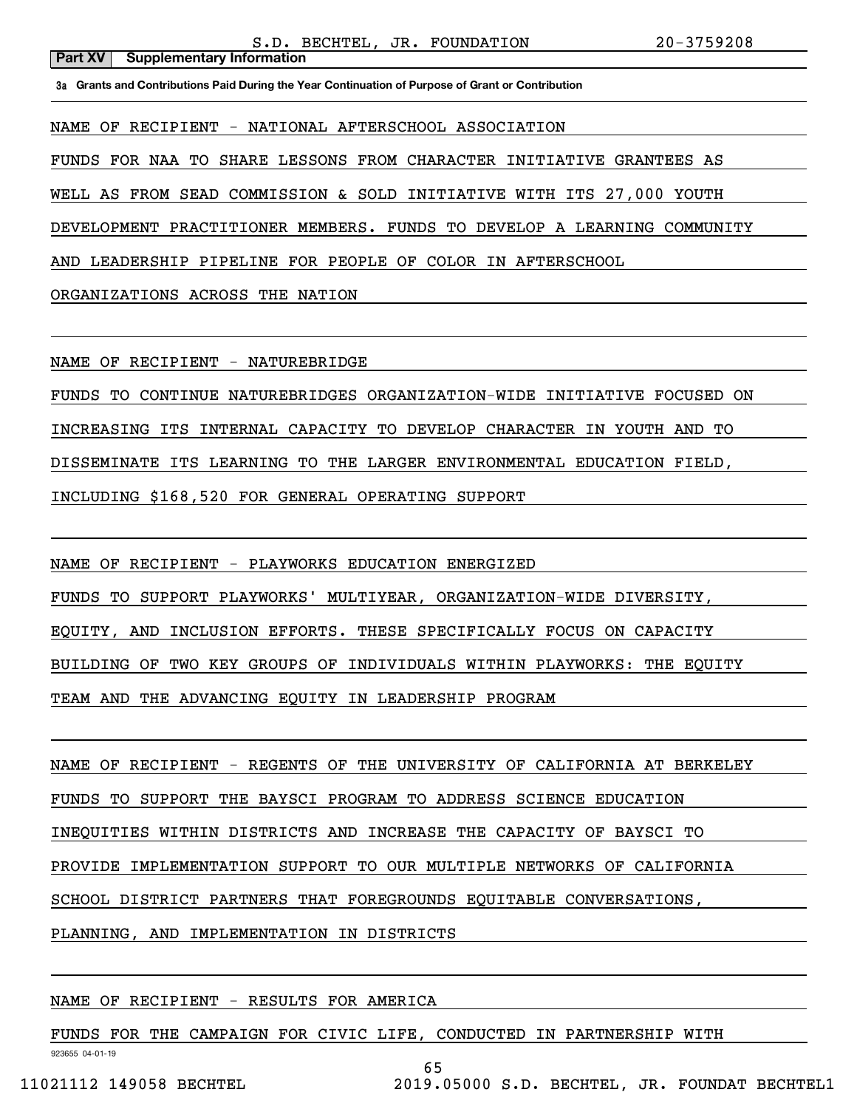**3a Grants and Contributions Paid During the Year Continuation of Purpose of Grant or Contribution**

NAME OF RECIPIENT - NATIONAL AFTERSCHOOL ASSOCIATION

FUNDS FOR NAA TO SHARE LESSONS FROM CHARACTER INITIATIVE GRANTEES AS

WELL AS FROM SEAD COMMISSION & SOLD INITIATIVE WITH ITS 27,000 YOUTH

DEVELOPMENT PRACTITIONER MEMBERS. FUNDS TO DEVELOP A LEARNING COMMUNITY

AND LEADERSHIP PIPELINE FOR PEOPLE OF COLOR IN AFTERSCHOOL

ORGANIZATIONS ACROSS THE NATION

NAME OF RECIPIENT - NATUREBRIDGE

FUNDS TO CONTINUE NATUREBRIDGES ORGANIZATION-WIDE INITIATIVE FOCUSED ON

INCREASING ITS INTERNAL CAPACITY TO DEVELOP CHARACTER IN YOUTH AND TO

DISSEMINATE ITS LEARNING TO THE LARGER ENVIRONMENTAL EDUCATION FIELD,

INCLUDING \$168,520 FOR GENERAL OPERATING SUPPORT

NAME OF RECIPIENT - PLAYWORKS EDUCATION ENERGIZED

FUNDS TO SUPPORT PLAYWORKS' MULTIYEAR, ORGANIZATION-WIDE DIVERSITY,

EQUITY, AND INCLUSION EFFORTS. THESE SPECIFICALLY FOCUS ON CAPACITY

BUILDING OF TWO KEY GROUPS OF INDIVIDUALS WITHIN PLAYWORKS: THE EQUITY

TEAM AND THE ADVANCING EQUITY IN LEADERSHIP PROGRAM

NAME OF RECIPIENT - REGENTS OF THE UNIVERSITY OF CALIFORNIA AT BERKELEY

FUNDS TO SUPPORT THE BAYSCI PROGRAM TO ADDRESS SCIENCE EDUCATION

INEQUITIES WITHIN DISTRICTS AND INCREASE THE CAPACITY OF BAYSCI TO

PROVIDE IMPLEMENTATION SUPPORT TO OUR MULTIPLE NETWORKS OF CALIFORNIA

SCHOOL DISTRICT PARTNERS THAT FOREGROUNDS EQUITABLE CONVERSATIONS,

PLANNING, AND IMPLEMENTATION IN DISTRICTS

### NAME OF RECIPIENT - RESULTS FOR AMERICA

FUNDS FOR THE CAMPAIGN FOR CIVIC LIFE, CONDUCTED IN PARTNERSHIP WITH

923655 04-01-19

65

11021112 149058 BECHTEL 2019.05000 S.D. BECHTEL, JR. FOUNDAT BECHTEL1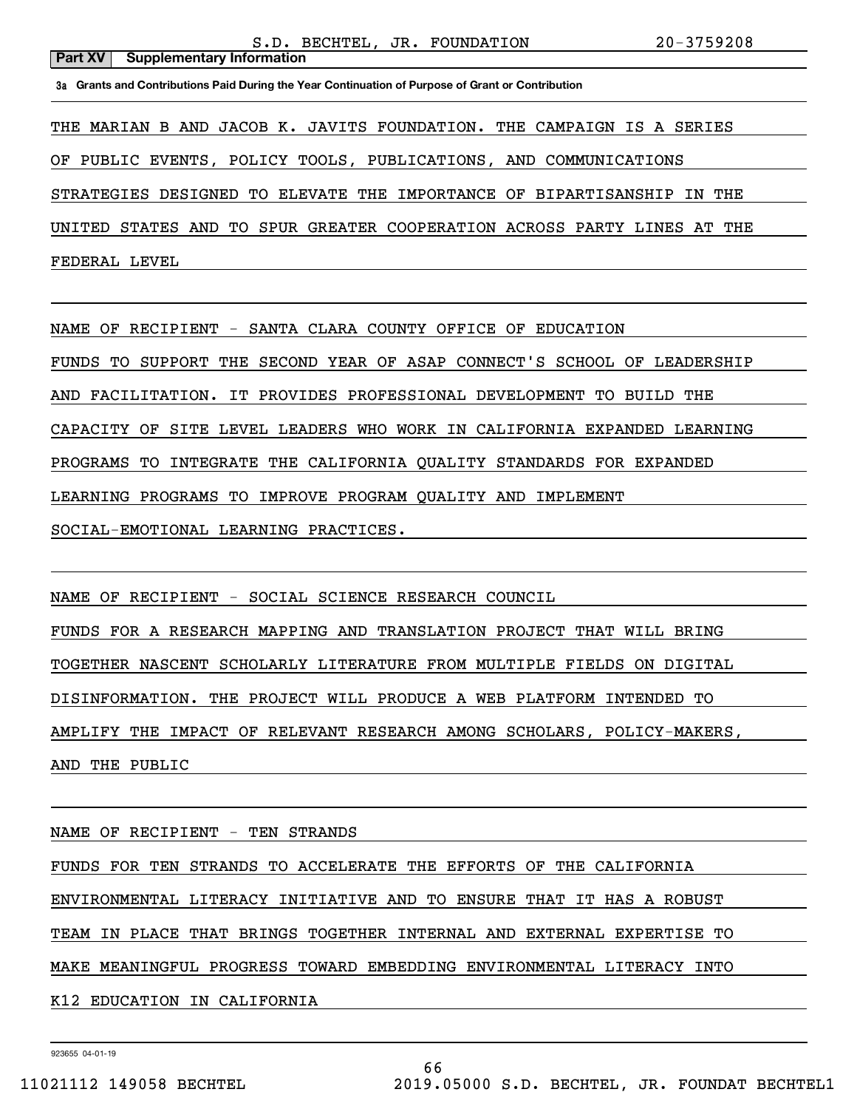**3a Grants and Contributions Paid During the Year Continuation of Purpose of Grant or Contribution**

THE MARIAN B AND JACOB K. JAVITS FOUNDATION. THE CAMPAIGN IS A SERIES

OF PUBLIC EVENTS, POLICY TOOLS, PUBLICATIONS, AND COMMUNICATIONS

STRATEGIES DESIGNED TO ELEVATE THE IMPORTANCE OF BIPARTISANSHIP IN THE

UNITED STATES AND TO SPUR GREATER COOPERATION ACROSS PARTY LINES AT THE

FEDERAL LEVEL

NAME OF RECIPIENT - SANTA CLARA COUNTY OFFICE OF EDUCATION

FUNDS TO SUPPORT THE SECOND YEAR OF ASAP CONNECT'S SCHOOL OF LEADERSHIP

AND FACILITATION. IT PROVIDES PROFESSIONAL DEVELOPMENT TO BUILD THE

CAPACITY OF SITE LEVEL LEADERS WHO WORK IN CALIFORNIA EXPANDED LEARNING

PROGRAMS TO INTEGRATE THE CALIFORNIA QUALITY STANDARDS FOR EXPANDED

LEARNING PROGRAMS TO IMPROVE PROGRAM QUALITY AND IMPLEMENT

SOCIAL-EMOTIONAL LEARNING PRACTICES.

NAME OF RECIPIENT - SOCIAL SCIENCE RESEARCH COUNCIL

FUNDS FOR A RESEARCH MAPPING AND TRANSLATION PROJECT THAT WILL BRING

TOGETHER NASCENT SCHOLARLY LITERATURE FROM MULTIPLE FIELDS ON DIGITAL

DISINFORMATION. THE PROJECT WILL PRODUCE A WEB PLATFORM INTENDED TO

AMPLIFY THE IMPACT OF RELEVANT RESEARCH AMONG SCHOLARS, POLICY-MAKERS,

AND THE PUBLIC

NAME OF RECIPIENT - TEN STRANDS

FUNDS FOR TEN STRANDS TO ACCELERATE THE EFFORTS OF THE CALIFORNIA

ENVIRONMENTAL LITERACY INITIATIVE AND TO ENSURE THAT IT HAS A ROBUST

TEAM IN PLACE THAT BRINGS TOGETHER INTERNAL AND EXTERNAL EXPERTISE TO

MAKE MEANINGFUL PROGRESS TOWARD EMBEDDING ENVIRONMENTAL LITERACY INTO

K12 EDUCATION IN CALIFORNIA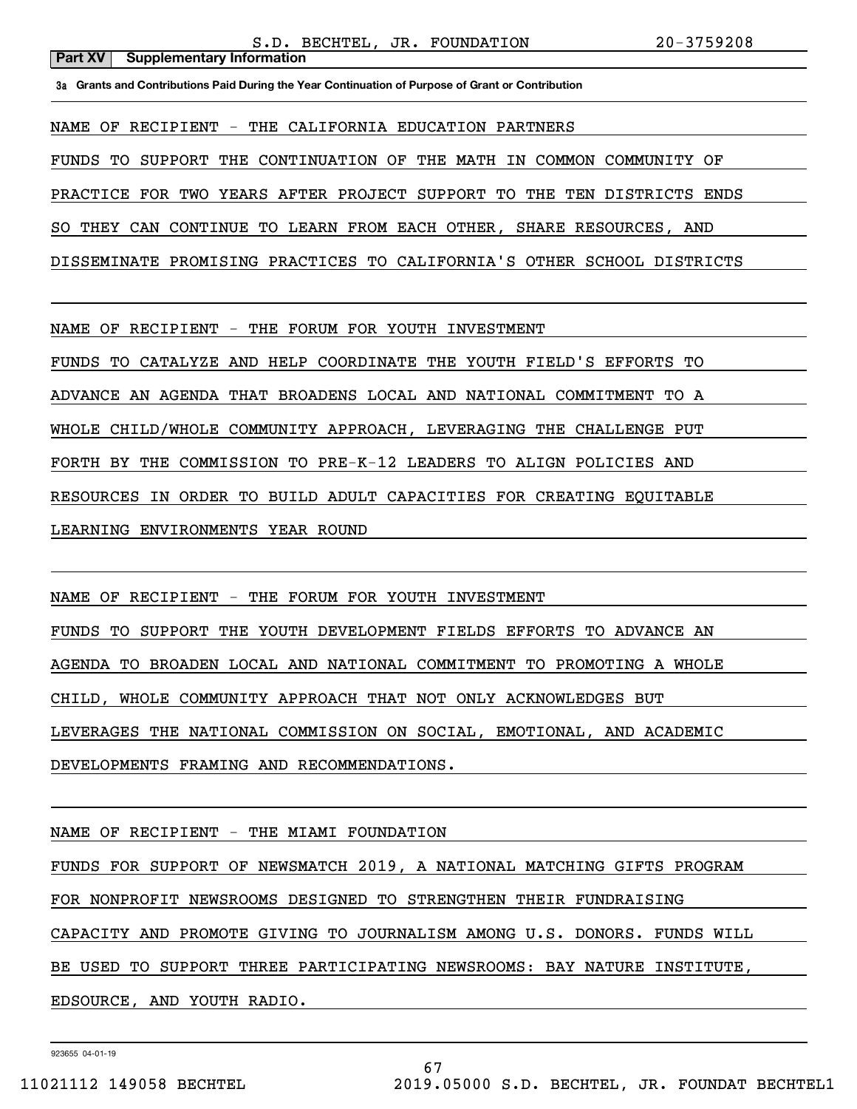**3a Grants and Contributions Paid During the Year Continuation of Purpose of Grant or Contribution**

NAME OF RECIPIENT - THE CALIFORNIA EDUCATION PARTNERS

FUNDS TO SUPPORT THE CONTINUATION OF THE MATH IN COMMON COMMUNITY OF

PRACTICE FOR TWO YEARS AFTER PROJECT SUPPORT TO THE TEN DISTRICTS ENDS

SO THEY CAN CONTINUE TO LEARN FROM EACH OTHER, SHARE RESOURCES, AND

DISSEMINATE PROMISING PRACTICES TO CALIFORNIA'S OTHER SCHOOL DISTRICTS

NAME OF RECIPIENT - THE FORUM FOR YOUTH INVESTMENT

FUNDS TO CATALYZE AND HELP COORDINATE THE YOUTH FIELD'S EFFORTS TO

ADVANCE AN AGENDA THAT BROADENS LOCAL AND NATIONAL COMMITMENT TO A

WHOLE CHILD/WHOLE COMMUNITY APPROACH, LEVERAGING THE CHALLENGE PUT

FORTH BY THE COMMISSION TO PRE-K-12 LEADERS TO ALIGN POLICIES AND

RESOURCES IN ORDER TO BUILD ADULT CAPACITIES FOR CREATING EQUITABLE

LEARNING ENVIRONMENTS YEAR ROUND

NAME OF RECIPIENT - THE FORUM FOR YOUTH INVESTMENT FUNDS TO SUPPORT THE YOUTH DEVELOPMENT FIELDS EFFORTS TO ADVANCE AN AGENDA TO BROADEN LOCAL AND NATIONAL COMMITMENT TO PROMOTING A WHOLE CHILD, WHOLE COMMUNITY APPROACH THAT NOT ONLY ACKNOWLEDGES BUT LEVERAGES THE NATIONAL COMMISSION ON SOCIAL, EMOTIONAL, AND ACADEMIC DEVELOPMENTS FRAMING AND RECOMMENDATIONS.

NAME OF RECIPIENT - THE MIAMI FOUNDATION FUNDS FOR SUPPORT OF NEWSMATCH 2019, A NATIONAL MATCHING GIFTS PROGRAM FOR NONPROFIT NEWSROOMS DESIGNED TO STRENGTHEN THEIR FUNDRAISING CAPACITY AND PROMOTE GIVING TO JOURNALISM AMONG U.S. DONORS. FUNDS WILL BE USED TO SUPPORT THREE PARTICIPATING NEWSROOMS: BAY NATURE INSTITUTE, EDSOURCE, AND YOUTH RADIO.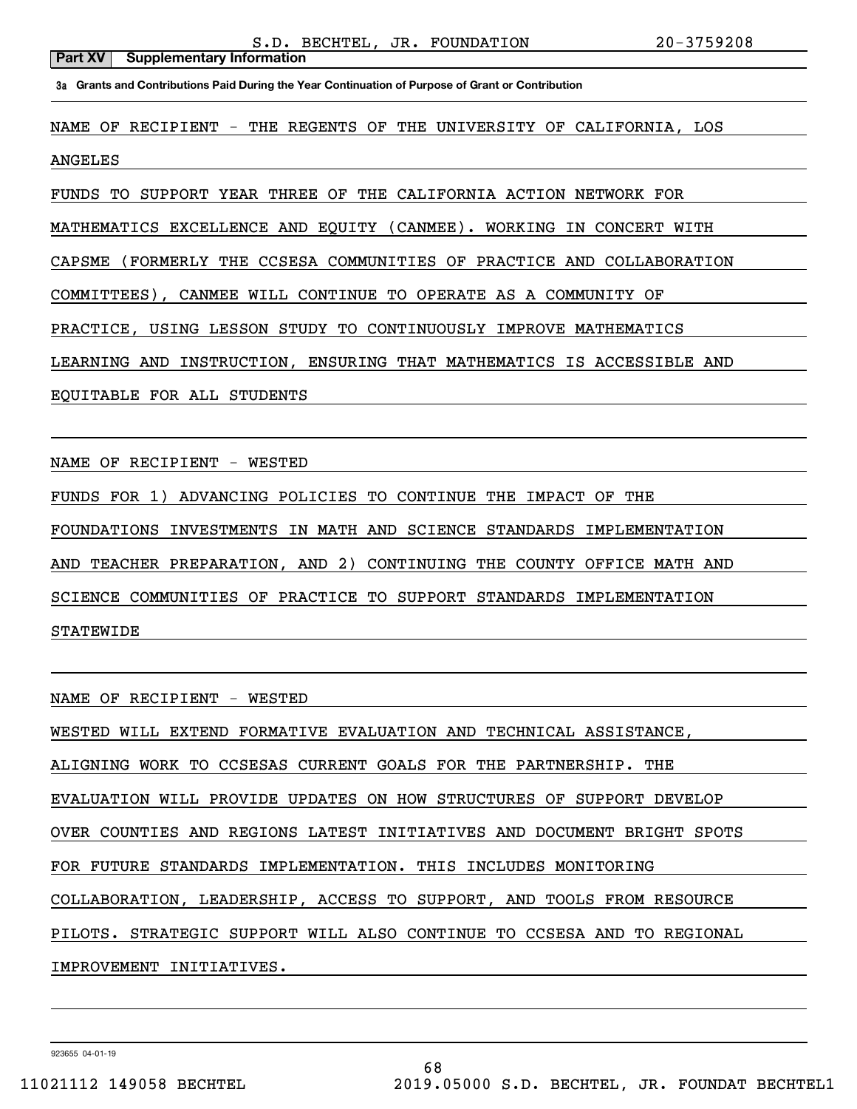**3a Grants and Contributions Paid During the Year Continuation of Purpose of Grant or Contribution**

NAME OF RECIPIENT - THE REGENTS OF THE UNIVERSITY OF CALIFORNIA, LOS

ANGELES

FUNDS TO SUPPORT YEAR THREE OF THE CALIFORNIA ACTION NETWORK FOR

MATHEMATICS EXCELLENCE AND EQUITY (CANMEE). WORKING IN CONCERT WITH

CAPSME (FORMERLY THE CCSESA COMMUNITIES OF PRACTICE AND COLLABORATION

COMMITTEES), CANMEE WILL CONTINUE TO OPERATE AS A COMMUNITY OF

PRACTICE, USING LESSON STUDY TO CONTINUOUSLY IMPROVE MATHEMATICS

LEARNING AND INSTRUCTION, ENSURING THAT MATHEMATICS IS ACCESSIBLE AND

EQUITABLE FOR ALL STUDENTS

NAME OF RECIPIENT - WESTED

FUNDS FOR 1) ADVANCING POLICIES TO CONTINUE THE IMPACT OF THE

FOUNDATIONS INVESTMENTS IN MATH AND SCIENCE STANDARDS IMPLEMENTATION

AND TEACHER PREPARATION, AND 2) CONTINUING THE COUNTY OFFICE MATH AND

SCIENCE COMMUNITIES OF PRACTICE TO SUPPORT STANDARDS IMPLEMENTATION

### STATEWIDE

NAME OF RECIPIENT - WESTED

WESTED WILL EXTEND FORMATIVE EVALUATION AND TECHNICAL ASSISTANCE,

ALIGNING WORK TO CCSESAS CURRENT GOALS FOR THE PARTNERSHIP. THE

EVALUATION WILL PROVIDE UPDATES ON HOW STRUCTURES OF SUPPORT DEVELOP

OVER COUNTIES AND REGIONS LATEST INITIATIVES AND DOCUMENT BRIGHT SPOTS

FOR FUTURE STANDARDS IMPLEMENTATION. THIS INCLUDES MONITORING

COLLABORATION, LEADERSHIP, ACCESS TO SUPPORT, AND TOOLS FROM RESOURCE

PILOTS. STRATEGIC SUPPORT WILL ALSO CONTINUE TO CCSESA AND TO REGIONAL

IMPROVEMENT INITIATIVES.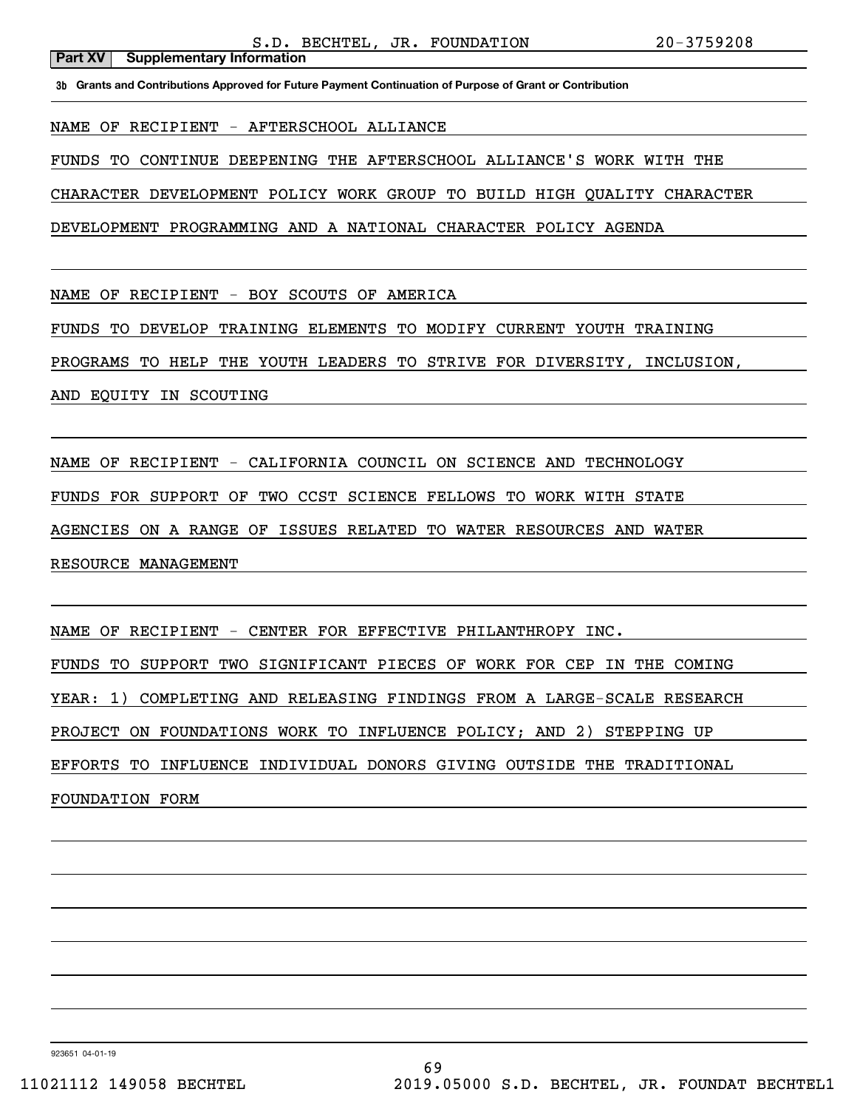**3b Grants and Contributions Approved for Future Payment Continuation of Purpose of Grant or Contribution**

NAME OF RECIPIENT - AFTERSCHOOL ALLIANCE

**Part XV** Supplementary Information

FUNDS TO CONTINUE DEEPENING THE AFTERSCHOOL ALLIANCE'S WORK WITH THE

CHARACTER DEVELOPMENT POLICY WORK GROUP TO BUILD HIGH QUALITY CHARACTER

DEVELOPMENT PROGRAMMING AND A NATIONAL CHARACTER POLICY AGENDA

NAME OF RECIPIENT - BOY SCOUTS OF AMERICA

FUNDS TO DEVELOP TRAINING ELEMENTS TO MODIFY CURRENT YOUTH TRAINING

PROGRAMS TO HELP THE YOUTH LEADERS TO STRIVE FOR DIVERSITY, INCLUSION,

AND EQUITY IN SCOUTING

NAME OF RECIPIENT - CALIFORNIA COUNCIL ON SCIENCE AND TECHNOLOGY

FUNDS FOR SUPPORT OF TWO CCST SCIENCE FELLOWS TO WORK WITH STATE

AGENCIES ON A RANGE OF ISSUES RELATED TO WATER RESOURCES AND WATER

RESOURCE MANAGEMENT

NAME OF RECIPIENT - CENTER FOR EFFECTIVE PHILANTHROPY INC.

FUNDS TO SUPPORT TWO SIGNIFICANT PIECES OF WORK FOR CEP IN THE COMING

YEAR: 1) COMPLETING AND RELEASING FINDINGS FROM A LARGE-SCALE RESEARCH

PROJECT ON FOUNDATIONS WORK TO INFLUENCE POLICY; AND 2) STEPPING UP

EFFORTS TO INFLUENCE INDIVIDUAL DONORS GIVING OUTSIDE THE TRADITIONAL

FOUNDATION FORM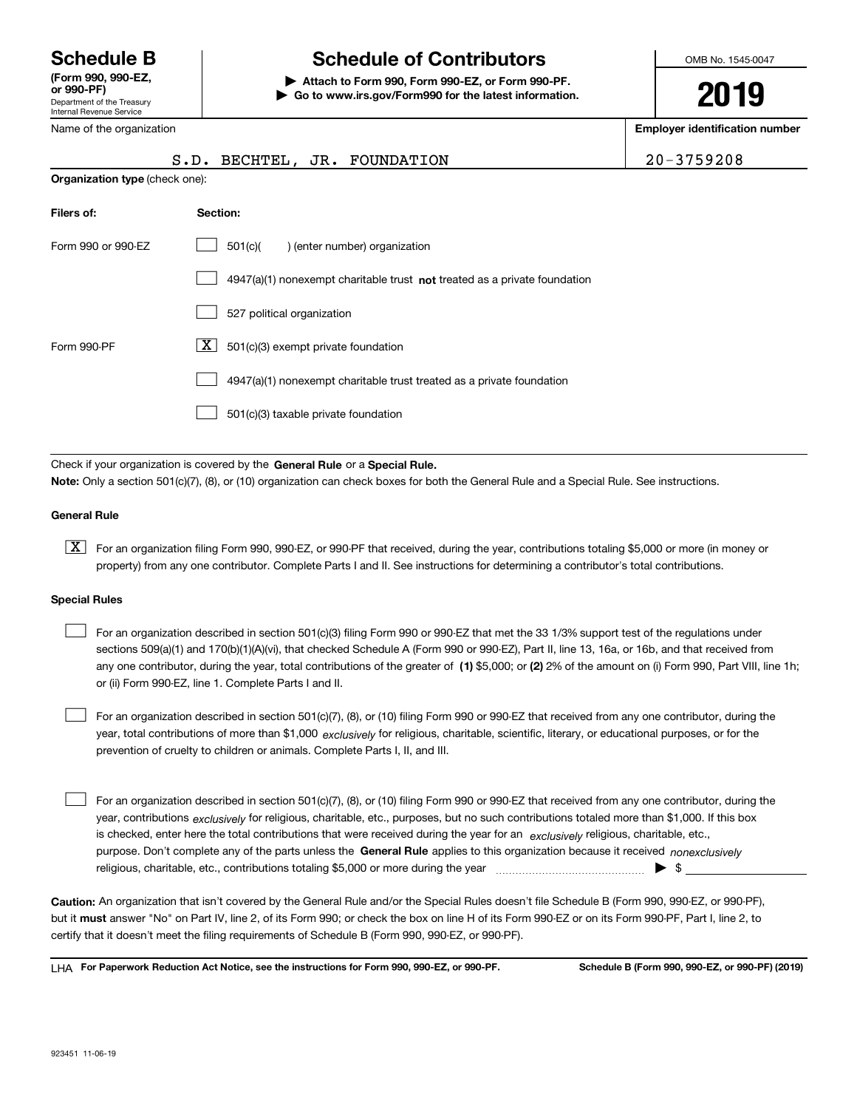Department of the Treasury Internal Revenue Service **(Form 990, 990-EZ, or 990-PF)**

Name of the organization

# **Schedule B Schedule of Contributors**

**| Attach to Form 990, Form 990-EZ, or Form 990-PF. | Go to www.irs.gov/Form990 for the latest information.** OMB No. 1545-0047

**2019**

**Employer identification number**

|                                       | S.D. BECHTEL, JR. FOUNDATION                                                       | $20 - 3759208$ |  |  |
|---------------------------------------|------------------------------------------------------------------------------------|----------------|--|--|
| <b>Organization type</b> (check one): |                                                                                    |                |  |  |
| Filers of:                            | Section:                                                                           |                |  |  |
| Form 990 or 990-EZ                    | 501(c)<br>) (enter number) organization                                            |                |  |  |
|                                       | $4947(a)(1)$ nonexempt charitable trust <b>not</b> treated as a private foundation |                |  |  |
|                                       | 527 political organization                                                         |                |  |  |
| Form 990-PF                           | X<br>501(c)(3) exempt private foundation                                           |                |  |  |
|                                       | 4947(a)(1) nonexempt charitable trust treated as a private foundation              |                |  |  |

501(c)(3) taxable private foundation  $\mathcal{L}^{\text{max}}$ 

Check if your organization is covered by the **General Rule** or a **Special Rule. Note:**  Only a section 501(c)(7), (8), or (10) organization can check boxes for both the General Rule and a Special Rule. See instructions.

### **General Rule**

 $\boxed{\textbf{X}}$  For an organization filing Form 990, 990-EZ, or 990-PF that received, during the year, contributions totaling \$5,000 or more (in money or property) from any one contributor. Complete Parts I and II. See instructions for determining a contributor's total contributions.

### **Special Rules**

any one contributor, during the year, total contributions of the greater of  $\,$  (1) \$5,000; or **(2)** 2% of the amount on (i) Form 990, Part VIII, line 1h; For an organization described in section 501(c)(3) filing Form 990 or 990-EZ that met the 33 1/3% support test of the regulations under sections 509(a)(1) and 170(b)(1)(A)(vi), that checked Schedule A (Form 990 or 990-EZ), Part II, line 13, 16a, or 16b, and that received from or (ii) Form 990-EZ, line 1. Complete Parts I and II.  $\mathcal{L}^{\text{max}}$ 

year, total contributions of more than \$1,000 *exclusively* for religious, charitable, scientific, literary, or educational purposes, or for the For an organization described in section 501(c)(7), (8), or (10) filing Form 990 or 990-EZ that received from any one contributor, during the prevention of cruelty to children or animals. Complete Parts I, II, and III.  $\mathcal{L}^{\text{max}}$ 

purpose. Don't complete any of the parts unless the **General Rule** applies to this organization because it received *nonexclusively* year, contributions <sub>exclusively</sub> for religious, charitable, etc., purposes, but no such contributions totaled more than \$1,000. If this box is checked, enter here the total contributions that were received during the year for an  $\;$ exclusively religious, charitable, etc., For an organization described in section 501(c)(7), (8), or (10) filing Form 990 or 990-EZ that received from any one contributor, during the religious, charitable, etc., contributions totaling \$5,000 or more during the year  $\Box$ — $\Box$  =  $\Box$  $\mathcal{L}^{\text{max}}$ 

**Caution:**  An organization that isn't covered by the General Rule and/or the Special Rules doesn't file Schedule B (Form 990, 990-EZ, or 990-PF),  **must** but it answer "No" on Part IV, line 2, of its Form 990; or check the box on line H of its Form 990-EZ or on its Form 990-PF, Part I, line 2, to certify that it doesn't meet the filing requirements of Schedule B (Form 990, 990-EZ, or 990-PF).

**For Paperwork Reduction Act Notice, see the instructions for Form 990, 990-EZ, or 990-PF. Schedule B (Form 990, 990-EZ, or 990-PF) (2019)** LHA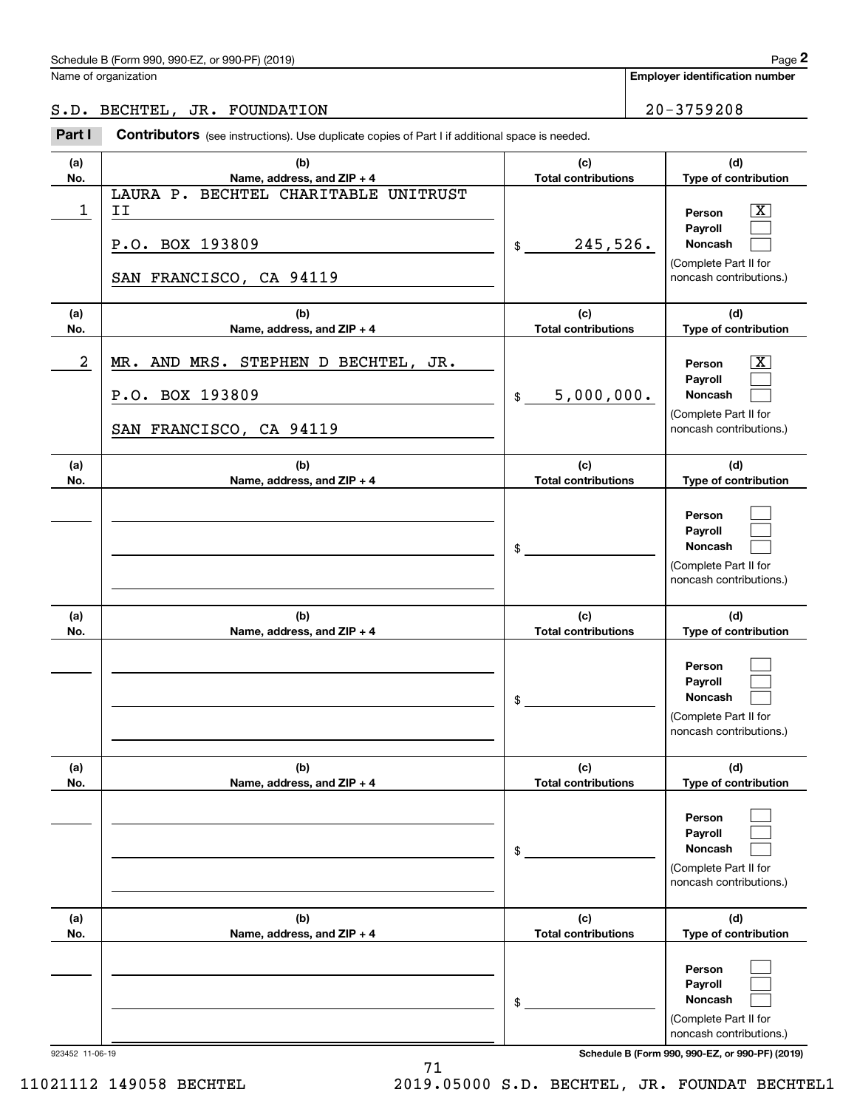# Schedule B (Form 990, 990-EZ, or 990-PF) (2019) Page 2

Name of organization

# S.D. BECHTEL, JR. FOUNDATION 20-3759208

Chedule B (Form 990, 990-EZ, or 990-PF) (2019)<br>
lame of organization<br> **20** − 3759208<br> **20** − 3759208<br> **Part I Contributors** (see instructions). Use duplicate copies of Part I if additional space is needed.

| (a)<br>No.     | (b)<br>Name, address, and ZIP + 4                                                        | (c)<br><b>Total contributions</b> | (d)<br>Type of contribution                                                                                      |
|----------------|------------------------------------------------------------------------------------------|-----------------------------------|------------------------------------------------------------------------------------------------------------------|
| 1              | LAURA P. BECHTEL CHARITABLE UNITRUST<br>II<br>P.O. BOX 193809<br>SAN FRANCISCO, CA 94119 | 245,526.<br>$\mathfrak{S}$        | $\overline{\text{X}}$<br>Person<br>Payroll<br><b>Noncash</b><br>(Complete Part II for<br>noncash contributions.) |
| (a)<br>No.     | (b)<br>Name, address, and ZIP + 4                                                        | (c)<br><b>Total contributions</b> | (d)<br>Type of contribution                                                                                      |
| $\overline{a}$ | MR. AND MRS. STEPHEN D BECHTEL, JR.<br>P.O. BOX 193809<br>SAN FRANCISCO, CA 94119        | 5,000,000.<br>$\frac{1}{2}$       | $\overline{\text{X}}$<br>Person<br>Payroll<br><b>Noncash</b><br>(Complete Part II for<br>noncash contributions.) |
| (a)<br>No.     | (b)<br>Name, address, and ZIP + 4                                                        | (c)<br><b>Total contributions</b> | (d)<br>Type of contribution                                                                                      |
|                |                                                                                          | $\mathsf{\$}$                     | Person<br>Payroll<br><b>Noncash</b><br>(Complete Part II for<br>noncash contributions.)                          |
| (a)<br>No.     | (b)<br>Name, address, and ZIP + 4                                                        | (c)<br><b>Total contributions</b> | (d)<br>Type of contribution                                                                                      |
|                |                                                                                          | \$                                | Person<br>Payroll<br>Noncash<br>(Complete Part II for<br>noncash contributions.)                                 |
| (a)<br>No.     | (b)<br>Name, address, and ZIP + 4                                                        | (c)<br><b>Total contributions</b> | (d)<br>Type of contribution                                                                                      |
|                |                                                                                          | \$                                | Person<br>Payroll<br>Noncash<br>(Complete Part II for<br>noncash contributions.)                                 |
| (a)<br>No.     | (b)<br>Name, address, and ZIP + 4                                                        | (c)<br><b>Total contributions</b> | (d)<br>Type of contribution                                                                                      |
|                |                                                                                          | \$                                | Person<br>Payroll<br>Noncash<br>(Complete Part II for<br>noncash contributions.)                                 |

923452 11-06-19 **Schedule B (Form 990, 990-EZ, or 990-PF) (2019)**

11021112 149058 BECHTEL 2019.05000 S.D. BECHTEL, JR. FOUNDAT BECHTEL1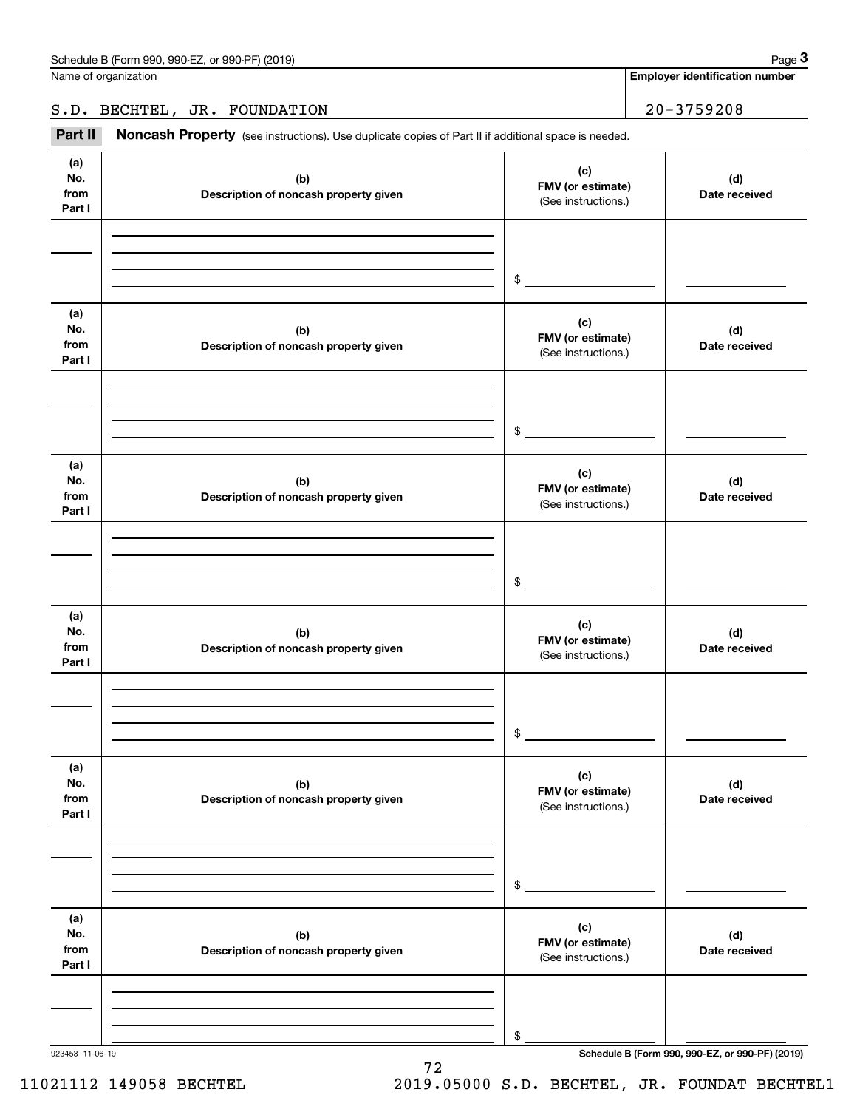Name of organization

**Employer identification number**

# S.D. BECHTEL, JR. FOUNDATION 20-3759208

Chedule B (Form 990, 990-EZ, or 990-PF) (2019)<br> **20** ame of organization<br> **3. D. BECHTEL, JR. FOUNDATION**<br> **Part II** Noncash Property (see instructions). Use duplicate copies of Part II if additional space is needed.

| (a)<br>(c)<br>No.<br>(b)<br>(d)<br>FMV (or estimate)<br>from<br>Description of noncash property given<br>Date received<br>(See instructions.)<br>Part I<br>\$<br>(a)<br>(c)<br>No.<br>(d)<br>(b)<br>FMV (or estimate)<br>from<br>Description of noncash property given<br>Date received<br>(See instructions.)<br>Part I<br>$\sim$<br>(a)<br>(c)<br>No.<br>(d)<br>(b)<br>FMV (or estimate)<br>from<br>Description of noncash property given<br>Date received<br>(See instructions.)<br>Part I<br>$\sim$<br>(a)<br>(c)<br>No.<br>(d)<br>(b)<br>FMV (or estimate)<br>from<br>Description of noncash property given<br>Date received<br>(See instructions.)<br>Part I<br>\$<br>(a)<br>(c)<br>No.<br>(d)<br>(b)<br>FMV (or estimate)<br>from<br>Description of noncash property given<br>Date received<br>(See instructions.)<br>Part I<br>\$<br>(a)<br>(c)<br>No.<br>(b)<br>(d)<br>FMV (or estimate)<br>from<br>Description of noncash property given<br>Date received<br>(See instructions.)<br>Part I<br>\$ |  |  |
|------------------------------------------------------------------------------------------------------------------------------------------------------------------------------------------------------------------------------------------------------------------------------------------------------------------------------------------------------------------------------------------------------------------------------------------------------------------------------------------------------------------------------------------------------------------------------------------------------------------------------------------------------------------------------------------------------------------------------------------------------------------------------------------------------------------------------------------------------------------------------------------------------------------------------------------------------------------------------------------------------------|--|--|
|                                                                                                                                                                                                                                                                                                                                                                                                                                                                                                                                                                                                                                                                                                                                                                                                                                                                                                                                                                                                            |  |  |
|                                                                                                                                                                                                                                                                                                                                                                                                                                                                                                                                                                                                                                                                                                                                                                                                                                                                                                                                                                                                            |  |  |
|                                                                                                                                                                                                                                                                                                                                                                                                                                                                                                                                                                                                                                                                                                                                                                                                                                                                                                                                                                                                            |  |  |
|                                                                                                                                                                                                                                                                                                                                                                                                                                                                                                                                                                                                                                                                                                                                                                                                                                                                                                                                                                                                            |  |  |
|                                                                                                                                                                                                                                                                                                                                                                                                                                                                                                                                                                                                                                                                                                                                                                                                                                                                                                                                                                                                            |  |  |
|                                                                                                                                                                                                                                                                                                                                                                                                                                                                                                                                                                                                                                                                                                                                                                                                                                                                                                                                                                                                            |  |  |
|                                                                                                                                                                                                                                                                                                                                                                                                                                                                                                                                                                                                                                                                                                                                                                                                                                                                                                                                                                                                            |  |  |
|                                                                                                                                                                                                                                                                                                                                                                                                                                                                                                                                                                                                                                                                                                                                                                                                                                                                                                                                                                                                            |  |  |
|                                                                                                                                                                                                                                                                                                                                                                                                                                                                                                                                                                                                                                                                                                                                                                                                                                                                                                                                                                                                            |  |  |
|                                                                                                                                                                                                                                                                                                                                                                                                                                                                                                                                                                                                                                                                                                                                                                                                                                                                                                                                                                                                            |  |  |
|                                                                                                                                                                                                                                                                                                                                                                                                                                                                                                                                                                                                                                                                                                                                                                                                                                                                                                                                                                                                            |  |  |
| Schedule B (Form 990, 990-EZ, or 990-PF) (2019)<br>923453 11-06-19                                                                                                                                                                                                                                                                                                                                                                                                                                                                                                                                                                                                                                                                                                                                                                                                                                                                                                                                         |  |  |

72

11021112 149058 BECHTEL 2019.05000 S.D. BECHTEL, JR. FOUNDAT BECHTEL1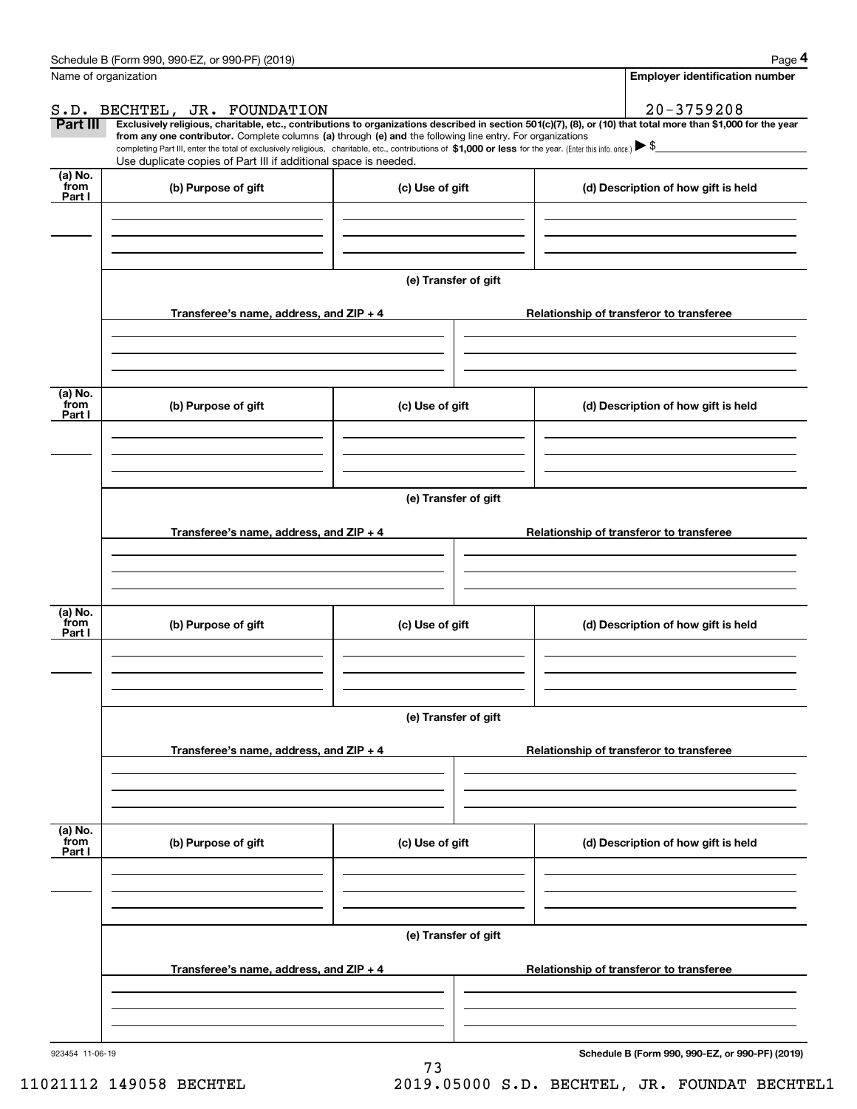|                           | Schedule B (Form 990, 990-EZ, or 990-PF) (2019)                                                                                                                                                                                                                              |                      | Page 4                                          |
|---------------------------|------------------------------------------------------------------------------------------------------------------------------------------------------------------------------------------------------------------------------------------------------------------------------|----------------------|-------------------------------------------------|
|                           | Name of organization                                                                                                                                                                                                                                                         |                      | <b>Employer identification number</b>           |
|                           | S.D. BECHTEL, JR. FOUNDATION                                                                                                                                                                                                                                                 |                      | 20-3759208                                      |
| Part III                  | Exclusively religious, charitable, etc., contributions to organizations described in section 501(c)(7), (8), or (10) that total more than \$1,000 for the year<br>from any one contributor. Complete columns (a) through (e) and the following line entry. For organizations |                      |                                                 |
|                           | completing Part III, enter the total of exclusively religious, charitable, etc., contributions of \$1,000 or less for the year. (Enter this info. once.) $\blacktriangleright$ \$                                                                                            |                      |                                                 |
|                           | Use duplicate copies of Part III if additional space is needed.                                                                                                                                                                                                              |                      |                                                 |
| (a) No.<br>from<br>Part I | (b) Purpose of gift                                                                                                                                                                                                                                                          | (c) Use of gift      | (d) Description of how gift is held             |
|                           |                                                                                                                                                                                                                                                                              |                      |                                                 |
|                           |                                                                                                                                                                                                                                                                              | (e) Transfer of gift |                                                 |
|                           | Transferee's name, address, and ZIP + 4                                                                                                                                                                                                                                      |                      | Relationship of transferor to transferee        |
| (a) No.                   |                                                                                                                                                                                                                                                                              |                      |                                                 |
| from<br>Part I            | (b) Purpose of gift                                                                                                                                                                                                                                                          | (c) Use of gift      | (d) Description of how gift is held             |
|                           |                                                                                                                                                                                                                                                                              |                      |                                                 |
|                           |                                                                                                                                                                                                                                                                              | (e) Transfer of gift |                                                 |
|                           | Transferee's name, address, and ZIP + 4                                                                                                                                                                                                                                      |                      | Relationship of transferor to transferee        |
|                           |                                                                                                                                                                                                                                                                              |                      |                                                 |
|                           |                                                                                                                                                                                                                                                                              |                      |                                                 |
|                           |                                                                                                                                                                                                                                                                              |                      |                                                 |
| (a) No.<br>from<br>Part I | (b) Purpose of gift                                                                                                                                                                                                                                                          | (c) Use of gift      | (d) Description of how gift is held             |
|                           |                                                                                                                                                                                                                                                                              |                      |                                                 |
|                           |                                                                                                                                                                                                                                                                              | (e) Transfer of gift |                                                 |
|                           |                                                                                                                                                                                                                                                                              |                      |                                                 |
|                           | Transferee's name, address, and ZIP + 4                                                                                                                                                                                                                                      |                      | Relationship of transferor to transferee        |
|                           |                                                                                                                                                                                                                                                                              |                      |                                                 |
| (a) No.<br>from<br>Part I | (b) Purpose of gift                                                                                                                                                                                                                                                          | (c) Use of gift      | (d) Description of how gift is held             |
|                           |                                                                                                                                                                                                                                                                              |                      |                                                 |
|                           |                                                                                                                                                                                                                                                                              | (e) Transfer of gift |                                                 |
|                           | Transferee's name, address, and $ZIP + 4$                                                                                                                                                                                                                                    |                      | Relationship of transferor to transferee        |
|                           |                                                                                                                                                                                                                                                                              |                      |                                                 |
|                           |                                                                                                                                                                                                                                                                              |                      |                                                 |
| 923454 11-06-19           |                                                                                                                                                                                                                                                                              |                      | Schedule B (Form 990, 990-EZ, or 990-PF) (2019) |

73

11021112 149058 BECHTEL 2019.05000 S.D. BECHTEL, JR. FOUNDAT BECHTEL1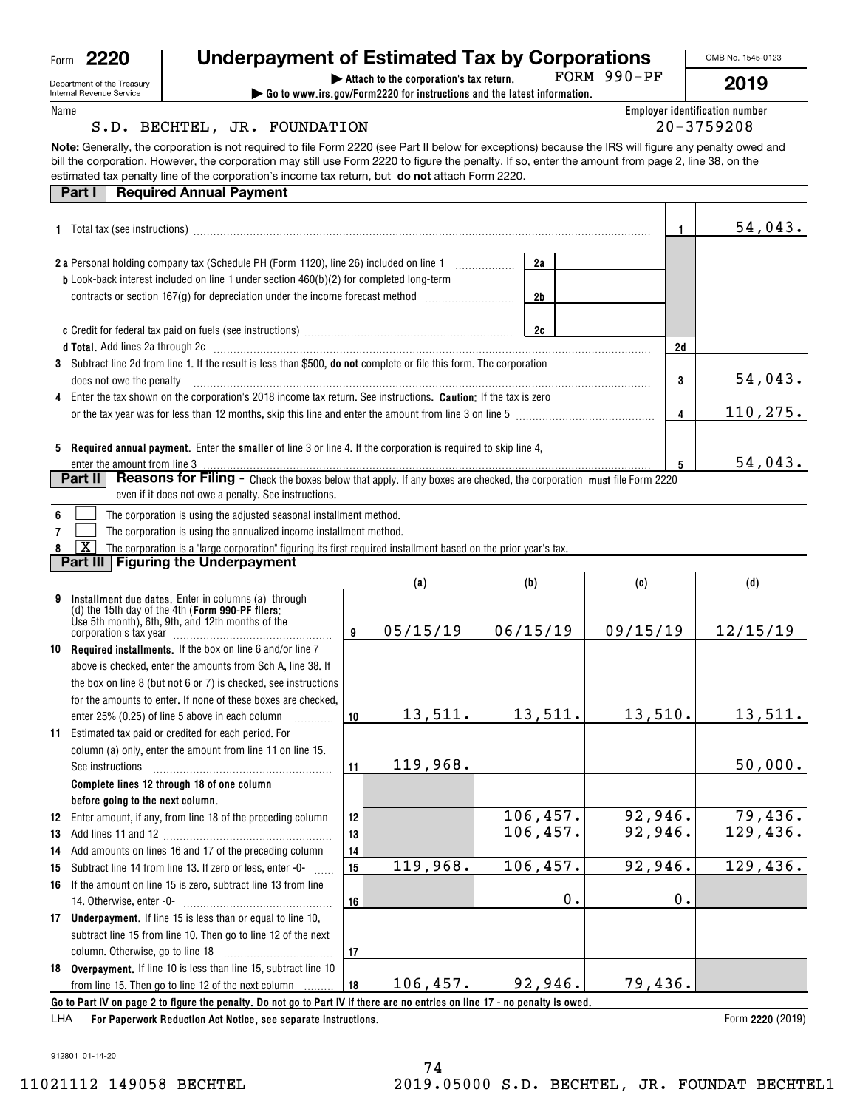| Form     | 2220                                                          | <b>Underpayment of Estimated Tax by Corporations</b>                                                                                                                                                                                                                                                                                                                                                            |          |          |  |               |          |               | OMB No. 1545-0123                     |
|----------|---------------------------------------------------------------|-----------------------------------------------------------------------------------------------------------------------------------------------------------------------------------------------------------------------------------------------------------------------------------------------------------------------------------------------------------------------------------------------------------------|----------|----------|--|---------------|----------|---------------|---------------------------------------|
|          | Department of the Treasury<br><b>Internal Revenue Service</b> | FORM 990-PF<br>Attach to the corporation's tax return.<br>Go to www.irs.gov/Form2220 for instructions and the latest information.                                                                                                                                                                                                                                                                               |          |          |  |               |          | 2019          |                                       |
| Name     |                                                               |                                                                                                                                                                                                                                                                                                                                                                                                                 |          |          |  |               |          |               | <b>Employer identification number</b> |
|          |                                                               | S.D. BECHTEL, JR. FOUNDATION                                                                                                                                                                                                                                                                                                                                                                                    |          |          |  |               |          |               | $20 - 3759208$                        |
|          |                                                               | Note: Generally, the corporation is not required to file Form 2220 (see Part II below for exceptions) because the IRS will figure any penalty owed and<br>bill the corporation. However, the corporation may still use Form 2220 to figure the penalty. If so, enter the amount from page 2, line 38, on the<br>estimated tax penalty line of the corporation's income tax return, but do not attach Form 2220. |          |          |  |               |          |               |                                       |
|          | Part I                                                        | <b>Required Annual Payment</b>                                                                                                                                                                                                                                                                                                                                                                                  |          |          |  |               |          |               |                                       |
|          |                                                               |                                                                                                                                                                                                                                                                                                                                                                                                                 |          |          |  |               |          | 1.            | 54,043.                               |
|          |                                                               | <b>2 a</b> Personal holding company tax (Schedule PH (Form 1120), line 26) included on line 1                                                                                                                                                                                                                                                                                                                   |          |          |  | 2a            |          |               |                                       |
|          |                                                               | <b>b</b> Look-back interest included on line 1 under section 460(b)(2) for completed long-term                                                                                                                                                                                                                                                                                                                  |          |          |  |               |          |               |                                       |
|          |                                                               | contracts or section 167(g) for depreciation under the income forecast method <i>mummummmm</i>                                                                                                                                                                                                                                                                                                                  |          |          |  | 2b            |          |               |                                       |
|          |                                                               |                                                                                                                                                                                                                                                                                                                                                                                                                 |          |          |  |               |          |               |                                       |
|          |                                                               |                                                                                                                                                                                                                                                                                                                                                                                                                 |          |          |  |               |          |               |                                       |
|          |                                                               | d Total. Add lines 2a through 2c [11] matter contract the contract of the contract of the contract of the contract of the contract of the contract of the contract of the contract of the contract of the contract of the cont                                                                                                                                                                                  |          |          |  |               |          | 2d            |                                       |
| 3        | does not owe the penalty                                      | Subtract line 2d from line 1. If the result is less than \$500, do not complete or file this form. The corporation                                                                                                                                                                                                                                                                                              |          |          |  |               |          | 3             | 54,043.                               |
| 4        |                                                               | Enter the tax shown on the corporation's 2018 income tax return. See instructions. Caution: If the tax is zero                                                                                                                                                                                                                                                                                                  |          |          |  |               |          |               |                                       |
|          |                                                               |                                                                                                                                                                                                                                                                                                                                                                                                                 |          |          |  |               |          | 4             | 110,275.                              |
|          |                                                               |                                                                                                                                                                                                                                                                                                                                                                                                                 |          |          |  |               |          |               |                                       |
| 5        |                                                               | Required annual payment. Enter the smaller of line 3 or line 4. If the corporation is required to skip line 4,                                                                                                                                                                                                                                                                                                  |          |          |  |               |          |               |                                       |
|          | enter the amount from line 3                                  |                                                                                                                                                                                                                                                                                                                                                                                                                 |          |          |  |               |          | 5             | 54,043.                               |
|          | Part II                                                       | Reasons for Filing - Check the boxes below that apply. If any boxes are checked, the corporation must file Form 2220<br>even if it does not owe a penalty. See instructions.                                                                                                                                                                                                                                    |          |          |  |               |          |               |                                       |
| 6        |                                                               | The corporation is using the adjusted seasonal installment method.                                                                                                                                                                                                                                                                                                                                              |          |          |  |               |          |               |                                       |
|          |                                                               | The corporation is using the annualized income installment method.                                                                                                                                                                                                                                                                                                                                              |          |          |  |               |          |               |                                       |
|          | $\overline{\text{X}}$                                         | The corporation is a "large corporation" figuring its first required installment based on the prior year's tax.                                                                                                                                                                                                                                                                                                 |          |          |  |               |          |               |                                       |
|          |                                                               | Part III   Figuring the Underpayment                                                                                                                                                                                                                                                                                                                                                                            |          |          |  |               |          |               |                                       |
|          |                                                               |                                                                                                                                                                                                                                                                                                                                                                                                                 |          | (a)      |  | (b)           | (c)      |               | (d)                                   |
| 9        |                                                               | Installment due dates. Enter in columns (a) through<br>(d) the 15th day of the 4th (Form 990-PF filers:<br>Use 5th month), 6th, 9th, and 12th months of the                                                                                                                                                                                                                                                     |          |          |  |               |          |               |                                       |
|          |                                                               |                                                                                                                                                                                                                                                                                                                                                                                                                 | 9        | 05/15/19 |  | 06/15/19      | 09/15/19 |               | 12/15/19                              |
|          |                                                               | 10 Required installments. If the box on line 6 and/or line 7                                                                                                                                                                                                                                                                                                                                                    |          |          |  |               |          |               |                                       |
|          |                                                               | above is checked, enter the amounts from Sch A, line 38. If                                                                                                                                                                                                                                                                                                                                                     |          |          |  |               |          |               |                                       |
|          |                                                               | the box on line 8 (but not 6 or 7) is checked, see instructions<br>for the amounts to enter. If none of these boxes are checked,                                                                                                                                                                                                                                                                                |          |          |  |               |          |               |                                       |
|          |                                                               | enter 25% (0.25) of line 5 above in each column                                                                                                                                                                                                                                                                                                                                                                 | 10       | 13,511.  |  | 13,511.       | 13,510.  |               | 13,511.                               |
|          |                                                               | 11 Estimated tax paid or credited for each period. For                                                                                                                                                                                                                                                                                                                                                          |          |          |  |               |          |               |                                       |
|          |                                                               | column (a) only, enter the amount from line 11 on line 15.                                                                                                                                                                                                                                                                                                                                                      |          |          |  |               |          |               |                                       |
|          | See instructions                                              |                                                                                                                                                                                                                                                                                                                                                                                                                 | 11       | 119,968. |  |               |          |               | 50,000.                               |
|          |                                                               | Complete lines 12 through 18 of one column                                                                                                                                                                                                                                                                                                                                                                      |          |          |  |               |          |               |                                       |
|          | before going to the next column.                              |                                                                                                                                                                                                                                                                                                                                                                                                                 |          |          |  |               |          |               |                                       |
| 12       |                                                               | Enter amount, if any, from line 18 of the preceding column                                                                                                                                                                                                                                                                                                                                                      | 12       |          |  | 106,457.      | 92,946.  |               | 79,436.                               |
| 13       |                                                               |                                                                                                                                                                                                                                                                                                                                                                                                                 | 13       |          |  | 106,457.      | 92,946.  |               | 129,436.                              |
| 14       |                                                               | Add amounts on lines 16 and 17 of the preceding column                                                                                                                                                                                                                                                                                                                                                          | 14<br>15 | 119,968. |  | 106,457.      | 92,946.  |               | 129,436.                              |
| 15<br>16 |                                                               | Subtract line 14 from line 13. If zero or less, enter -0-<br>If the amount on line 15 is zero, subtract line 13 from line                                                                                                                                                                                                                                                                                       |          |          |  |               |          |               |                                       |
|          |                                                               |                                                                                                                                                                                                                                                                                                                                                                                                                 | 16       |          |  | $\mathbf 0$ . |          | $\mathbf 0$ . |                                       |
|          |                                                               | 17 Underpayment. If line 15 is less than or equal to line 10,                                                                                                                                                                                                                                                                                                                                                   |          |          |  |               |          |               |                                       |

| <br><b>UNUCIPATION.</b> IT THIS TO IS ISSS LIGHT OF SQUAF TO THIS TO. |    |          |         |        |  |
|-----------------------------------------------------------------------|----|----------|---------|--------|--|
| subtract line 15 from line 10. Then go to line 12 of the next         |    |          |         |        |  |
| column. Otherwise, go to line 18                                      |    |          |         |        |  |
| 18 Overpayment. If line 10 is less than line 15, subtract line 10     |    |          |         |        |  |
| from line 15. Then go to line 12 of the next column                   | 18 | 106.457. | 92.946. | 79 436 |  |
|                                                                       |    |          |         |        |  |

74

**Go to Part IV on page 2 to figure the penalty. Do not go to Part IV if there are no entries on line 17 - no penalty is owed.**

**For Paperwork Reduction Act Notice, see separate instructions.** LHA

Form 2220 (2019)

912801 01-14-20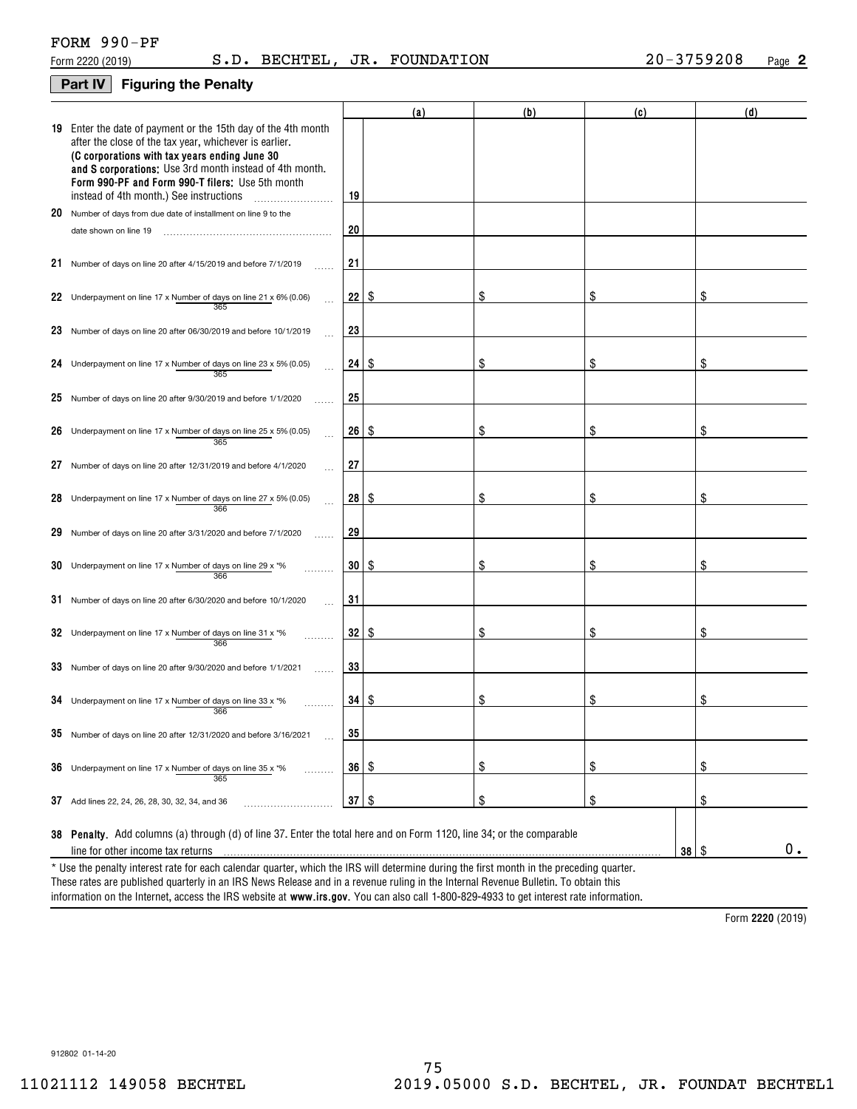# **Part IV Figuring the Penalty**

|    |                                                                                                                                                                                                                                                                                                                                    |                         | (a)  | (b) | (c) | (d)             |
|----|------------------------------------------------------------------------------------------------------------------------------------------------------------------------------------------------------------------------------------------------------------------------------------------------------------------------------------|-------------------------|------|-----|-----|-----------------|
|    | 19 Enter the date of payment or the 15th day of the 4th month<br>after the close of the tax year, whichever is earlier.<br>(C corporations with tax years ending June 30<br>and S corporations: Use 3rd month instead of 4th month.<br>Form 990-PF and Form 990-T filers: Use 5th month<br>instead of 4th month.) See instructions | 19                      |      |     |     |                 |
| 20 | Number of days from due date of installment on line 9 to the                                                                                                                                                                                                                                                                       |                         |      |     |     |                 |
|    | date shown on line 19                                                                                                                                                                                                                                                                                                              | 20                      |      |     |     |                 |
| 21 | Number of days on line 20 after 4/15/2019 and before 7/1/2019                                                                                                                                                                                                                                                                      | 21                      |      |     |     |                 |
|    | 22 Underpayment on line 17 x Number of days on line 21 x 6% (0.06)<br>365                                                                                                                                                                                                                                                          | 22                      | \$   | \$  | \$  | \$              |
|    | 23 Number of days on line 20 after 06/30/2019 and before 10/1/2019                                                                                                                                                                                                                                                                 | 23                      |      |     |     |                 |
|    | 24 Underpayment on line 17 x Number of days on line 23 x 5% (0.05)<br>365                                                                                                                                                                                                                                                          | 24                      | -\$  | \$  | \$  | \$              |
|    | 25 Number of days on line 20 after 9/30/2019 and before 1/1/2020                                                                                                                                                                                                                                                                   | 25                      |      |     |     |                 |
|    | 26 Underpayment on line 17 x Number of days on line 25 x 5% (0.05)<br>365                                                                                                                                                                                                                                                          | 26                      | -\$  | \$  | \$  | \$              |
| 27 | Number of days on line 20 after 12/31/2019 and before 4/1/2020                                                                                                                                                                                                                                                                     | 27                      |      |     |     |                 |
|    | 28 Underpayment on line 17 x Number of days on line 27 x 5% (0.05)<br>366                                                                                                                                                                                                                                                          | 28                      | - \$ | \$  | \$  | \$              |
| 29 | Number of days on line 20 after 3/31/2020 and before 7/1/2020                                                                                                                                                                                                                                                                      | 29                      |      |     |     |                 |
|    | 30 Underpayment on line 17 x Number of days on line 29 x $*$ %<br>366                                                                                                                                                                                                                                                              | 30                      | -\$  | \$  | \$  | \$              |
|    | 31 Number of days on line 20 after 6/30/2020 and before 10/1/2020                                                                                                                                                                                                                                                                  | 31                      |      |     |     |                 |
|    | 32 Underpayment on line 17 x Number of days on line 31 x $*$ %<br>366                                                                                                                                                                                                                                                              | 32                      | \$   | \$  | \$  | \$              |
|    | 33 Number of days on line 20 after 9/30/2020 and before 1/1/2021                                                                                                                                                                                                                                                                   | 33                      |      |     |     |                 |
|    | 34 Underpayment on line 17 x Number of days on line 33 x $*$ %<br>366                                                                                                                                                                                                                                                              | $34 \mid$ $\frac{6}{3}$ |      | \$  | \$  | \$              |
|    | 35 Number of days on line 20 after 12/31/2020 and before 3/16/2021                                                                                                                                                                                                                                                                 | 35                      |      |     |     |                 |
|    | <b>36</b> Underpayment on line 17 x Number of days on line 35 x $*$ %<br>365                                                                                                                                                                                                                                                       | 36                      | -\$  | \$  | \$  | \$              |
|    | 37 Add lines 22, 24, 26, 28, 30, 32, 34, and 36                                                                                                                                                                                                                                                                                    | 37                      | \$   | \$  | \$  | \$              |
|    | 38 Penalty. Add columns (a) through (d) of line 37. Enter the total here and on Form 1120, line 34; or the comparable<br>line for other income tax returns                                                                                                                                                                         |                         |      |     | 38  | 0.<br><b>\$</b> |
|    | * Use the penalty interest rate for each calendar quarter, which the IRS will determine during the first month in the preceding quarter.                                                                                                                                                                                           |                         |      |     |     |                 |

information on the Internet, access the IRS website at **www.irs.gov**. You can also call 1-800-829-4933 to get interest rate information. These rates are published quarterly in an IRS News Release and in a revenue ruling in the Internal Revenue Bulletin. To obtain this

**2220**  Form (2019)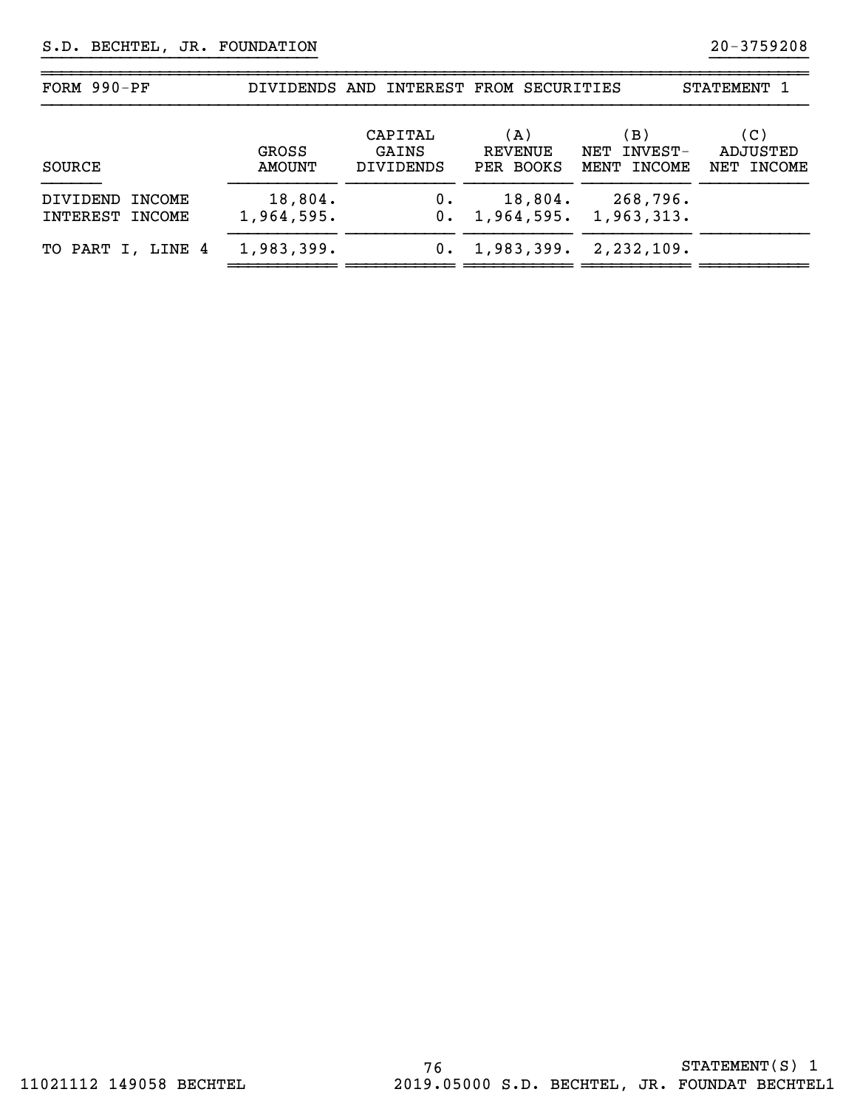| FORM $990-PF$                            |                               | DIVIDENDS AND INTEREST FROM SECURITIES |                             |                                       | STATEMENT 1                      |  |
|------------------------------------------|-------------------------------|----------------------------------------|-----------------------------|---------------------------------------|----------------------------------|--|
| SOURCE                                   | <b>GROSS</b><br><b>AMOUNT</b> | CAPITAL<br>GAINS<br><b>DIVIDENDS</b>   | (A)<br>REVENUE<br>PER BOOKS | (B )<br>NET INVEST-<br>MENT INCOME    | (C)<br>ADJUSTED<br>INCOME<br>NET |  |
| DIVIDEND<br>INCOME<br>INTEREST<br>INCOME | 18,804.<br>1,964,595.         | 0.<br>0.                               | 18,804.                     | 268,796.<br>$1,964,595.$ $1,963,313.$ |                                  |  |
| TO PART I, LINE 4                        | 1,983,399.                    | 0.                                     | 1,983,399.                  | 2,232,109.                            |                                  |  |

~~~~~~~~~~~~~~~~~~~~~~~~~~~~~~~~~~~~~~~~~~~~~~~~~~~~~~~~~~~~~~~~~~~~~~~~~~~~~~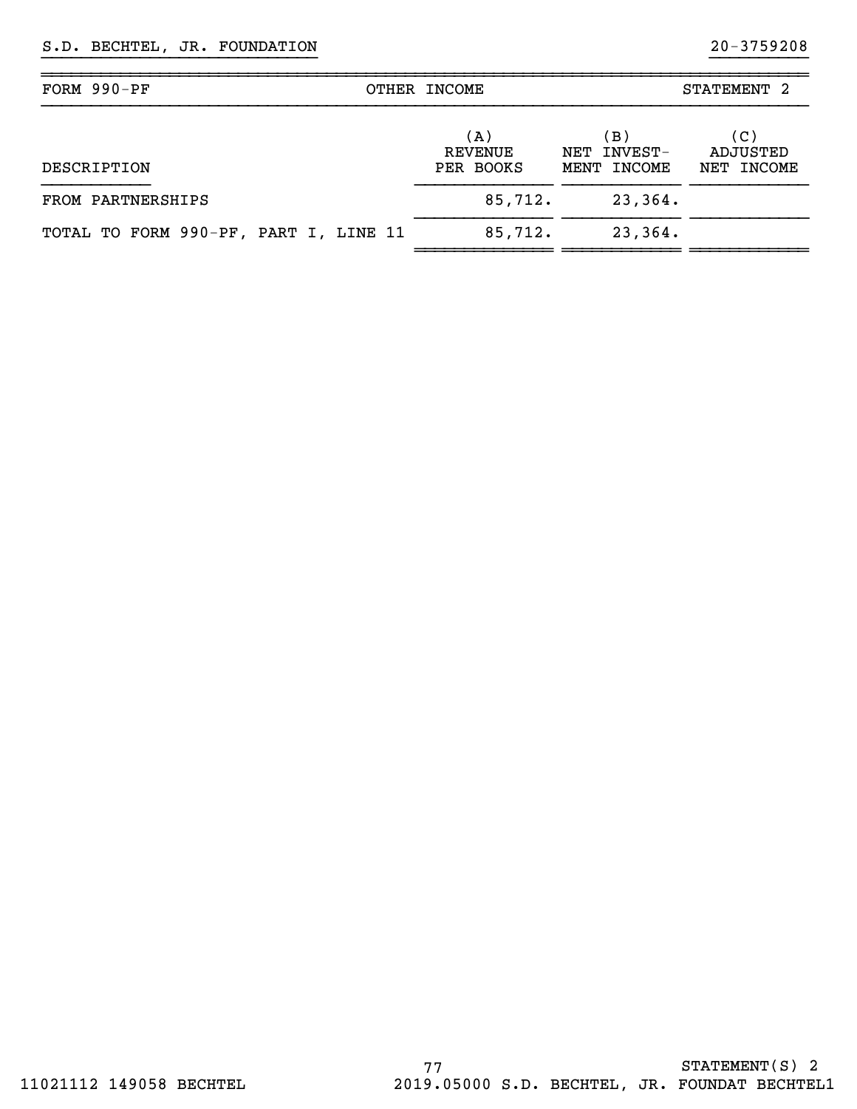| FORM 990-PF                           | OTHER INCOME                       |                                   | STATEMENT 2                   |
|---------------------------------------|------------------------------------|-----------------------------------|-------------------------------|
| DESCRIPTION                           | (A)<br><b>REVENUE</b><br>PER BOOKS | (B)<br>NET INVEST-<br>MENT INCOME | (C)<br>ADJUSTED<br>NET INCOME |
| FROM PARTNERSHIPS                     | 85,712.                            | 23,364.                           |                               |
| TOTAL TO FORM 990-PF, PART I, LINE 11 | 85,712.                            | 23,364.                           |                               |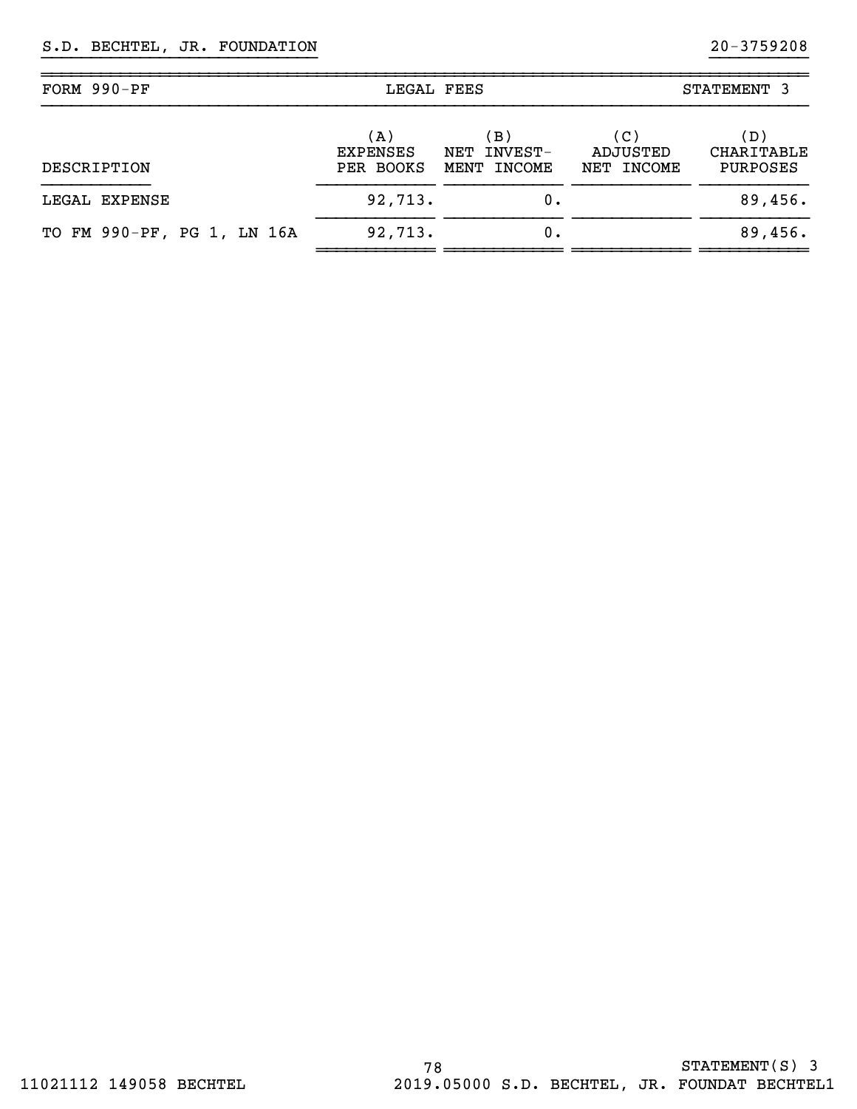| FORM 990-PF                | LEGAL FEES                          |                                   | STATEMENT 3                   |                                      |  |
|----------------------------|-------------------------------------|-----------------------------------|-------------------------------|--------------------------------------|--|
| DESCRIPTION                | (A)<br><b>EXPENSES</b><br>PER BOOKS | (B)<br>NET INVEST-<br>MENT INCOME | (C)<br>ADJUSTED<br>NET INCOME | (D)<br><b>CHARITABLE</b><br>PURPOSES |  |
| LEGAL EXPENSE              | 92,713.                             | 0.                                |                               | 89,456.                              |  |
| TO FM 990-PF, PG 1, LN 16A | 92,713.                             | 0.                                |                               | 89,456.                              |  |

~~~~~~~~~~~~ ~~~~~~~~~~~~ ~~~~~~~~~~~~ ~~~~~~~~~~~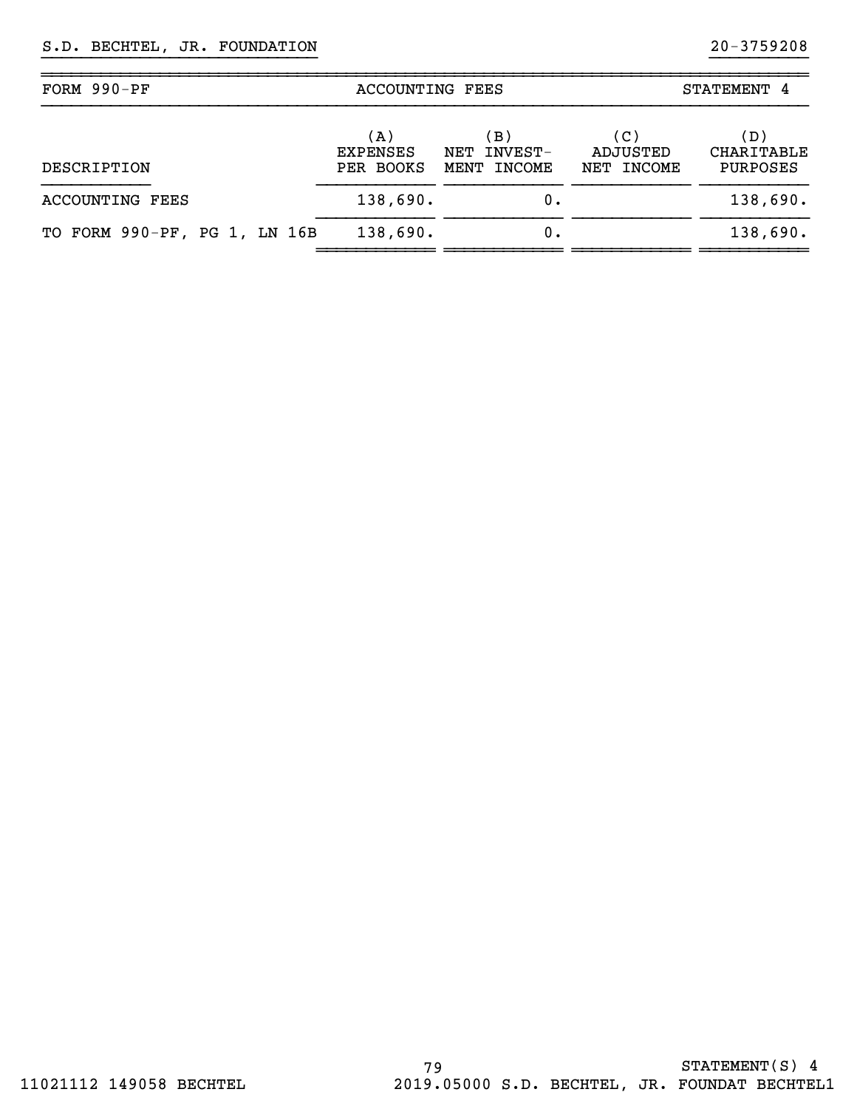| FORM 990-PF                  | <b>ACCOUNTING FEES</b>              | STATEMENT 4                          |                               |                                             |
|------------------------------|-------------------------------------|--------------------------------------|-------------------------------|---------------------------------------------|
| DESCRIPTION                  | (A)<br><b>EXPENSES</b><br>PER BOOKS | (B)<br>INVEST-<br>NET<br>MENT INCOME | (C)<br>ADJUSTED<br>NET INCOME | (D)<br><b>CHARITABLE</b><br><b>PURPOSES</b> |
| <b>ACCOUNTING FEES</b>       | 138,690.                            | 0.                                   |                               |                                             |
| TO FORM 990-PF, PG 1, LN 16B | 138,690.                            | 0.                                   |                               | 138,690.                                    |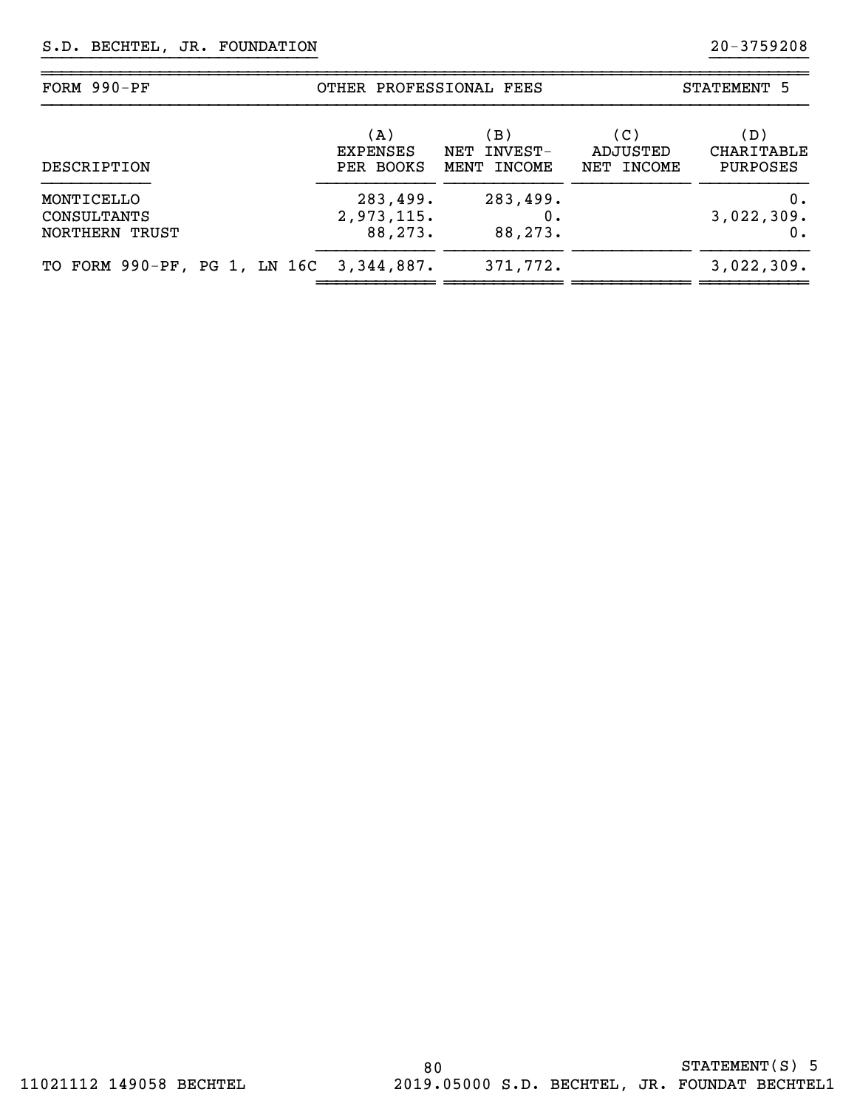| FORM $990-PF$                               | OTHER PROFESSIONAL FEES             |                                         | STATEMENT 5                   |                                      |  |
|---------------------------------------------|-------------------------------------|-----------------------------------------|-------------------------------|--------------------------------------|--|
| DESCRIPTION                                 | (A)<br><b>EXPENSES</b><br>PER BOOKS | (B)<br>INVEST-<br>NET<br>INCOME<br>MENT | (C)<br>ADJUSTED<br>NET INCOME | (D)<br>CHARITABLE<br><b>PURPOSES</b> |  |
| MONTICELLO<br>CONSULTANTS<br>NORTHERN TRUST | 283,499.<br>2,973,115.<br>88,273.   | 283,499.<br>0.<br>88,273.               |                               | 0.<br>3,022,309.                     |  |
| TO FORM 990-PF, PG 1, LN 16C 3,344,887.     |                                     | 371,772.                                |                               | 3,022,309.                           |  |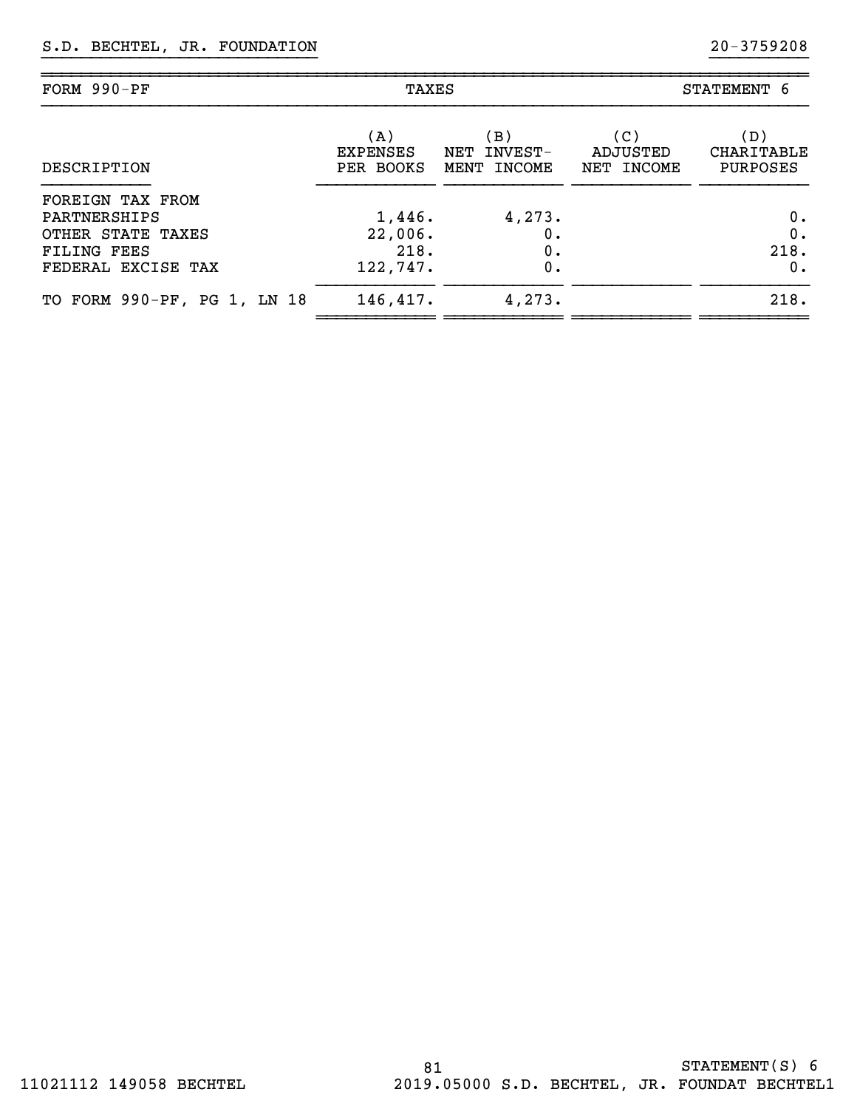| FORM 990-PF                                                                                       | TAXES                                 |                                      |                               | STATEMENT 6                          |  |  |
|---------------------------------------------------------------------------------------------------|---------------------------------------|--------------------------------------|-------------------------------|--------------------------------------|--|--|
| DESCRIPTION                                                                                       | (A)<br><b>EXPENSES</b><br>PER BOOKS   | (B)<br>INVEST-<br>NET<br>MENT INCOME | (C)<br>ADJUSTED<br>NET INCOME | (D)<br><b>CHARITABLE</b><br>PURPOSES |  |  |
| FOREIGN TAX FROM<br>PARTNERSHIPS<br>OTHER STATE TAXES<br><b>FILING FEES</b><br>FEDERAL EXCISE TAX | 1,446.<br>22,006.<br>218.<br>122,747. | 4,273.<br>0.<br>0.<br>0.             |                               | 0.<br>0.<br>218.<br>0.               |  |  |
| TO FORM 990-PF, PG 1, LN 18                                                                       | 146,417.                              | 4,273.                               |                               | 218.                                 |  |  |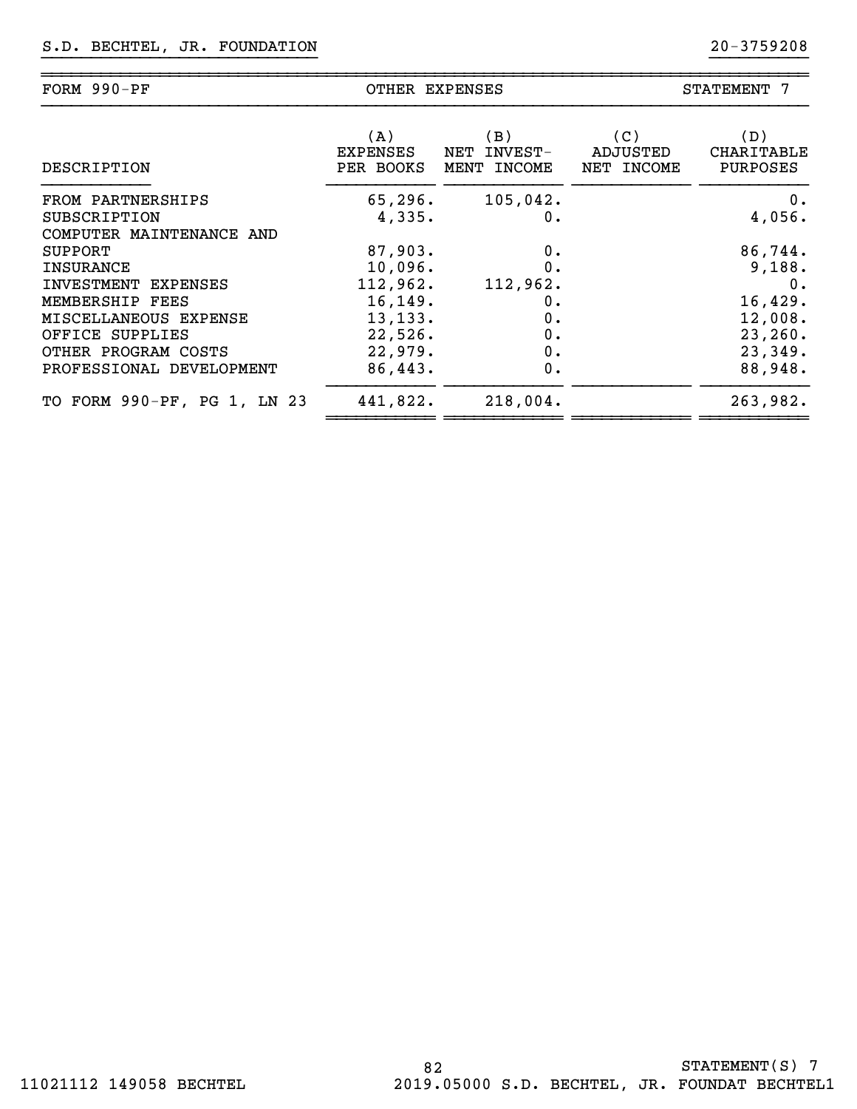| FORM $990-PF$                                                   | OTHER EXPENSES                      |                                      |                               | STATEMENT 7                    |  |  |
|-----------------------------------------------------------------|-------------------------------------|--------------------------------------|-------------------------------|--------------------------------|--|--|
| DESCRIPTION                                                     | (A)<br><b>EXPENSES</b><br>PER BOOKS | (B)<br>NET INVEST-<br>INCOME<br>MENT | (C)<br>ADJUSTED<br>NET INCOME | (D)<br>CHARITABLE<br>PURPOSES  |  |  |
| FROM PARTNERSHIPS<br>SUBSCRIPTION<br>COMPUTER MAINTENANCE AND   | 65, 296.<br>4,335.                  | 105,042.<br>0.                       |                               | 0.<br>4,056.                   |  |  |
| <b>SUPPORT</b><br><b>INSURANCE</b>                              | 87,903.<br>10,096.                  | 0.<br>0.                             |                               | 86,744.<br>9,188.              |  |  |
| INVESTMENT EXPENSES<br>MEMBERSHIP FEES                          | 112,962.<br>16, 149.                | 112,962.<br>0.<br>0.                 |                               | $0$ .<br>16,429.               |  |  |
| MISCELLANEOUS EXPENSE<br>OFFICE SUPPLIES<br>OTHER PROGRAM COSTS | 13, 133.<br>22,526.<br>22,979.      | 0.<br>0.                             |                               | 12,008.<br>23, 260.<br>23,349. |  |  |
| PROFESSIONAL DEVELOPMENT<br>FORM 990-PF, PG 1, LN 23<br>TO      | 86,443.<br>441,822.                 | 0.<br>218,004.                       |                               | 88,948.<br>263,982.            |  |  |
|                                                                 |                                     |                                      |                               |                                |  |  |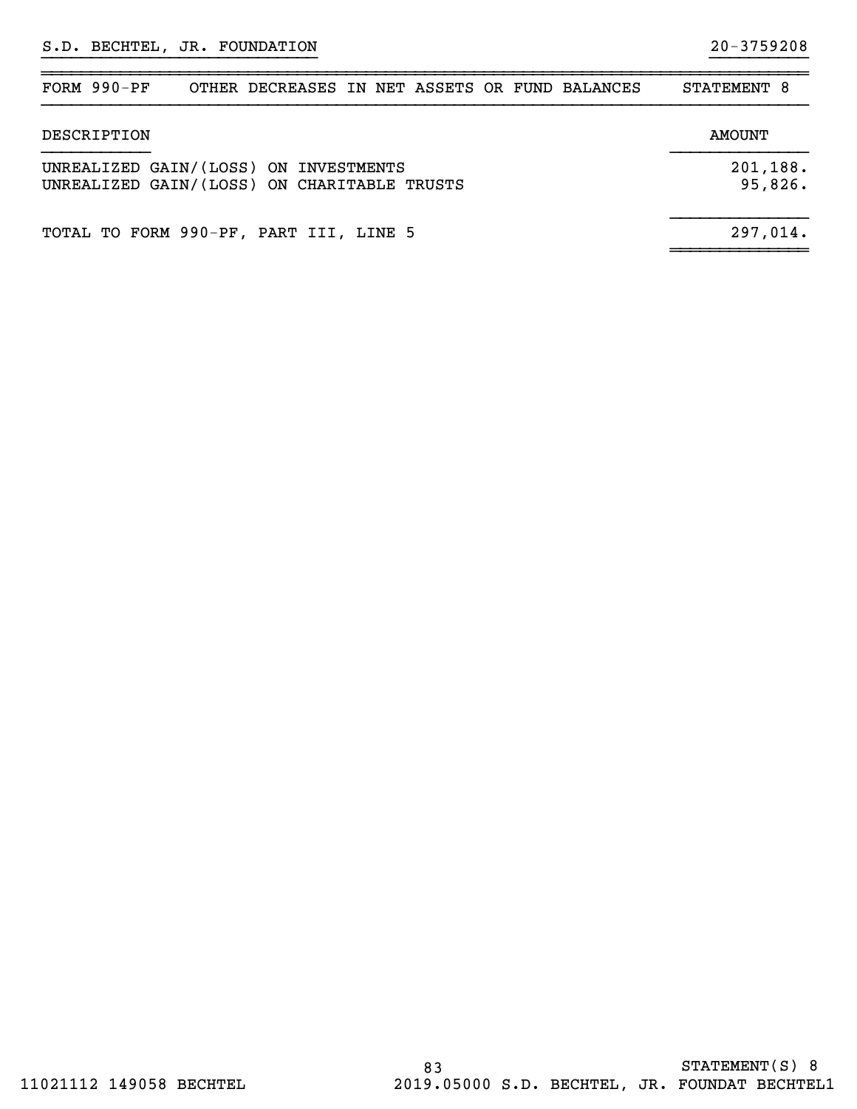| $FORM 990-PF$                                                                        | OTHER DECREASES IN NET ASSETS OR FUND BALANCES |  |  |  |                     | STATEMENT 8   |  |
|--------------------------------------------------------------------------------------|------------------------------------------------|--|--|--|---------------------|---------------|--|
| DESCRIPTION                                                                          |                                                |  |  |  |                     | <b>AMOUNT</b> |  |
| UNREALIZED GAIN/(LOSS) ON INVESTMENTS<br>UNREALIZED GAIN/(LOSS) ON CHARITABLE TRUSTS |                                                |  |  |  | 201,188.<br>95,826. |               |  |
| TOTAL TO FORM 990-PF, PART III, LINE 5                                               |                                                |  |  |  | 297,014.            |               |  |

~~~~~~~~~~~~~~~~~~~~~~~~~~~~~~~~~~~~~~~~~~~~~~~~~~~~~~~~~~~~~~~~~~~~~~~~~~~~~~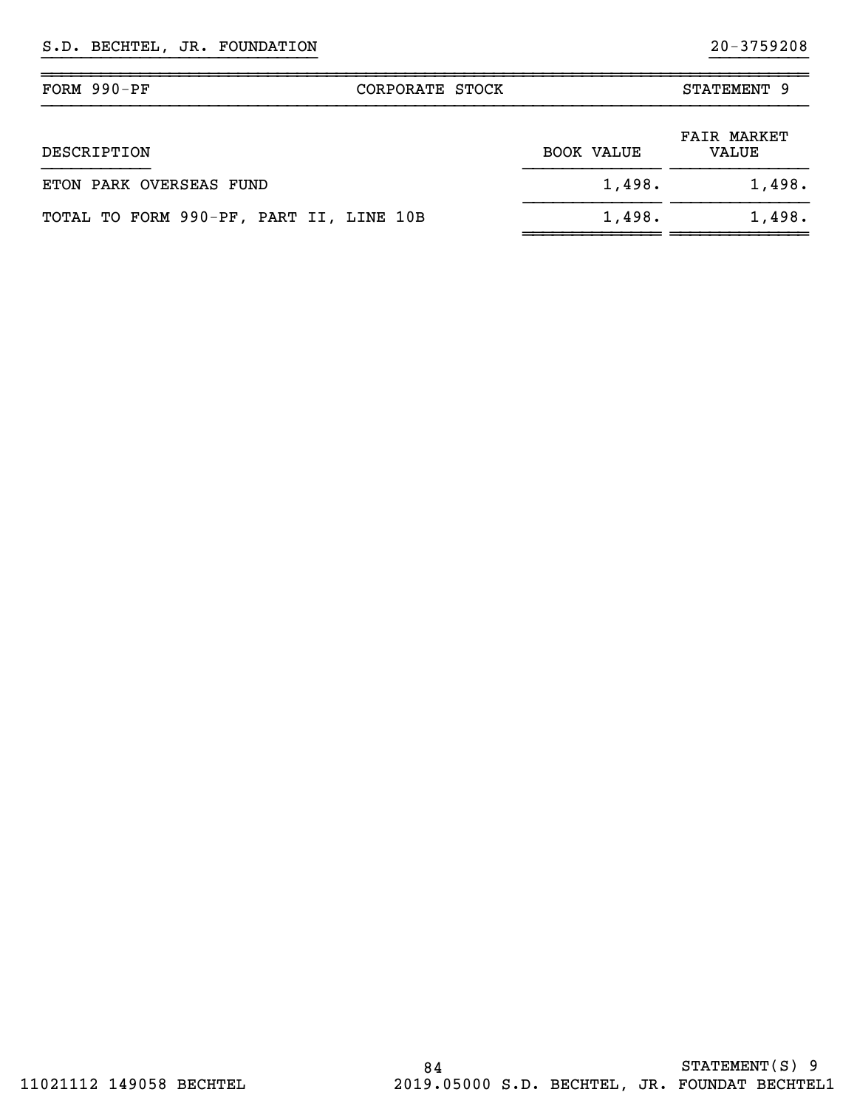| FORM $990-PF$<br>CORPORATE STOCK        |                   | STATEMENT 9                 |  |
|-----------------------------------------|-------------------|-----------------------------|--|
| DESCRIPTION                             | <b>BOOK VALUE</b> | <b>FAIR MARKET</b><br>VALUE |  |
| ETON PARK OVERSEAS FUND                 | 1,498.            | 1,498.                      |  |
| TOTAL TO FORM 990-PF, PART II, LINE 10B | 1,498.            | 1,498.                      |  |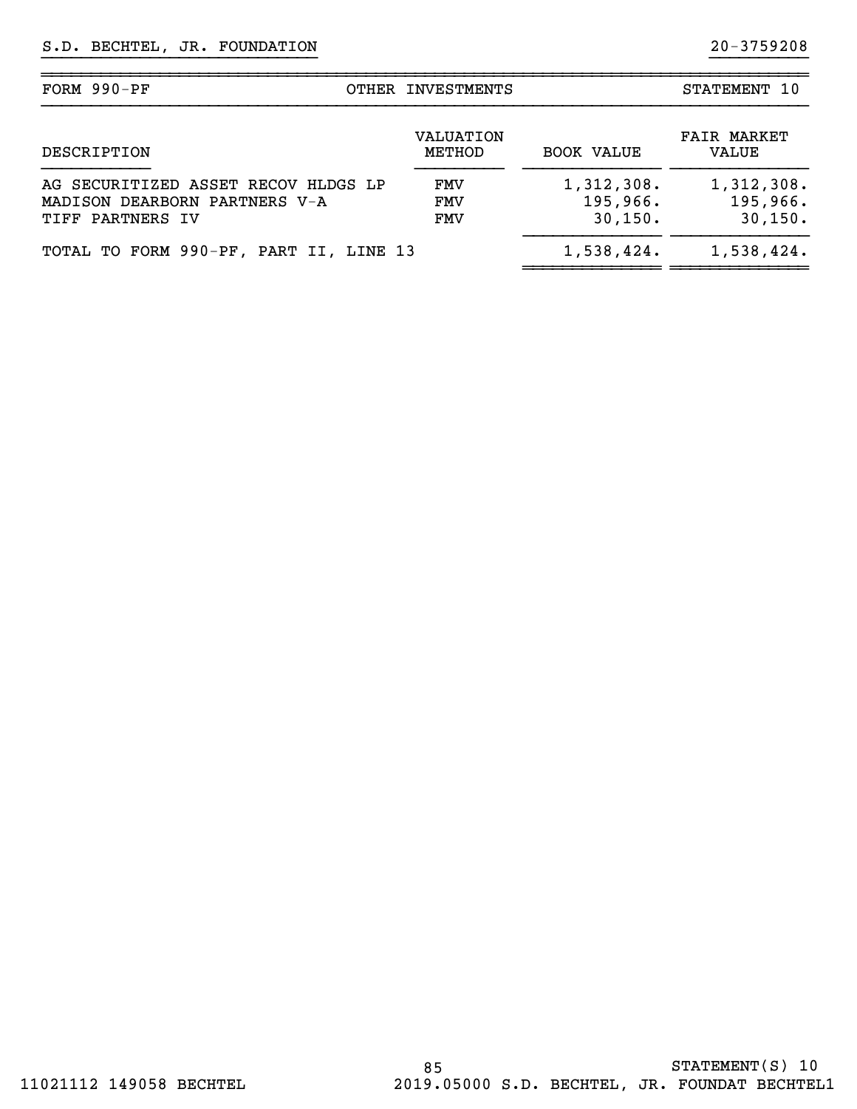| FORM 990-PF                                                                              | OTHER INVESTMENTS        |                                    | STATEMENT 10                       |
|------------------------------------------------------------------------------------------|--------------------------|------------------------------------|------------------------------------|
| DESCRIPTION                                                                              | VALUATION<br>METHOD      | <b>BOOK VALUE</b>                  | <b>FAIR MARKET</b><br><b>VALUE</b> |
| AG SECURITIZED ASSET RECOV HLDGS LP<br>MADISON DEARBORN PARTNERS V-A<br>TIFF PARTNERS IV | FMV<br>FMV<br><b>FMV</b> | 1,312,308.<br>195,966.<br>30, 150. | 1,312,308.<br>195,966.<br>30, 150. |
| TOTAL TO FORM 990-PF, PART II, LINE 13                                                   |                          | 1,538,424.                         | 1,538,424.                         |

~~~~~~~~~~~~~~ ~~~~~~~~~~~~~~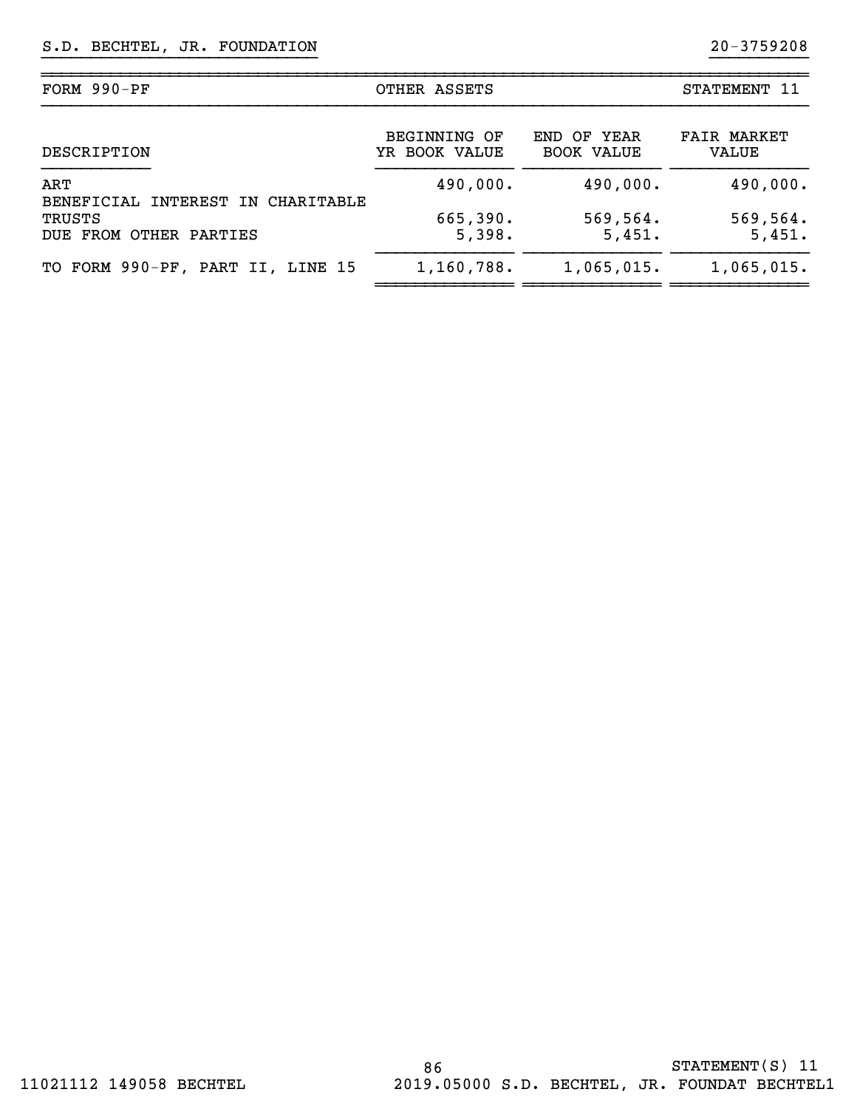| FORM 990-PF                                                           | OTHER ASSETS                         | STATEMENT 11                     |                             |
|-----------------------------------------------------------------------|--------------------------------------|----------------------------------|-----------------------------|
| DESCRIPTION                                                           | <b>BEGINNING OF</b><br>YR BOOK VALUE | END OF YEAR<br><b>BOOK VALUE</b> | <b>FAIR MARKET</b><br>VALUE |
| ART                                                                   | 490,000.                             | 490,000.                         | 490,000.                    |
| BENEFICIAL INTEREST IN CHARITABLE<br>TRUSTS<br>DUE FROM OTHER PARTIES | 665,390.<br>5,398.                   | 569,564.<br>5,451.               | 569,564.<br>5,451.          |
| TO FORM 990-PF, PART II, LINE 15                                      | 1,160,788.                           | 1,065,015.                       | 1,065,015.                  |

~~~~~~~~~~~~~~ ~~~~~~~~~~~~~~ ~~~~~~~~~~~~~~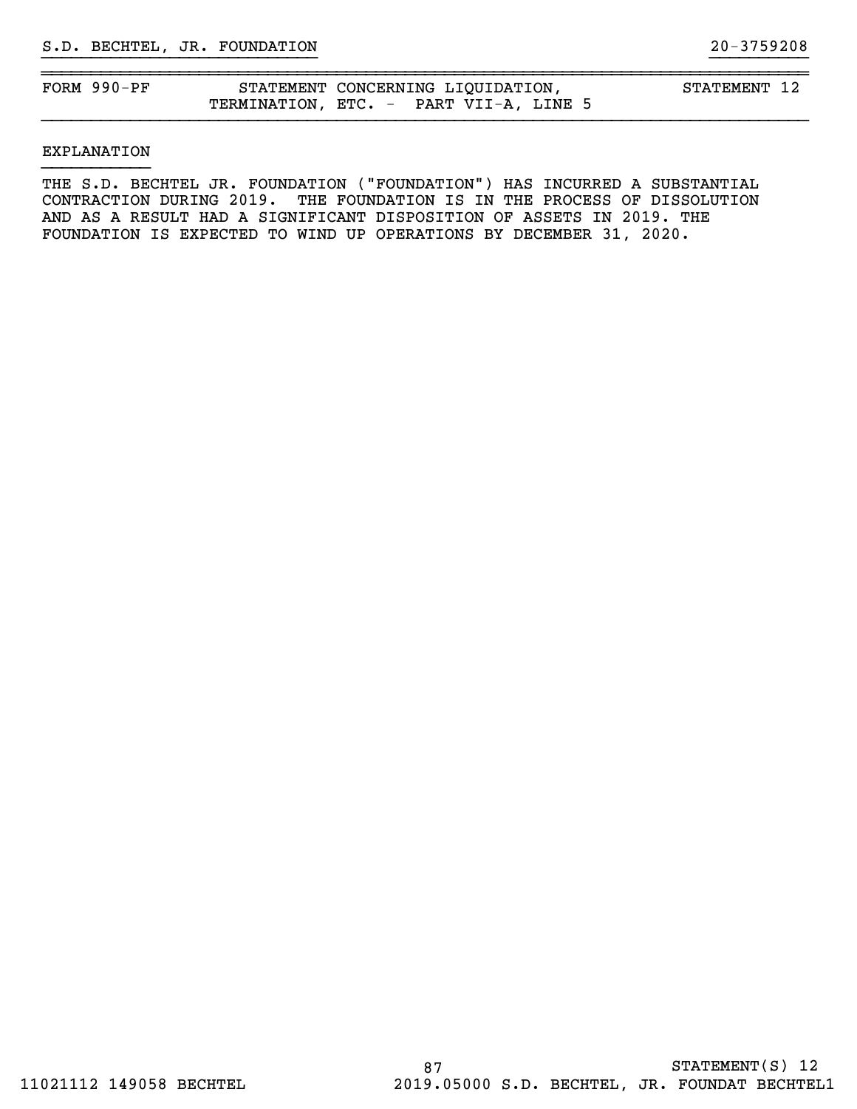| FORM 990-PF |                                        |  | STATEMENT CONCERNING LIQUIDATION, |  |  |
|-------------|----------------------------------------|--|-----------------------------------|--|--|
|             | TERMINATION, ETC. - PART VII-A, LINE 5 |  |                                   |  |  |

STATEMENT 12

#### EXPLANATION

THE S.D. BECHTEL JR. FOUNDATION ("FOUNDATION") HAS INCURRED A SUBSTANTIAL CONTRACTION DURING 2019. THE FOUNDATION IS IN THE PROCESS OF DISSOLUTION AND AS A RESULT HAD A SIGNIFICANT DISPOSITION OF ASSETS IN 2019. THE FOUNDATION IS EXPECTED TO WIND UP OPERATIONS BY DECEMBER 31, 2020.

~~~~~~~~~~~~~~~~~~~~~~~~~~~~~~~~~~~~~~~~~~~~~~~~~~~~~~~~~~~~~~~~~~~~~~~~~~~~~~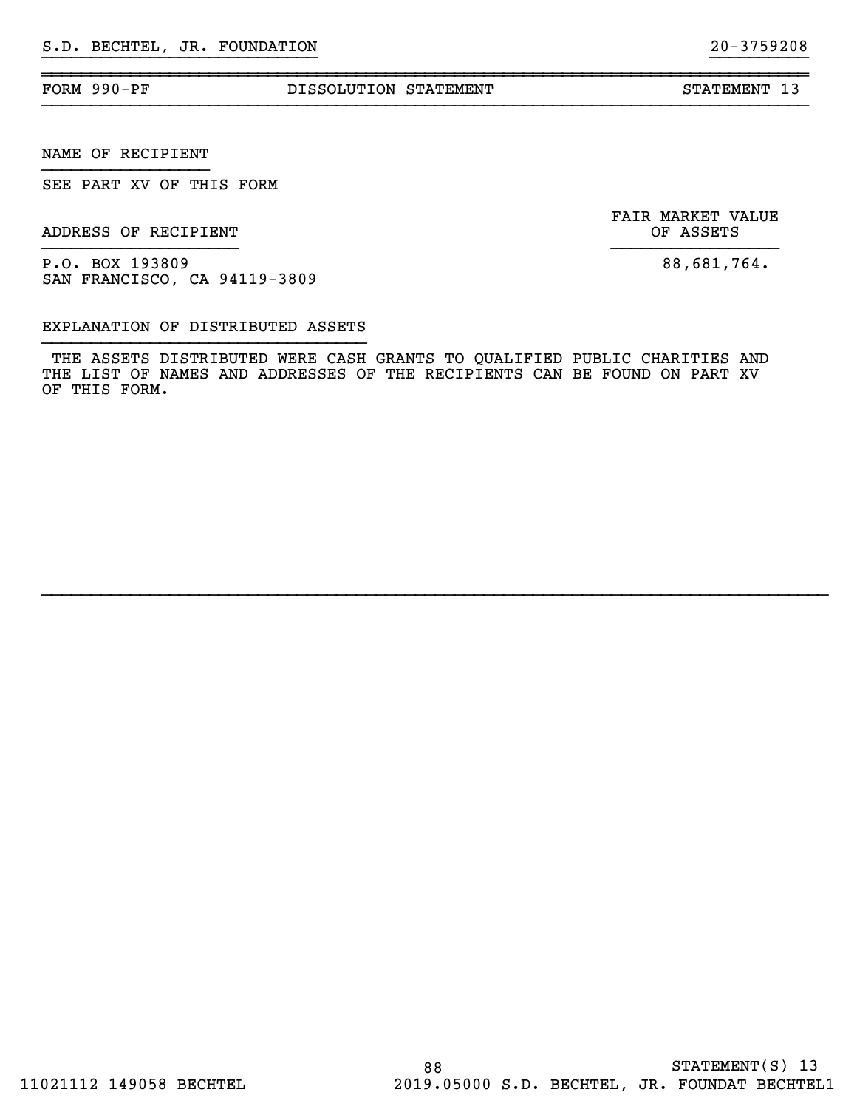#### FORM 990-PF DISSOLUTION STATEMENT STATEMENT 13

~~~~~~~~~~~~~~~~~~~~~~~~~~~~~~~~~~~~~~~~~~~~~~~~~~~~~~~~~~~~~~~~~~~~~~~~~~~~~~

}}}}}}}}}}}}}}}}}}}}}}}}}}}} }}}}}}}}}}

NAME OF RECIPIENT

SEE PART XV OF THIS FORM

ADDRESS OF RECIPIENT **ALL ASSETS** OF ASSETS

FAIR MARKET VALUE

P.O. BOX 193809 88,681,764. SAN FRANCISCO, CA 94119-3809

### EXPLANATION OF DISTRIBUTED ASSETS

 THE ASSETS DISTRIBUTED WERE CASH GRANTS TO QUALIFIED PUBLIC CHARITIES AND THE LIST OF NAMES AND ADDRESSES OF THE RECIPIENTS CAN BE FOUND ON PART XV OF THIS FORM.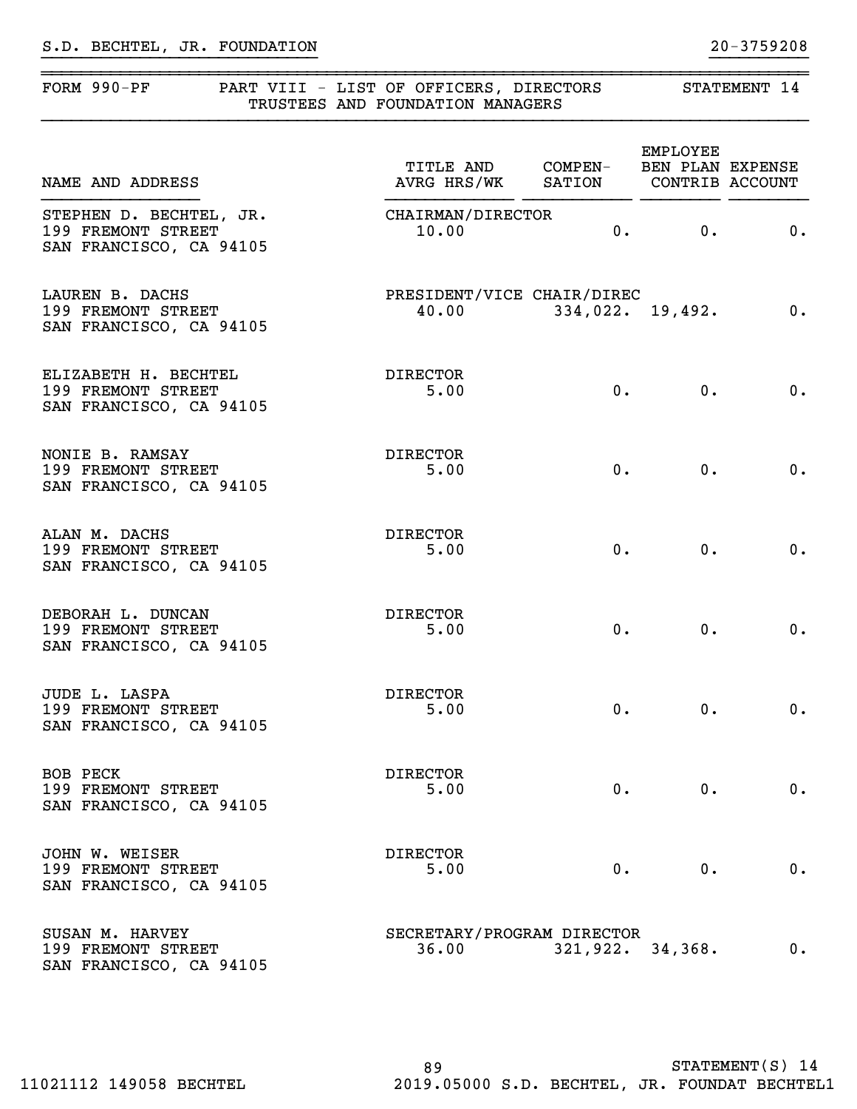| FORM $990-PF$                                                            | PART VIII - LIST OF OFFICERS, DIRECTORS<br>TRUSTEES AND FOUNDATION MANAGERS |                          |          | STATEMENT 14 |
|--------------------------------------------------------------------------|-----------------------------------------------------------------------------|--------------------------|----------|--------------|
| NAME AND ADDRESS                                                         | TITLE AND COMPEN- BEN PLAN EXPENSE<br>AVRG HRS/WK SATION CONTRIB ACCOUNT    |                          | EMPLOYEE |              |
| STEPHEN D. BECHTEL, JR.<br>199 FREMONT STREET<br>SAN FRANCISCO, CA 94105 | CHAIRMAN/DIRECTOR<br>10.00                                                  | 0.                       | 0.       | 0.           |
| LAUREN B. DACHS<br>199 FREMONT STREET<br>SAN FRANCISCO, CA 94105         | PRESIDENT/VICE CHAIR/DIREC                                                  | $40.00$ 334,022. 19,492. |          | 0.           |
| ELIZABETH H. BECHTEL<br>199 FREMONT STREET<br>SAN FRANCISCO, CA 94105    | DIRECTOR<br>5.00                                                            | 0.                       | 0.       | 0.           |
| NONIE B. RAMSAY<br>199 FREMONT STREET<br>SAN FRANCISCO, CA 94105         | DIRECTOR<br>5.00                                                            | 0.                       | 0.       | 0.           |
| ALAN M. DACHS<br>199 FREMONT STREET<br>SAN FRANCISCO, CA 94105           | DIRECTOR<br>5.00                                                            | 0.                       | 0.       | 0.           |
| DEBORAH L. DUNCAN<br>199 FREMONT STREET<br>SAN FRANCISCO, CA 94105       | DIRECTOR<br>5.00                                                            | 0.                       | 0.       | 0.           |
| JUDE L. LASPA<br>199 FREMONT STREET<br>SAN FRANCISCO, CA 94105           | <b>DIRECTOR</b><br>5.00                                                     | $0 \cdot$                | 0.       | $0$ .        |
| BOB PECK<br>199 FREMONT STREET<br>SAN FRANCISCO, CA 94105                | <b>DIRECTOR</b><br>5.00                                                     | 0.                       | 0.       | 0.           |
| JOHN W. WEISER<br>199 FREMONT STREET<br>SAN FRANCISCO, CA 94105          | <b>DIRECTOR</b><br>5.00                                                     | 0.                       | 0.       | 0.           |
| SUSAN M. HARVEY<br>199 FREMONT STREET<br>SAN FRANCISCO, CA 94105         | SECRETARY/PROGRAM DIRECTOR<br>36.00                                         | $321,922.$ $34,368.$     |          | 0.           |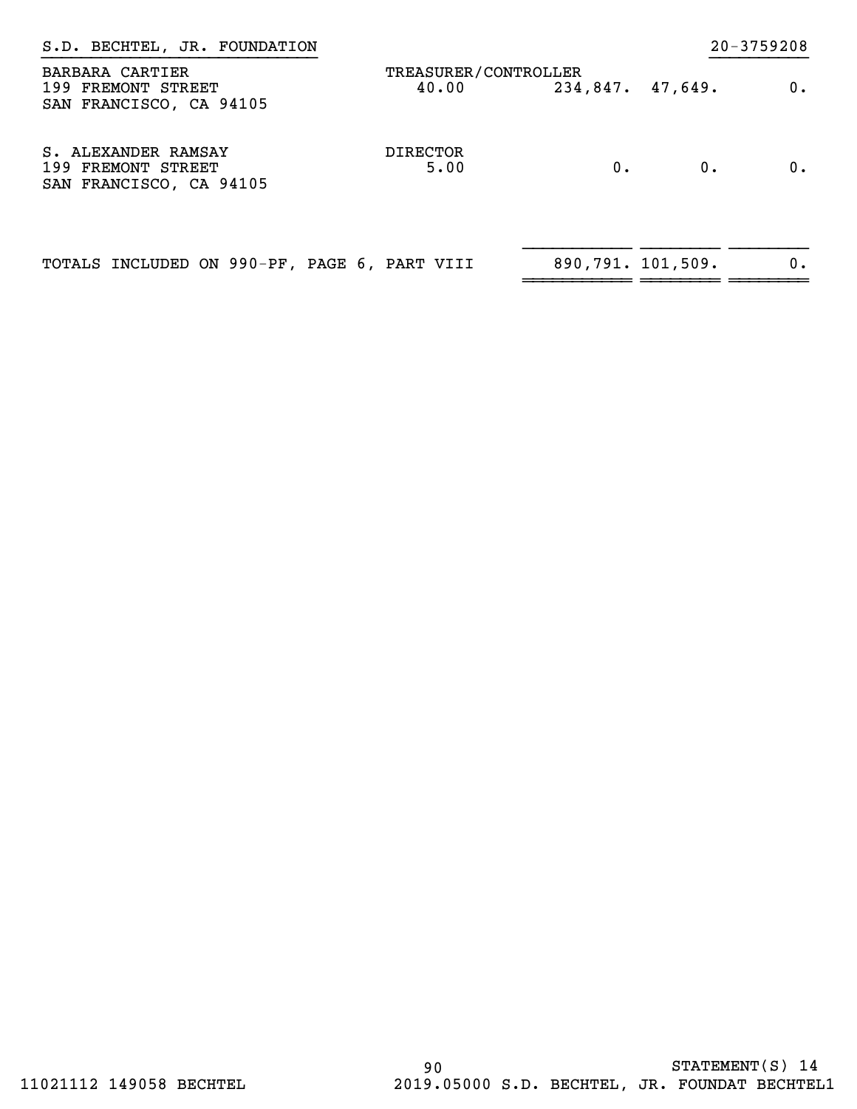| S.D. BECHTEL, JR. FOUNDATION                                         |                               |                  |                   | $20 - 3759208$ |
|----------------------------------------------------------------------|-------------------------------|------------------|-------------------|----------------|
| BARBARA CARTIER<br>199 FREMONT STREET<br>SAN FRANCISCO, CA 94105     | TREASURER/CONTROLLER<br>40.00 | 234,847. 47,649. |                   | $0$ .          |
| S. ALEXANDER RAMSAY<br>199 FREMONT STREET<br>SAN FRANCISCO, CA 94105 | <b>DIRECTOR</b><br>5.00       | 0.               | 0.                | 0.             |
| TOTALS INCLUDED ON 990-PF, PAGE 6, PART VIII                         |                               |                  | 890,791. 101,509. | 0.             |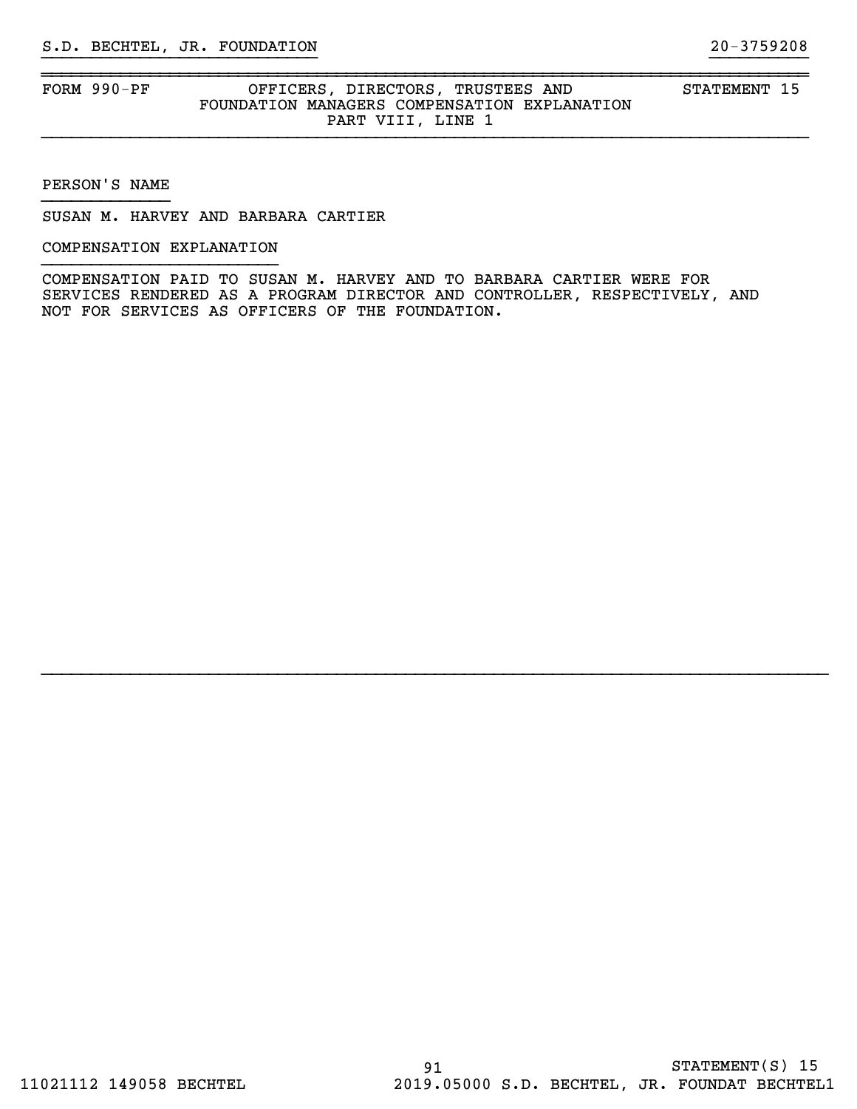# FORM 990-PF OFFICERS, DIRECTORS, TRUSTEES AND STATEMENT 15 FOUNDATION MANAGERS COMPENSATION EXPLANATION PART VIII, LINE 1

~~~~~~~~~~~~~~~~~~~~~~~~~~~~~~~~~~~~~~~~~~~~~~~~~~~~~~~~~~~~~~~~~~~~~~~~~~~~~~

}}}}}}}}}}}}}}}}}}}}}}}}}}}} }}}}}}}}}}

PERSON'S NAME }}}}}}}}}}}}}

SUSAN M. HARVEY AND BARBARA CARTIER

#### COMPENSATION EXPLANATION }}}}}}}}}}}}}}}}}}}}}}}}

COMPENSATION PAID TO SUSAN M. HARVEY AND TO BARBARA CARTIER WERE FOR SERVICES RENDERED AS A PROGRAM DIRECTOR AND CONTROLLER, RESPECTIVELY, AND NOT FOR SERVICES AS OFFICERS OF THE FOUNDATION.